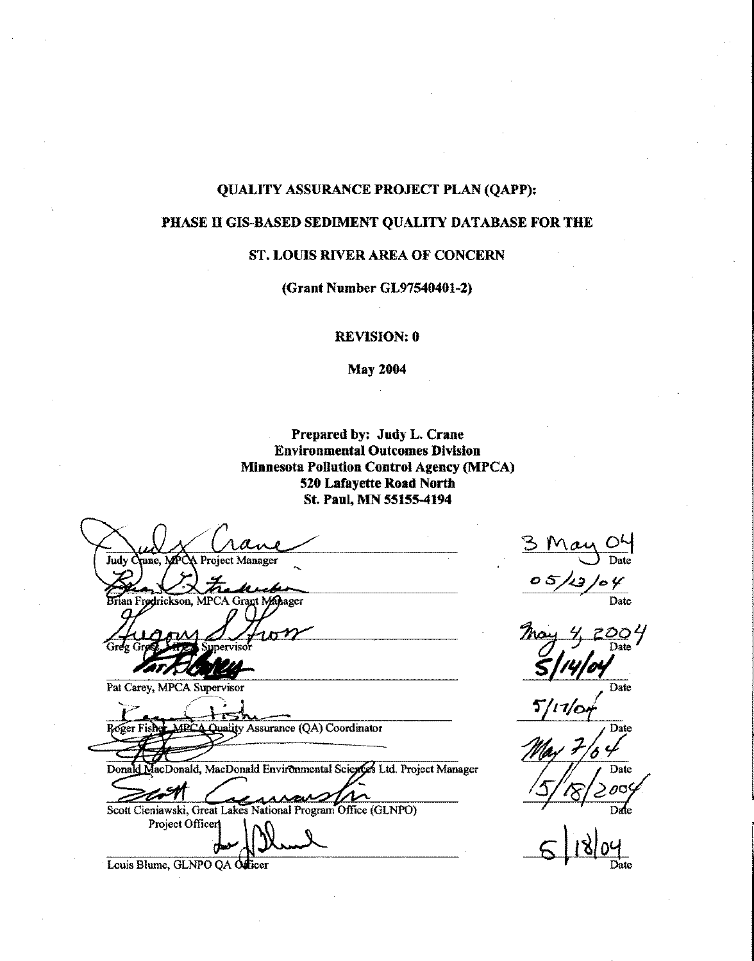#### **QUALITY ASSURANCE PROJECT PLAN (QAPP):**

#### PHASE II GIS-BASED SEDIMENT QUALITY DATABASE FOR THE

#### ST. LOUIS RIVER AREA OF CONCERN

(Grant Number GL97540401-2)

**REVISION: 0** 

**May 2004** 

Prepared by: Judy L. Crane **Environmental Outcomes Division Minnesota Pollution Control Agency (MPCA)** 520 Lafayette Road North St. Paul, MN 55155-4194

**Project Manager** Judy C rane, MPC MPCA Grant Mahager an F radrickson. Pat Carey, MPCA Supervisor **Quality Assurance (QA) Coordinator** Roger Fis Donald MacDonald, MacDonald Environmental Sciences Ltd. Project Manager Scott Cieniawski, Great Lakes National Program Office (GLNPO) Project Officer Louis Blume, GLNPO QA Officer

 $\overline{\text{Date}}$ **Date** Date Date Date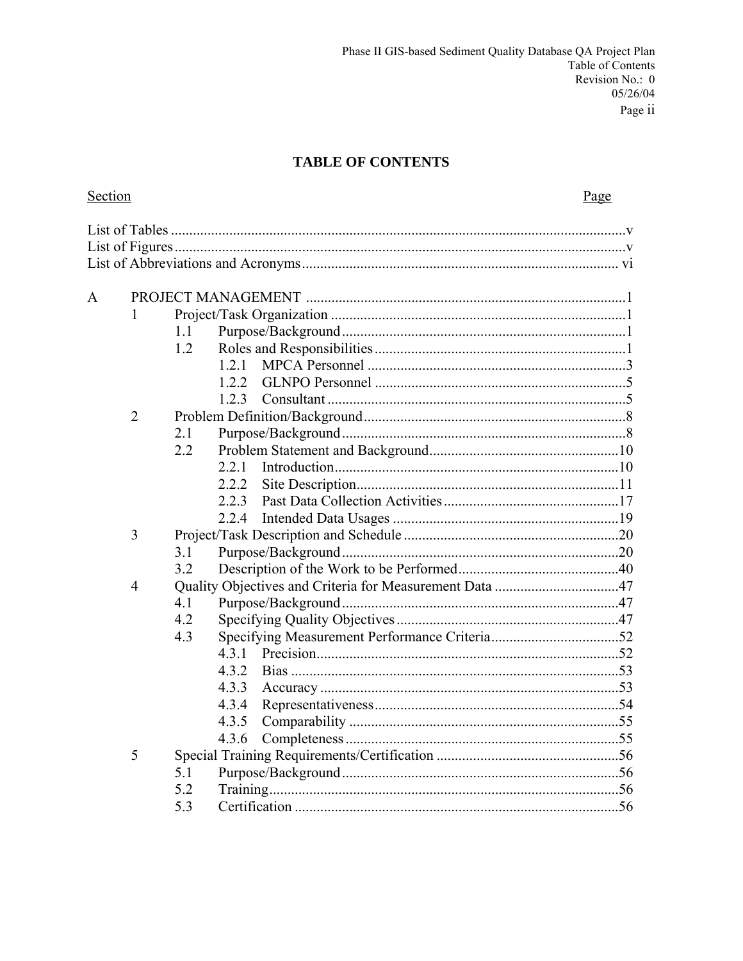### **TABLE OF CONTENTS**

| Section      |                |     |       | Page |
|--------------|----------------|-----|-------|------|
|              |                |     |       |      |
|              |                |     |       |      |
|              |                |     |       |      |
| $\mathbf{A}$ |                |     |       |      |
|              | 1              |     |       |      |
|              |                | 1.1 |       |      |
|              |                | 1.2 |       |      |
|              |                |     | 12.1  |      |
|              |                |     | 122   |      |
|              |                |     | 123   |      |
|              | $\overline{2}$ |     |       |      |
|              |                | 2.1 |       |      |
|              |                | 2.2 |       |      |
|              |                |     | 2.2.1 |      |
|              |                |     | 2.2.2 |      |
|              |                |     | 2.2.3 |      |
|              |                |     | 2.2.4 |      |
|              | 3              |     |       |      |
|              |                | 3.1 |       |      |
|              |                | 3.2 |       |      |
|              | 4              |     |       |      |
|              |                | 4.1 |       |      |
|              |                | 4.2 |       |      |
|              |                | 4.3 |       |      |
|              |                |     | 4.3.1 |      |
|              |                |     | 4.3.2 |      |
|              |                |     | 4.3.3 |      |
|              |                |     | 4.3.4 |      |
|              |                |     | 4.3.5 |      |
|              |                |     | 4.3.6 |      |
|              | 5              |     |       |      |
|              |                | 5.1 |       |      |
|              |                | 5.2 |       |      |
|              |                | 5.3 |       |      |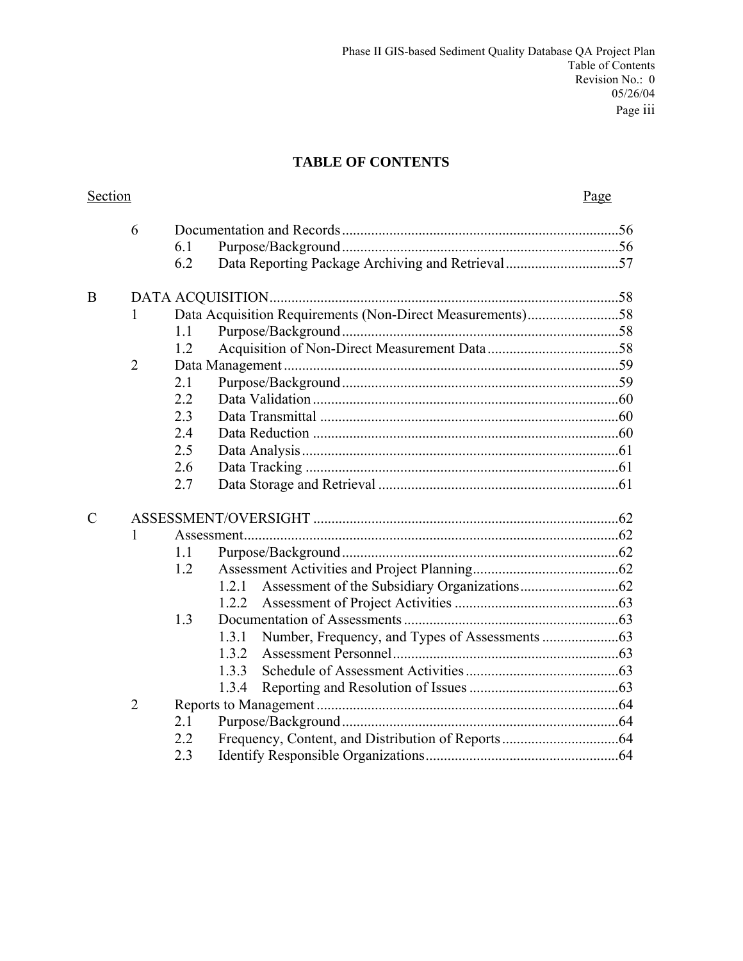## **TABLE OF CONTENTS**

| Section        |                |     |                                                           | Page |
|----------------|----------------|-----|-----------------------------------------------------------|------|
|                | 6              |     |                                                           |      |
|                |                | 6.1 |                                                           |      |
|                |                | 6.2 | Data Reporting Package Archiving and Retrieval57          |      |
| B              |                |     |                                                           |      |
|                | 1              |     | Data Acquisition Requirements (Non-Direct Measurements)58 |      |
|                |                | 1.1 |                                                           |      |
|                |                | 1.2 |                                                           |      |
|                | $\overline{2}$ |     |                                                           |      |
|                |                | 2.1 |                                                           |      |
|                |                | 2.2 |                                                           |      |
|                |                | 2.3 |                                                           |      |
|                |                | 2.4 |                                                           |      |
|                |                | 2.5 |                                                           |      |
|                |                | 2.6 |                                                           |      |
|                |                | 2.7 |                                                           |      |
| $\overline{C}$ |                |     |                                                           |      |
|                | 1              |     |                                                           |      |
|                |                | 1.1 |                                                           |      |
|                |                | 1.2 |                                                           |      |
|                |                |     |                                                           |      |
|                |                |     | 1.2.2                                                     |      |
|                |                | 1.3 |                                                           |      |
|                |                |     | 1.3.1                                                     |      |
|                |                |     | 1.3.2                                                     |      |
|                |                |     | 1.3.3                                                     |      |
|                |                |     | 1.3.4                                                     |      |
|                | $\overline{2}$ |     |                                                           |      |
|                |                | 2.1 |                                                           |      |
|                |                | 2.2 |                                                           |      |
|                |                | 2.3 |                                                           |      |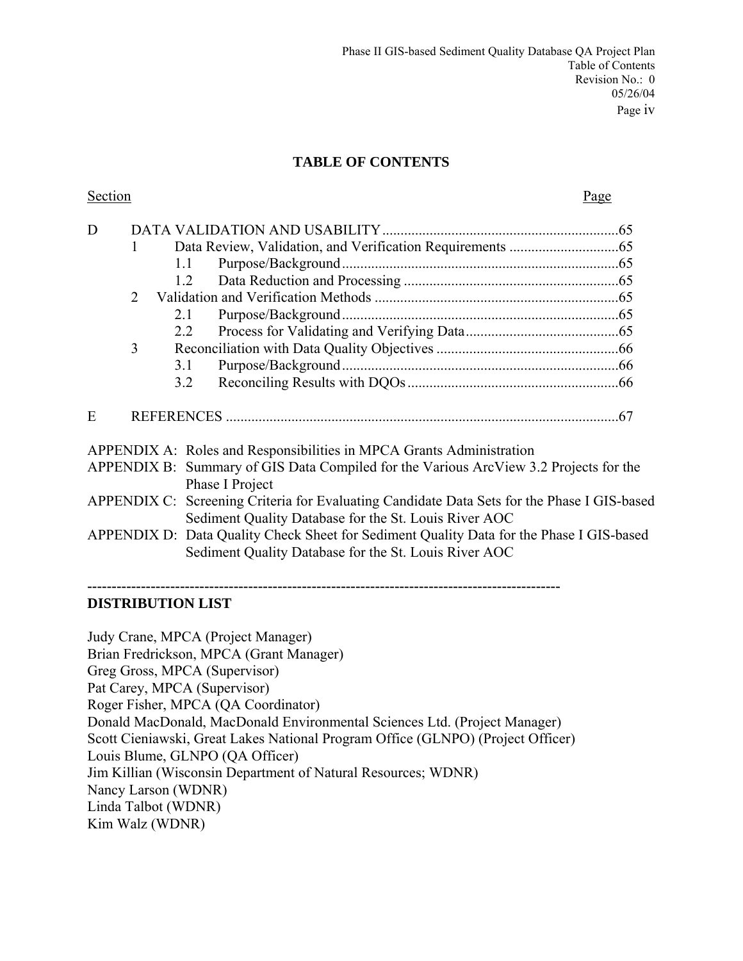#### **TABLE OF CONTENTS**

| Section | Page |
|---------|------|
|         |      |

| D |   |     |                                                                                                                                                      |  |
|---|---|-----|------------------------------------------------------------------------------------------------------------------------------------------------------|--|
|   |   |     |                                                                                                                                                      |  |
|   |   | 1.1 |                                                                                                                                                      |  |
|   |   | 1.2 |                                                                                                                                                      |  |
|   | 2 |     |                                                                                                                                                      |  |
|   |   | 2.1 |                                                                                                                                                      |  |
|   |   | 2.2 |                                                                                                                                                      |  |
|   | 3 |     |                                                                                                                                                      |  |
|   |   | 3.1 |                                                                                                                                                      |  |
|   |   | 3.2 |                                                                                                                                                      |  |
| E |   |     |                                                                                                                                                      |  |
|   |   |     | APPENDIX A: Roles and Responsibilities in MPCA Grants Administration                                                                                 |  |
|   |   |     | APPENDIX B: Summary of GIS Data Compiled for the Various ArcView 3.2 Projects for the                                                                |  |
|   |   |     | Phase I Project                                                                                                                                      |  |
|   |   |     | APPENDIX C: Screening Criteria for Evaluating Candidate Data Sets for the Phase I GIS-based<br>Sediment Quality Database for the St. Louis River AOC |  |
|   |   |     | APPENDIX D: Data Quality Check Sheet for Sediment Quality Data for the Phase I GIS-based                                                             |  |
|   |   |     | Sediment Quality Database for the St. Louis River AOC                                                                                                |  |

**------------------------------------------------------------------------------------------------- DISTRIBUTION LIST** 

Judy Crane, MPCA (Project Manager) Brian Fredrickson, MPCA (Grant Manager) Greg Gross, MPCA (Supervisor) Pat Carey, MPCA (Supervisor) Roger Fisher, MPCA (QA Coordinator) Donald MacDonald, MacDonald Environmental Sciences Ltd. (Project Manager) Scott Cieniawski, Great Lakes National Program Office (GLNPO) (Project Officer) Louis Blume, GLNPO (QA Officer) Jim Killian (Wisconsin Department of Natural Resources; WDNR) Nancy Larson (WDNR) Linda Talbot (WDNR) Kim Walz (WDNR)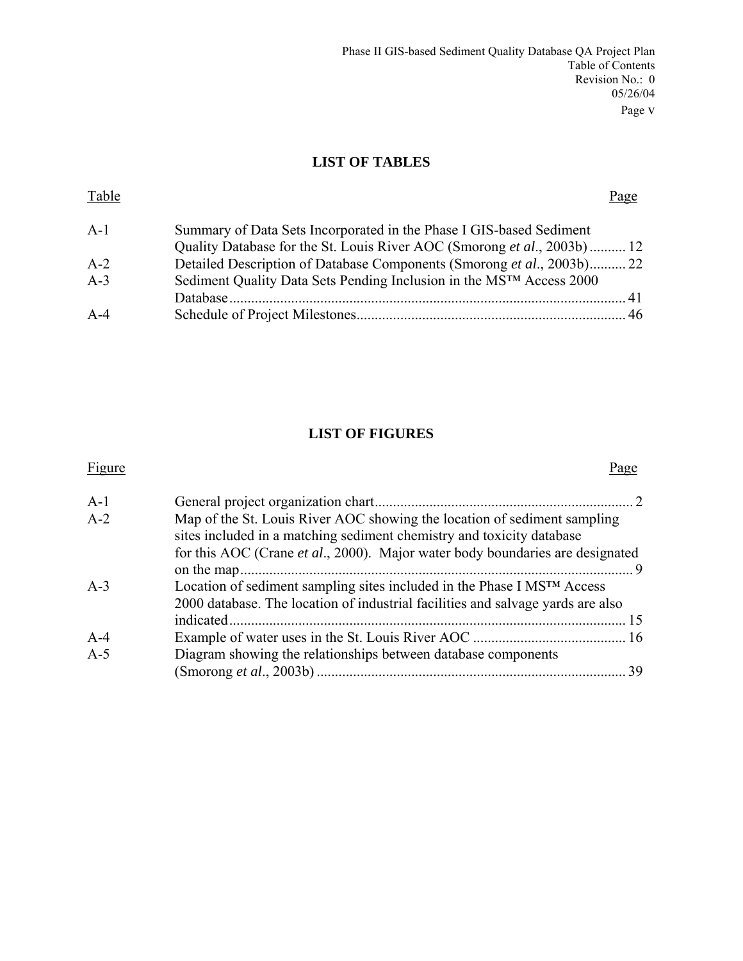### **LIST OF TABLES**

| Table |                                                                          | Page |
|-------|--------------------------------------------------------------------------|------|
| $A-1$ | Summary of Data Sets Incorporated in the Phase I GIS-based Sediment      |      |
|       | Quality Database for the St. Louis River AOC (Smorong et al., 2003b)  12 |      |
| $A-2$ | Detailed Description of Database Components (Smorong et al., 2003b) 22   |      |
| $A-3$ | Sediment Quality Data Sets Pending Inclusion in the MSTM Access 2000     |      |
|       |                                                                          |      |
| $A-4$ |                                                                          |      |
|       |                                                                          |      |

# **LIST OF FIGURES**

| Figure |                                                                                                                                                                                                                                    | Page |
|--------|------------------------------------------------------------------------------------------------------------------------------------------------------------------------------------------------------------------------------------|------|
| $A-1$  |                                                                                                                                                                                                                                    |      |
| $A-2$  | Map of the St. Louis River AOC showing the location of sediment sampling<br>sites included in a matching sediment chemistry and toxicity database<br>for this AOC (Crane et al., 2000). Major water body boundaries are designated |      |
|        |                                                                                                                                                                                                                                    | - 9  |
| $A-3$  | Location of sediment sampling sites included in the Phase I MS™ Access<br>2000 database. The location of industrial facilities and salvage yards are also                                                                          |      |
|        |                                                                                                                                                                                                                                    |      |
| $A-4$  |                                                                                                                                                                                                                                    |      |
| $A-5$  | Diagram showing the relationships between database components                                                                                                                                                                      |      |
|        |                                                                                                                                                                                                                                    |      |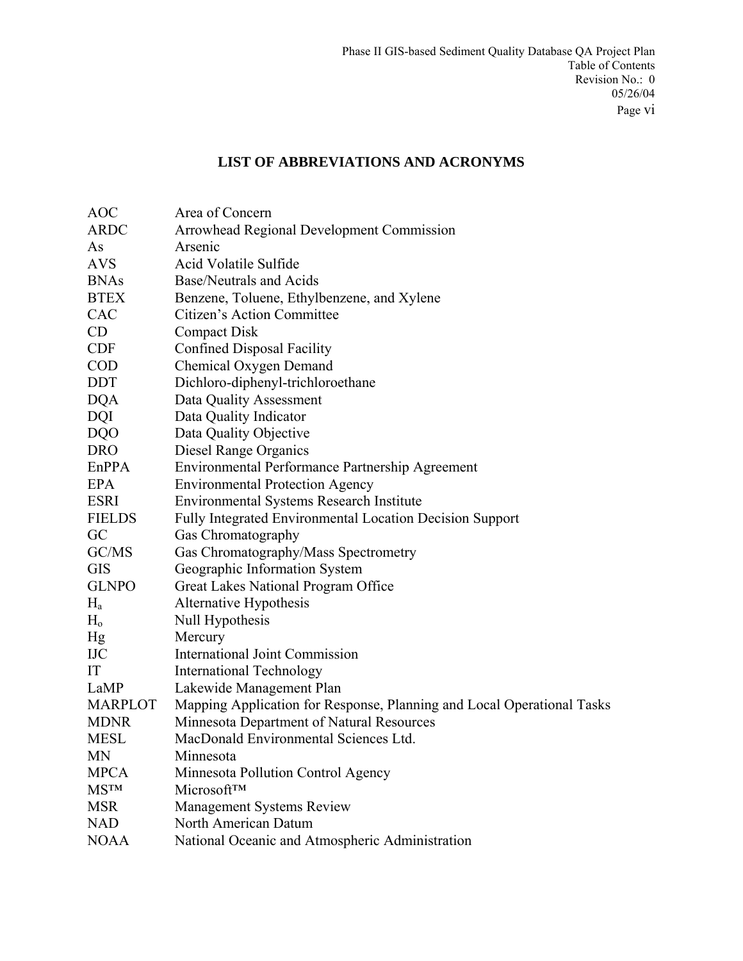# **LIST OF ABBREVIATIONS AND ACRONYMS**

| <b>AOC</b>     | Area of Concern                                                        |
|----------------|------------------------------------------------------------------------|
| <b>ARDC</b>    | Arrowhead Regional Development Commission                              |
| As             | Arsenic                                                                |
| <b>AVS</b>     | Acid Volatile Sulfide                                                  |
| <b>BNAs</b>    | <b>Base/Neutrals and Acids</b>                                         |
| <b>BTEX</b>    | Benzene, Toluene, Ethylbenzene, and Xylene                             |
| CAC            | Citizen's Action Committee                                             |
| CD             | <b>Compact Disk</b>                                                    |
| <b>CDF</b>     | <b>Confined Disposal Facility</b>                                      |
| <b>COD</b>     | Chemical Oxygen Demand                                                 |
| <b>DDT</b>     | Dichloro-diphenyl-trichloroethane                                      |
| <b>DQA</b>     | Data Quality Assessment                                                |
| <b>DQI</b>     | Data Quality Indicator                                                 |
| <b>DQO</b>     | Data Quality Objective                                                 |
| <b>DRO</b>     | Diesel Range Organics                                                  |
| EnPPA          | Environmental Performance Partnership Agreement                        |
| EPA            | <b>Environmental Protection Agency</b>                                 |
| <b>ESRI</b>    | Environmental Systems Research Institute                               |
| <b>FIELDS</b>  | Fully Integrated Environmental Location Decision Support               |
| GC             | Gas Chromatography                                                     |
| GC/MS          | Gas Chromatography/Mass Spectrometry                                   |
| <b>GIS</b>     | Geographic Information System                                          |
| <b>GLNPO</b>   | Great Lakes National Program Office                                    |
| $H_a$          | Alternative Hypothesis                                                 |
| $H_{o}$        | Null Hypothesis                                                        |
| Hg             | Mercury                                                                |
| <b>IJC</b>     | <b>International Joint Commission</b>                                  |
| IT             | <b>International Technology</b>                                        |
| LaMP           | Lakewide Management Plan                                               |
| <b>MARPLOT</b> | Mapping Application for Response, Planning and Local Operational Tasks |
| <b>MDNR</b>    | Minnesota Department of Natural Resources                              |
| <b>MESL</b>    | MacDonald Environmental Sciences Ltd.                                  |
| MN             | Minnesota                                                              |
| <b>MPCA</b>    | Minnesota Pollution Control Agency                                     |
| <b>MSTM</b>    | Microsoft™                                                             |
| <b>MSR</b>     | <b>Management Systems Review</b>                                       |
| <b>NAD</b>     | North American Datum                                                   |
| <b>NOAA</b>    | National Oceanic and Atmospheric Administration                        |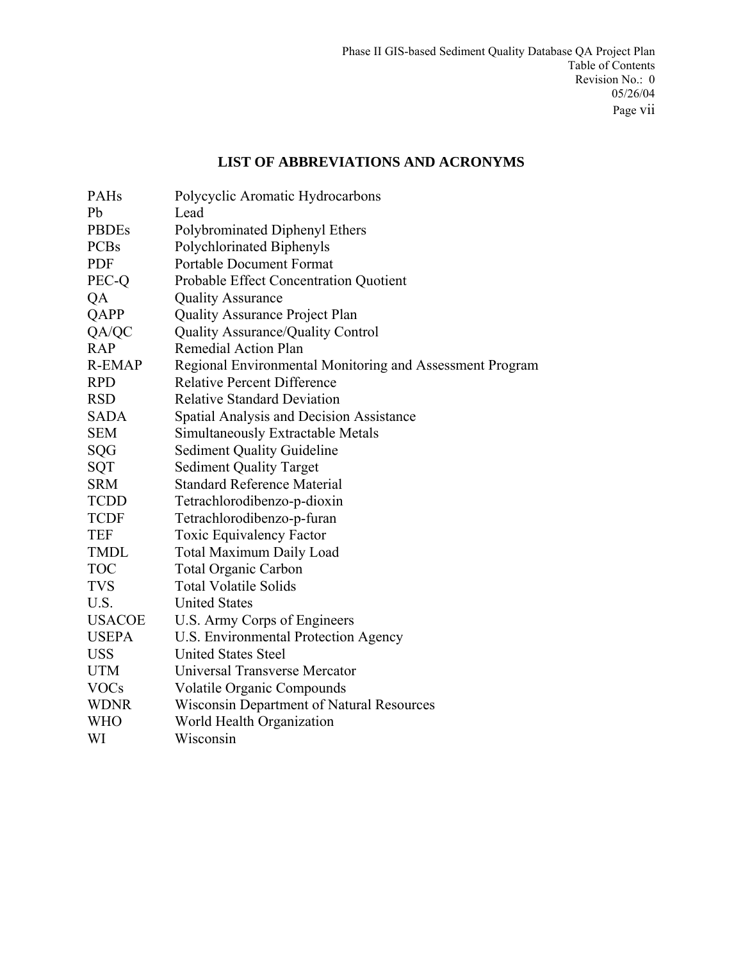# **LIST OF ABBREVIATIONS AND ACRONYMS**

| PAHs          | Polycyclic Aromatic Hydrocarbons                         |
|---------------|----------------------------------------------------------|
| Pb            | Lead                                                     |
| <b>PBDEs</b>  | Polybrominated Diphenyl Ethers                           |
| <b>PCBs</b>   | Polychlorinated Biphenyls                                |
| <b>PDF</b>    | <b>Portable Document Format</b>                          |
| PEC-Q         | Probable Effect Concentration Quotient                   |
| QA            | <b>Quality Assurance</b>                                 |
| QAPP          | Quality Assurance Project Plan                           |
| QA/QC         | <b>Quality Assurance/Quality Control</b>                 |
| <b>RAP</b>    | Remedial Action Plan                                     |
| <b>R-EMAP</b> | Regional Environmental Monitoring and Assessment Program |
| <b>RPD</b>    | <b>Relative Percent Difference</b>                       |
| <b>RSD</b>    | <b>Relative Standard Deviation</b>                       |
| <b>SADA</b>   | Spatial Analysis and Decision Assistance                 |
| <b>SEM</b>    | Simultaneously Extractable Metals                        |
| <b>SQG</b>    | <b>Sediment Quality Guideline</b>                        |
| SQT           | <b>Sediment Quality Target</b>                           |
| <b>SRM</b>    | <b>Standard Reference Material</b>                       |
| <b>TCDD</b>   | Tetrachlorodibenzo-p-dioxin                              |
| <b>TCDF</b>   | Tetrachlorodibenzo-p-furan                               |
| <b>TEF</b>    | <b>Toxic Equivalency Factor</b>                          |
| <b>TMDL</b>   | <b>Total Maximum Daily Load</b>                          |
| <b>TOC</b>    | <b>Total Organic Carbon</b>                              |
| <b>TVS</b>    | <b>Total Volatile Solids</b>                             |
| U.S.          | <b>United States</b>                                     |
| <b>USACOE</b> | U.S. Army Corps of Engineers                             |
| <b>USEPA</b>  | U.S. Environmental Protection Agency                     |
| <b>USS</b>    | <b>United States Steel</b>                               |
| <b>UTM</b>    | Universal Transverse Mercator                            |
| <b>VOCs</b>   | <b>Volatile Organic Compounds</b>                        |
| <b>WDNR</b>   | <b>Wisconsin Department of Natural Resources</b>         |
| <b>WHO</b>    | World Health Organization                                |
| WI            | Wisconsin                                                |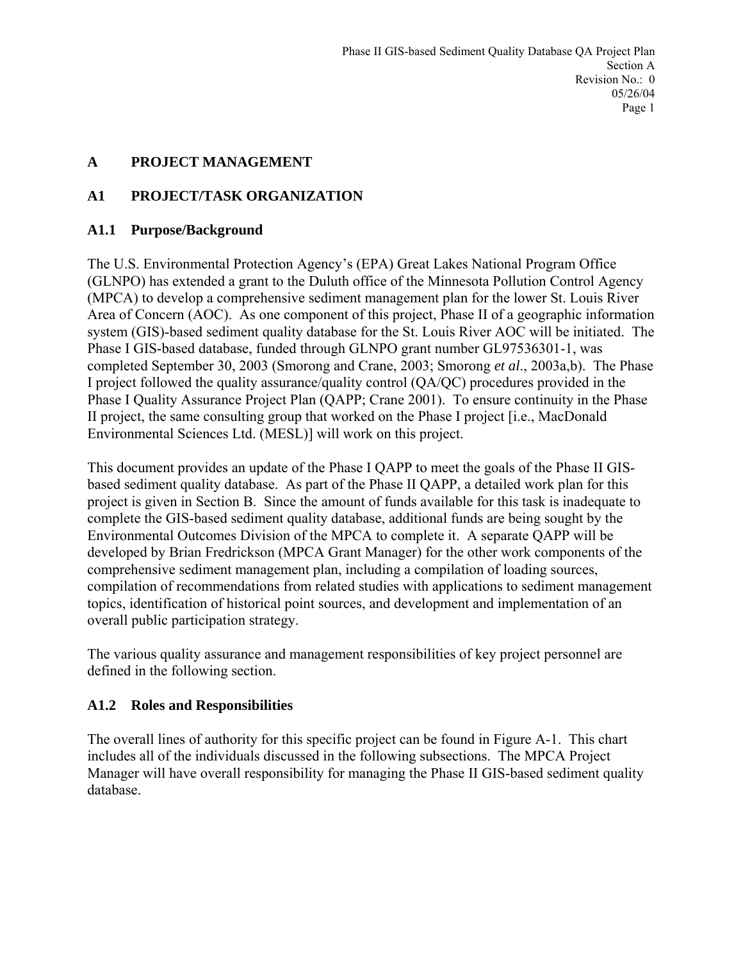# **A PROJECT MANAGEMENT**

# **A1 PROJECT/TASK ORGANIZATION**

## **A1.1 Purpose/Background**

The U.S. Environmental Protection Agency's (EPA) Great Lakes National Program Office (GLNPO) has extended a grant to the Duluth office of the Minnesota Pollution Control Agency (MPCA) to develop a comprehensive sediment management plan for the lower St. Louis River Area of Concern (AOC). As one component of this project, Phase II of a geographic information system (GIS)-based sediment quality database for the St. Louis River AOC will be initiated. The Phase I GIS-based database, funded through GLNPO grant number GL97536301-1, was completed September 30, 2003 (Smorong and Crane, 2003; Smorong *et al*., 2003a,b). The Phase I project followed the quality assurance/quality control (QA/QC) procedures provided in the Phase I Quality Assurance Project Plan (QAPP; Crane 2001). To ensure continuity in the Phase II project, the same consulting group that worked on the Phase I project [i.e., MacDonald Environmental Sciences Ltd. (MESL)] will work on this project.

This document provides an update of the Phase I QAPP to meet the goals of the Phase II GISbased sediment quality database. As part of the Phase II QAPP, a detailed work plan for this project is given in Section B. Since the amount of funds available for this task is inadequate to complete the GIS-based sediment quality database, additional funds are being sought by the Environmental Outcomes Division of the MPCA to complete it. A separate QAPP will be developed by Brian Fredrickson (MPCA Grant Manager) for the other work components of the comprehensive sediment management plan, including a compilation of loading sources, compilation of recommendations from related studies with applications to sediment management topics, identification of historical point sources, and development and implementation of an overall public participation strategy.

The various quality assurance and management responsibilities of key project personnel are defined in the following section.

### **A1.2 Roles and Responsibilities**

The overall lines of authority for this specific project can be found in Figure A-1. This chart includes all of the individuals discussed in the following subsections. The MPCA Project Manager will have overall responsibility for managing the Phase II GIS-based sediment quality database.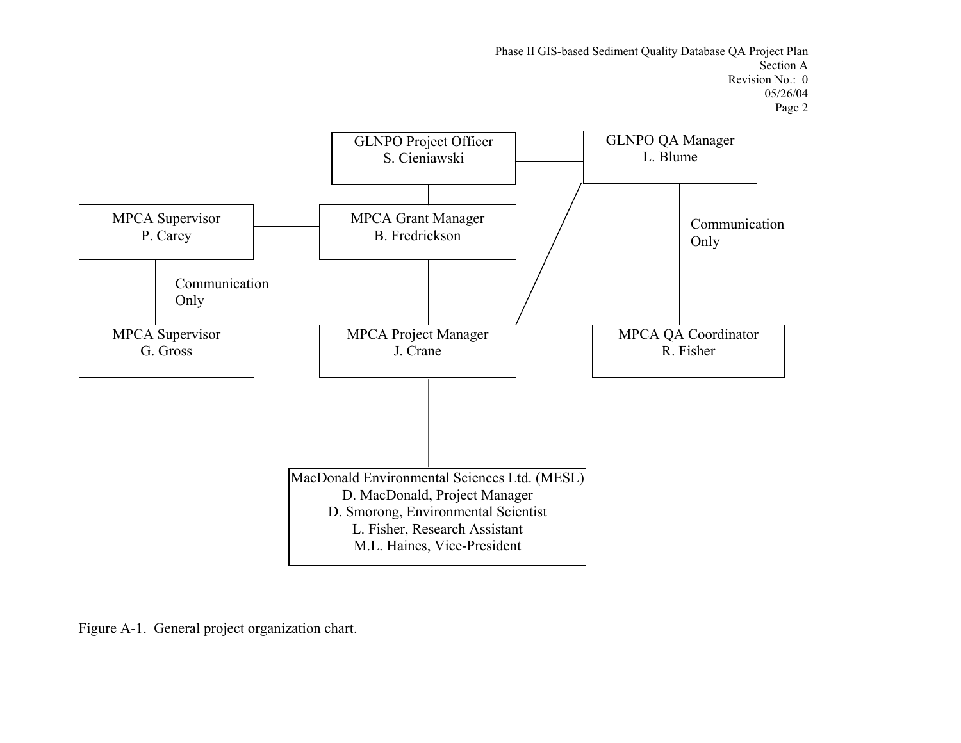Phase II GIS-based Sediment Quality Database QA Project Plan Section A Revision No.: 0 05/26/04 Page 2



Figure A-1. General project organization chart.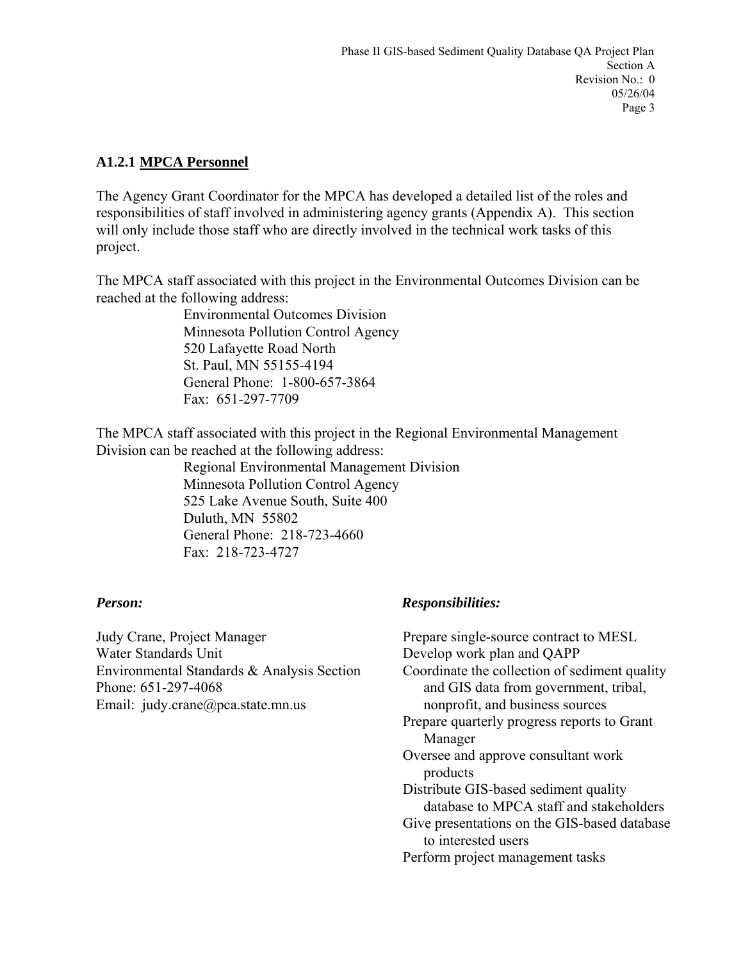## **A1.2.1 MPCA Personnel**

The Agency Grant Coordinator for the MPCA has developed a detailed list of the roles and responsibilities of staff involved in administering agency grants (Appendix A). This section will only include those staff who are directly involved in the technical work tasks of this project.

The MPCA staff associated with this project in the Environmental Outcomes Division can be reached at the following address:

> Environmental Outcomes Division Minnesota Pollution Control Agency 520 Lafayette Road North St. Paul, MN 55155-4194 General Phone: 1-800-657-3864 Fax: 651-297-7709

The MPCA staff associated with this project in the Regional Environmental Management Division can be reached at the following address:

 Regional Environmental Management Division Minnesota Pollution Control Agency 525 Lake Avenue South, Suite 400 Duluth, MN 55802 General Phone: 218-723-4660 Fax: 218-723-4727

Judy Crane, Project Manager Water Standards Unit Environmental Standards & Analysis Section Phone: 651-297-4068 Email: judy.crane@pca.state.mn.us

# *Person:**Responsibilities:*

Prepare single-source contract to MESL Develop work plan and QAPP Coordinate the collection of sediment quality and GIS data from government, tribal, nonprofit, and business sources Prepare quarterly progress reports to Grant Manager Oversee and approve consultant work products Distribute GIS-based sediment quality database to MPCA staff and stakeholders Give presentations on the GIS-based database to interested users Perform project management tasks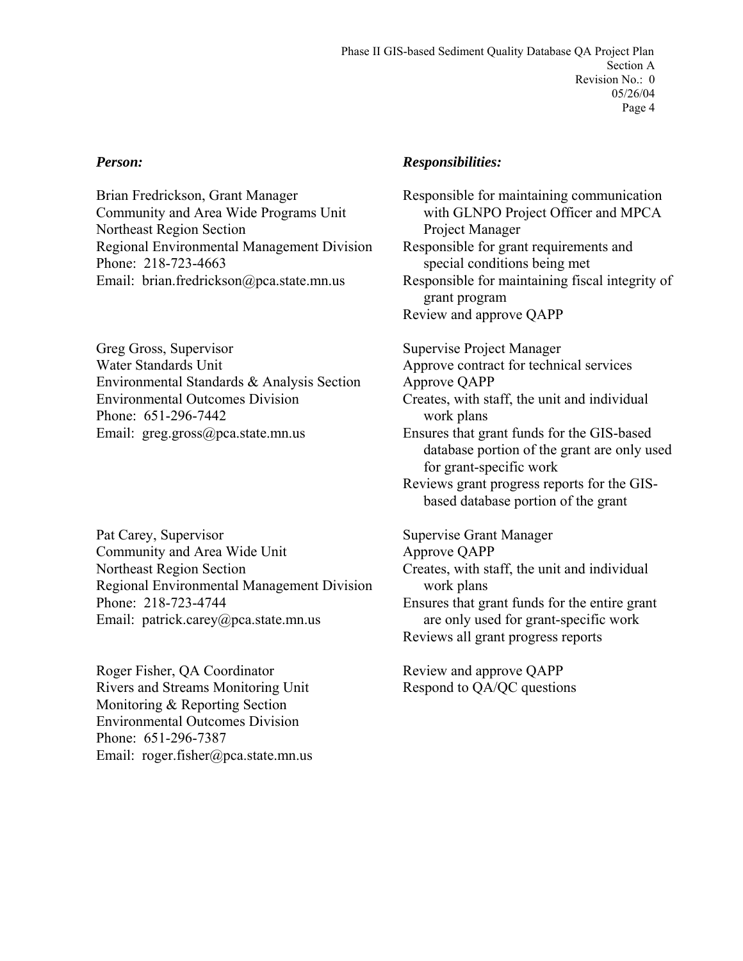Brian Fredrickson, Grant Manager Community and Area Wide Programs Unit Northeast Region Section Regional Environmental Management Division Phone: 218-723-4663 Email: brian.fredrickson@pca.state.mn.us

Greg Gross, Supervisor Water Standards Unit Environmental Standards & Analysis Section Environmental Outcomes Division Phone: 651-296-7442 Email: greg.gross@pca.state.mn.us

Pat Carey, Supervisor Community and Area Wide Unit Northeast Region Section Regional Environmental Management Division Phone: 218-723-4744 Email: patrick.carey@pca.state.mn.us

Roger Fisher, QA Coordinator Rivers and Streams Monitoring Unit Monitoring & Reporting Section Environmental Outcomes Division Phone: 651-296-7387 Email: roger.fisher@pca.state.mn.us

#### *Person: Responsibilities:*

Responsible for maintaining communication with GLNPO Project Officer and MPCA Project Manager Responsible for grant requirements and special conditions being met Responsible for maintaining fiscal integrity of grant program Review and approve QAPP

Supervise Project Manager Approve contract for technical services Approve QAPP Creates, with staff, the unit and individual work plans Ensures that grant funds for the GIS-based database portion of the grant are only used for grant-specific work Reviews grant progress reports for the GISbased database portion of the grant

Supervise Grant Manager Approve QAPP Creates, with staff, the unit and individual work plans Ensures that grant funds for the entire grant are only used for grant-specific work Reviews all grant progress reports

Review and approve QAPP Respond to QA/QC questions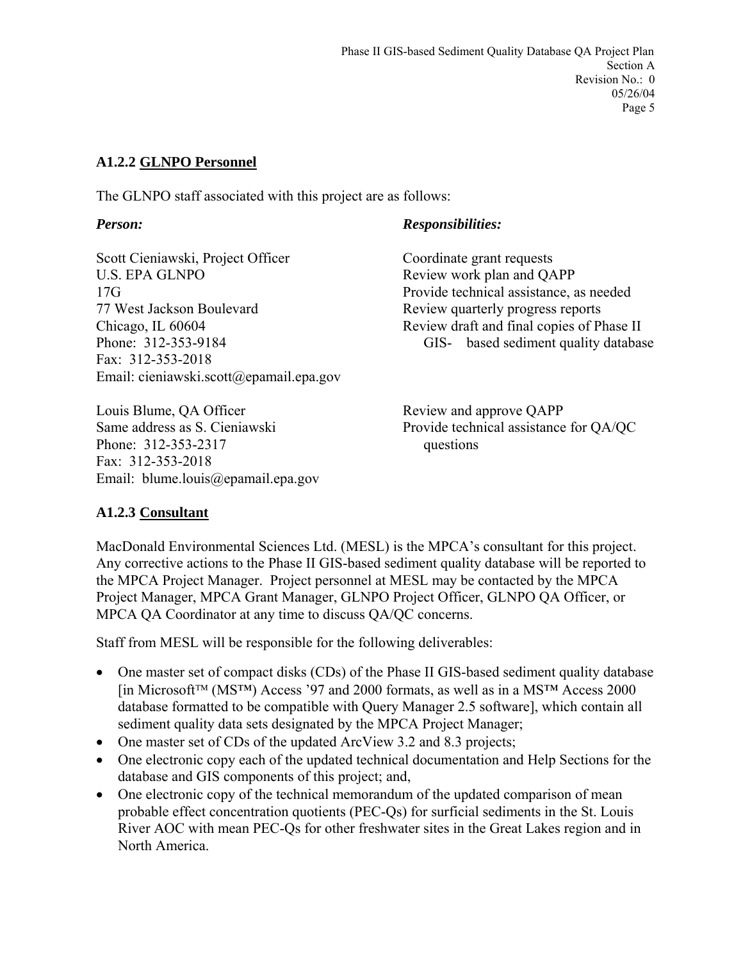## **A1.2.2 GLNPO Personnel**

The GLNPO staff associated with this project are as follows:

Scott Cieniawski, Project Officer U.S. EPA GLNPO 17G 77 West Jackson Boulevard Chicago, IL 60604 Phone: 312-353-9184 Fax: 312-353-2018 Email: cieniawski.scott@epamail.epa.gov

Louis Blume, QA Officer Same address as S. Cieniawski Phone: 312-353-2317 Fax: 312-353-2018 Email: blume.louis@epamail.epa.gov

## *Person: Responsibilities:*

Coordinate grant requests Review work plan and QAPP Provide technical assistance, as needed Review quarterly progress reports Review draft and final copies of Phase II GIS- based sediment quality database

Review and approve QAPP Provide technical assistance for QA/QC questions

# **A1.2.3 Consultant**

MacDonald Environmental Sciences Ltd. (MESL) is the MPCA's consultant for this project. Any corrective actions to the Phase II GIS-based sediment quality database will be reported to the MPCA Project Manager. Project personnel at MESL may be contacted by the MPCA Project Manager, MPCA Grant Manager, GLNPO Project Officer, GLNPO QA Officer, or MPCA QA Coordinator at any time to discuss QA/QC concerns.

Staff from MESL will be responsible for the following deliverables:

- One master set of compact disks (CDs) of the Phase II GIS-based sediment quality database [in Microsoft™ (MS™) Access '97 and 2000 formats, as well as in a MS™ Access 2000 database formatted to be compatible with Query Manager 2.5 software], which contain all sediment quality data sets designated by the MPCA Project Manager;
- One master set of CDs of the updated ArcView 3.2 and 8.3 projects;
- One electronic copy each of the updated technical documentation and Help Sections for the database and GIS components of this project; and,
- One electronic copy of the technical memorandum of the updated comparison of mean probable effect concentration quotients (PEC-Qs) for surficial sediments in the St. Louis River AOC with mean PEC-Qs for other freshwater sites in the Great Lakes region and in North America.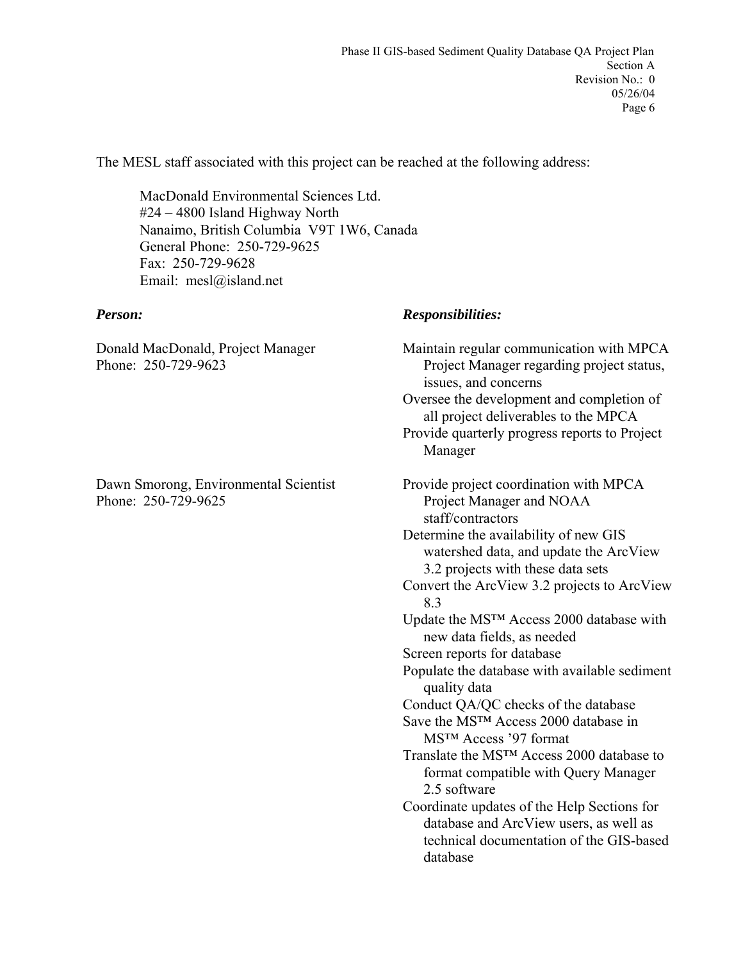The MESL staff associated with this project can be reached at the following address:

 MacDonald Environmental Sciences Ltd. #24 – 4800 Island Highway North Nanaimo, British Columbia V9T 1W6, Canada General Phone: 250-729-9625 Fax: 250-729-9628 Email: mesl@island.net

Donald MacDonald, Project Manager Phone: 250-729-9623

Dawn Smorong, Environmental Scientist Phone: 250-729-9625

#### *Person: Responsibilities:*

Maintain regular communication with MPCA Project Manager regarding project status, issues, and concerns Oversee the development and completion of all project deliverables to the MPCA Provide quarterly progress reports to Project Manager Provide project coordination with MPCA Project Manager and NOAA staff/contractors Determine the availability of new GIS watershed data, and update the ArcView 3.2 projects with these data sets Convert the ArcView 3.2 projects to ArcView 8.3 Update the MS™ Access 2000 database with new data fields, as needed Screen reports for database Populate the database with available sediment quality data Conduct QA/QC checks of the database Save the MS™ Access 2000 database in MS™ Access '97 format Translate the MS™ Access 2000 database to format compatible with Query Manager 2.5 software Coordinate updates of the Help Sections for database and ArcView users, as well as technical documentation of the GIS-based database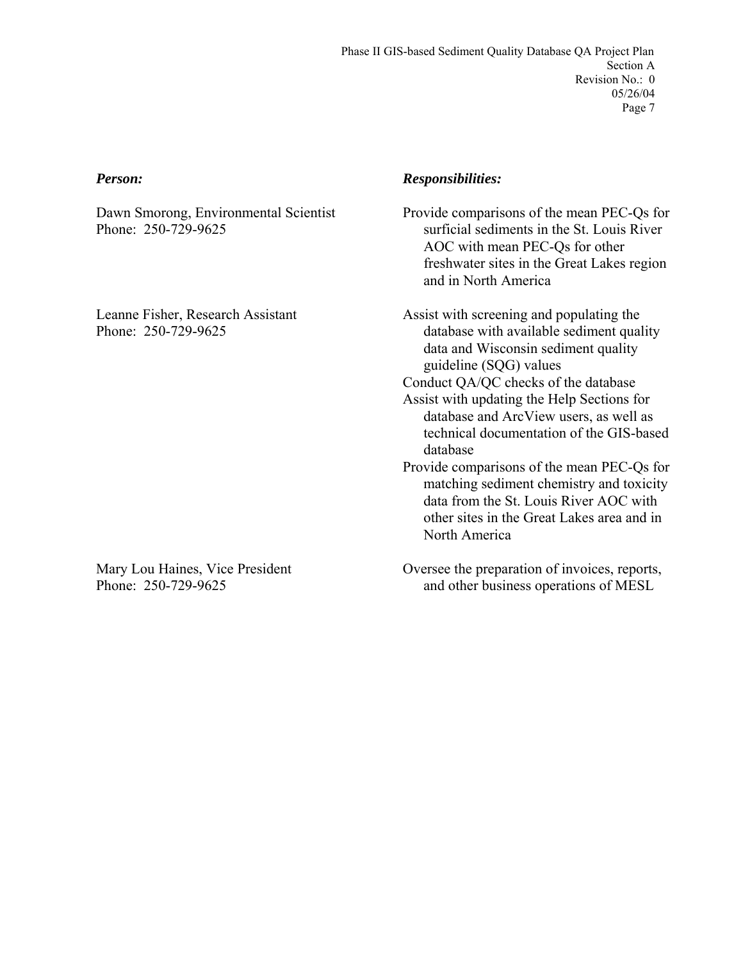Dawn Smorong, Environmental Scientist Phone: 250-729-9625

Leanne Fisher, Research Assistant Phone: 250-729-9625

Mary Lou Haines, Vice President Phone: 250-729-9625

### *Person: Responsibilities:*

Provide comparisons of the mean PEC-Qs for surficial sediments in the St. Louis River AOC with mean PEC-Qs for other freshwater sites in the Great Lakes region and in North America

Assist with screening and populating the database with available sediment quality data and Wisconsin sediment quality guideline (SQG) values

Conduct QA/QC checks of the database

- Assist with updating the Help Sections for database and ArcView users, as well as technical documentation of the GIS-based database
- Provide comparisons of the mean PEC-Qs for matching sediment chemistry and toxicity data from the St. Louis River AOC with other sites in the Great Lakes area and in North America
- Oversee the preparation of invoices, reports, and other business operations of MESL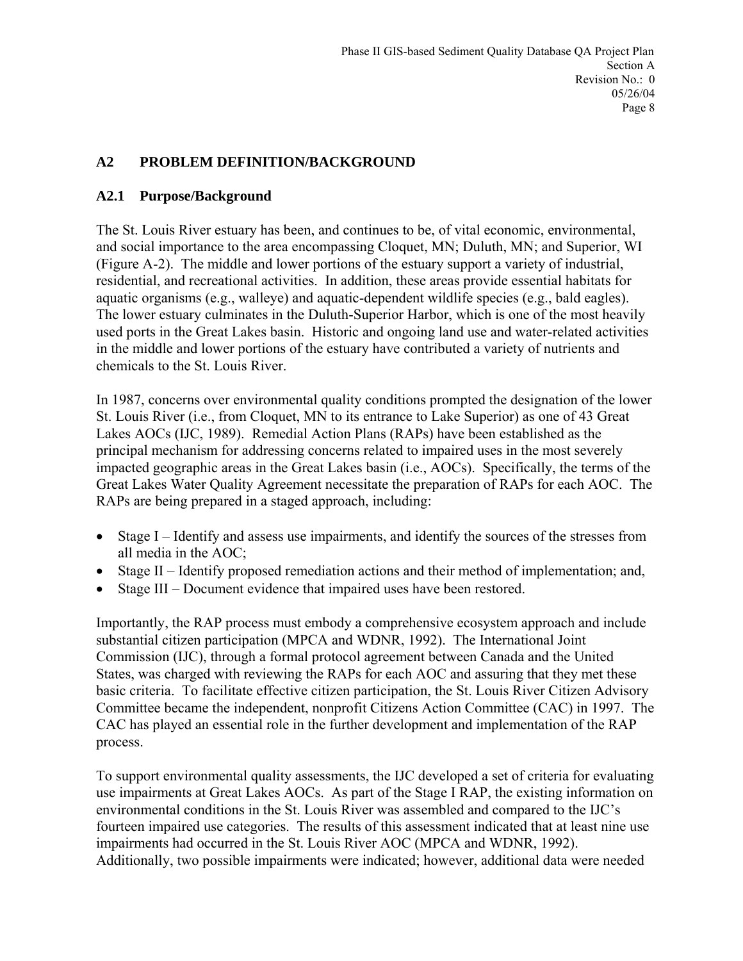# **A2 PROBLEM DEFINITION/BACKGROUND**

#### **A2.1 Purpose/Background**

The St. Louis River estuary has been, and continues to be, of vital economic, environmental, and social importance to the area encompassing Cloquet, MN; Duluth, MN; and Superior, WI (Figure A-2). The middle and lower portions of the estuary support a variety of industrial, residential, and recreational activities. In addition, these areas provide essential habitats for aquatic organisms (e.g., walleye) and aquatic-dependent wildlife species (e.g., bald eagles). The lower estuary culminates in the Duluth-Superior Harbor, which is one of the most heavily used ports in the Great Lakes basin. Historic and ongoing land use and water-related activities in the middle and lower portions of the estuary have contributed a variety of nutrients and chemicals to the St. Louis River.

In 1987, concerns over environmental quality conditions prompted the designation of the lower St. Louis River (i.e., from Cloquet, MN to its entrance to Lake Superior) as one of 43 Great Lakes AOCs (IJC, 1989). Remedial Action Plans (RAPs) have been established as the principal mechanism for addressing concerns related to impaired uses in the most severely impacted geographic areas in the Great Lakes basin (i.e., AOCs). Specifically, the terms of the Great Lakes Water Quality Agreement necessitate the preparation of RAPs for each AOC. The RAPs are being prepared in a staged approach, including:

- Stage I Identify and assess use impairments, and identify the sources of the stresses from all media in the AOC;
- Stage II Identify proposed remediation actions and their method of implementation; and,
- Stage III Document evidence that impaired uses have been restored.

Importantly, the RAP process must embody a comprehensive ecosystem approach and include substantial citizen participation (MPCA and WDNR, 1992). The International Joint Commission (IJC), through a formal protocol agreement between Canada and the United States, was charged with reviewing the RAPs for each AOC and assuring that they met these basic criteria. To facilitate effective citizen participation, the St. Louis River Citizen Advisory Committee became the independent, nonprofit Citizens Action Committee (CAC) in 1997. The CAC has played an essential role in the further development and implementation of the RAP process.

To support environmental quality assessments, the IJC developed a set of criteria for evaluating use impairments at Great Lakes AOCs. As part of the Stage I RAP, the existing information on environmental conditions in the St. Louis River was assembled and compared to the IJC's fourteen impaired use categories. The results of this assessment indicated that at least nine use impairments had occurred in the St. Louis River AOC (MPCA and WDNR, 1992). Additionally, two possible impairments were indicated; however, additional data were needed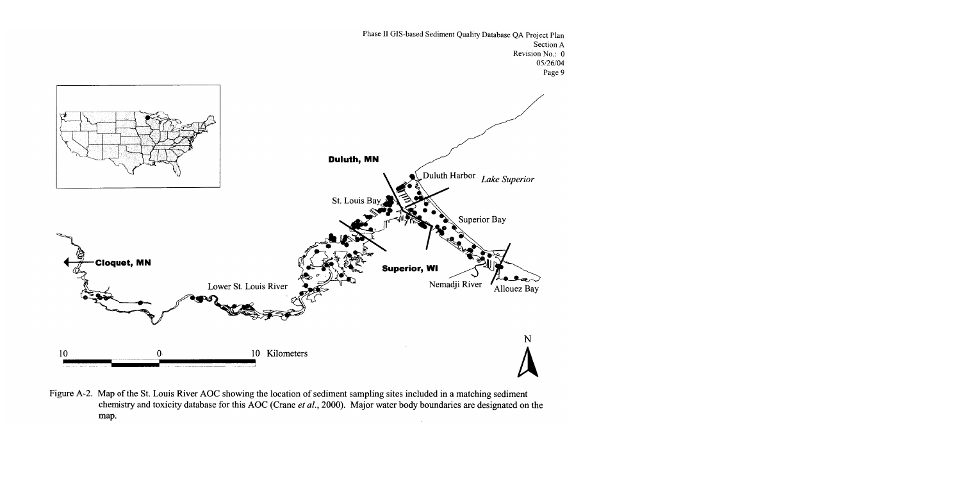

Figure A-2. Map of the St. Louis River AOC showing the location of sediment sampling sites included in a matching sediment chemistry and toxicity database for this AOC (Crane et al., 2000). Major water body boundaries are designated on the map.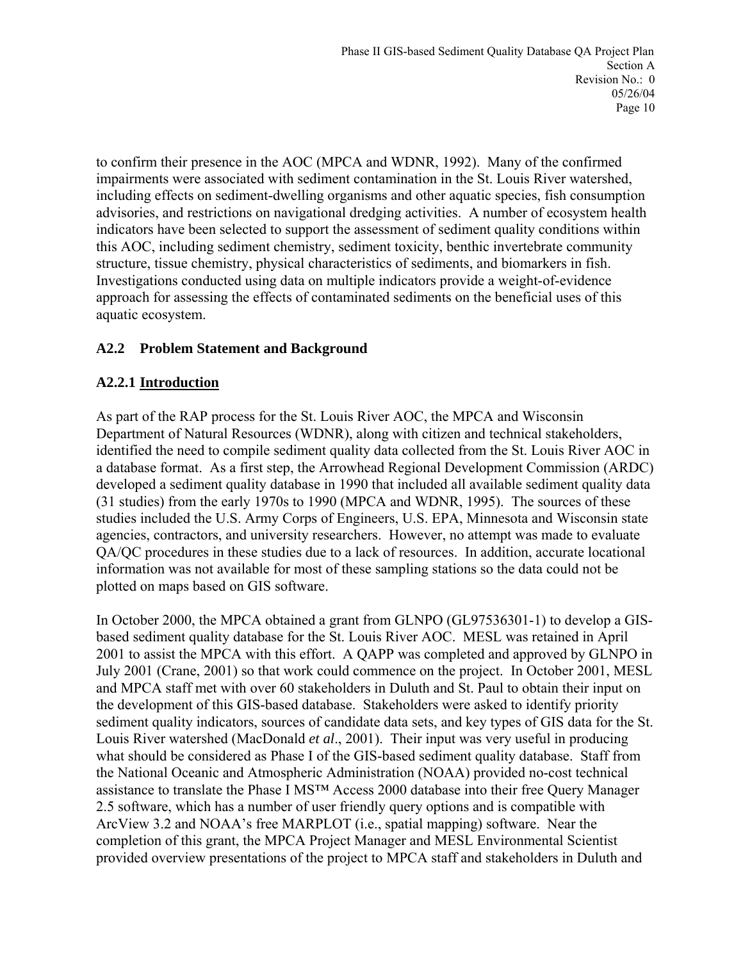to confirm their presence in the AOC (MPCA and WDNR, 1992). Many of the confirmed impairments were associated with sediment contamination in the St. Louis River watershed, including effects on sediment-dwelling organisms and other aquatic species, fish consumption advisories, and restrictions on navigational dredging activities. A number of ecosystem health indicators have been selected to support the assessment of sediment quality conditions within this AOC, including sediment chemistry, sediment toxicity, benthic invertebrate community structure, tissue chemistry, physical characteristics of sediments, and biomarkers in fish. Investigations conducted using data on multiple indicators provide a weight-of-evidence approach for assessing the effects of contaminated sediments on the beneficial uses of this aquatic ecosystem.

# **A2.2 Problem Statement and Background**

# **A2.2.1 Introduction**

As part of the RAP process for the St. Louis River AOC, the MPCA and Wisconsin Department of Natural Resources (WDNR), along with citizen and technical stakeholders, identified the need to compile sediment quality data collected from the St. Louis River AOC in a database format. As a first step, the Arrowhead Regional Development Commission (ARDC) developed a sediment quality database in 1990 that included all available sediment quality data (31 studies) from the early 1970s to 1990 (MPCA and WDNR, 1995). The sources of these studies included the U.S. Army Corps of Engineers, U.S. EPA, Minnesota and Wisconsin state agencies, contractors, and university researchers. However, no attempt was made to evaluate QA/QC procedures in these studies due to a lack of resources. In addition, accurate locational information was not available for most of these sampling stations so the data could not be plotted on maps based on GIS software.

In October 2000, the MPCA obtained a grant from GLNPO (GL97536301-1) to develop a GISbased sediment quality database for the St. Louis River AOC. MESL was retained in April 2001 to assist the MPCA with this effort. A QAPP was completed and approved by GLNPO in July 2001 (Crane, 2001) so that work could commence on the project. In October 2001, MESL and MPCA staff met with over 60 stakeholders in Duluth and St. Paul to obtain their input on the development of this GIS-based database. Stakeholders were asked to identify priority sediment quality indicators, sources of candidate data sets, and key types of GIS data for the St. Louis River watershed (MacDonald *et al*., 2001). Their input was very useful in producing what should be considered as Phase I of the GIS-based sediment quality database. Staff from the National Oceanic and Atmospheric Administration (NOAA) provided no-cost technical assistance to translate the Phase I MS™ Access 2000 database into their free Query Manager 2.5 software, which has a number of user friendly query options and is compatible with ArcView 3.2 and NOAA's free MARPLOT (i.e., spatial mapping) software. Near the completion of this grant, the MPCA Project Manager and MESL Environmental Scientist provided overview presentations of the project to MPCA staff and stakeholders in Duluth and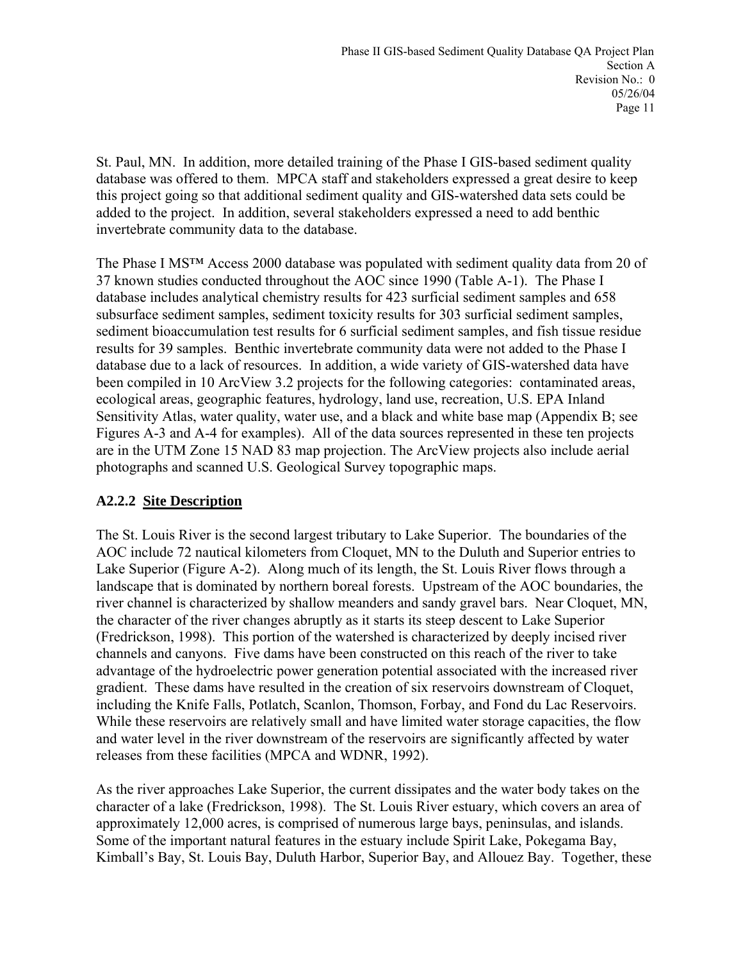St. Paul, MN. In addition, more detailed training of the Phase I GIS-based sediment quality database was offered to them. MPCA staff and stakeholders expressed a great desire to keep this project going so that additional sediment quality and GIS-watershed data sets could be added to the project. In addition, several stakeholders expressed a need to add benthic invertebrate community data to the database.

The Phase I MS™ Access 2000 database was populated with sediment quality data from 20 of 37 known studies conducted throughout the AOC since 1990 (Table A-1). The Phase I database includes analytical chemistry results for 423 surficial sediment samples and 658 subsurface sediment samples, sediment toxicity results for 303 surficial sediment samples, sediment bioaccumulation test results for 6 surficial sediment samples, and fish tissue residue results for 39 samples. Benthic invertebrate community data were not added to the Phase I database due to a lack of resources. In addition, a wide variety of GIS-watershed data have been compiled in 10 ArcView 3.2 projects for the following categories: contaminated areas, ecological areas, geographic features, hydrology, land use, recreation, U.S. EPA Inland Sensitivity Atlas, water quality, water use, and a black and white base map (Appendix B; see Figures A-3 and A-4 for examples). All of the data sources represented in these ten projects are in the UTM Zone 15 NAD 83 map projection. The ArcView projects also include aerial photographs and scanned U.S. Geological Survey topographic maps.

# **A2.2.2 Site Description**

The St. Louis River is the second largest tributary to Lake Superior. The boundaries of the AOC include 72 nautical kilometers from Cloquet, MN to the Duluth and Superior entries to Lake Superior (Figure A-2). Along much of its length, the St. Louis River flows through a landscape that is dominated by northern boreal forests. Upstream of the AOC boundaries, the river channel is characterized by shallow meanders and sandy gravel bars. Near Cloquet, MN, the character of the river changes abruptly as it starts its steep descent to Lake Superior (Fredrickson, 1998). This portion of the watershed is characterized by deeply incised river channels and canyons. Five dams have been constructed on this reach of the river to take advantage of the hydroelectric power generation potential associated with the increased river gradient. These dams have resulted in the creation of six reservoirs downstream of Cloquet, including the Knife Falls, Potlatch, Scanlon, Thomson, Forbay, and Fond du Lac Reservoirs. While these reservoirs are relatively small and have limited water storage capacities, the flow and water level in the river downstream of the reservoirs are significantly affected by water releases from these facilities (MPCA and WDNR, 1992).

As the river approaches Lake Superior, the current dissipates and the water body takes on the character of a lake (Fredrickson, 1998). The St. Louis River estuary, which covers an area of approximately 12,000 acres, is comprised of numerous large bays, peninsulas, and islands. Some of the important natural features in the estuary include Spirit Lake, Pokegama Bay, Kimball's Bay, St. Louis Bay, Duluth Harbor, Superior Bay, and Allouez Bay. Together, these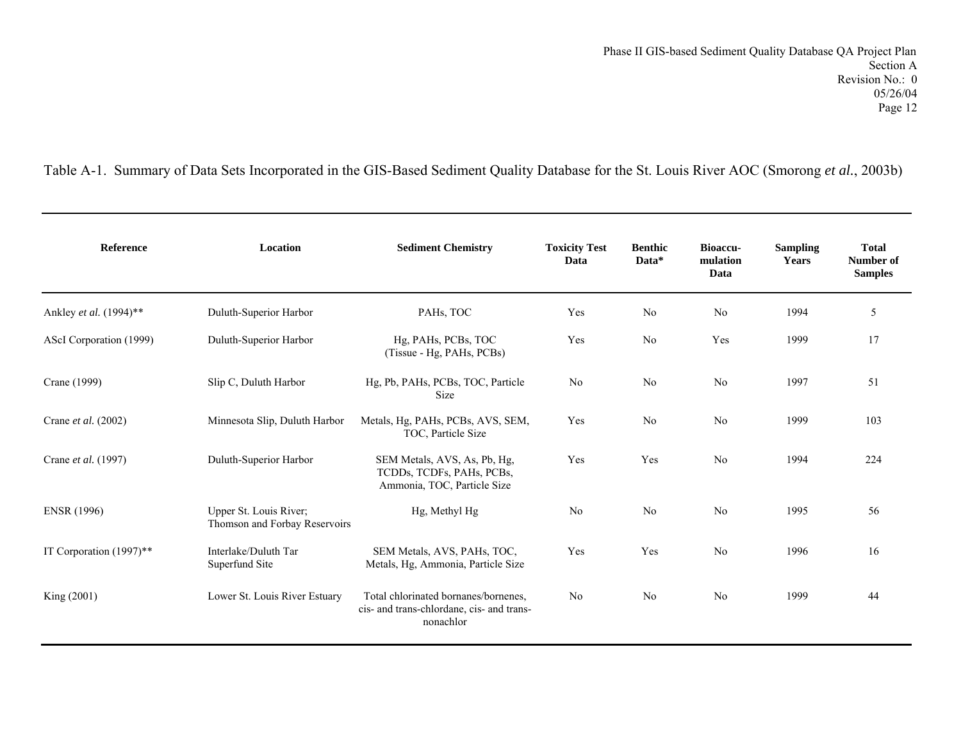Table A-1. Summary of Data Sets Incorporated in the GIS-Based Sediment Quality Database for the St. Louis River AOC (Smorong *et al.*, 2003b)

| <b>Reference</b>        | Location                                                | <b>Sediment Chemistry</b>                                                                      | <b>Toxicity Test</b><br>Data | <b>Benthic</b><br>Data* | <b>Bioaccu-</b><br>mulation<br>Data | <b>Sampling</b><br><b>Years</b> | <b>Total</b><br>Number of<br><b>Samples</b> |
|-------------------------|---------------------------------------------------------|------------------------------------------------------------------------------------------------|------------------------------|-------------------------|-------------------------------------|---------------------------------|---------------------------------------------|
| Ankley et al. (1994)**  | Duluth-Superior Harbor                                  | PAH <sub>s</sub> , TOC                                                                         | Yes                          | N <sub>0</sub>          | No                                  | 1994                            | 5                                           |
| AScI Corporation (1999) | Duluth-Superior Harbor                                  | Hg, PAHs, PCBs, TOC<br>(Tissue - Hg, PAHs, PCBs)                                               | Yes                          | N <sub>0</sub>          | Yes                                 | 1999                            | 17                                          |
| Crane (1999)            | Slip C, Duluth Harbor                                   | Hg, Pb, PAHs, PCBs, TOC, Particle<br><b>Size</b>                                               | No                           | N <sub>0</sub>          | No                                  | 1997                            | 51                                          |
| Crane et al. (2002)     | Minnesota Slip, Duluth Harbor                           | Metals, Hg, PAHs, PCBs, AVS, SEM,<br>TOC, Particle Size                                        | Yes                          | N <sub>0</sub>          | N <sub>0</sub>                      | 1999                            | 103                                         |
| Crane et al. (1997)     | Duluth-Superior Harbor                                  | SEM Metals, AVS, As, Pb, Hg,<br>TCDDs, TCDFs, PAHs, PCBs,<br>Ammonia, TOC, Particle Size       | Yes                          | Yes                     | No                                  | 1994                            | 224                                         |
| <b>ENSR</b> (1996)      | Upper St. Louis River;<br>Thomson and Forbay Reservoirs | Hg, Methyl Hg                                                                                  | No                           | No                      | No                                  | 1995                            | 56                                          |
| IT Corporation (1997)** | Interlake/Duluth Tar<br>Superfund Site                  | SEM Metals, AVS, PAHs, TOC,<br>Metals, Hg, Ammonia, Particle Size                              | Yes                          | Yes                     | No                                  | 1996                            | 16                                          |
| King (2001)             | Lower St. Louis River Estuary                           | Total chlorinated bornanes/bornenes,<br>cis- and trans-chlordane, cis- and trans-<br>nonachlor | No                           | N <sub>0</sub>          | No                                  | 1999                            | 44                                          |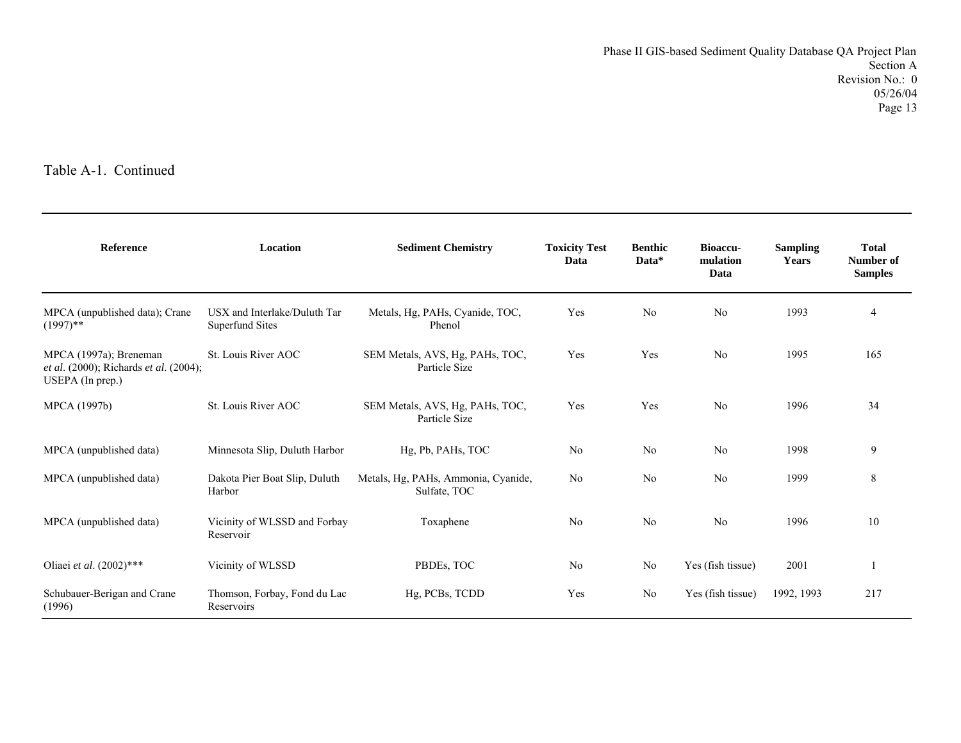| <b>Reference</b>                                                                       | Location                                               | <b>Sediment Chemistry</b>                           | <b>Toxicity Test</b><br>Data | <b>Benthic</b><br>Data* | <b>Bioaccu-</b><br>mulation<br>Data | <b>Sampling</b><br>Years | <b>Total</b><br>Number of<br><b>Samples</b> |
|----------------------------------------------------------------------------------------|--------------------------------------------------------|-----------------------------------------------------|------------------------------|-------------------------|-------------------------------------|--------------------------|---------------------------------------------|
| MPCA (unpublished data); Crane<br>$(1997)$ **                                          | USX and Interlake/Duluth Tar<br><b>Superfund Sites</b> | Metals, Hg, PAHs, Cyanide, TOC,<br>Phenol           | Yes                          | N <sub>0</sub>          | N <sub>0</sub>                      | 1993                     | $\overline{4}$                              |
| MPCA (1997a); Breneman<br>et al. (2000); Richards et al. (2004);<br>$USEPA$ (In prep.) | St. Louis River AOC                                    | SEM Metals, AVS, Hg, PAHs, TOC,<br>Particle Size    | Yes                          | Yes                     | N <sub>0</sub>                      | 1995                     | 165                                         |
| MPCA (1997b)                                                                           | St. Louis River AOC                                    | SEM Metals, AVS, Hg, PAHs, TOC,<br>Particle Size    | Yes                          | Yes                     | No                                  | 1996                     | 34                                          |
| MPCA (unpublished data)                                                                | Minnesota Slip, Duluth Harbor                          | Hg, Pb, PAHs, TOC                                   | No                           | No                      | No                                  | 1998                     | 9                                           |
| MPCA (unpublished data)                                                                | Dakota Pier Boat Slip, Duluth<br>Harbor                | Metals, Hg, PAHs, Ammonia, Cyanide,<br>Sulfate, TOC | No                           | No                      | N <sub>0</sub>                      | 1999                     | 8                                           |
| MPCA (unpublished data)                                                                | Vicinity of WLSSD and Forbay<br>Reservoir              | Toxaphene                                           | No                           | No                      | No                                  | 1996                     | 10                                          |
| Oliaei et al. (2002)***                                                                | Vicinity of WLSSD                                      | PBDEs, TOC                                          | No                           | No                      | Yes (fish tissue)                   | 2001                     |                                             |
| Schubauer-Berigan and Crane<br>(1996)                                                  | Thomson, Forbay, Fond du Lac<br>Reservoirs             | Hg, PCBs, TCDD                                      | Yes                          | N <sub>0</sub>          | Yes (fish tissue)                   | 1992, 1993               | 217                                         |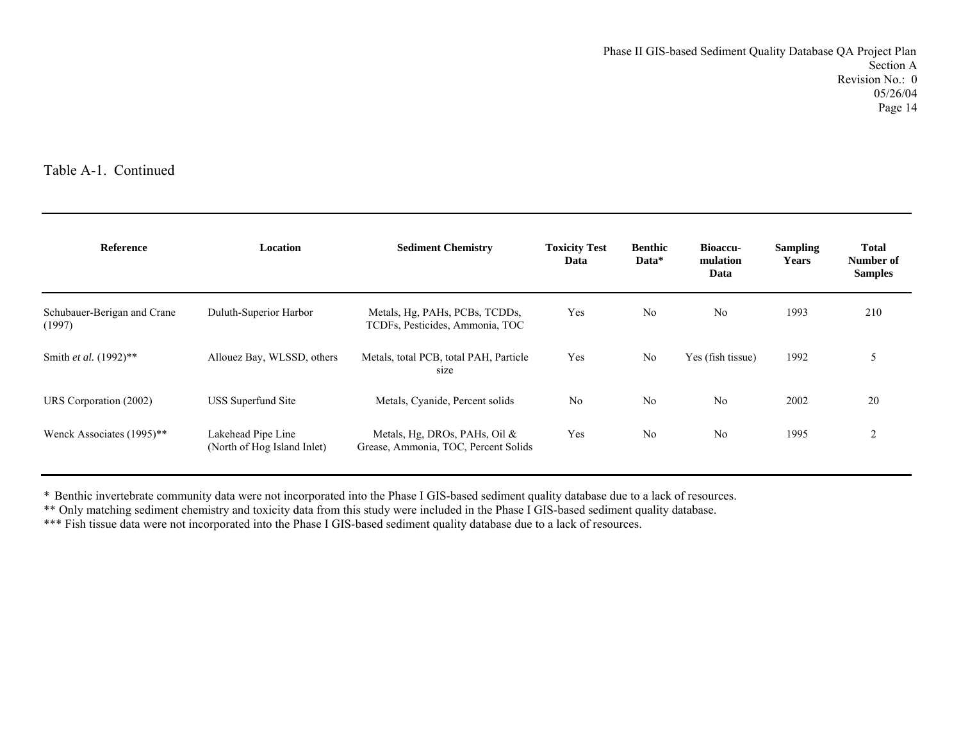| <b>Reference</b>                      | Location                                          | <b>Sediment Chemistry</b>                                             | <b>Toxicity Test</b><br>Data | <b>Benthic</b><br>Data* | <b>Bioaccu-</b><br>mulation<br>Data | <b>Sampling</b><br><b>Years</b> | <b>Total</b><br>Number of<br><b>Samples</b> |
|---------------------------------------|---------------------------------------------------|-----------------------------------------------------------------------|------------------------------|-------------------------|-------------------------------------|---------------------------------|---------------------------------------------|
| Schubauer-Berigan and Crane<br>(1997) | Duluth-Superior Harbor                            | Metals, Hg, PAHs, PCBs, TCDDs,<br>TCDFs, Pesticides, Ammonia, TOC     | Yes                          | N <sub>0</sub>          | No                                  | 1993                            | 210                                         |
| Smith et al. (1992)**                 | Allouez Bay, WLSSD, others                        | Metals, total PCB, total PAH, Particle<br>size                        | Yes                          | N <sub>0</sub>          | Yes (fish tissue)                   | 1992                            | 5                                           |
| URS Corporation (2002)                | USS Superfund Site                                | Metals, Cyanide, Percent solids                                       | No                           | No                      | No                                  | 2002                            | 20                                          |
| Wenck Associates (1995)**             | Lakehead Pipe Line<br>(North of Hog Island Inlet) | Metals, Hg, DROs, PAHs, Oil &<br>Grease, Ammonia, TOC, Percent Solids | Yes                          | No                      | No                                  | 1995                            | $\overline{2}$                              |

\* Benthic invertebrate community data were not incorporated into the Phase I GIS-based sediment quality database due to a lack of resources.

\*\* Only matching sediment chemistry and toxicity data from this study were included in the Phase I GIS-based sediment quality database.

\*\*\* Fish tissue data were not incorporated into the Phase I GIS-based sediment quality database due to a lack of resources.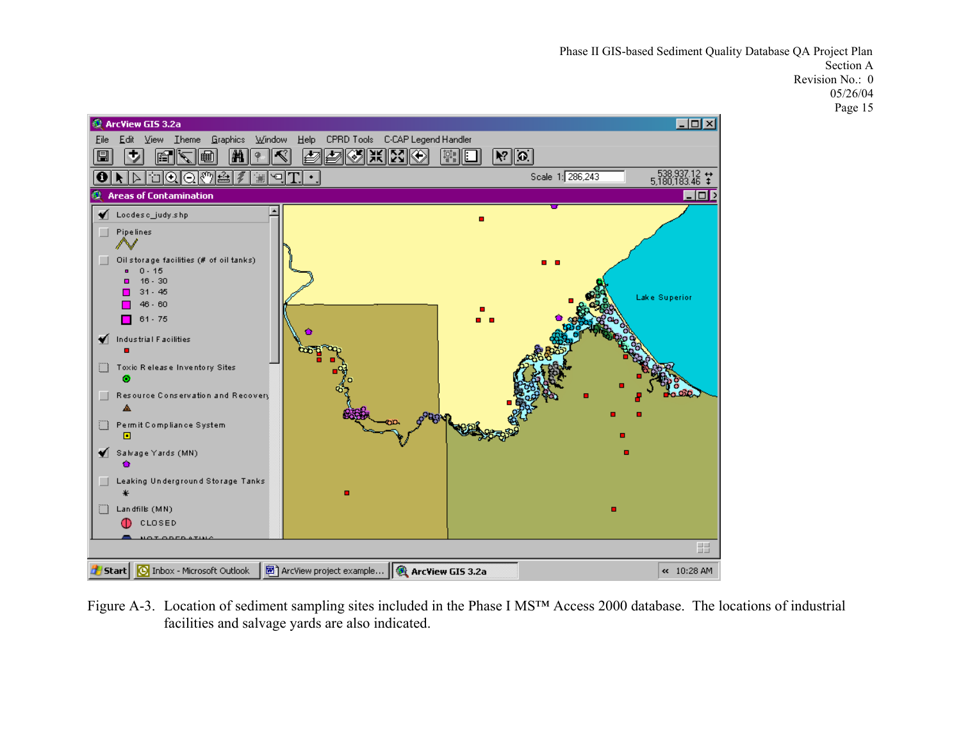Phase II GIS-based Sediment Quality Database QA Project Plan Section A Revision No.: 0 05/26/04 Page 15



Figure A-3. Location of sediment sampling sites included in the Phase I MS™ Access 2000 database. The locations of industrial facilities and salvage yards are also indicated.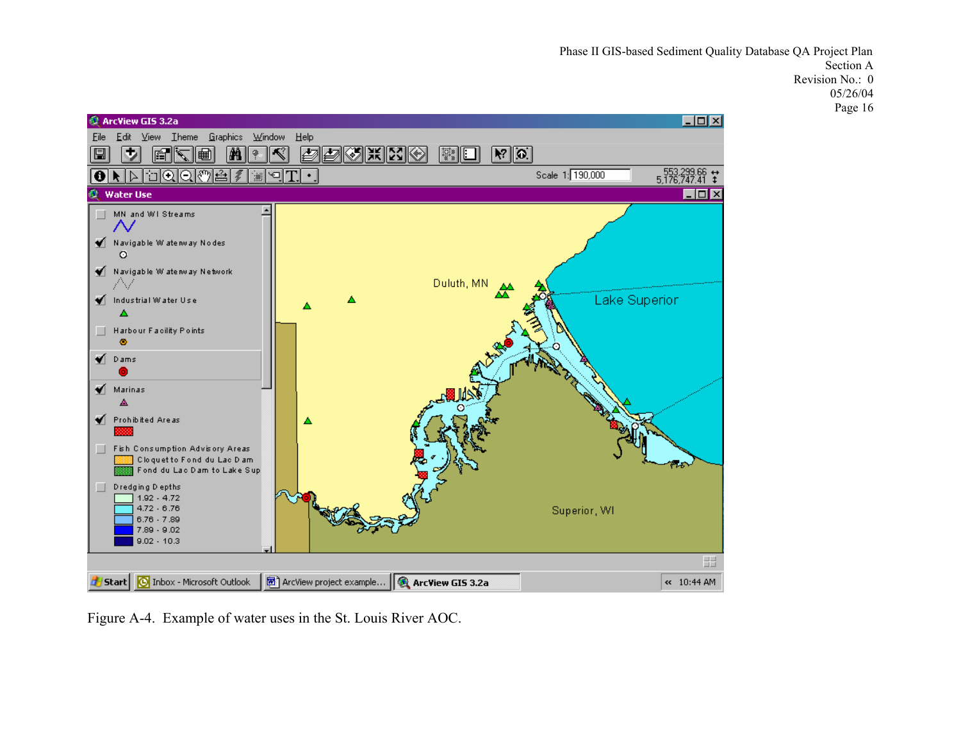Phase II GIS-based Sediment Quality Database QA Project Plan Section A Revision No.: 0 05/26/04 Page 16



Figure A-4. Example of water uses in the St. Louis River AOC.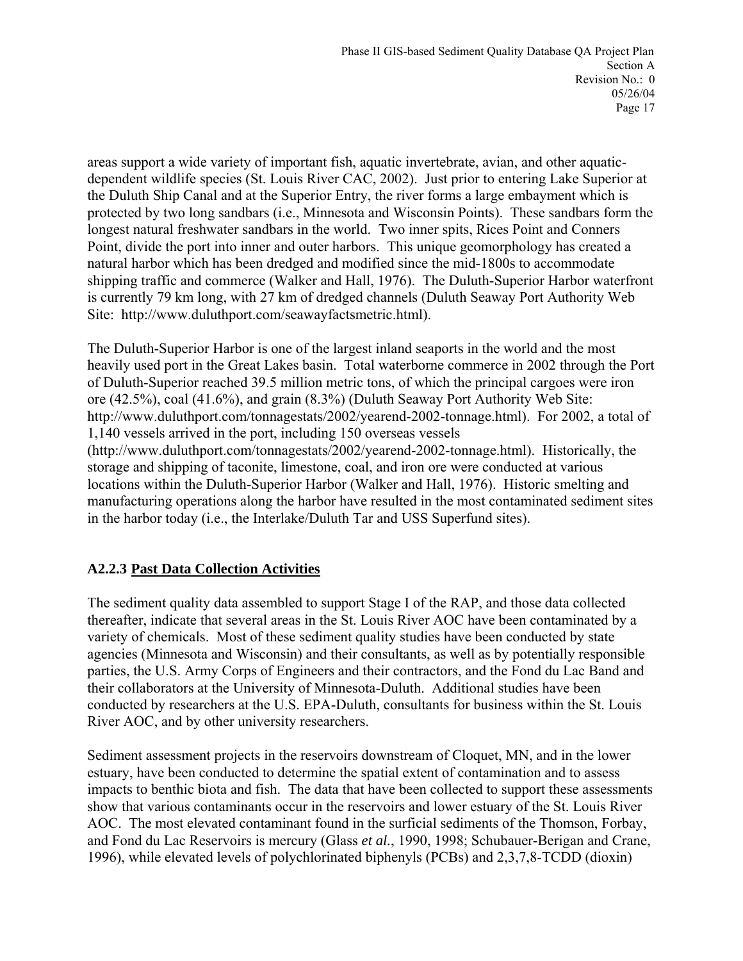areas support a wide variety of important fish, aquatic invertebrate, avian, and other aquaticdependent wildlife species (St. Louis River CAC, 2002). Just prior to entering Lake Superior at the Duluth Ship Canal and at the Superior Entry, the river forms a large embayment which is protected by two long sandbars (i.e., Minnesota and Wisconsin Points). These sandbars form the longest natural freshwater sandbars in the world. Two inner spits, Rices Point and Conners Point, divide the port into inner and outer harbors. This unique geomorphology has created a natural harbor which has been dredged and modified since the mid-1800s to accommodate shipping traffic and commerce (Walker and Hall, 1976). The Duluth-Superior Harbor waterfront is currently 79 km long, with 27 km of dredged channels (Duluth Seaway Port Authority Web Site: http://www.duluthport.com/seawayfactsmetric.html).

The Duluth-Superior Harbor is one of the largest inland seaports in the world and the most heavily used port in the Great Lakes basin. Total waterborne commerce in 2002 through the Port of Duluth-Superior reached 39.5 million metric tons, of which the principal cargoes were iron ore (42.5%), coal (41.6%), and grain (8.3%) (Duluth Seaway Port Authority Web Site: http://www.duluthport.com/tonnagestats/2002/yearend-2002-tonnage.html). For 2002, a total of 1,140 vessels arrived in the port, including 150 overseas vessels (http://www.duluthport.com/tonnagestats/2002/yearend-2002-tonnage.html). Historically, the storage and shipping of taconite, limestone, coal, and iron ore were conducted at various locations within the Duluth-Superior Harbor (Walker and Hall, 1976). Historic smelting and manufacturing operations along the harbor have resulted in the most contaminated sediment sites in the harbor today (i.e., the Interlake/Duluth Tar and USS Superfund sites).

# **A2.2.3 Past Data Collection Activities**

The sediment quality data assembled to support Stage I of the RAP, and those data collected thereafter, indicate that several areas in the St. Louis River AOC have been contaminated by a variety of chemicals. Most of these sediment quality studies have been conducted by state agencies (Minnesota and Wisconsin) and their consultants, as well as by potentially responsible parties, the U.S. Army Corps of Engineers and their contractors, and the Fond du Lac Band and their collaborators at the University of Minnesota-Duluth. Additional studies have been conducted by researchers at the U.S. EPA-Duluth, consultants for business within the St. Louis River AOC, and by other university researchers.

Sediment assessment projects in the reservoirs downstream of Cloquet, MN, and in the lower estuary, have been conducted to determine the spatial extent of contamination and to assess impacts to benthic biota and fish. The data that have been collected to support these assessments show that various contaminants occur in the reservoirs and lower estuary of the St. Louis River AOC. The most elevated contaminant found in the surficial sediments of the Thomson, Forbay, and Fond du Lac Reservoirs is mercury (Glass *et al.*, 1990, 1998; Schubauer-Berigan and Crane, 1996), while elevated levels of polychlorinated biphenyls (PCBs) and 2,3,7,8-TCDD (dioxin)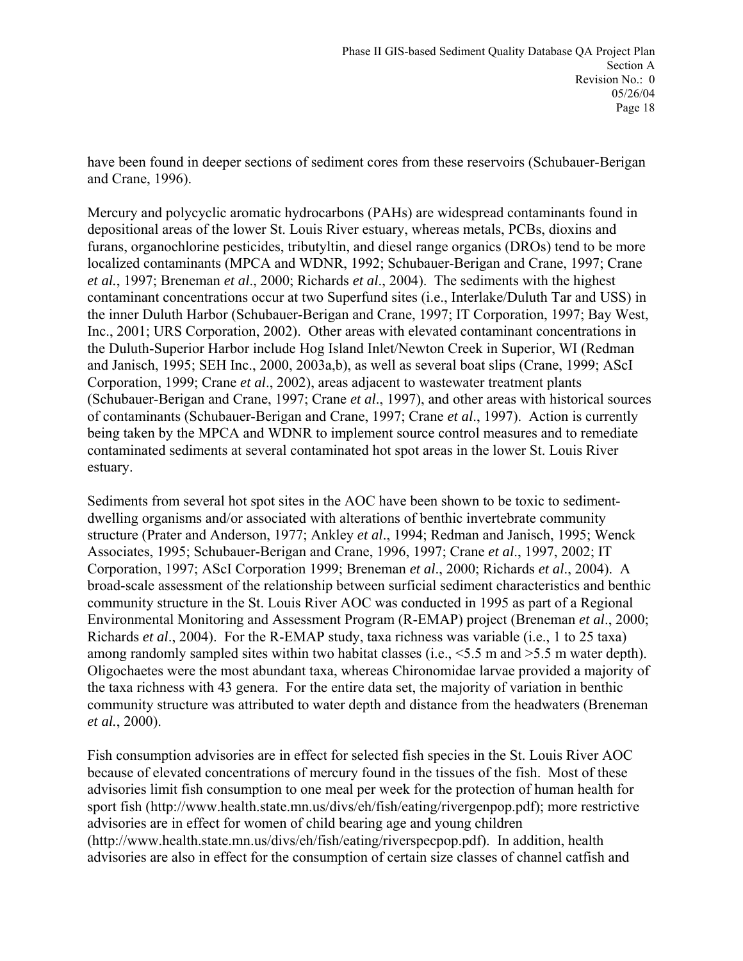have been found in deeper sections of sediment cores from these reservoirs (Schubauer-Berigan and Crane, 1996).

Mercury and polycyclic aromatic hydrocarbons (PAHs) are widespread contaminants found in depositional areas of the lower St. Louis River estuary, whereas metals, PCBs, dioxins and furans, organochlorine pesticides, tributyltin, and diesel range organics (DROs) tend to be more localized contaminants (MPCA and WDNR, 1992; Schubauer-Berigan and Crane, 1997; Crane *et al.*, 1997; Breneman *et al*., 2000; Richards *et al*., 2004). The sediments with the highest contaminant concentrations occur at two Superfund sites (i.e., Interlake/Duluth Tar and USS) in the inner Duluth Harbor (Schubauer-Berigan and Crane, 1997; IT Corporation, 1997; Bay West, Inc., 2001; URS Corporation, 2002). Other areas with elevated contaminant concentrations in the Duluth-Superior Harbor include Hog Island Inlet/Newton Creek in Superior, WI (Redman and Janisch, 1995; SEH Inc., 2000, 2003a,b), as well as several boat slips (Crane, 1999; AScI Corporation, 1999; Crane *et al*., 2002), areas adjacent to wastewater treatment plants (Schubauer-Berigan and Crane, 1997; Crane *et al*., 1997), and other areas with historical sources of contaminants (Schubauer-Berigan and Crane, 1997; Crane *et al*., 1997). Action is currently being taken by the MPCA and WDNR to implement source control measures and to remediate contaminated sediments at several contaminated hot spot areas in the lower St. Louis River estuary.

Sediments from several hot spot sites in the AOC have been shown to be toxic to sedimentdwelling organisms and/or associated with alterations of benthic invertebrate community structure (Prater and Anderson, 1977; Ankley *et al*., 1994; Redman and Janisch, 1995; Wenck Associates, 1995; Schubauer-Berigan and Crane, 1996, 1997; Crane *et al*., 1997, 2002; IT Corporation, 1997; AScI Corporation 1999; Breneman *et al*., 2000; Richards *et al*., 2004). A broad-scale assessment of the relationship between surficial sediment characteristics and benthic community structure in the St. Louis River AOC was conducted in 1995 as part of a Regional Environmental Monitoring and Assessment Program (R-EMAP) project (Breneman *et al*., 2000; Richards *et al*., 2004). For the R-EMAP study, taxa richness was variable (i.e., 1 to 25 taxa) among randomly sampled sites within two habitat classes (i.e., <5.5 m and >5.5 m water depth). Oligochaetes were the most abundant taxa, whereas Chironomidae larvae provided a majority of the taxa richness with 43 genera. For the entire data set, the majority of variation in benthic community structure was attributed to water depth and distance from the headwaters (Breneman *et al.*, 2000).

Fish consumption advisories are in effect for selected fish species in the St. Louis River AOC because of elevated concentrations of mercury found in the tissues of the fish. Most of these advisories limit fish consumption to one meal per week for the protection of human health for sport fish (http://www.health.state.mn.us/divs/eh/fish/eating/rivergenpop.pdf); more restrictive advisories are in effect for women of child bearing age and young children (http://www.health.state.mn.us/divs/eh/fish/eating/riverspecpop.pdf). In addition, health advisories are also in effect for the consumption of certain size classes of channel catfish and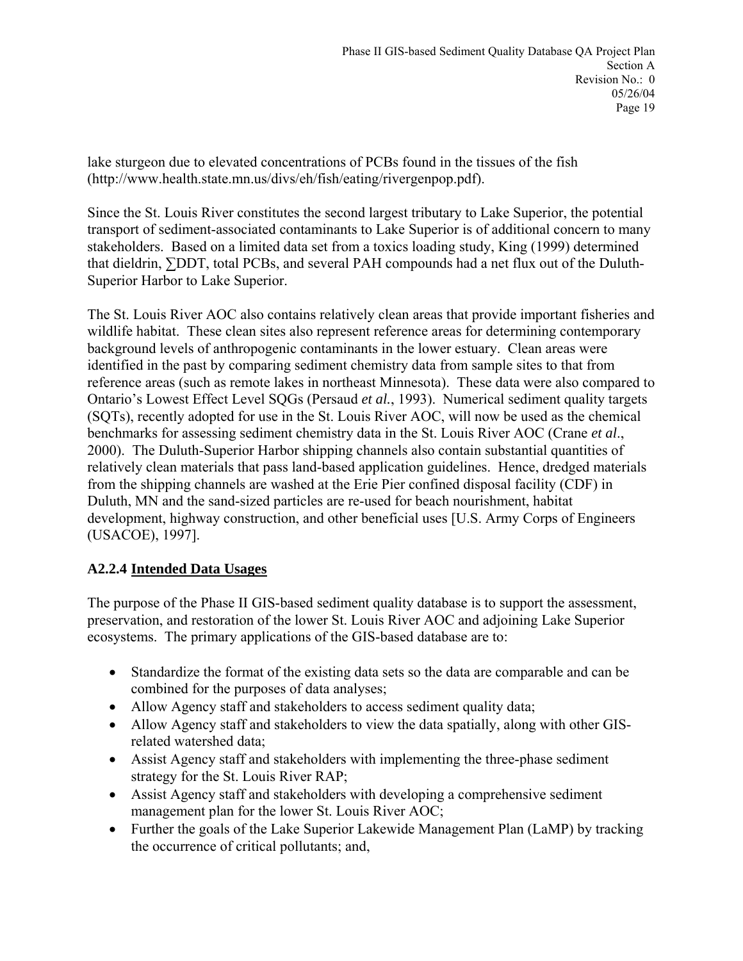lake sturgeon due to elevated concentrations of PCBs found in the tissues of the fish (http://www.health.state.mn.us/divs/eh/fish/eating/rivergenpop.pdf).

Since the St. Louis River constitutes the second largest tributary to Lake Superior, the potential transport of sediment-associated contaminants to Lake Superior is of additional concern to many stakeholders. Based on a limited data set from a toxics loading study, King (1999) determined that dieldrin, ∑DDT, total PCBs, and several PAH compounds had a net flux out of the Duluth-Superior Harbor to Lake Superior.

The St. Louis River AOC also contains relatively clean areas that provide important fisheries and wildlife habitat. These clean sites also represent reference areas for determining contemporary background levels of anthropogenic contaminants in the lower estuary. Clean areas were identified in the past by comparing sediment chemistry data from sample sites to that from reference areas (such as remote lakes in northeast Minnesota). These data were also compared to Ontario's Lowest Effect Level SQGs (Persaud *et al.*, 1993). Numerical sediment quality targets (SQTs), recently adopted for use in the St. Louis River AOC, will now be used as the chemical benchmarks for assessing sediment chemistry data in the St. Louis River AOC (Crane *et al*., 2000). The Duluth-Superior Harbor shipping channels also contain substantial quantities of relatively clean materials that pass land-based application guidelines. Hence, dredged materials from the shipping channels are washed at the Erie Pier confined disposal facility (CDF) in Duluth, MN and the sand-sized particles are re-used for beach nourishment, habitat development, highway construction, and other beneficial uses [U.S. Army Corps of Engineers (USACOE), 1997].

# **A2.2.4 Intended Data Usages**

The purpose of the Phase II GIS-based sediment quality database is to support the assessment, preservation, and restoration of the lower St. Louis River AOC and adjoining Lake Superior ecosystems. The primary applications of the GIS-based database are to:

- Standardize the format of the existing data sets so the data are comparable and can be combined for the purposes of data analyses;
- Allow Agency staff and stakeholders to access sediment quality data;
- Allow Agency staff and stakeholders to view the data spatially, along with other GISrelated watershed data;
- Assist Agency staff and stakeholders with implementing the three-phase sediment strategy for the St. Louis River RAP;
- Assist Agency staff and stakeholders with developing a comprehensive sediment management plan for the lower St. Louis River AOC;
- Further the goals of the Lake Superior Lakewide Management Plan (LaMP) by tracking the occurrence of critical pollutants; and,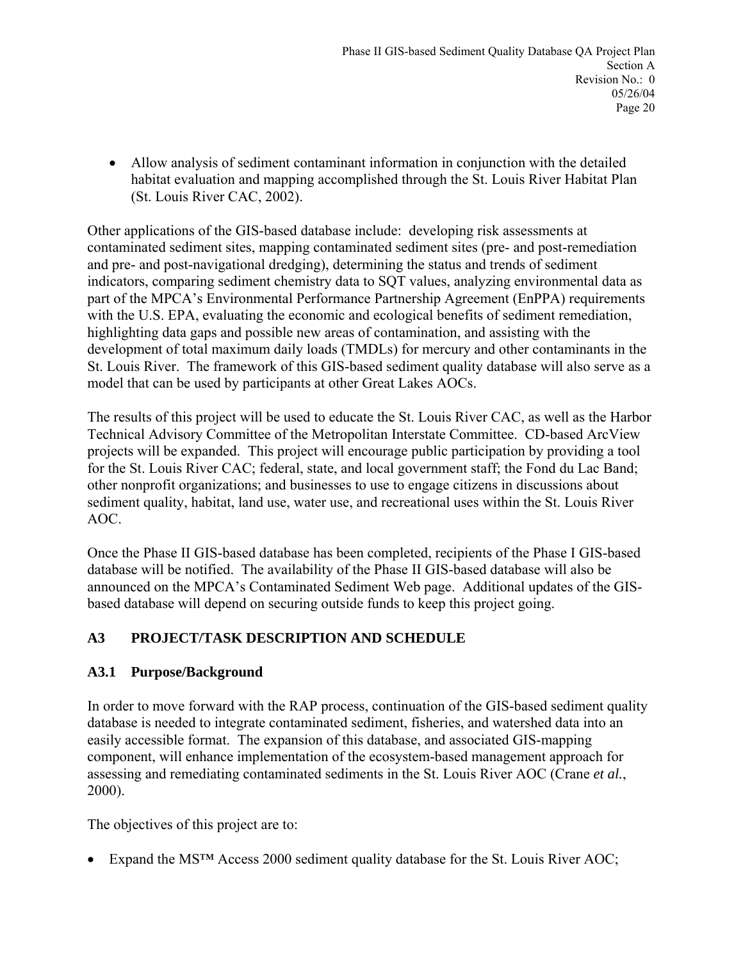• Allow analysis of sediment contaminant information in conjunction with the detailed habitat evaluation and mapping accomplished through the St. Louis River Habitat Plan (St. Louis River CAC, 2002).

Other applications of the GIS-based database include: developing risk assessments at contaminated sediment sites, mapping contaminated sediment sites (pre- and post-remediation and pre- and post-navigational dredging), determining the status and trends of sediment indicators, comparing sediment chemistry data to SQT values, analyzing environmental data as part of the MPCA's Environmental Performance Partnership Agreement (EnPPA) requirements with the U.S. EPA, evaluating the economic and ecological benefits of sediment remediation, highlighting data gaps and possible new areas of contamination, and assisting with the development of total maximum daily loads (TMDLs) for mercury and other contaminants in the St. Louis River. The framework of this GIS-based sediment quality database will also serve as a model that can be used by participants at other Great Lakes AOCs.

The results of this project will be used to educate the St. Louis River CAC, as well as the Harbor Technical Advisory Committee of the Metropolitan Interstate Committee. CD-based ArcView projects will be expanded. This project will encourage public participation by providing a tool for the St. Louis River CAC; federal, state, and local government staff; the Fond du Lac Band; other nonprofit organizations; and businesses to use to engage citizens in discussions about sediment quality, habitat, land use, water use, and recreational uses within the St. Louis River AOC.

Once the Phase II GIS-based database has been completed, recipients of the Phase I GIS-based database will be notified. The availability of the Phase II GIS-based database will also be announced on the MPCA's Contaminated Sediment Web page. Additional updates of the GISbased database will depend on securing outside funds to keep this project going.

# **A3 PROJECT/TASK DESCRIPTION AND SCHEDULE**

# **A3.1 Purpose/Background**

In order to move forward with the RAP process, continuation of the GIS-based sediment quality database is needed to integrate contaminated sediment, fisheries, and watershed data into an easily accessible format. The expansion of this database, and associated GIS-mapping component, will enhance implementation of the ecosystem-based management approach for assessing and remediating contaminated sediments in the St. Louis River AOC (Crane *et al.*, 2000).

The objectives of this project are to:

• Expand the MS<sup>TM</sup> Access 2000 sediment quality database for the St. Louis River AOC;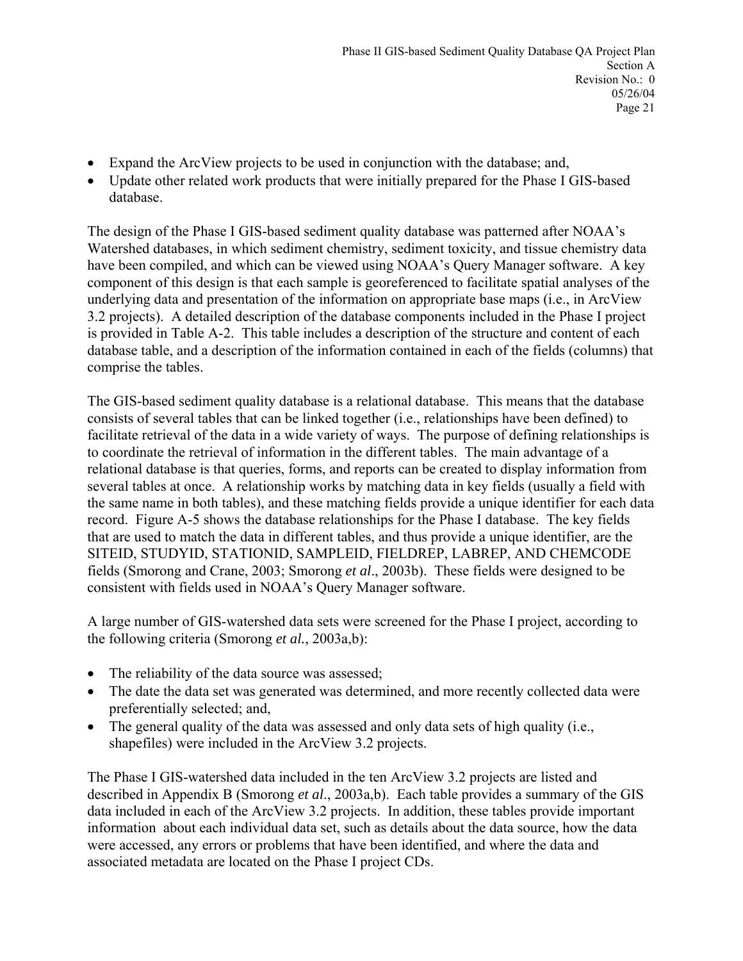- Expand the ArcView projects to be used in conjunction with the database; and,
- Update other related work products that were initially prepared for the Phase I GIS-based database.

The design of the Phase I GIS-based sediment quality database was patterned after NOAA's Watershed databases, in which sediment chemistry, sediment toxicity, and tissue chemistry data have been compiled, and which can be viewed using NOAA's Query Manager software. A key component of this design is that each sample is georeferenced to facilitate spatial analyses of the underlying data and presentation of the information on appropriate base maps (i.e., in ArcView 3.2 projects). A detailed description of the database components included in the Phase I project is provided in Table A-2. This table includes a description of the structure and content of each database table, and a description of the information contained in each of the fields (columns) that comprise the tables.

The GIS-based sediment quality database is a relational database. This means that the database consists of several tables that can be linked together (i.e., relationships have been defined) to facilitate retrieval of the data in a wide variety of ways. The purpose of defining relationships is to coordinate the retrieval of information in the different tables. The main advantage of a relational database is that queries, forms, and reports can be created to display information from several tables at once. A relationship works by matching data in key fields (usually a field with the same name in both tables), and these matching fields provide a unique identifier for each data record. Figure A-5 shows the database relationships for the Phase I database. The key fields that are used to match the data in different tables, and thus provide a unique identifier, are the SITEID, STUDYID, STATIONID, SAMPLEID, FIELDREP, LABREP, AND CHEMCODE fields (Smorong and Crane, 2003; Smorong *et al*., 2003b). These fields were designed to be consistent with fields used in NOAA's Query Manager software.

A large number of GIS-watershed data sets were screened for the Phase I project, according to the following criteria (Smorong *et al.*, 2003a,b):

- The reliability of the data source was assessed;
- The date the data set was generated was determined, and more recently collected data were preferentially selected; and,
- The general quality of the data was assessed and only data sets of high quality (i.e., shapefiles) were included in the ArcView 3.2 projects.

The Phase I GIS-watershed data included in the ten ArcView 3.2 projects are listed and described in Appendix B (Smorong *et al*., 2003a,b). Each table provides a summary of the GIS data included in each of the ArcView 3.2 projects. In addition, these tables provide important information about each individual data set, such as details about the data source, how the data were accessed, any errors or problems that have been identified, and where the data and associated metadata are located on the Phase I project CDs.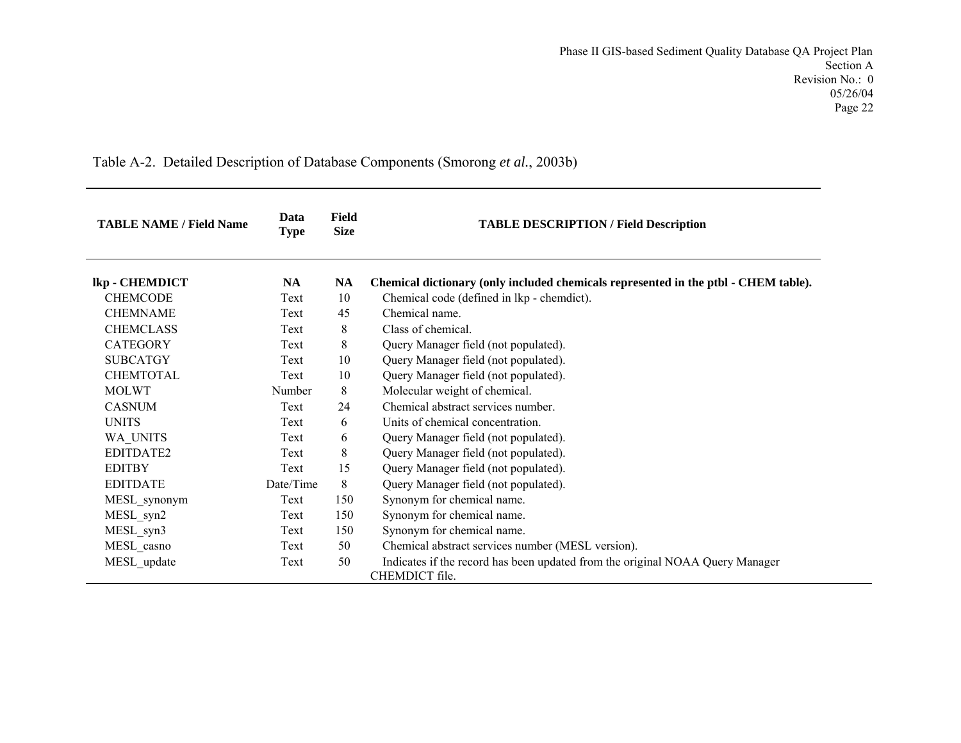Table A-2. Detailed Description of Database Components (Smorong *et al.*, 2003b)

| <b>TABLE NAME / Field Name</b> | Data<br><b>Type</b> | Field<br><b>Size</b> | <b>TABLE DESCRIPTION / Field Description</b>                                        |
|--------------------------------|---------------------|----------------------|-------------------------------------------------------------------------------------|
| lkp - CHEMDICT                 | <b>NA</b>           | <b>NA</b>            | Chemical dictionary (only included chemicals represented in the ptbl - CHEM table). |
| <b>CHEMCODE</b>                | Text                | 10                   | Chemical code (defined in lkp - chemdict).                                          |
| <b>CHEMNAME</b>                | Text                | 45                   | Chemical name.                                                                      |
| <b>CHEMCLASS</b>               | Text                | 8                    | Class of chemical.                                                                  |
| <b>CATEGORY</b>                | Text                | 8                    | Query Manager field (not populated).                                                |
| <b>SUBCATGY</b>                | Text                | 10                   | Query Manager field (not populated).                                                |
| <b>CHEMTOTAL</b>               | Text                | 10                   | Query Manager field (not populated).                                                |
| <b>MOLWT</b>                   | Number              | 8                    | Molecular weight of chemical.                                                       |
| <b>CASNUM</b>                  | Text                | 24                   | Chemical abstract services number                                                   |
| <b>UNITS</b>                   | Text                | 6                    | Units of chemical concentration                                                     |
| WA UNITS                       | Text                | 6                    | Query Manager field (not populated).                                                |
| EDITDATE2                      | Text                | 8                    | Query Manager field (not populated).                                                |
| <b>EDITBY</b>                  | Text                | 15                   | Query Manager field (not populated).                                                |
| <b>EDITDATE</b>                | Date/Time           | 8                    | Query Manager field (not populated).                                                |
| MESL_synonym                   | Text                | 150                  | Synonym for chemical name.                                                          |
| MESL syn2                      | Text                | 150                  | Synonym for chemical name.                                                          |
| MESL_syn3                      | Text                | 150                  | Synonym for chemical name.                                                          |
| MESL_casno                     | Text                | 50                   | Chemical abstract services number (MESL version).                                   |
| MESL update                    | Text                | 50                   | Indicates if the record has been updated from the original NOAA Query Manager       |
|                                |                     |                      | CHEMDICT file.                                                                      |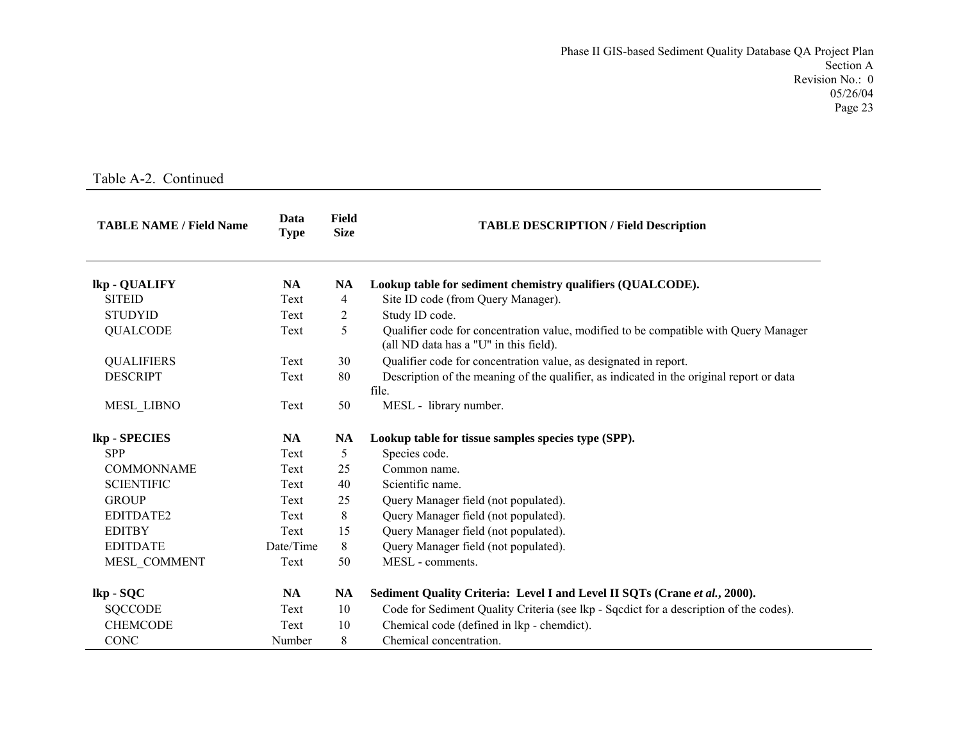| <b>TABLE NAME / Field Name</b> | Data<br><b>Type</b> | Field<br><b>Size</b> | <b>TABLE DESCRIPTION / Field Description</b>                                                                                   |
|--------------------------------|---------------------|----------------------|--------------------------------------------------------------------------------------------------------------------------------|
| lkp - QUALIFY                  | <b>NA</b>           | NA                   | Lookup table for sediment chemistry qualifiers (QUALCODE).                                                                     |
| <b>SITEID</b>                  | Text                | $\overline{4}$       | Site ID code (from Query Manager).                                                                                             |
| <b>STUDYID</b>                 | Text                | 2                    | Study ID code.                                                                                                                 |
| <b>QUALCODE</b>                | Text                | 5                    | Qualifier code for concentration value, modified to be compatible with Query Manager<br>(all ND data has a "U" in this field). |
| <b>QUALIFIERS</b>              | Text                | 30                   | Qualifier code for concentration value, as designated in report.                                                               |
| <b>DESCRIPT</b>                | Text                | 80                   | Description of the meaning of the qualifier, as indicated in the original report or data                                       |
|                                |                     |                      | file.                                                                                                                          |
| <b>MESL LIBNO</b>              | Text                | 50                   | MESL - library number.                                                                                                         |
| lkp - SPECIES                  | <b>NA</b>           | <b>NA</b>            | Lookup table for tissue samples species type (SPP).                                                                            |
| <b>SPP</b>                     | Text                | 5                    | Species code.                                                                                                                  |
| <b>COMMONNAME</b>              | Text                | 25                   | Common name.                                                                                                                   |
| <b>SCIENTIFIC</b>              | Text                | 40                   | Scientific name.                                                                                                               |
| <b>GROUP</b>                   | Text                | 25                   | Query Manager field (not populated).                                                                                           |
| EDITDATE2                      | Text                | 8                    | Query Manager field (not populated).                                                                                           |
| <b>EDITBY</b>                  | Text                | 15                   | Query Manager field (not populated).                                                                                           |
| <b>EDITDATE</b>                | Date/Time           | 8                    | Query Manager field (not populated).                                                                                           |
| MESL COMMENT                   | Text                | 50                   | MESL - comments.                                                                                                               |
| lkp - SQC                      | <b>NA</b>           | <b>NA</b>            | Sediment Quality Criteria: Level I and Level II SQTs (Crane et al., 2000).                                                     |
| <b>SQCCODE</b>                 | Text                | 10                   | Code for Sediment Quality Criteria (see lkp - Sqcdict for a description of the codes).                                         |
| <b>CHEMCODE</b>                | Text                | 10                   | Chemical code (defined in lkp - chemdict).                                                                                     |
| <b>CONC</b>                    | Number              | 8                    | Chemical concentration.                                                                                                        |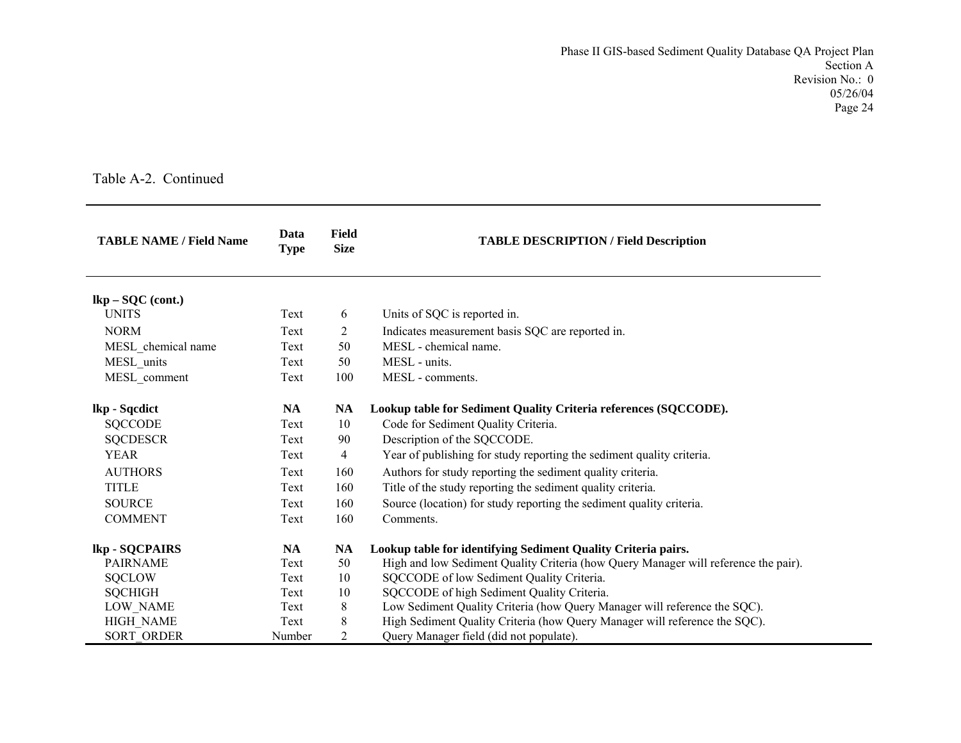| <b>TABLE NAME / Field Name</b> | Data<br><b>Type</b> | Field<br><b>Size</b> | <b>TABLE DESCRIPTION / Field Description</b>                                        |
|--------------------------------|---------------------|----------------------|-------------------------------------------------------------------------------------|
| $lkp - SOC (cont.)$            |                     |                      |                                                                                     |
| <b>UNITS</b>                   | Text                | 6                    | Units of SQC is reported in.                                                        |
| <b>NORM</b>                    | Text                | $\overline{2}$       | Indicates measurement basis SQC are reported in.                                    |
| MESL_chemical name             | Text                | 50                   | MESL - chemical name.                                                               |
| MESL units                     | Text                | 50                   | MESL - units.                                                                       |
| MESL comment                   | Text                | 100                  | MESL - comments.                                                                    |
| lkp - Sqcdict                  | <b>NA</b>           | <b>NA</b>            | Lookup table for Sediment Quality Criteria references (SQCCODE).                    |
| <b>SQCCODE</b>                 | Text                | 10                   | Code for Sediment Quality Criteria.                                                 |
| <b>SQCDESCR</b>                | Text                | 90                   | Description of the SQCCODE.                                                         |
| <b>YEAR</b>                    | Text                | $\overline{4}$       | Year of publishing for study reporting the sediment quality criteria.               |
| <b>AUTHORS</b>                 | Text                | 160                  | Authors for study reporting the sediment quality criteria.                          |
| <b>TITLE</b>                   | Text                | 160                  | Title of the study reporting the sediment quality criteria.                         |
| <b>SOURCE</b>                  | Text                | 160                  | Source (location) for study reporting the sediment quality criteria.                |
| <b>COMMENT</b>                 | Text                | 160                  | Comments.                                                                           |
| lkp - SQCPAIRS                 | <b>NA</b>           | <b>NA</b>            | Lookup table for identifying Sediment Quality Criteria pairs.                       |
| <b>PAIRNAME</b>                | Text                | 50                   | High and low Sediment Quality Criteria (how Query Manager will reference the pair). |
| <b>SQCLOW</b>                  | Text                | 10                   | SQCCODE of low Sediment Quality Criteria.                                           |
| <b>SQCHIGH</b>                 | Text                | 10                   | SQCCODE of high Sediment Quality Criteria.                                          |
| LOW_NAME                       | Text                | 8                    | Low Sediment Quality Criteria (how Query Manager will reference the SQC).           |
| <b>HIGH NAME</b>               | Text                | 8                    | High Sediment Quality Criteria (how Query Manager will reference the SQC).          |
| <b>SORT ORDER</b>              | Number              | 2                    | Query Manager field (did not populate).                                             |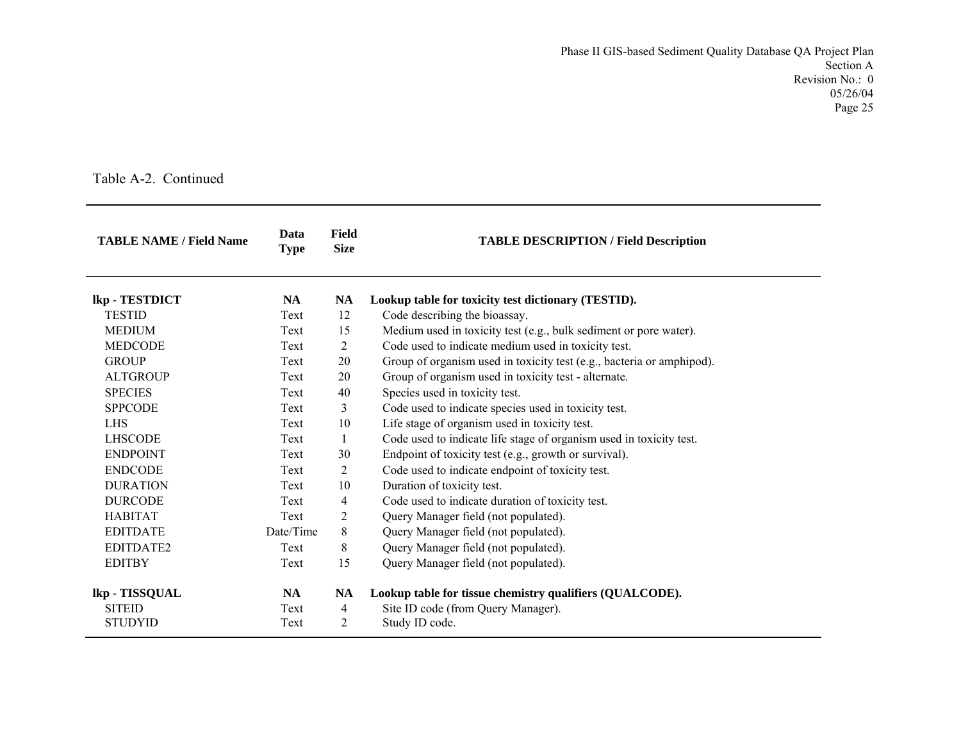| <b>TABLE NAME / Field Name</b> | Data<br><b>Type</b> | <b>Field</b><br><b>Size</b> | <b>TABLE DESCRIPTION / Field Description</b>                          |
|--------------------------------|---------------------|-----------------------------|-----------------------------------------------------------------------|
| lkp - TESTDICT                 | <b>NA</b>           | <b>NA</b>                   | Lookup table for toxicity test dictionary (TESTID).                   |
| <b>TESTID</b>                  | Text                | 12                          | Code describing the bioassay.                                         |
| <b>MEDIUM</b>                  | Text                | 15                          | Medium used in toxicity test (e.g., bulk sediment or pore water).     |
| <b>MEDCODE</b>                 | Text                | $\overline{2}$              | Code used to indicate medium used in toxicity test.                   |
| <b>GROUP</b>                   | Text                | 20                          | Group of organism used in toxicity test (e.g., bacteria or amphipod). |
| <b>ALTGROUP</b>                | Text                | 20                          | Group of organism used in toxicity test - alternate.                  |
| <b>SPECIES</b>                 | Text                | 40                          | Species used in toxicity test.                                        |
| <b>SPPCODE</b>                 | Text                | 3                           | Code used to indicate species used in toxicity test.                  |
| <b>LHS</b>                     | Text                | 10                          | Life stage of organism used in toxicity test.                         |
| <b>LHSCODE</b>                 | Text                | $\mathbf{1}$                | Code used to indicate life stage of organism used in toxicity test.   |
| <b>ENDPOINT</b>                | Text                | 30                          | Endpoint of toxicity test (e.g., growth or survival).                 |
| <b>ENDCODE</b>                 | Text                | 2                           | Code used to indicate endpoint of toxicity test.                      |
| <b>DURATION</b>                | Text                | 10                          | Duration of toxicity test.                                            |
| <b>DURCODE</b>                 | Text                | $\overline{4}$              | Code used to indicate duration of toxicity test.                      |
| <b>HABITAT</b>                 | Text                | 2                           | Query Manager field (not populated).                                  |
| <b>EDITDATE</b>                | Date/Time           | 8                           | Query Manager field (not populated).                                  |
| EDITDATE2                      | Text                | 8                           | Query Manager field (not populated).                                  |
| <b>EDITBY</b>                  | Text                | 15                          | Query Manager field (not populated).                                  |
| lkp - TISSQUAL                 | <b>NA</b>           | <b>NA</b>                   | Lookup table for tissue chemistry qualifiers (QUALCODE).              |
| <b>SITEID</b>                  | Text                | 4                           | Site ID code (from Query Manager).                                    |
| <b>STUDYID</b>                 | Text                | 2                           | Study ID code.                                                        |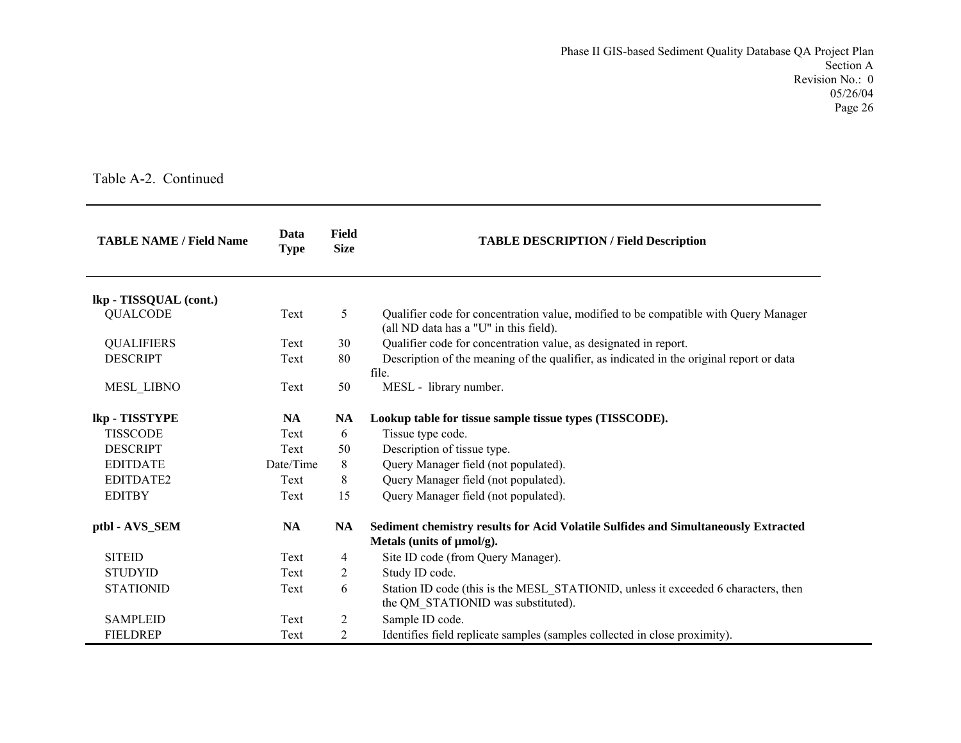| <b>TABLE NAME / Field Name</b> | Data<br><b>Type</b> | <b>Field</b><br><b>Size</b> | <b>TABLE DESCRIPTION / Field Description</b>                                                                                   |
|--------------------------------|---------------------|-----------------------------|--------------------------------------------------------------------------------------------------------------------------------|
| lkp - TISSQUAL (cont.)         |                     |                             |                                                                                                                                |
| <b>QUALCODE</b>                | Text                | 5                           | Qualifier code for concentration value, modified to be compatible with Query Manager<br>(all ND data has a "U" in this field). |
| <b>QUALIFIERS</b>              | Text                | 30                          | Qualifier code for concentration value, as designated in report.                                                               |
| <b>DESCRIPT</b>                | Text                | 80                          | Description of the meaning of the qualifier, as indicated in the original report or data<br>file.                              |
| MESL_LIBNO                     | Text                | 50                          | MESL - library number.                                                                                                         |
| lkp - TISSTYPE                 | <b>NA</b>           | NA                          | Lookup table for tissue sample tissue types (TISSCODE).                                                                        |
| <b>TISSCODE</b>                | Text                | 6                           | Tissue type code.                                                                                                              |
| <b>DESCRIPT</b>                | Text                | 50                          | Description of tissue type.                                                                                                    |
| <b>EDITDATE</b>                | Date/Time           | 8                           | Query Manager field (not populated).                                                                                           |
| <b>EDITDATE2</b>               | Text                | 8                           | Query Manager field (not populated).                                                                                           |
| <b>EDITBY</b>                  | Text                | 15                          | Query Manager field (not populated).                                                                                           |
| ptbl - AVS_SEM                 | <b>NA</b>           | NA                          | Sediment chemistry results for Acid Volatile Sulfides and Simultaneously Extracted<br>Metals (units of $\mu$ mol/g).           |
| <b>SITEID</b>                  | Text                | 4                           | Site ID code (from Query Manager).                                                                                             |
| <b>STUDYID</b>                 | Text                | $\overline{c}$              | Study ID code.                                                                                                                 |
| <b>STATIONID</b>               | Text                | 6                           | Station ID code (this is the MESL STATIONID, unless it exceeded 6 characters, then<br>the QM STATIONID was substituted).       |
| <b>SAMPLEID</b>                | Text                | $\overline{2}$              | Sample ID code.                                                                                                                |
| <b>FIELDREP</b>                | Text                | 2                           | Identifies field replicate samples (samples collected in close proximity).                                                     |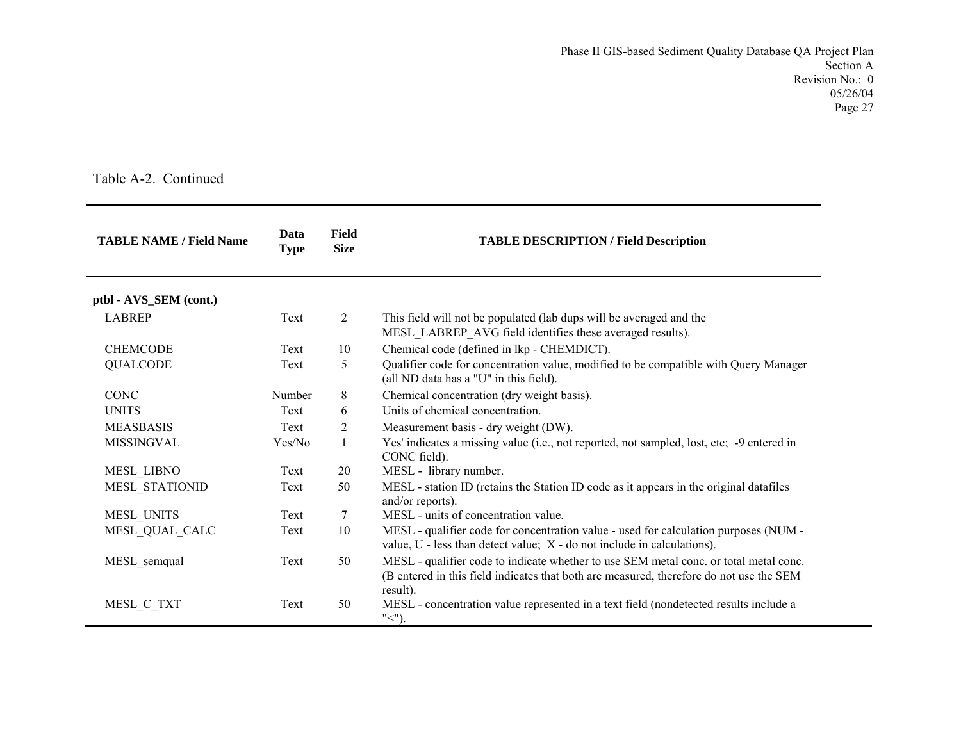| <b>TABLE NAME / Field Name</b> | Data<br><b>Type</b> | Field<br><b>Size</b> | <b>TABLE DESCRIPTION / Field Description</b>                                                                                                                                                 |
|--------------------------------|---------------------|----------------------|----------------------------------------------------------------------------------------------------------------------------------------------------------------------------------------------|
| ptbl - AVS_SEM (cont.)         |                     |                      |                                                                                                                                                                                              |
| <b>LABREP</b>                  | Text                | 2                    | This field will not be populated (lab dups will be averaged and the<br>MESL_LABREP_AVG field identifies these averaged results).                                                             |
| <b>CHEMCODE</b>                | Text                | 10                   | Chemical code (defined in lkp - CHEMDICT).                                                                                                                                                   |
| <b>QUALCODE</b>                | Text                | 5                    | Qualifier code for concentration value, modified to be compatible with Query Manager<br>(all ND data has a "U" in this field).                                                               |
| <b>CONC</b>                    | Number              | 8                    | Chemical concentration (dry weight basis).                                                                                                                                                   |
| <b>UNITS</b>                   | Text                | 6                    | Units of chemical concentration.                                                                                                                                                             |
| <b>MEASBASIS</b>               | Text                | 2                    | Measurement basis - dry weight (DW).                                                                                                                                                         |
| <b>MISSINGVAL</b>              | Yes/No              | 1                    | Yes' indicates a missing value (i.e., not reported, not sampled, lost, etc; -9 entered in<br>CONC field).                                                                                    |
| MESL_LIBNO                     | Text                | 20                   | MESL - library number.                                                                                                                                                                       |
| <b>MESL STATIONID</b>          | Text                | 50                   | MESL - station ID (retains the Station ID code as it appears in the original datafiles<br>and/or reports).                                                                                   |
| MESL UNITS                     | Text                | 7                    | MESL - units of concentration value.                                                                                                                                                         |
| MESL QUAL CALC                 | Text                | 10                   | MESL - qualifier code for concentration value - used for calculation purposes (NUM -<br>value, $U$ - less than detect value; $X$ - do not include in calculations).                          |
| MESL_semqual                   | Text                | 50                   | MESL - qualifier code to indicate whether to use SEM metal conc. or total metal conc.<br>(B entered in this field indicates that both are measured, therefore do not use the SEM<br>result). |
| MESL_C_TXT                     | Text                | 50                   | MESL - concentration value represented in a text field (nondetected results include a<br>$"$ $\lt$ ").                                                                                       |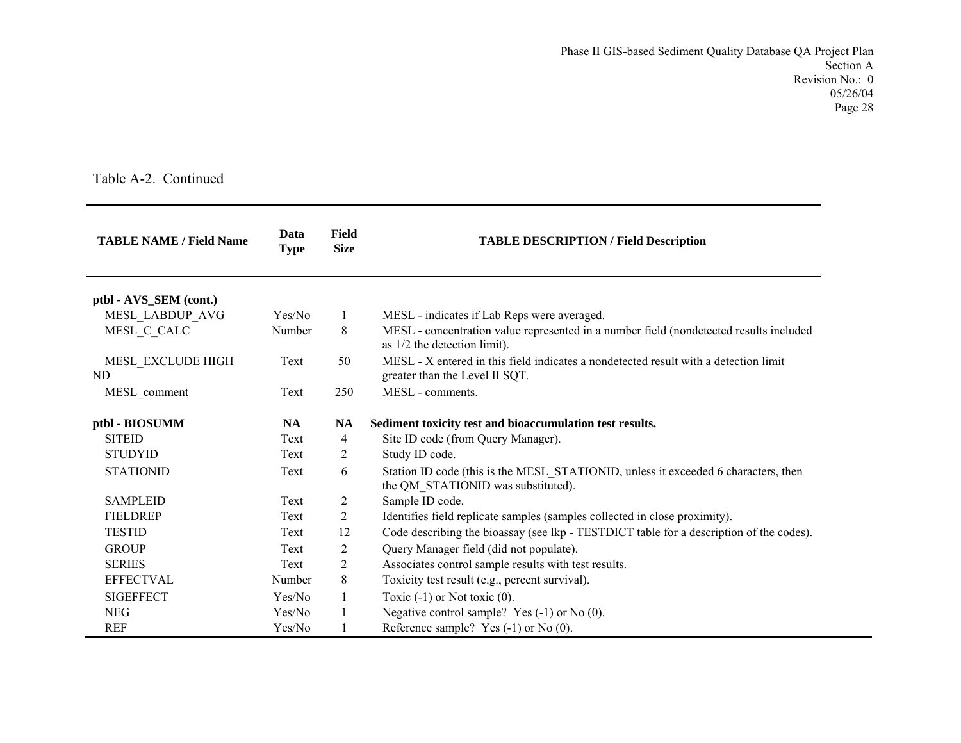| <b>TABLE NAME / Field Name</b> | Data<br><b>Type</b> | <b>Field</b><br><b>Size</b> | <b>TABLE DESCRIPTION / Field Description</b>                                                                             |
|--------------------------------|---------------------|-----------------------------|--------------------------------------------------------------------------------------------------------------------------|
| ptbl - AVS_SEM (cont.)         |                     |                             |                                                                                                                          |
| MESL LABDUP AVG                | Yes/No              | 1                           | MESL - indicates if Lab Reps were averaged.                                                                              |
| MESL C CALC                    | Number              | 8                           | MESL - concentration value represented in a number field (nondetected results included<br>as 1/2 the detection limit).   |
| MESL EXCLUDE HIGH<br>ND        | Text                | 50                          | MESL - X entered in this field indicates a nondetected result with a detection limit<br>greater than the Level II SQT.   |
| MESL comment                   | Text                | 250                         | MESL - comments.                                                                                                         |
| ptbl - BIOSUMM                 | <b>NA</b>           | <b>NA</b>                   | Sediment toxicity test and bioaccumulation test results.                                                                 |
| <b>SITEID</b>                  | Text                | $\overline{4}$              | Site ID code (from Query Manager).                                                                                       |
| <b>STUDYID</b>                 | Text                | 2                           | Study ID code.                                                                                                           |
| <b>STATIONID</b>               | Text                | 6                           | Station ID code (this is the MESL_STATIONID, unless it exceeded 6 characters, then<br>the QM STATIONID was substituted). |
| <b>SAMPLEID</b>                | Text                | $\overline{c}$              | Sample ID code.                                                                                                          |
| <b>FIELDREP</b>                | Text                | 2                           | Identifies field replicate samples (samples collected in close proximity).                                               |
| <b>TESTID</b>                  | Text                | 12                          | Code describing the bioassay (see lkp - TESTDICT table for a description of the codes).                                  |
| <b>GROUP</b>                   | Text                | 2                           | Query Manager field (did not populate).                                                                                  |
| <b>SERIES</b>                  | Text                | $\overline{c}$              | Associates control sample results with test results.                                                                     |
| <b>EFFECTVAL</b>               | Number              | 8                           | Toxicity test result (e.g., percent survival).                                                                           |
| <b>SIGEFFECT</b>               | Yes/No              | $\mathbf{1}$                | Toxic $(-1)$ or Not toxic $(0)$ .                                                                                        |
| <b>NEG</b>                     | Yes/No              | $\mathbf{1}$                | Negative control sample? Yes $(-1)$ or No $(0)$ .                                                                        |
| <b>REF</b>                     | Yes/No              | 1                           | Reference sample? Yes $(-1)$ or No $(0)$ .                                                                               |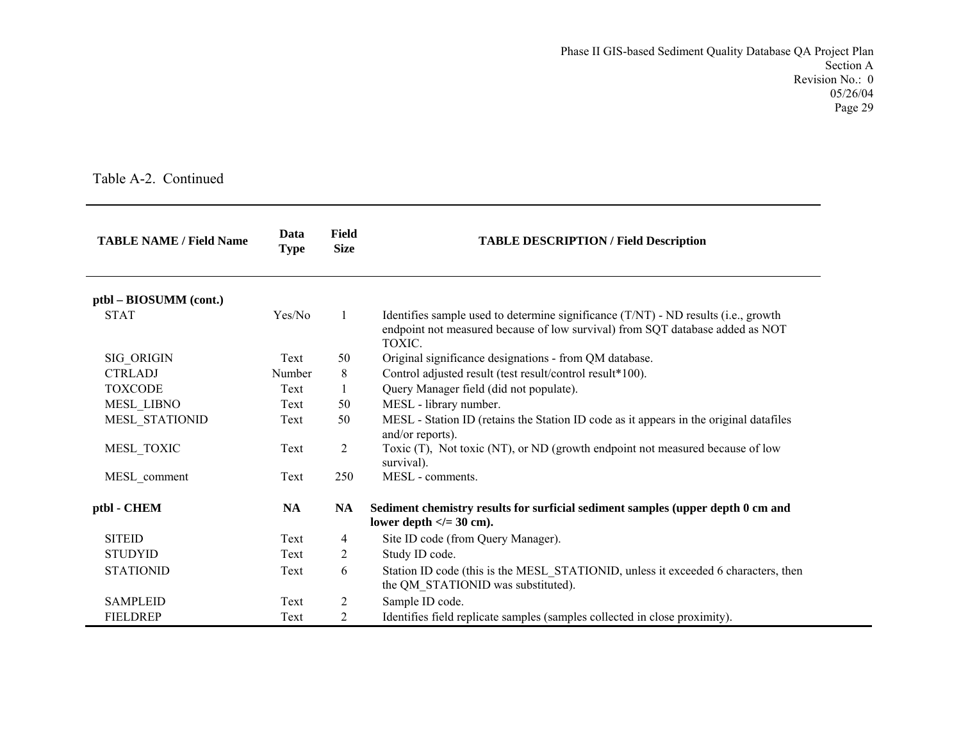| <b>TABLE NAME / Field Name</b> | Data<br><b>Type</b> | Field<br><b>Size</b> | <b>TABLE DESCRIPTION / Field Description</b>                                                                                                                                  |
|--------------------------------|---------------------|----------------------|-------------------------------------------------------------------------------------------------------------------------------------------------------------------------------|
| ptbl – BIOSUMM (cont.)         |                     |                      |                                                                                                                                                                               |
| <b>STAT</b>                    | Yes/No              | $\mathbf{1}$         | Identifies sample used to determine significance (T/NT) - ND results (i.e., growth<br>endpoint not measured because of low survival) from SQT database added as NOT<br>TOXIC. |
| SIG_ORIGIN                     | Text                | 50                   | Original significance designations - from QM database.                                                                                                                        |
| <b>CTRLADJ</b>                 | Number              | 8                    | Control adjusted result (test result/control result*100).                                                                                                                     |
| <b>TOXCODE</b>                 | Text                |                      | Query Manager field (did not populate).                                                                                                                                       |
| <b>MESL LIBNO</b>              | Text                | 50                   | MESL - library number.                                                                                                                                                        |
| MESL STATIONID                 | Text                | 50                   | MESL - Station ID (retains the Station ID code as it appears in the original datafiles<br>and/or reports).                                                                    |
| MESL_TOXIC                     | Text                | $\overline{2}$       | Toxic (T), Not toxic (NT), or ND (growth endpoint not measured because of low<br>survival).                                                                                   |
| MESL_comment                   | Text                | 250                  | MESL - comments.                                                                                                                                                              |
| ptbl - CHEM                    | <b>NA</b>           | NA                   | Sediment chemistry results for surficial sediment samples (upper depth 0 cm and<br>lower depth $\lt$ /= 30 cm).                                                               |
| <b>SITEID</b>                  | Text                | 4                    | Site ID code (from Query Manager).                                                                                                                                            |
| <b>STUDYID</b>                 | Text                | 2                    | Study ID code.                                                                                                                                                                |
| <b>STATIONID</b>               | Text                | 6                    | Station ID code (this is the MESL STATIONID, unless it exceeded 6 characters, then<br>the QM STATIONID was substituted).                                                      |
| <b>SAMPLEID</b>                | Text                | $\overline{c}$       | Sample ID code.                                                                                                                                                               |
| <b>FIELDREP</b>                | Text                | $\overline{2}$       | Identifies field replicate samples (samples collected in close proximity).                                                                                                    |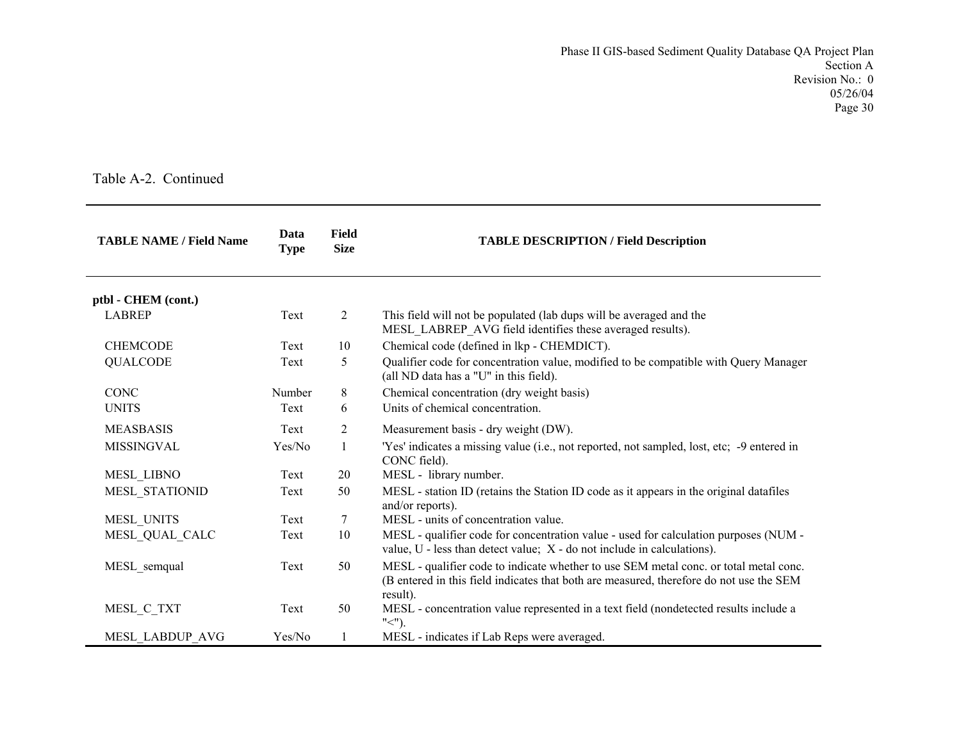| <b>TABLE NAME / Field Name</b> | <b>Field</b><br>Data<br><b>Size</b><br><b>Type</b> |                | <b>TABLE DESCRIPTION / Field Description</b>                                                                                                                                                 |
|--------------------------------|----------------------------------------------------|----------------|----------------------------------------------------------------------------------------------------------------------------------------------------------------------------------------------|
| ptbl - CHEM (cont.)            |                                                    |                |                                                                                                                                                                                              |
| <b>LABREP</b>                  | Text                                               | 2              | This field will not be populated (lab dups will be averaged and the<br>MESL_LABREP_AVG field identifies these averaged results).                                                             |
| <b>CHEMCODE</b>                | Text                                               | 10             | Chemical code (defined in lkp - CHEMDICT).                                                                                                                                                   |
| <b>QUALCODE</b>                | Text                                               | 5              | Qualifier code for concentration value, modified to be compatible with Query Manager<br>(all ND data has a "U" in this field).                                                               |
| <b>CONC</b>                    | Number                                             | 8              | Chemical concentration (dry weight basis)                                                                                                                                                    |
| <b>UNITS</b>                   | Text                                               | 6              | Units of chemical concentration.                                                                                                                                                             |
| <b>MEASBASIS</b>               | Text                                               | $\overline{2}$ | Measurement basis - dry weight (DW).                                                                                                                                                         |
| <b>MISSINGVAL</b>              | Yes/No                                             | $\mathbf{1}$   | 'Yes' indicates a missing value (i.e., not reported, not sampled, lost, etc; -9 entered in<br>CONC field).                                                                                   |
| MESL_LIBNO                     | Text                                               | 20             | MESL - library number.                                                                                                                                                                       |
| MESL STATIONID                 | Text                                               | 50             | MESL - station ID (retains the Station ID code as it appears in the original datafiles<br>and/or reports).                                                                                   |
| MESL_UNITS                     | Text                                               | 7              | MESL - units of concentration value.                                                                                                                                                         |
| MESL QUAL CALC                 | Text                                               | 10             | MESL - qualifier code for concentration value - used for calculation purposes (NUM -<br>value, $U$ - less than detect value; $X$ - do not include in calculations).                          |
| MESL semqual                   | Text                                               | 50             | MESL - qualifier code to indicate whether to use SEM metal conc. or total metal conc.<br>(B entered in this field indicates that both are measured, therefore do not use the SEM<br>result). |
| MESL_C_TXT                     | Text                                               | 50             | MESL - concentration value represented in a text field (nondetected results include a<br>$"$ $\lt$ $"$ ).                                                                                    |
| MESL LABDUP AVG                | Yes/No                                             | 1              | MESL - indicates if Lab Reps were averaged.                                                                                                                                                  |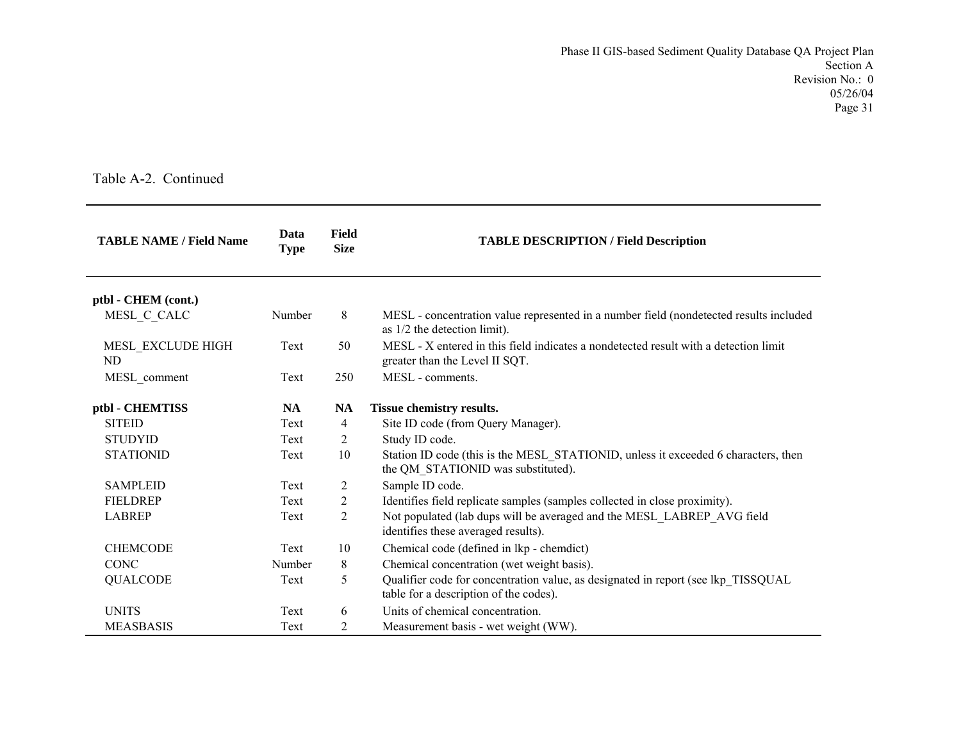| <b>TABLE NAME / Field Name</b> | Data<br><b>Type</b> | Field<br><b>Size</b> | <b>TABLE DESCRIPTION / Field Description</b>                                                                                |
|--------------------------------|---------------------|----------------------|-----------------------------------------------------------------------------------------------------------------------------|
| ptbl - CHEM (cont.)            |                     |                      |                                                                                                                             |
| MESL C CALC                    | Number              | 8                    | MESL - concentration value represented in a number field (nondetected results included<br>as $1/2$ the detection limit).    |
| MESL_EXCLUDE HIGH<br>ND.       | Text                | 50                   | MESL - X entered in this field indicates a nondetected result with a detection limit<br>greater than the Level II SQT.      |
| MESL_comment                   | Text                | 250                  | MESL - comments.                                                                                                            |
| ptbl - CHEMTISS                | <b>NA</b>           | <b>NA</b>            | Tissue chemistry results.                                                                                                   |
| <b>SITEID</b>                  | Text                | 4                    | Site ID code (from Query Manager).                                                                                          |
| <b>STUDYID</b>                 | Text                | 2                    | Study ID code.                                                                                                              |
| <b>STATIONID</b>               | Text                | 10                   | Station ID code (this is the MESL_STATIONID, unless it exceeded 6 characters, then<br>the QM_STATIONID was substituted).    |
| <b>SAMPLEID</b>                | Text                | 2                    | Sample ID code.                                                                                                             |
| <b>FIELDREP</b>                | Text                | 2                    | Identifies field replicate samples (samples collected in close proximity).                                                  |
| <b>LABREP</b>                  | Text                | 2                    | Not populated (lab dups will be averaged and the MESL_LABREP_AVG field<br>identifies these averaged results).               |
| <b>CHEMCODE</b>                | Text                | 10                   | Chemical code (defined in lkp - chemdict)                                                                                   |
| <b>CONC</b>                    | Number              | 8                    | Chemical concentration (wet weight basis).                                                                                  |
| <b>QUALCODE</b>                | Text                | 5                    | Qualifier code for concentration value, as designated in report (see lkp TISSQUAL<br>table for a description of the codes). |
| <b>UNITS</b>                   | Text                | 6                    | Units of chemical concentration.                                                                                            |
| <b>MEASBASIS</b>               | Text                | 2                    | Measurement basis - wet weight (WW).                                                                                        |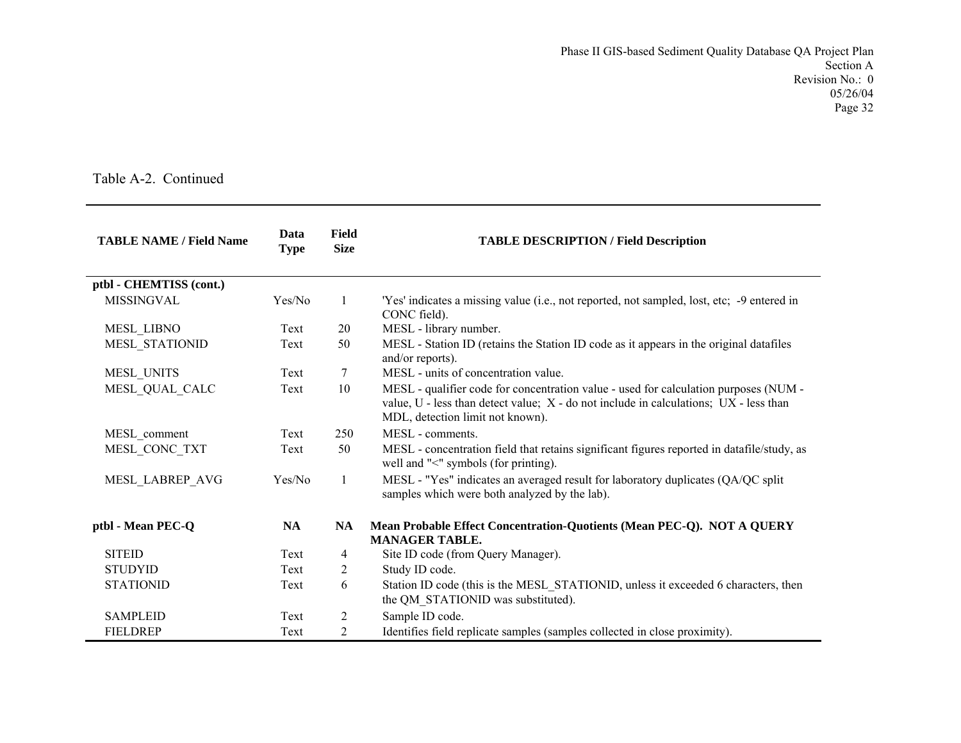| <b>TABLE NAME / Field Name</b> | Data<br><b>Type</b> | <b>Field</b><br><b>Size</b> | <b>TABLE DESCRIPTION / Field Description</b>                                                                                                                                                                      |
|--------------------------------|---------------------|-----------------------------|-------------------------------------------------------------------------------------------------------------------------------------------------------------------------------------------------------------------|
| ptbl - CHEMTISS (cont.)        |                     |                             |                                                                                                                                                                                                                   |
| <b>MISSINGVAL</b>              | Yes/No              | 1                           | 'Yes' indicates a missing value (i.e., not reported, not sampled, lost, etc; -9 entered in<br>CONC field).                                                                                                        |
| <b>MESL LIBNO</b>              | Text                | 20                          | MESL - library number.                                                                                                                                                                                            |
| MESL STATIONID                 | Text                | 50                          | MESL - Station ID (retains the Station ID code as it appears in the original datafiles<br>and/or reports).                                                                                                        |
| MESL UNITS                     | Text                | 7                           | MESL - units of concentration value.                                                                                                                                                                              |
| MESL_QUAL_CALC                 | Text                | 10                          | MESL - qualifier code for concentration value - used for calculation purposes (NUM -<br>value, U - less than detect value; X - do not include in calculations; UX - less than<br>MDL, detection limit not known). |
| MESL_comment                   | Text                | 250                         | MESL - comments.                                                                                                                                                                                                  |
| MESL CONC TXT                  | Text                | 50                          | MESL - concentration field that retains significant figures reported in datafile/study, as<br>well and "<" symbols (for printing).                                                                                |
| MESL_LABREP_AVG                | Yes/No              | 1                           | MESL - "Yes" indicates an averaged result for laboratory duplicates (QA/QC split<br>samples which were both analyzed by the lab).                                                                                 |
| ptbl - Mean PEC-Q              | <b>NA</b>           | NA                          | Mean Probable Effect Concentration-Quotients (Mean PEC-Q). NOT A QUERY<br><b>MANAGER TABLE.</b>                                                                                                                   |
| <b>SITEID</b>                  | Text                | 4                           | Site ID code (from Query Manager).                                                                                                                                                                                |
| <b>STUDYID</b>                 | Text                | 2                           | Study ID code.                                                                                                                                                                                                    |
| <b>STATIONID</b>               | Text                | 6                           | Station ID code (this is the MESL STATIONID, unless it exceeded 6 characters, then<br>the QM STATIONID was substituted).                                                                                          |
| <b>SAMPLEID</b>                | Text                | 2                           | Sample ID code.                                                                                                                                                                                                   |
| <b>FIELDREP</b>                | Text                | 2                           | Identifies field replicate samples (samples collected in close proximity).                                                                                                                                        |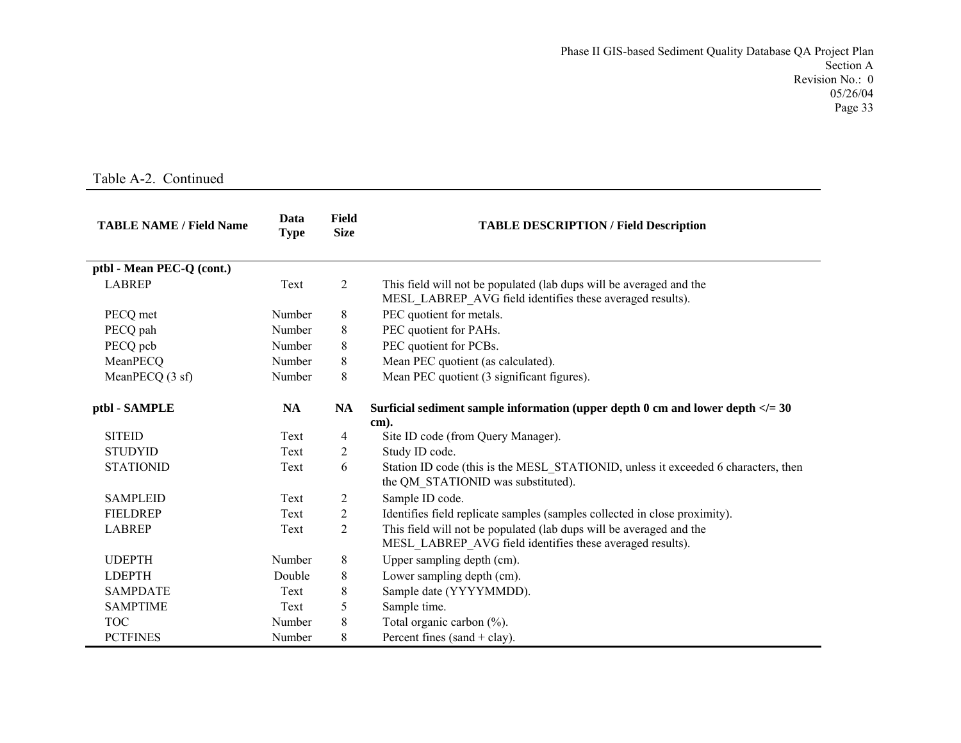| <b>TABLE NAME / Field Name</b> | Data<br><b>Type</b> | <b>Field</b><br><b>Size</b> | <b>TABLE DESCRIPTION / Field Description</b>                                                                                     |  |
|--------------------------------|---------------------|-----------------------------|----------------------------------------------------------------------------------------------------------------------------------|--|
| ptbl - Mean PEC-Q (cont.)      |                     |                             |                                                                                                                                  |  |
| <b>LABREP</b>                  | Text                | $\mathfrak{2}$              | This field will not be populated (lab dups will be averaged and the<br>MESL_LABREP_AVG field identifies these averaged results). |  |
| PECQ met                       | Number              | 8                           | PEC quotient for metals.                                                                                                         |  |
| PECQ pah                       | Number              | 8                           | PEC quotient for PAHs.                                                                                                           |  |
| PECQ pcb                       | Number              | 8                           | PEC quotient for PCBs.                                                                                                           |  |
| MeanPECQ                       | Number              | 8                           | Mean PEC quotient (as calculated).                                                                                               |  |
| MeanPECQ (3 sf)                | Number              | 8                           | Mean PEC quotient (3 significant figures).                                                                                       |  |
| ptbl - SAMPLE                  | <b>NA</b>           | <b>NA</b>                   | Surficial sediment sample information (upper depth 0 cm and lower depth $\langle 2 \rangle = 30$<br>cm).                         |  |
| <b>SITEID</b>                  | Text                | 4                           | Site ID code (from Query Manager).                                                                                               |  |
| <b>STUDYID</b>                 | Text                | 2                           | Study ID code.                                                                                                                   |  |
| <b>STATIONID</b>               | Text                | 6                           | Station ID code (this is the MESL STATIONID, unless it exceeded 6 characters, then<br>the QM STATIONID was substituted).         |  |
| <b>SAMPLEID</b>                | Text                | 2                           | Sample ID code.                                                                                                                  |  |
| <b>FIELDREP</b>                | Text                | 2                           | Identifies field replicate samples (samples collected in close proximity).                                                       |  |
| <b>LABREP</b>                  | Text                | 2                           | This field will not be populated (lab dups will be averaged and the<br>MESL LABREP AVG field identifies these averaged results). |  |
| <b>UDEPTH</b>                  | Number              | 8                           | Upper sampling depth (cm).                                                                                                       |  |
| <b>LDEPTH</b>                  | Double              | 8                           | Lower sampling depth (cm).                                                                                                       |  |
| <b>SAMPDATE</b>                | Text                | 8                           | Sample date (YYYYMMDD).                                                                                                          |  |
| <b>SAMPTIME</b>                | Text                | 5                           | Sample time.                                                                                                                     |  |
| <b>TOC</b>                     | Number              | 8                           | Total organic carbon (%).                                                                                                        |  |
| <b>PCTFINES</b>                | Number              | 8                           | Percent fines (sand + clay).                                                                                                     |  |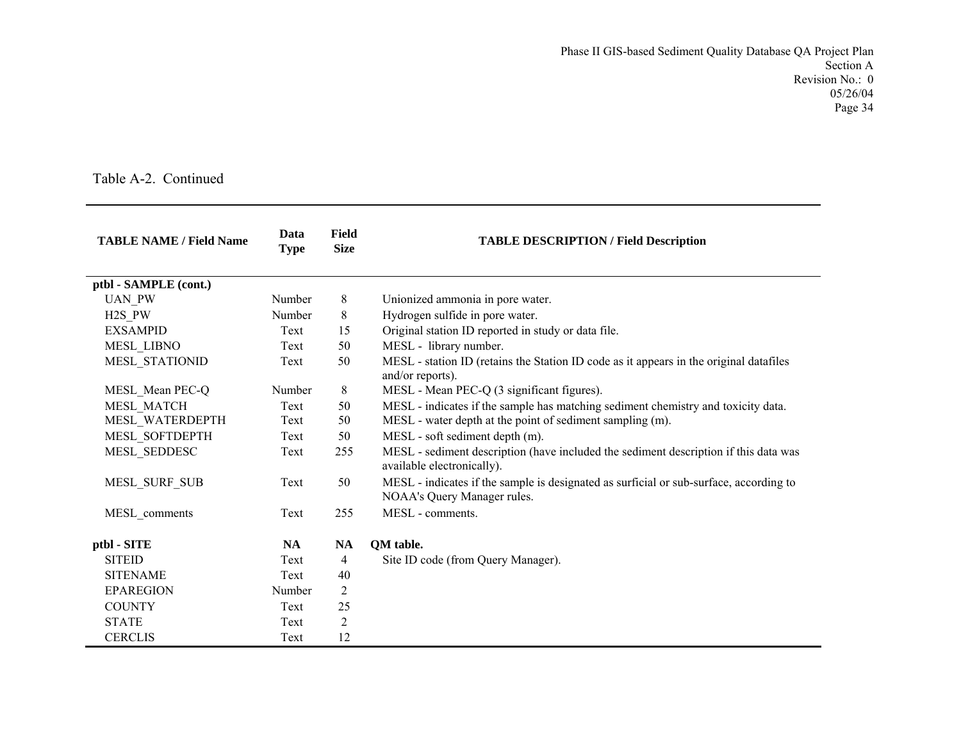| <b>TABLE NAME / Field Name</b> | Data<br><b>Type</b> | <b>Field</b><br><b>Size</b> | <b>TABLE DESCRIPTION / Field Description</b>                                                                          |
|--------------------------------|---------------------|-----------------------------|-----------------------------------------------------------------------------------------------------------------------|
| ptbl - SAMPLE (cont.)          |                     |                             |                                                                                                                       |
| <b>UAN PW</b>                  | Number              | 8                           | Unionized ammonia in pore water.                                                                                      |
| $H2S_PW$                       | Number              | 8                           | Hydrogen sulfide in pore water.                                                                                       |
| <b>EXSAMPID</b>                | Text                | 15                          | Original station ID reported in study or data file.                                                                   |
| MESL_LIBNO                     | Text                | 50                          | MESL - library number.                                                                                                |
| MESL STATIONID                 | Text                | 50                          | MESL - station ID (retains the Station ID code as it appears in the original datafiles<br>and/or reports).            |
| MESL_Mean PEC-Q                | Number              | 8                           | MESL - Mean PEC-Q (3 significant figures).                                                                            |
| MESL MATCH                     | Text                | 50                          | MESL - indicates if the sample has matching sediment chemistry and toxicity data.                                     |
| MESL_WATERDEPTH                | Text                | 50                          | MESL - water depth at the point of sediment sampling (m).                                                             |
| MESL SOFTDEPTH                 | Text                | 50                          | MESL - soft sediment depth (m).                                                                                       |
| MESL_SEDDESC                   | Text                | 255                         | MESL - sediment description (have included the sediment description if this data was<br>available electronically).    |
| MESL_SURF_SUB                  | Text                | 50                          | MESL - indicates if the sample is designated as surficial or sub-surface, according to<br>NOAA's Query Manager rules. |
| MESL comments                  | Text                | 255                         | MESL - comments.                                                                                                      |
| ptbl - SITE                    | <b>NA</b>           | <b>NA</b>                   | <b>QM</b> table.                                                                                                      |
| <b>SITEID</b>                  | Text                | 4                           | Site ID code (from Query Manager).                                                                                    |
| <b>SITENAME</b>                | Text                | 40                          |                                                                                                                       |
| <b>EPAREGION</b>               | Number              | 2                           |                                                                                                                       |
| <b>COUNTY</b>                  | Text                | 25                          |                                                                                                                       |
| <b>STATE</b>                   | Text                | $\overline{2}$              |                                                                                                                       |
| <b>CERCLIS</b>                 | Text                | 12                          |                                                                                                                       |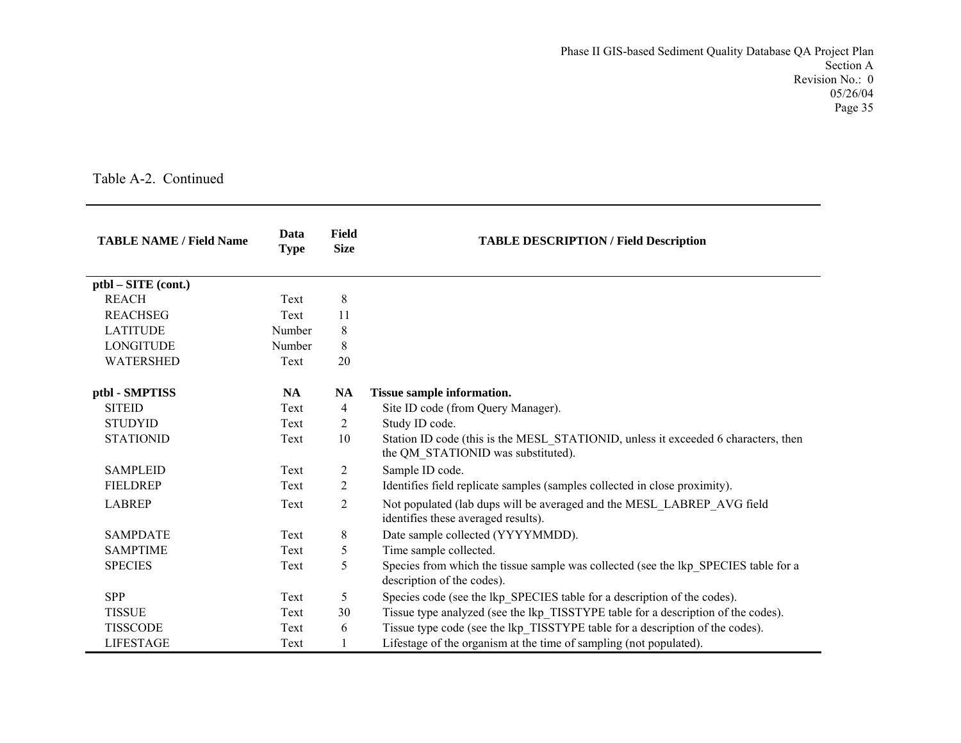| <b>TABLE NAME / Field Name</b> | Data<br><b>Type</b> | Field<br><b>Size</b> | <b>TABLE DESCRIPTION / Field Description</b>                                                                             |  |
|--------------------------------|---------------------|----------------------|--------------------------------------------------------------------------------------------------------------------------|--|
| ptbl – SITE (cont.)            |                     |                      |                                                                                                                          |  |
| <b>REACH</b>                   | Text                | $\,8\,$              |                                                                                                                          |  |
| <b>REACHSEG</b>                | Text                | 11                   |                                                                                                                          |  |
| <b>LATITUDE</b>                | Number              | 8                    |                                                                                                                          |  |
| <b>LONGITUDE</b>               | Number              | 8                    |                                                                                                                          |  |
| <b>WATERSHED</b>               | Text                | 20                   |                                                                                                                          |  |
| ptbl - SMPTISS                 | NA                  | <b>NA</b>            | <b>Tissue sample information.</b>                                                                                        |  |
| <b>SITEID</b>                  | Text                | 4                    | Site ID code (from Query Manager).                                                                                       |  |
| <b>STUDYID</b>                 | Text                | $\overline{c}$       | Study ID code.                                                                                                           |  |
| <b>STATIONID</b>               | Text                | 10                   | Station ID code (this is the MESL STATIONID, unless it exceeded 6 characters, then<br>the QM_STATIONID was substituted). |  |
| <b>SAMPLEID</b>                | Text                | $\overline{c}$       | Sample ID code.                                                                                                          |  |
| <b>FIELDREP</b>                | Text                | 2                    | Identifies field replicate samples (samples collected in close proximity).                                               |  |
| <b>LABREP</b>                  | Text                | $\overline{c}$       | Not populated (lab dups will be averaged and the MESL_LABREP_AVG field<br>identifies these averaged results).            |  |
| <b>SAMPDATE</b>                | Text                | 8                    | Date sample collected (YYYYMMDD).                                                                                        |  |
| <b>SAMPTIME</b>                | Text                | 5                    | Time sample collected.                                                                                                   |  |
| <b>SPECIES</b>                 | Text                | 5                    | Species from which the tissue sample was collected (see the lkp SPECIES table for a<br>description of the codes).        |  |
| <b>SPP</b>                     | Text                | 5                    | Species code (see the lkp SPECIES table for a description of the codes).                                                 |  |
| <b>TISSUE</b>                  | Text                | 30                   | Tissue type analyzed (see the lkp TISSTYPE table for a description of the codes).                                        |  |
| <b>TISSCODE</b>                | Text                | 6                    | Tissue type code (see the lkp TISSTYPE table for a description of the codes).                                            |  |
| <b>LIFESTAGE</b>               | Text                | 1                    | Lifestage of the organism at the time of sampling (not populated).                                                       |  |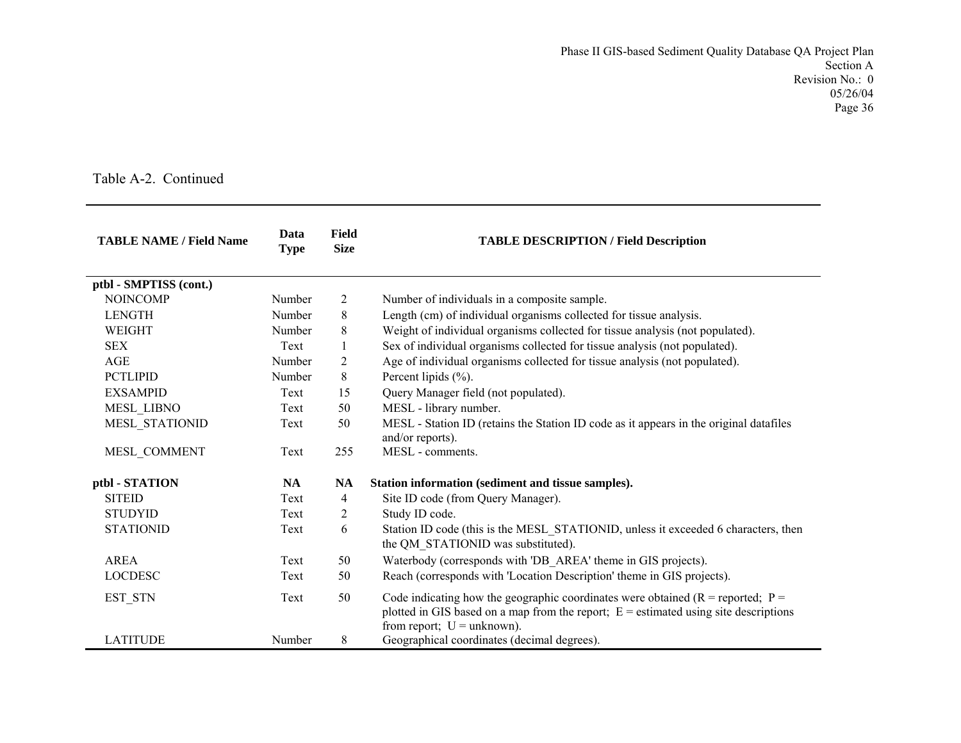| <b>TABLE NAME / Field Name</b> | Data<br><b>Type</b> | <b>Field</b><br><b>Size</b> | <b>TABLE DESCRIPTION / Field Description</b>                                                                                                                                                                   |
|--------------------------------|---------------------|-----------------------------|----------------------------------------------------------------------------------------------------------------------------------------------------------------------------------------------------------------|
| ptbl - SMPTISS (cont.)         |                     |                             |                                                                                                                                                                                                                |
| <b>NOINCOMP</b>                | Number              | 2                           | Number of individuals in a composite sample.                                                                                                                                                                   |
| <b>LENGTH</b>                  | Number              | 8                           | Length (cm) of individual organisms collected for tissue analysis.                                                                                                                                             |
| WEIGHT                         | Number              | 8                           | Weight of individual organisms collected for tissue analysis (not populated).                                                                                                                                  |
| <b>SEX</b>                     | Text                | 1                           | Sex of individual organisms collected for tissue analysis (not populated).                                                                                                                                     |
| AGE                            | Number              | $\overline{2}$              | Age of individual organisms collected for tissue analysis (not populated).                                                                                                                                     |
| <b>PCTLIPID</b>                | Number              | 8                           | Percent lipids $(\%).$                                                                                                                                                                                         |
| <b>EXSAMPID</b>                | Text                | 15                          | Query Manager field (not populated).                                                                                                                                                                           |
| MESL_LIBNO                     | Text                | 50                          | MESL - library number.                                                                                                                                                                                         |
| MESL STATIONID                 | Text                | 50                          | MESL - Station ID (retains the Station ID code as it appears in the original datafiles<br>and/or reports).                                                                                                     |
| MESL COMMENT                   | Text                | 255                         | MESL - comments.                                                                                                                                                                                               |
| ptbl - STATION                 | <b>NA</b>           | <b>NA</b>                   | Station information (sediment and tissue samples).                                                                                                                                                             |
| <b>SITEID</b>                  | Text                | 4                           | Site ID code (from Query Manager).                                                                                                                                                                             |
| <b>STUDYID</b>                 | Text                | 2                           | Study ID code.                                                                                                                                                                                                 |
| <b>STATIONID</b>               | Text                | 6                           | Station ID code (this is the MESL_STATIONID, unless it exceeded 6 characters, then<br>the QM_STATIONID was substituted).                                                                                       |
| <b>AREA</b>                    | Text                | 50                          | Waterbody (corresponds with 'DB AREA' theme in GIS projects).                                                                                                                                                  |
| <b>LOCDESC</b>                 | Text                | 50                          | Reach (corresponds with 'Location Description' theme in GIS projects).                                                                                                                                         |
| EST_STN                        | Text                | 50                          | Code indicating how the geographic coordinates were obtained ( $R =$ reported; $P =$<br>plotted in GIS based on a map from the report; $E =$ estimated using site descriptions<br>from report; $U =$ unknown). |
| <b>LATITUDE</b>                | Number              | 8                           | Geographical coordinates (decimal degrees).                                                                                                                                                                    |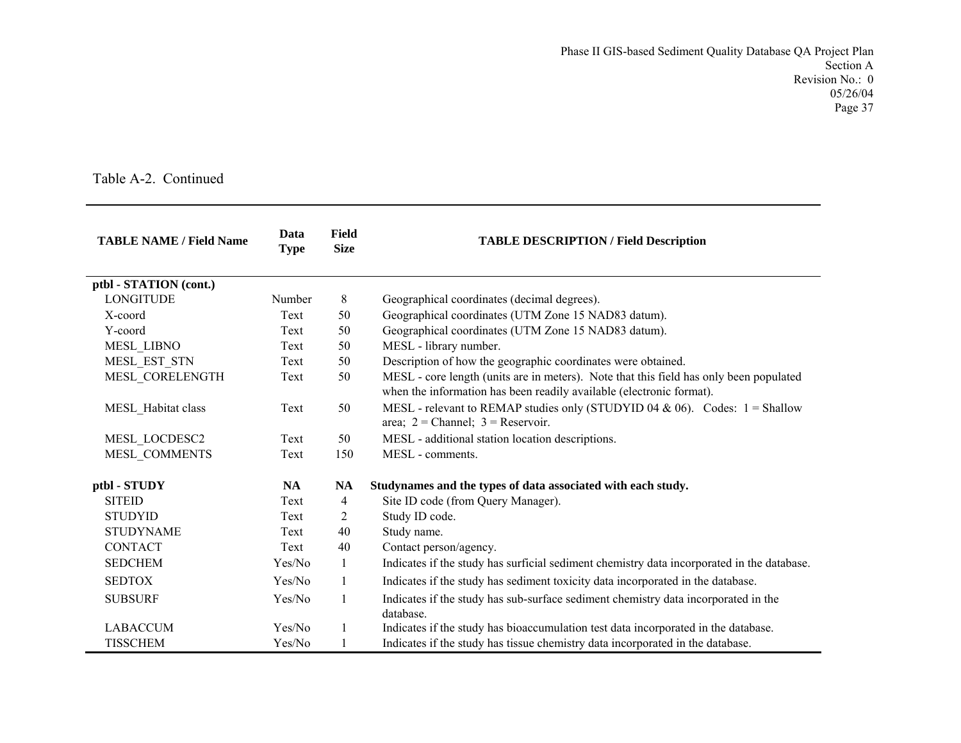| <b>TABLE NAME / Field Name</b> | Data<br><b>Type</b> | <b>Field</b><br><b>Size</b> | <b>TABLE DESCRIPTION / Field Description</b>                                                                                                                   |  |
|--------------------------------|---------------------|-----------------------------|----------------------------------------------------------------------------------------------------------------------------------------------------------------|--|
| ptbl - STATION (cont.)         |                     |                             |                                                                                                                                                                |  |
| <b>LONGITUDE</b>               | Number              | 8                           | Geographical coordinates (decimal degrees).                                                                                                                    |  |
| X-coord                        | Text                | 50                          | Geographical coordinates (UTM Zone 15 NAD83 datum).                                                                                                            |  |
| Y-coord                        | Text                | 50                          | Geographical coordinates (UTM Zone 15 NAD83 datum).                                                                                                            |  |
| <b>MESL LIBNO</b>              | Text                | 50                          | MESL - library number.                                                                                                                                         |  |
| MESL EST STN                   | Text                | 50                          | Description of how the geographic coordinates were obtained.                                                                                                   |  |
| MESL CORELENGTH                | Text                | 50                          | MESL - core length (units are in meters). Note that this field has only been populated<br>when the information has been readily available (electronic format). |  |
| MESL Habitat class             | Text                | 50                          | MESL - relevant to REMAP studies only (STUDYID 04 & 06). Codes: $1 = \text{Shallow}$<br>area; $2 =$ Channel; $3 =$ Reservoir.                                  |  |
| MESL LOCDESC2                  | Text                | 50                          | MESL - additional station location descriptions.                                                                                                               |  |
| MESL COMMENTS                  | Text                | 150                         | MESL - comments.                                                                                                                                               |  |
| ptbl - STUDY                   | <b>NA</b>           | NA                          | Studynames and the types of data associated with each study.                                                                                                   |  |
| <b>SITEID</b>                  | Text                | 4                           | Site ID code (from Query Manager).                                                                                                                             |  |
| <b>STUDYID</b>                 | Text                | 2                           | Study ID code.                                                                                                                                                 |  |
| <b>STUDYNAME</b>               | Text                | 40                          | Study name.                                                                                                                                                    |  |
| <b>CONTACT</b>                 | Text                | 40                          | Contact person/agency.                                                                                                                                         |  |
| <b>SEDCHEM</b>                 | Yes/No              | $\mathbf{1}$                | Indicates if the study has surficial sediment chemistry data incorporated in the database.                                                                     |  |
| <b>SEDTOX</b>                  | Yes/No              | $\mathbf{1}$                | Indicates if the study has sediment toxicity data incorporated in the database.                                                                                |  |
| <b>SUBSURF</b>                 | Yes/No              | $\mathbf{1}$                | Indicates if the study has sub-surface sediment chemistry data incorporated in the<br>database.                                                                |  |
| <b>LABACCUM</b>                | Yes/No              | $\mathbf{1}$                | Indicates if the study has bioaccumulation test data incorporated in the database.                                                                             |  |
| <b>TISSCHEM</b>                | Yes/No              | 1                           | Indicates if the study has tissue chemistry data incorporated in the database.                                                                                 |  |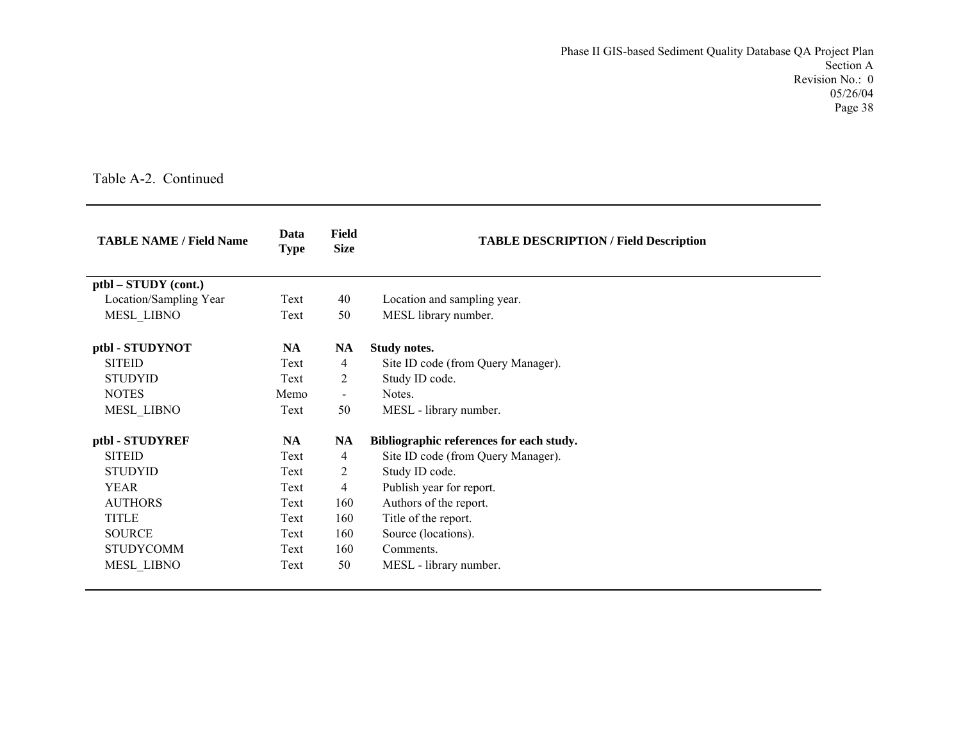| <b>TABLE NAME / Field Name</b> | Data<br><b>Type</b> | <b>Field</b><br><b>Size</b> | <b>TABLE DESCRIPTION / Field Description</b> |
|--------------------------------|---------------------|-----------------------------|----------------------------------------------|
| ptbl – STUDY (cont.)           |                     |                             |                                              |
| Location/Sampling Year         | Text                | 40                          | Location and sampling year.                  |
| MESL_LIBNO                     | Text                | 50                          | MESL library number.                         |
| ptbl - STUDYNOT                | <b>NA</b>           | <b>NA</b>                   | <b>Study notes.</b>                          |
| <b>SITEID</b>                  | Text                | 4                           | Site ID code (from Query Manager).           |
| <b>STUDYID</b>                 | Text                | 2                           | Study ID code.                               |
| <b>NOTES</b>                   | Memo                | $\sim$                      | Notes.                                       |
| MESL_LIBNO                     | Text                | 50                          | MESL - library number.                       |
| ptbl - STUDYREF                | <b>NA</b>           | NA                          | Bibliographic references for each study.     |
| <b>SITEID</b>                  | Text                | 4                           | Site ID code (from Query Manager).           |
| <b>STUDYID</b>                 | Text                | $\overline{c}$              | Study ID code.                               |
| <b>YEAR</b>                    | Text                | 4                           | Publish year for report.                     |
| <b>AUTHORS</b>                 | Text                | 160                         | Authors of the report.                       |
| <b>TITLE</b>                   | Text                | 160                         | Title of the report.                         |
| <b>SOURCE</b>                  | Text                | 160                         | Source (locations).                          |
| <b>STUDYCOMM</b>               | Text                | 160                         | Comments.                                    |
| <b>MESL LIBNO</b>              | Text                | 50                          | MESL - library number.                       |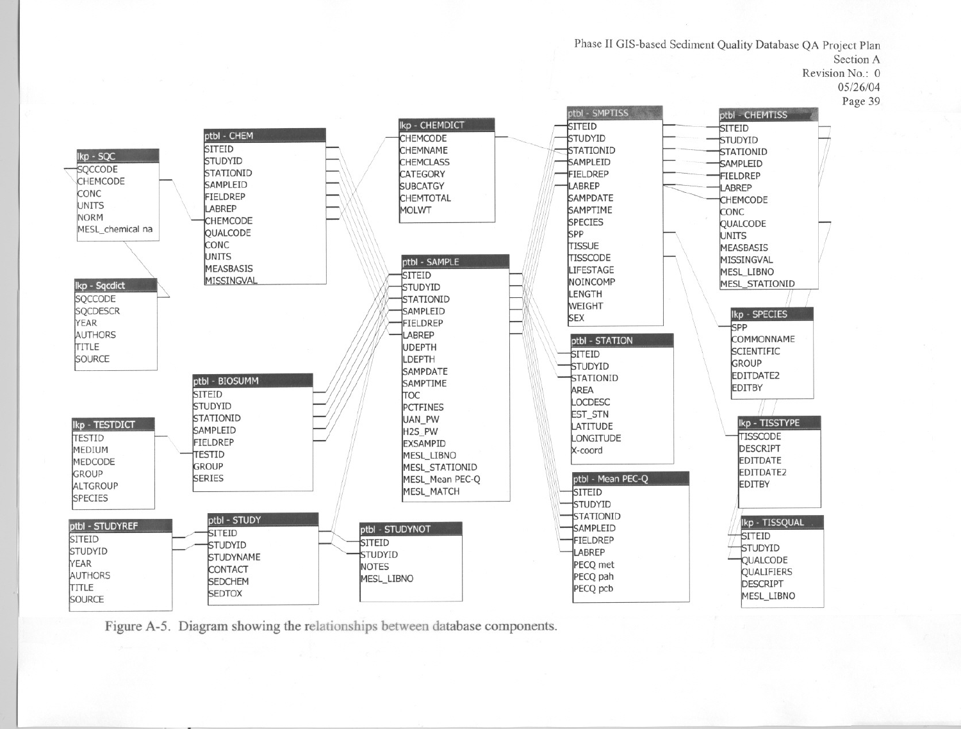Phase II GIS-based Sediment Quality Database QA Project Plan Section A Revision No.: 0  $05/26/04$ Page 39 ptbl - SMPTISS ptbl - CHEMTISS Ikp - CHEMDICT **SITEID SITEID** ptbl - CHEM **CHEMCODE** STUDYID STUDYID **SITEID** CHEMNAME STATIONID **STATIONID** STUDYID **CHEMCLASS** SAMPLEID SAMPLEID STATIONID **CATEGORY** FIELDREP FIELDREP **SAMPLEID SUBCATGY** LABREP LABREP FIELDREP **CHEMTOTAL SAMPDATE CHEMCODE** LABREP SAMPTIME **MOLWT CONC** CHEMCODE **SPECIES QUALCODE QUALCODE SPP UNITS** CONC TISSUE **MEASBASIS UNITS** TISSCODE MISSINGVAL ptbl - SAMPLE **MEASBASIS** LIFESTAGE **MESL LIBNO SITEID** MISSINGVAL NOINCOMP **MESL STATIONID** STUDYID LENGTH STATIONID WEIGHT SAMPLEID Ikp - SPECIES **SEX** FIELDREP **SPP** LABREP ptbl - STATION **COMMONNAME JDEPTH SCIENTIFIC** SITEID LDEPTH GROUP STUDYID **SAMPDATE** EDITDATE2 **STATIONID** ptbl - BIOSUMM **SAMPTIME EDITBY** AREA **SITEID TOC** LOCDESC STUDYID **PCTFINES EST\_STN STATIONID UAN PW** Ikp - TISSTYPE LATITUDE SAMPLEID H<sub>2S</sub> PW **TISSCODE** LONGITUDE **FIELDREP EXSAMPID DESCRIPT** X-coord **TESTID** MESL\_LIBNO **EDITDATE GROUP** MESL\_STATIONID EDITDATE2 ptbl - Mean PEC-Q **SERIES** MESL Mean PEC-O **EDITBY** MESL MATCH **SITEID** STUDYID **STATIONID** ptbl - STUDY Ikp - TISSQUAL ptbl - STUDYNOT SAMPLEID **SITEID** 

STUDYID

**QUALCODE** 

QUALIFIERS

MESL\_LIBNO

**DESCRIPT** 

ptbl - STUDYREF **SITEID SITEID FIELDREP SITEID** STUDYID STUDYID LABREP STUDYID **STUDYNAME** YEAR PECO met **NOTES** CONTACT AUTHORS PECQ pah MESL\_LIBNO **SEDCHEM** TITLE PECQ pcb **SEDTOX** SOURCE

Figure A-5. Diagram showing the relationships between database components.

Ikp - SQC

SQCCODE

CONC

UNITS

**NORM** 

CHEMCODE

Ikp - Sqcdict

**SOCCODE** 

**SQCDESCR** 

AUTHORS

YEAR

TITLE

TESTID

GROUP

MEDIUM

MEDCODE

ALTGROUP

**SPECIES** 

SOURCE

Ikp - TESTDICT

MESL chemical na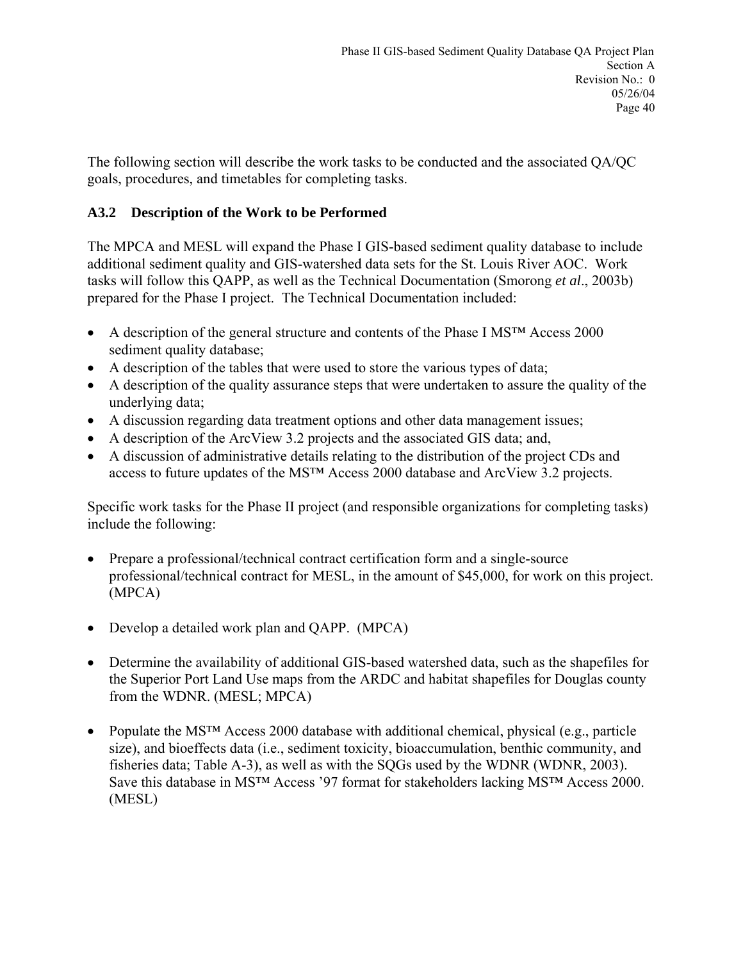The following section will describe the work tasks to be conducted and the associated QA/QC goals, procedures, and timetables for completing tasks.

### **A3.2 Description of the Work to be Performed**

The MPCA and MESL will expand the Phase I GIS-based sediment quality database to include additional sediment quality and GIS-watershed data sets for the St. Louis River AOC. Work tasks will follow this QAPP, as well as the Technical Documentation (Smorong *et al*., 2003b) prepared for the Phase I project. The Technical Documentation included:

- A description of the general structure and contents of the Phase I MS<sup>TM</sup> Access 2000 sediment quality database;
- A description of the tables that were used to store the various types of data;
- A description of the quality assurance steps that were undertaken to assure the quality of the underlying data;
- A discussion regarding data treatment options and other data management issues;
- A description of the ArcView 3.2 projects and the associated GIS data; and,
- A discussion of administrative details relating to the distribution of the project CDs and access to future updates of the MS™ Access 2000 database and ArcView 3.2 projects.

Specific work tasks for the Phase II project (and responsible organizations for completing tasks) include the following:

- Prepare a professional/technical contract certification form and a single-source professional/technical contract for MESL, in the amount of \$45,000, for work on this project. (MPCA)
- Develop a detailed work plan and QAPP. (MPCA)
- Determine the availability of additional GIS-based watershed data, such as the shapefiles for the Superior Port Land Use maps from the ARDC and habitat shapefiles for Douglas county from the WDNR. (MESL; MPCA)
- Populate the MS<sup>TM</sup> Access 2000 database with additional chemical, physical (e.g., particle size), and bioeffects data (i.e., sediment toxicity, bioaccumulation, benthic community, and fisheries data; Table A-3), as well as with the SQGs used by the WDNR (WDNR, 2003). Save this database in MS™ Access '97 format for stakeholders lacking MS™ Access 2000. (MESL)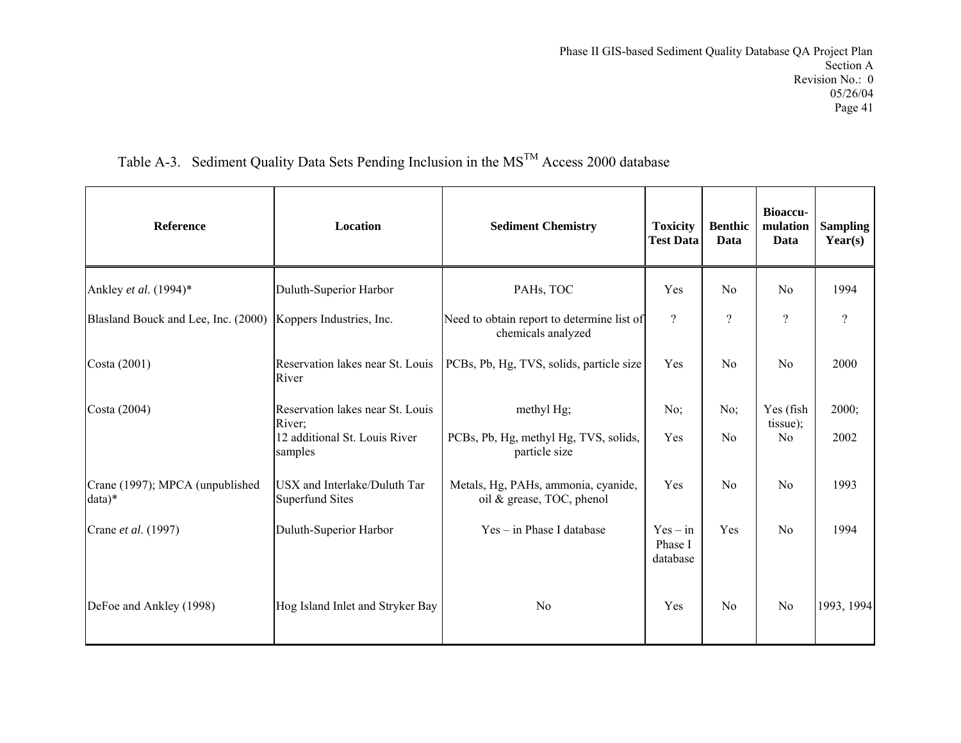| <b>Reference</b>                                             | <b>Location</b>                                        | <b>Sediment Chemistry</b>                                        | <b>Toxicity</b><br><b>Test Data</b> | <b>Benthic</b><br>Data | <b>Bioaccu-</b><br>mulation<br>Data | <b>Sampling</b><br>Year(s) |
|--------------------------------------------------------------|--------------------------------------------------------|------------------------------------------------------------------|-------------------------------------|------------------------|-------------------------------------|----------------------------|
| Ankley et al. (1994)*                                        | Duluth-Superior Harbor                                 | PAHs, TOC                                                        | Yes                                 | No                     | N <sub>0</sub>                      | 1994                       |
| Blasland Bouck and Lee, Inc. (2000) Koppers Industries, Inc. |                                                        | Need to obtain report to determine list of<br>chemicals analyzed | $\gamma$                            | $\gamma$               | $\gamma$                            | $\overline{\mathcal{L}}$   |
| Costa (2001)                                                 | Reservation lakes near St. Louis<br>River              | PCBs, Pb, Hg, TVS, solids, particle size                         | Yes                                 | No                     | No                                  | 2000                       |
| Costa (2004)                                                 | Reservation lakes near St. Louis<br>River;             | methyl Hg;                                                       | No;                                 | No:                    | Yes (fish<br>tissue);               | 2000;                      |
|                                                              | 12 additional St. Louis River<br>samples               | PCBs, Pb, Hg, methyl Hg, TVS, solids,<br>particle size           | Yes                                 | No                     | N <sub>o</sub>                      | 2002                       |
| Crane (1997); MPCA (unpublished<br>$data)*$                  | USX and Interlake/Duluth Tar<br><b>Superfund Sites</b> | Metals, Hg, PAHs, ammonia, cyanide,<br>oil & grease, TOC, phenol | Yes                                 | No                     | N <sub>0</sub>                      | 1993                       |
| Crane et al. (1997)                                          | Duluth-Superior Harbor                                 | $Yes - in Phase I database$                                      | $Yes - in$<br>Phase I<br>database   | Yes                    | No                                  | 1994                       |
| DeFoe and Ankley (1998)                                      | Hog Island Inlet and Stryker Bay                       | N <sub>0</sub>                                                   | Yes                                 | $\rm No$               | No                                  | 1993, 1994                 |

# Table A-3. Sediment Quality Data Sets Pending Inclusion in the  $MS<sup>TM</sup>$  Access 2000 database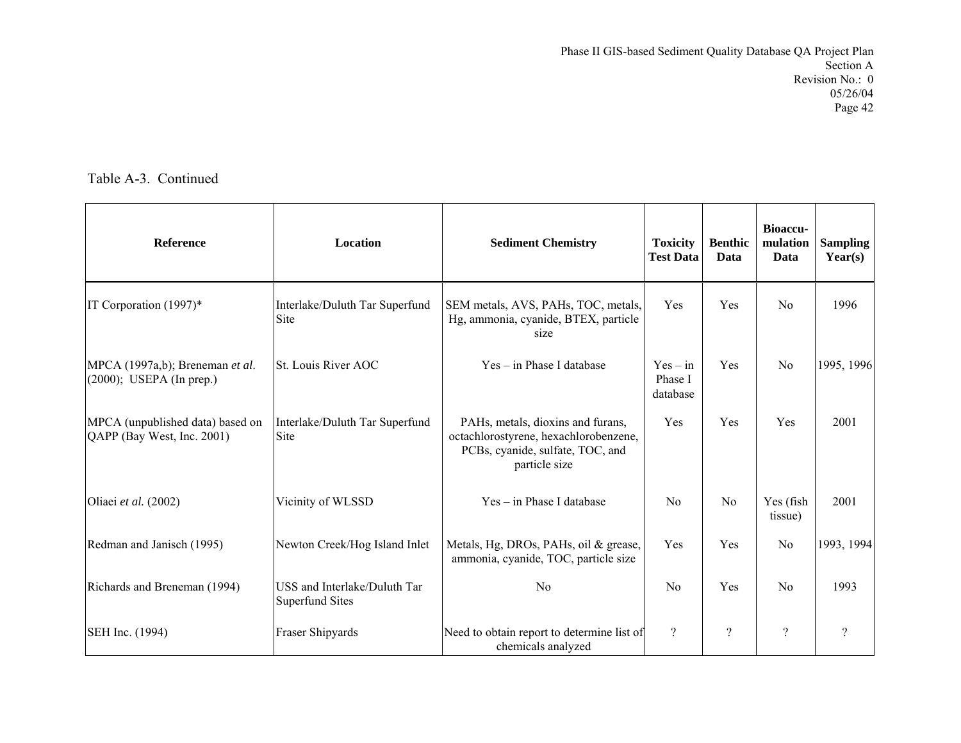| <b>Reference</b>                                               | Location                                               | <b>Sediment Chemistry</b>                                                                                                       | <b>Toxicity</b><br><b>Test Data</b> | <b>Benthic</b><br>Data | Bioaccu-<br>mulation<br>Data | <b>Sampling</b><br>Year(s) |
|----------------------------------------------------------------|--------------------------------------------------------|---------------------------------------------------------------------------------------------------------------------------------|-------------------------------------|------------------------|------------------------------|----------------------------|
| IT Corporation (1997)*                                         | Interlake/Duluth Tar Superfund<br><b>Site</b>          | SEM metals, AVS, PAHs, TOC, metals,<br>Hg, ammonia, cyanide, BTEX, particle<br>size                                             | Yes                                 | Yes                    | N <sub>0</sub>               | 1996                       |
| MPCA (1997a,b); Breneman et al.<br>$(2000)$ ; USEPA (In prep.) | St. Louis River AOC                                    | $Yes - in Phase I database$                                                                                                     | $Yes - in$<br>Phase I<br>database   | Yes                    | No                           | 1995, 1996                 |
| MPCA (unpublished data) based on<br>QAPP (Bay West, Inc. 2001) | Interlake/Duluth Tar Superfund<br>Site                 | PAHs, metals, dioxins and furans,<br>octachlorostyrene, hexachlorobenzene,<br>PCBs, cyanide, sulfate, TOC, and<br>particle size | Yes                                 | Yes                    | Yes                          | 2001                       |
| Oliaei et al. (2002)                                           | Vicinity of WLSSD                                      | $Yes - in Phase I database$                                                                                                     | N <sub>0</sub>                      | N <sub>0</sub>         | Yes (fish<br>tissue)         | 2001                       |
| Redman and Janisch (1995)                                      | Newton Creek/Hog Island Inlet                          | Metals, Hg, DROs, PAHs, oil & grease,<br>ammonia, cyanide, TOC, particle size                                                   | Yes                                 | Yes                    | N <sub>0</sub>               | 1993, 1994                 |
| Richards and Breneman (1994)                                   | USS and Interlake/Duluth Tar<br><b>Superfund Sites</b> | No                                                                                                                              | N <sub>0</sub>                      | Yes                    | N <sub>0</sub>               | 1993                       |
| SEH Inc. (1994)                                                | Fraser Shipyards                                       | Need to obtain report to determine list of<br>chemicals analyzed                                                                | $\gamma$                            | $\gamma$               | $\overline{\mathcal{L}}$     | $\overline{\mathcal{L}}$   |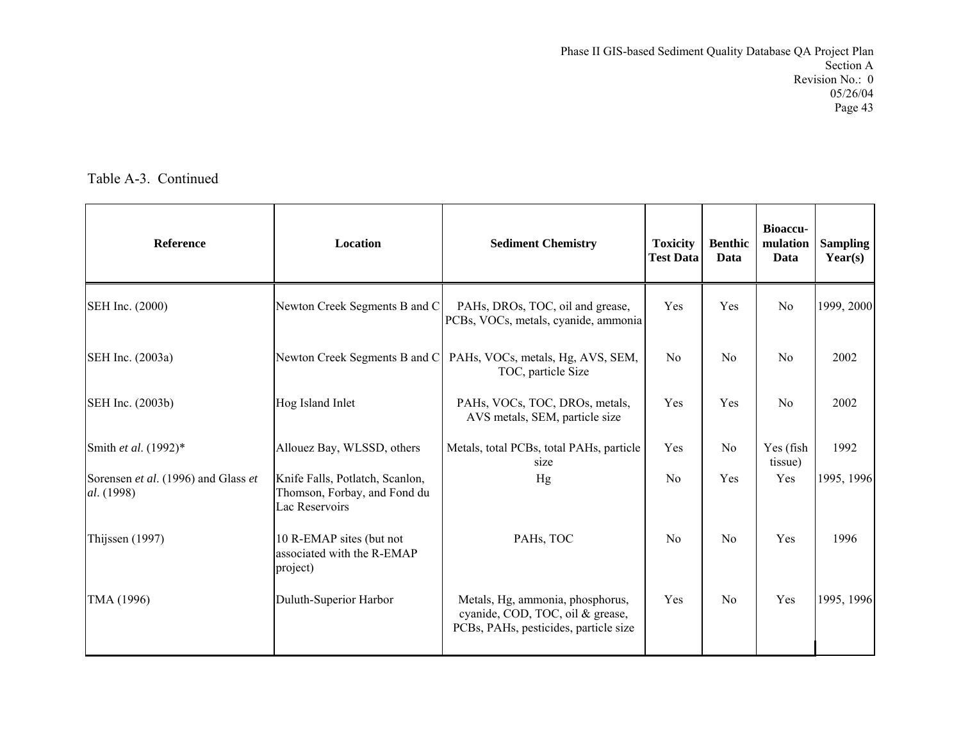| <b>Reference</b>                                  | Location                                                                          | <b>Sediment Chemistry</b>                                                                                     | <b>Toxicity</b><br><b>Test Data</b> | <b>Benthic</b><br>Data | <b>Bioaccu-</b><br>mulation<br>Data | <b>Sampling</b><br>Year(s) |
|---------------------------------------------------|-----------------------------------------------------------------------------------|---------------------------------------------------------------------------------------------------------------|-------------------------------------|------------------------|-------------------------------------|----------------------------|
| SEH Inc. (2000)                                   | Newton Creek Segments B and C                                                     | PAHs, DROs, TOC, oil and grease,<br>PCBs, VOCs, metals, cyanide, ammonia                                      | Yes                                 | Yes                    | N <sub>0</sub>                      | 1999, 2000                 |
| SEH Inc. (2003a)                                  | Newton Creek Segments B and C                                                     | PAHs, VOCs, metals, Hg, AVS, SEM,<br>TOC, particle Size                                                       | N <sub>0</sub>                      | N <sub>0</sub>         | N <sub>0</sub>                      | 2002                       |
| SEH Inc. (2003b)                                  | Hog Island Inlet                                                                  | PAHs, VOCs, TOC, DROs, metals,<br>AVS metals, SEM, particle size                                              | Yes                                 | Yes                    | N <sub>o</sub>                      | 2002                       |
| Smith et al. (1992)*                              | Allouez Bay, WLSSD, others                                                        | Metals, total PCBs, total PAHs, particle<br>size                                                              | Yes                                 | N <sub>0</sub>         | Yes (fish<br>tissue)                | 1992                       |
| Sorensen et al. (1996) and Glass et<br>al. (1998) | Knife Falls, Potlatch, Scanlon,<br>Thomson, Forbay, and Fond du<br>Lac Reservoirs | Hg                                                                                                            | N <sub>0</sub>                      | Yes                    | Yes                                 | 1995, 1996                 |
| Thijssen (1997)                                   | 10 R-EMAP sites (but not<br>associated with the R-EMAP<br>project)                | PAHs, TOC                                                                                                     | N <sub>0</sub>                      | N <sub>0</sub>         | Yes                                 | 1996                       |
| TMA (1996)                                        | Duluth-Superior Harbor                                                            | Metals, Hg, ammonia, phosphorus,<br>cyanide, COD, TOC, oil & grease,<br>PCBs, PAHs, pesticides, particle size | Yes                                 | N <sub>0</sub>         | Yes                                 | 1995, 1996                 |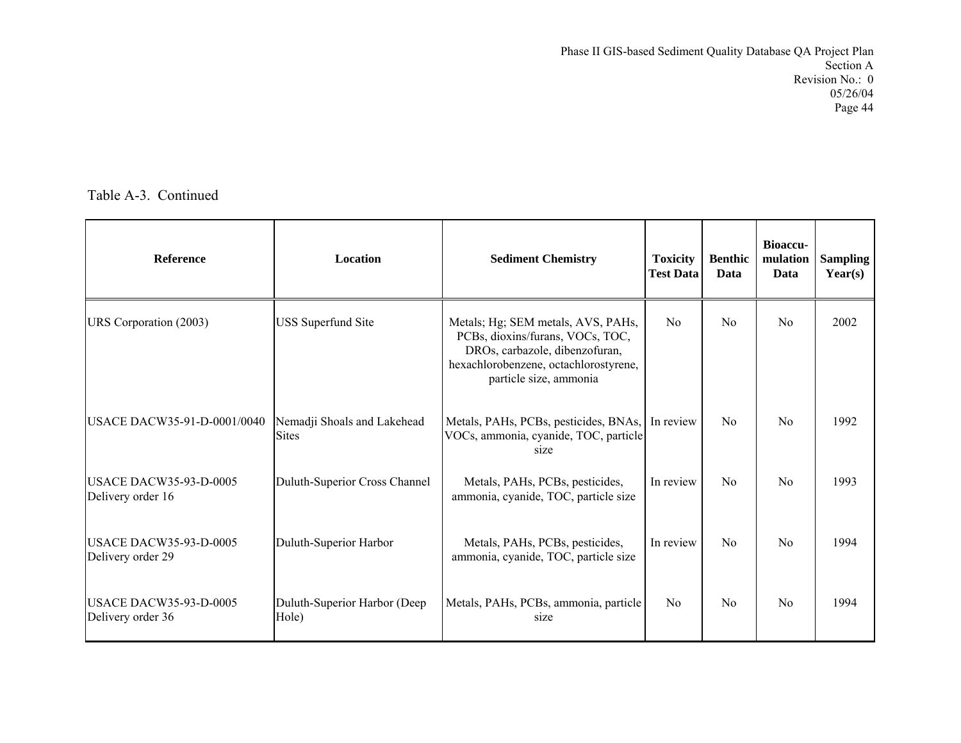| <b>Reference</b>                                   | Location                                    | <b>Sediment Chemistry</b>                                                                                                                                                   | <b>Toxicity</b><br><b>Test Data</b> | <b>Benthic</b><br>Data | <b>Bioaccu-</b><br>mulation<br>Data | <b>Sampling</b><br>Year(s) |
|----------------------------------------------------|---------------------------------------------|-----------------------------------------------------------------------------------------------------------------------------------------------------------------------------|-------------------------------------|------------------------|-------------------------------------|----------------------------|
| URS Corporation (2003)                             | <b>USS</b> Superfund Site                   | Metals; Hg; SEM metals, AVS, PAHs,<br>PCBs, dioxins/furans, VOCs, TOC,<br>DROs, carbazole, dibenzofuran,<br>hexachlorobenzene, octachlorostyrene,<br>particle size, ammonia | No                                  | No                     | N <sub>0</sub>                      | 2002                       |
| USACE DACW35-91-D-0001/0040                        | Nemadji Shoals and Lakehead<br><b>Sites</b> | Metals, PAHs, PCBs, pesticides, BNAs,<br>VOCs, ammonia, cyanide, TOC, particle<br>size                                                                                      | In review                           | No                     | No                                  | 1992                       |
| <b>USACE DACW35-93-D-0005</b><br>Delivery order 16 | Duluth-Superior Cross Channel               | Metals, PAHs, PCBs, pesticides,<br>ammonia, cyanide, TOC, particle size                                                                                                     | In review                           | No                     | No                                  | 1993                       |
| <b>USACE DACW35-93-D-0005</b><br>Delivery order 29 | Duluth-Superior Harbor                      | Metals, PAHs, PCBs, pesticides,<br>ammonia, cyanide, TOC, particle size                                                                                                     | In review                           | $\rm No$               | N <sub>0</sub>                      | 1994                       |
| <b>USACE DACW35-93-D-0005</b><br>Delivery order 36 | Duluth-Superior Harbor (Deep<br>Hole)       | Metals, PAHs, PCBs, ammonia, particle<br>size                                                                                                                               | N <sub>0</sub>                      | No                     | N <sub>0</sub>                      | 1994                       |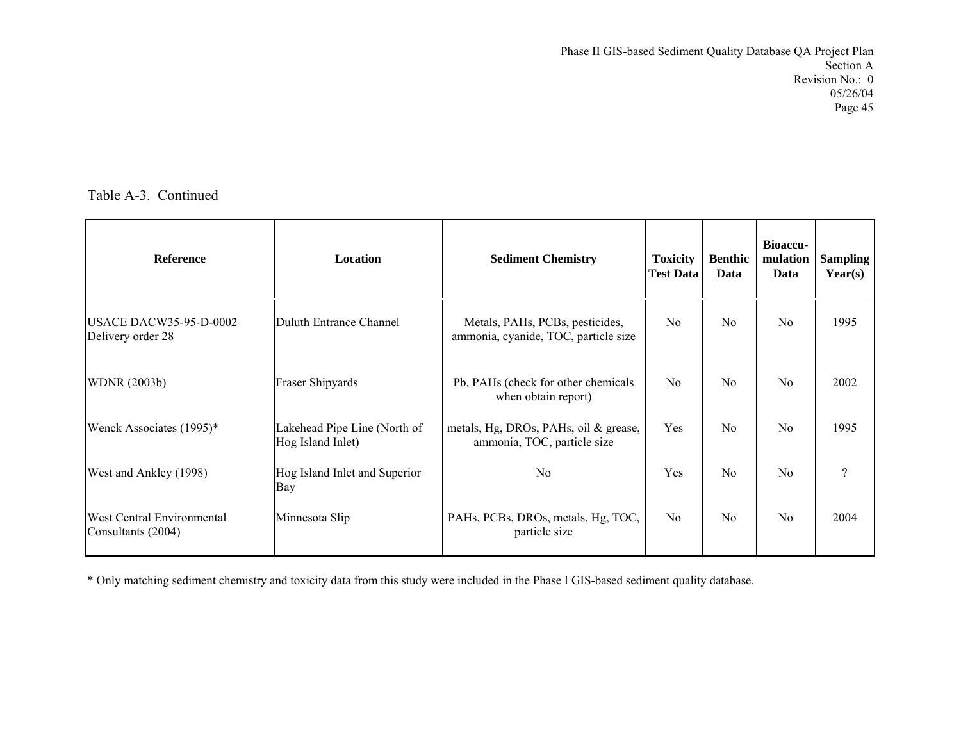Table A-3. Continued

| <b>Reference</b>                                        | <b>Location</b>                                   | <b>Sediment Chemistry</b>                                               | <b>Toxicity</b><br><b>Test Data</b> | <b>Benthic</b><br>Data | <b>Bioaccu-</b><br>mulation<br>Data | <b>Sampling</b><br>Year(s) |
|---------------------------------------------------------|---------------------------------------------------|-------------------------------------------------------------------------|-------------------------------------|------------------------|-------------------------------------|----------------------------|
| <b>USACE DACW35-95-D-0002</b><br>Delivery order 28      | Duluth Entrance Channel                           | Metals, PAHs, PCBs, pesticides,<br>ammonia, cyanide, TOC, particle size | N <sub>0</sub>                      | N <sub>0</sub>         | N <sub>0</sub>                      | 1995                       |
| <b>WDNR</b> (2003b)                                     | <b>Fraser Shipyards</b>                           | Pb, PAHs (check for other chemicals<br>when obtain report)              | N <sub>0</sub>                      | No                     | N <sub>0</sub>                      | 2002                       |
| Wenck Associates (1995)*                                | Lakehead Pipe Line (North of<br>Hog Island Inlet) | metals, Hg, DROs, PAHs, oil & grease,<br>ammonia, TOC, particle size    | Yes                                 | No                     | N <sub>0</sub>                      | 1995                       |
| West and Ankley (1998)                                  | Hog Island Inlet and Superior<br><b>Bay</b>       | N <sub>0</sub>                                                          | Yes                                 | No                     | N <sub>0</sub>                      | $\gamma$                   |
| <b>West Central Environmental</b><br>Consultants (2004) | Minnesota Slip                                    | PAHs, PCBs, DROs, metals, Hg, TOC,<br>particle size                     | N <sub>0</sub>                      | No                     | N <sub>0</sub>                      | 2004                       |

\* Only matching sediment chemistry and toxicity data from this study were included in the Phase I GIS-based sediment quality database.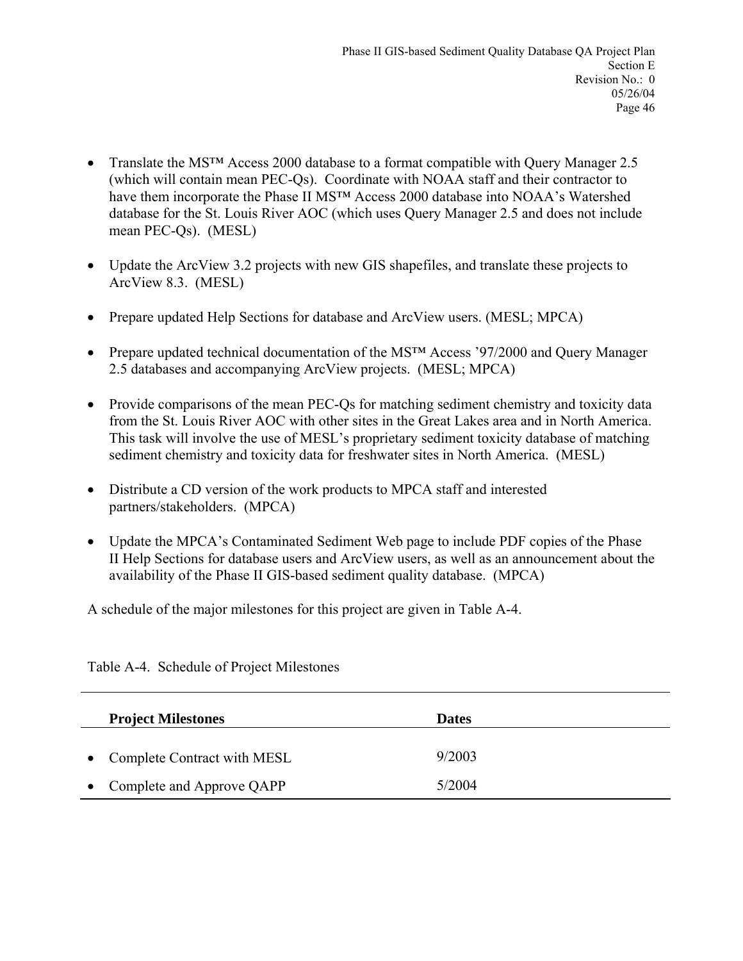- Translate the MS™ Access 2000 database to a format compatible with Query Manager 2.5 (which will contain mean PEC-Qs). Coordinate with NOAA staff and their contractor to have them incorporate the Phase II MS<sup>TM</sup> Access 2000 database into NOAA's Watershed database for the St. Louis River AOC (which uses Query Manager 2.5 and does not include mean PEC-Qs). (MESL)
- Update the ArcView 3.2 projects with new GIS shapefiles, and translate these projects to ArcView 8.3. (MESL)
- Prepare updated Help Sections for database and ArcView users. (MESL; MPCA)
- Prepare updated technical documentation of the MS<sup>TM</sup> Access '97/2000 and Query Manager 2.5 databases and accompanying ArcView projects. (MESL; MPCA)
- Provide comparisons of the mean PEC-Qs for matching sediment chemistry and toxicity data from the St. Louis River AOC with other sites in the Great Lakes area and in North America. This task will involve the use of MESL's proprietary sediment toxicity database of matching sediment chemistry and toxicity data for freshwater sites in North America. (MESL)
- Distribute a CD version of the work products to MPCA staff and interested partners/stakeholders. (MPCA)
- Update the MPCA's Contaminated Sediment Web page to include PDF copies of the Phase II Help Sections for database users and ArcView users, as well as an announcement about the availability of the Phase II GIS-based sediment quality database. (MPCA)

A schedule of the major milestones for this project are given in Table A-4.

| <b>Project Milestones</b>     | <b>Dates</b> |
|-------------------------------|--------------|
| • Complete Contract with MESL | 9/2003       |
| Complete and Approve QAPP     | 5/2004       |

Table A-4. Schedule of Project Milestones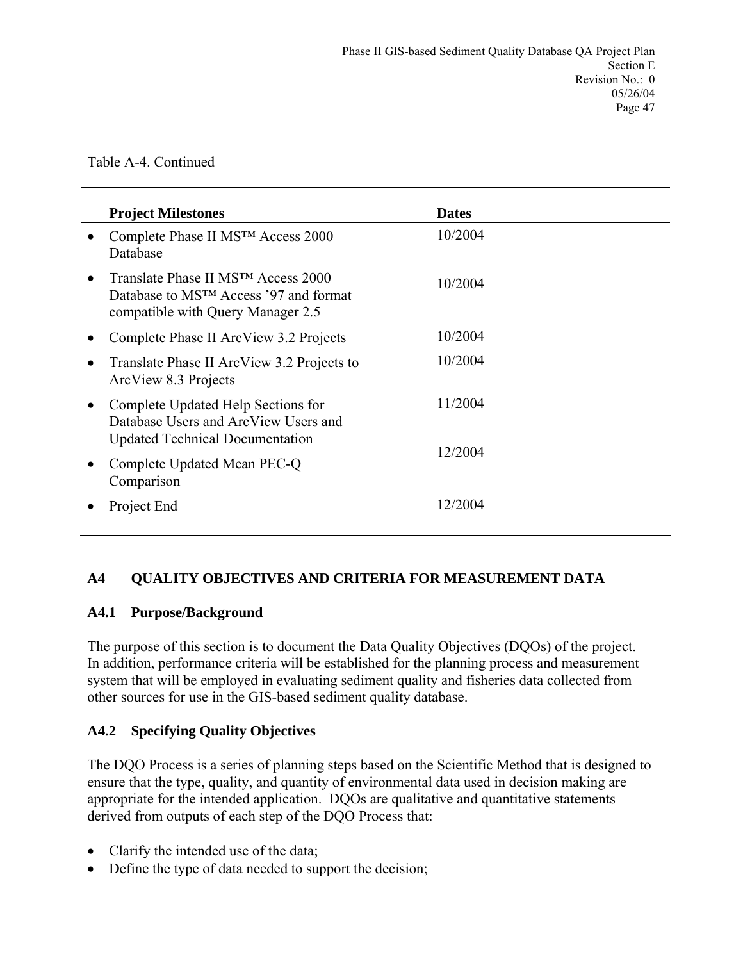|           | <b>Project Milestones</b>                                                                                                      | <b>Dates</b> |
|-----------|--------------------------------------------------------------------------------------------------------------------------------|--------------|
| $\bullet$ | Complete Phase II MS™ Access 2000<br>Database                                                                                  | 10/2004      |
| $\bullet$ | Translate Phase II MSTM Access 2000<br>Database to MS <sup>TM</sup> Access '97 and format<br>compatible with Query Manager 2.5 | 10/2004      |
| $\bullet$ | Complete Phase II ArcView 3.2 Projects                                                                                         | 10/2004      |
| $\bullet$ | Translate Phase II ArcView 3.2 Projects to<br>ArcView 8.3 Projects                                                             | 10/2004      |
| $\bullet$ | Complete Updated Help Sections for<br>Database Users and ArcView Users and<br><b>Updated Technical Documentation</b>           | 11/2004      |
| $\bullet$ | Complete Updated Mean PEC-Q<br>Comparison                                                                                      | 12/2004      |
|           | Project End                                                                                                                    | 12/2004      |

### **A4 QUALITY OBJECTIVES AND CRITERIA FOR MEASUREMENT DATA**

#### **A4.1 Purpose/Background**

The purpose of this section is to document the Data Quality Objectives (DQOs) of the project. In addition, performance criteria will be established for the planning process and measurement system that will be employed in evaluating sediment quality and fisheries data collected from other sources for use in the GIS-based sediment quality database.

#### **A4.2 Specifying Quality Objectives**

The DQO Process is a series of planning steps based on the Scientific Method that is designed to ensure that the type, quality, and quantity of environmental data used in decision making are appropriate for the intended application. DQOs are qualitative and quantitative statements derived from outputs of each step of the DQO Process that:

- Clarify the intended use of the data;
- Define the type of data needed to support the decision;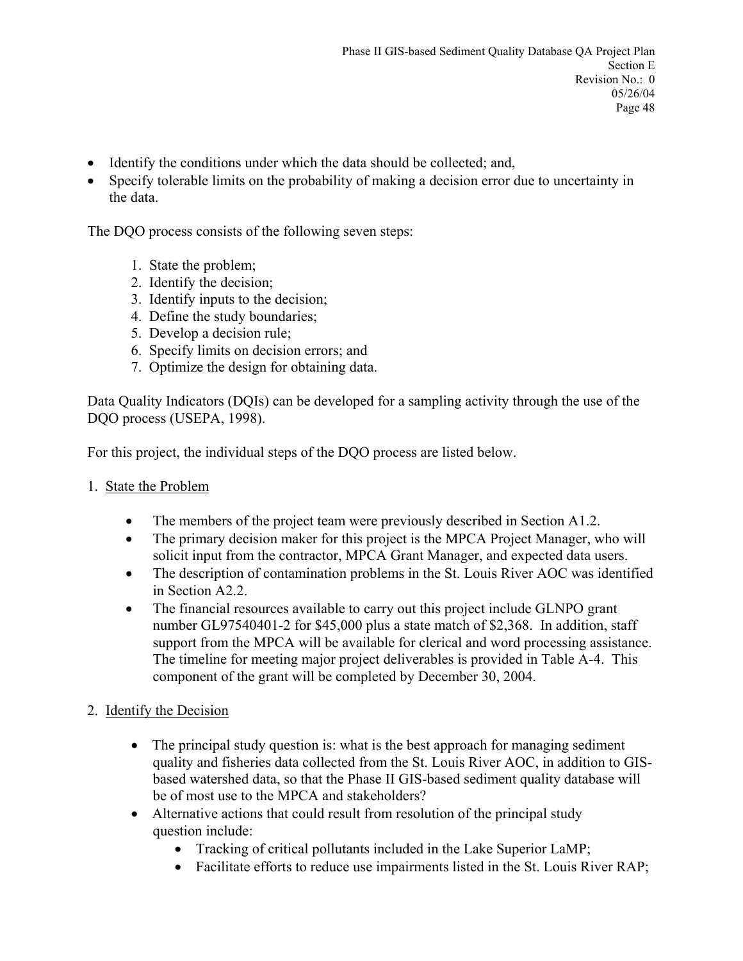- Identify the conditions under which the data should be collected; and,
- Specify tolerable limits on the probability of making a decision error due to uncertainty in the data.

The DQO process consists of the following seven steps:

- 1. State the problem;
- 2. Identify the decision;
- 3. Identify inputs to the decision;
- 4. Define the study boundaries;
- 5. Develop a decision rule;
- 6. Specify limits on decision errors; and
- 7. Optimize the design for obtaining data.

Data Quality Indicators (DQIs) can be developed for a sampling activity through the use of the DQO process (USEPA, 1998).

For this project, the individual steps of the DQO process are listed below.

- 1. State the Problem
	- The members of the project team were previously described in Section A1.2.
	- The primary decision maker for this project is the MPCA Project Manager, who will solicit input from the contractor, MPCA Grant Manager, and expected data users.
	- The description of contamination problems in the St. Louis River AOC was identified in Section A2.2.
	- The financial resources available to carry out this project include GLNPO grant number GL97540401-2 for \$45,000 plus a state match of \$2,368. In addition, staff support from the MPCA will be available for clerical and word processing assistance. The timeline for meeting major project deliverables is provided in Table A-4. This component of the grant will be completed by December 30, 2004.
- 2. Identify the Decision
	- The principal study question is: what is the best approach for managing sediment quality and fisheries data collected from the St. Louis River AOC, in addition to GISbased watershed data, so that the Phase II GIS-based sediment quality database will be of most use to the MPCA and stakeholders?
	- Alternative actions that could result from resolution of the principal study question include:
		- Tracking of critical pollutants included in the Lake Superior LaMP;
		- Facilitate efforts to reduce use impairments listed in the St. Louis River RAP;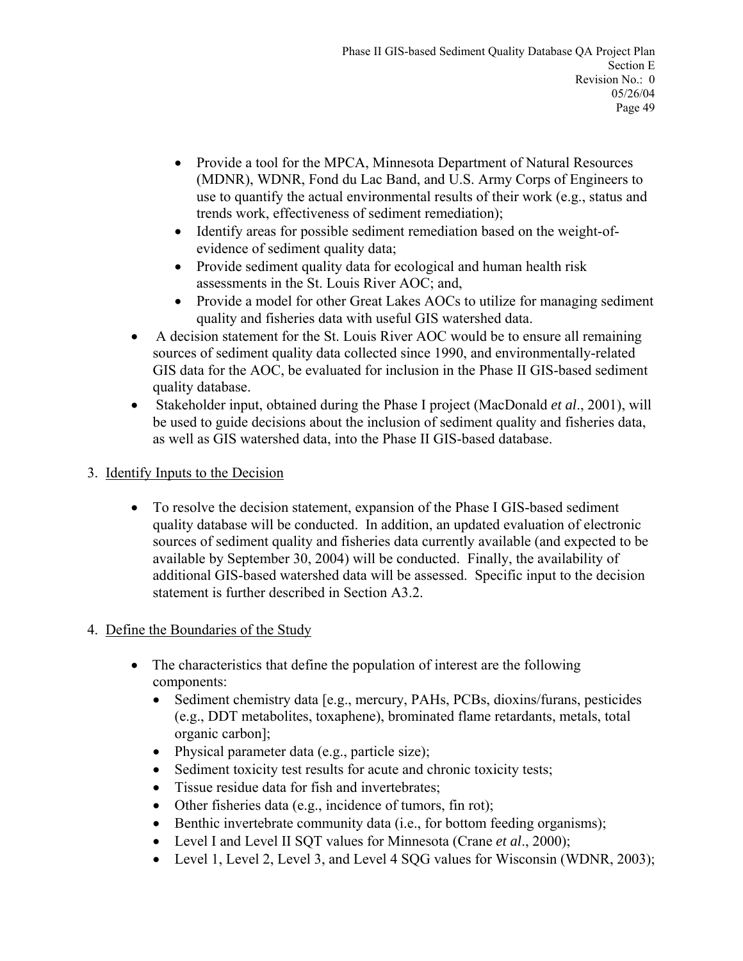- Provide a tool for the MPCA, Minnesota Department of Natural Resources (MDNR), WDNR, Fond du Lac Band, and U.S. Army Corps of Engineers to use to quantify the actual environmental results of their work (e.g., status and trends work, effectiveness of sediment remediation);
- Identify areas for possible sediment remediation based on the weight-ofevidence of sediment quality data;
- Provide sediment quality data for ecological and human health risk assessments in the St. Louis River AOC; and,
- Provide a model for other Great Lakes AOCs to utilize for managing sediment quality and fisheries data with useful GIS watershed data.
- A decision statement for the St. Louis River AOC would be to ensure all remaining sources of sediment quality data collected since 1990, and environmentally-related GIS data for the AOC, be evaluated for inclusion in the Phase II GIS-based sediment quality database.
- Stakeholder input, obtained during the Phase I project (MacDonald *et al*., 2001), will be used to guide decisions about the inclusion of sediment quality and fisheries data, as well as GIS watershed data, into the Phase II GIS-based database.
- 3. Identify Inputs to the Decision
	- To resolve the decision statement, expansion of the Phase I GIS-based sediment quality database will be conducted. In addition, an updated evaluation of electronic sources of sediment quality and fisheries data currently available (and expected to be available by September 30, 2004) will be conducted. Finally, the availability of additional GIS-based watershed data will be assessed. Specific input to the decision statement is further described in Section A3.2.
- 4. Define the Boundaries of the Study
	- The characteristics that define the population of interest are the following components:
		- Sediment chemistry data [e.g., mercury, PAHs, PCBs, dioxins/furans, pesticides (e.g., DDT metabolites, toxaphene), brominated flame retardants, metals, total organic carbon];
		- Physical parameter data (e.g., particle size);
		- Sediment toxicity test results for acute and chronic toxicity tests;
		- Tissue residue data for fish and invertebrates;
		- Other fisheries data (e.g., incidence of tumors, fin rot);
		- Benthic invertebrate community data (i.e., for bottom feeding organisms);
		- Level I and Level II SQT values for Minnesota (Crane *et al*., 2000);
		- Level 1, Level 2, Level 3, and Level 4 SQG values for Wisconsin (WDNR, 2003);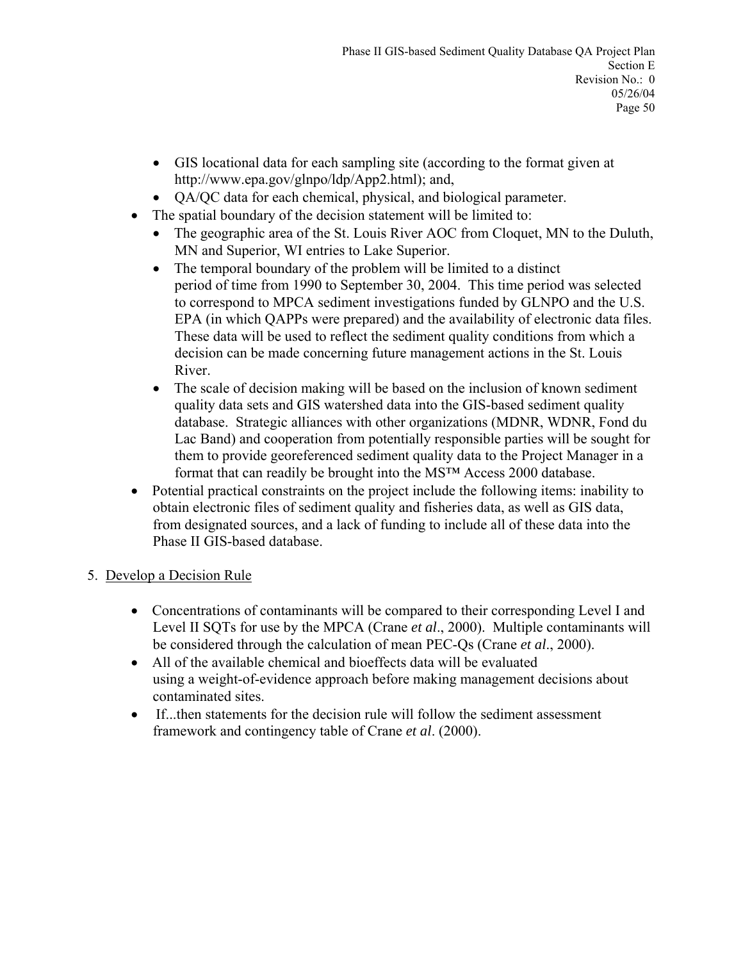- GIS locational data for each sampling site (according to the format given at http://www.epa.gov/glnpo/ldp/App2.html); and,
- QA/QC data for each chemical, physical, and biological parameter.
- The spatial boundary of the decision statement will be limited to:
	- The geographic area of the St. Louis River AOC from Cloquet, MN to the Duluth, MN and Superior, WI entries to Lake Superior.
	- The temporal boundary of the problem will be limited to a distinct period of time from 1990 to September 30, 2004. This time period was selected to correspond to MPCA sediment investigations funded by GLNPO and the U.S. EPA (in which QAPPs were prepared) and the availability of electronic data files. These data will be used to reflect the sediment quality conditions from which a decision can be made concerning future management actions in the St. Louis River.
	- The scale of decision making will be based on the inclusion of known sediment quality data sets and GIS watershed data into the GIS-based sediment quality database. Strategic alliances with other organizations (MDNR, WDNR, Fond du Lac Band) and cooperation from potentially responsible parties will be sought for them to provide georeferenced sediment quality data to the Project Manager in a format that can readily be brought into the MS™ Access 2000 database.
- Potential practical constraints on the project include the following items: inability to obtain electronic files of sediment quality and fisheries data, as well as GIS data, from designated sources, and a lack of funding to include all of these data into the Phase II GIS-based database.

#### 5. Develop a Decision Rule

- Concentrations of contaminants will be compared to their corresponding Level I and Level II SQTs for use by the MPCA (Crane *et al*., 2000). Multiple contaminants will be considered through the calculation of mean PEC-Qs (Crane *et al*., 2000).
- All of the available chemical and bioeffects data will be evaluated using a weight-of-evidence approach before making management decisions about contaminated sites.
- If...then statements for the decision rule will follow the sediment assessment framework and contingency table of Crane *et al*. (2000).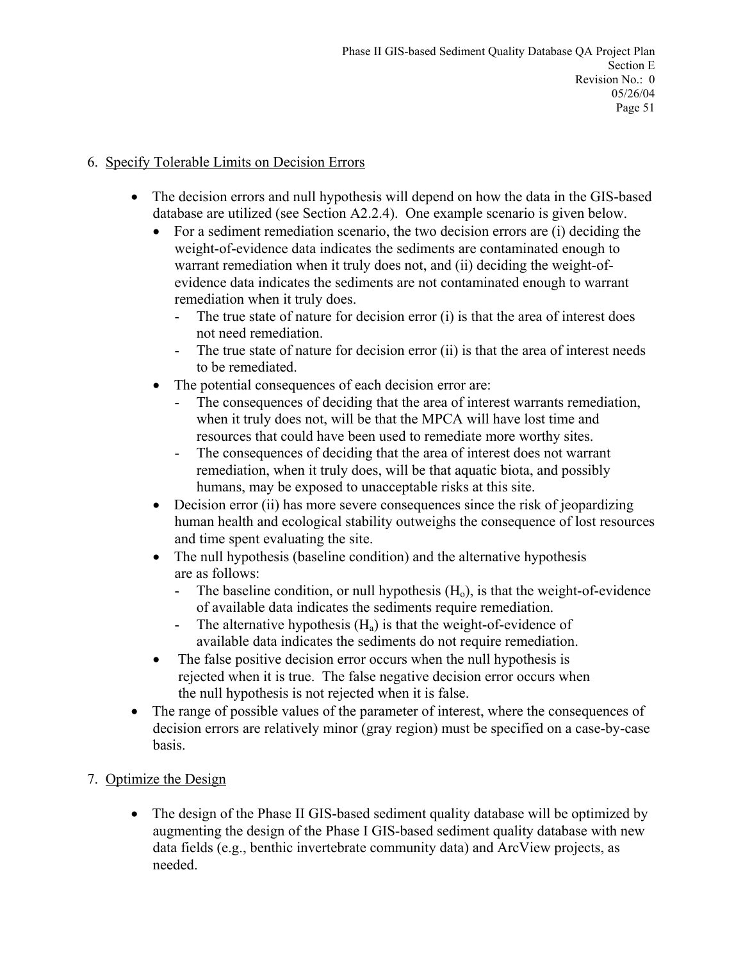### 6. Specify Tolerable Limits on Decision Errors

- The decision errors and null hypothesis will depend on how the data in the GIS-based database are utilized (see Section A2.2.4). One example scenario is given below.
	- For a sediment remediation scenario, the two decision errors are (i) deciding the weight-of-evidence data indicates the sediments are contaminated enough to warrant remediation when it truly does not, and (ii) deciding the weight-ofevidence data indicates the sediments are not contaminated enough to warrant remediation when it truly does.
		- The true state of nature for decision error (i) is that the area of interest does not need remediation.
		- The true state of nature for decision error (ii) is that the area of interest needs to be remediated.
	- The potential consequences of each decision error are:
		- The consequences of deciding that the area of interest warrants remediation, when it truly does not, will be that the MPCA will have lost time and resources that could have been used to remediate more worthy sites.
		- The consequences of deciding that the area of interest does not warrant remediation, when it truly does, will be that aquatic biota, and possibly humans, may be exposed to unacceptable risks at this site.
	- Decision error (ii) has more severe consequences since the risk of jeopardizing human health and ecological stability outweighs the consequence of lost resources and time spent evaluating the site.
	- The null hypothesis (baseline condition) and the alternative hypothesis are as follows:
		- The baseline condition, or null hypothesis  $(H_0)$ , is that the weight-of-evidence of available data indicates the sediments require remediation.
		- The alternative hypothesis  $(H_a)$  is that the weight-of-evidence of available data indicates the sediments do not require remediation.
	- The false positive decision error occurs when the null hypothesis is rejected when it is true. The false negative decision error occurs when the null hypothesis is not rejected when it is false.
- The range of possible values of the parameter of interest, where the consequences of decision errors are relatively minor (gray region) must be specified on a case-by-case basis.

# 7. Optimize the Design

• The design of the Phase II GIS-based sediment quality database will be optimized by augmenting the design of the Phase I GIS-based sediment quality database with new data fields (e.g., benthic invertebrate community data) and ArcView projects, as needed.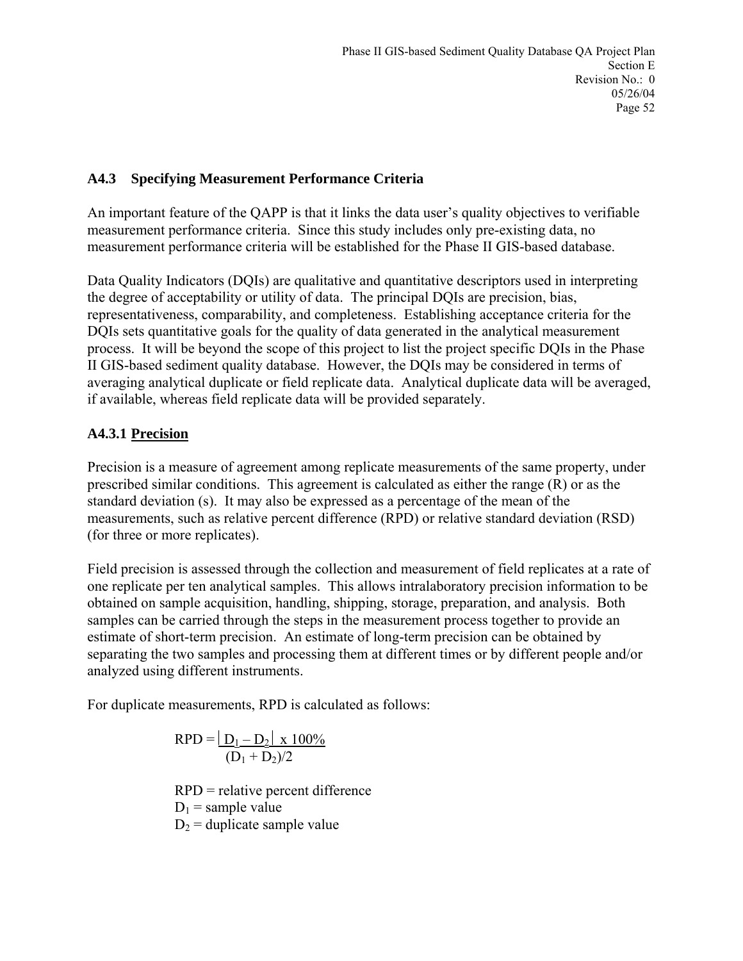#### **A4.3 Specifying Measurement Performance Criteria**

An important feature of the QAPP is that it links the data user's quality objectives to verifiable measurement performance criteria. Since this study includes only pre-existing data, no measurement performance criteria will be established for the Phase II GIS-based database.

Data Quality Indicators (DQIs) are qualitative and quantitative descriptors used in interpreting the degree of acceptability or utility of data. The principal DQIs are precision, bias, representativeness, comparability, and completeness. Establishing acceptance criteria for the DQIs sets quantitative goals for the quality of data generated in the analytical measurement process. It will be beyond the scope of this project to list the project specific DQIs in the Phase II GIS-based sediment quality database. However, the DQIs may be considered in terms of averaging analytical duplicate or field replicate data. Analytical duplicate data will be averaged, if available, whereas field replicate data will be provided separately.

### **A4.3.1 Precision**

Precision is a measure of agreement among replicate measurements of the same property, under prescribed similar conditions. This agreement is calculated as either the range (R) or as the standard deviation (s). It may also be expressed as a percentage of the mean of the measurements, such as relative percent difference (RPD) or relative standard deviation (RSD) (for three or more replicates).

Field precision is assessed through the collection and measurement of field replicates at a rate of one replicate per ten analytical samples. This allows intralaboratory precision information to be obtained on sample acquisition, handling, shipping, storage, preparation, and analysis. Both samples can be carried through the steps in the measurement process together to provide an estimate of short-term precision. An estimate of long-term precision can be obtained by separating the two samples and processing them at different times or by different people and/or analyzed using different instruments.

For duplicate measurements, RPD is calculated as follows:

$$
RPD = \frac{|D_1 - D_2| \times 100\%}{(D_1 + D_2)/2}
$$

 RPD = relative percent difference  $D_1$  = sample value  $D_2$  = duplicate sample value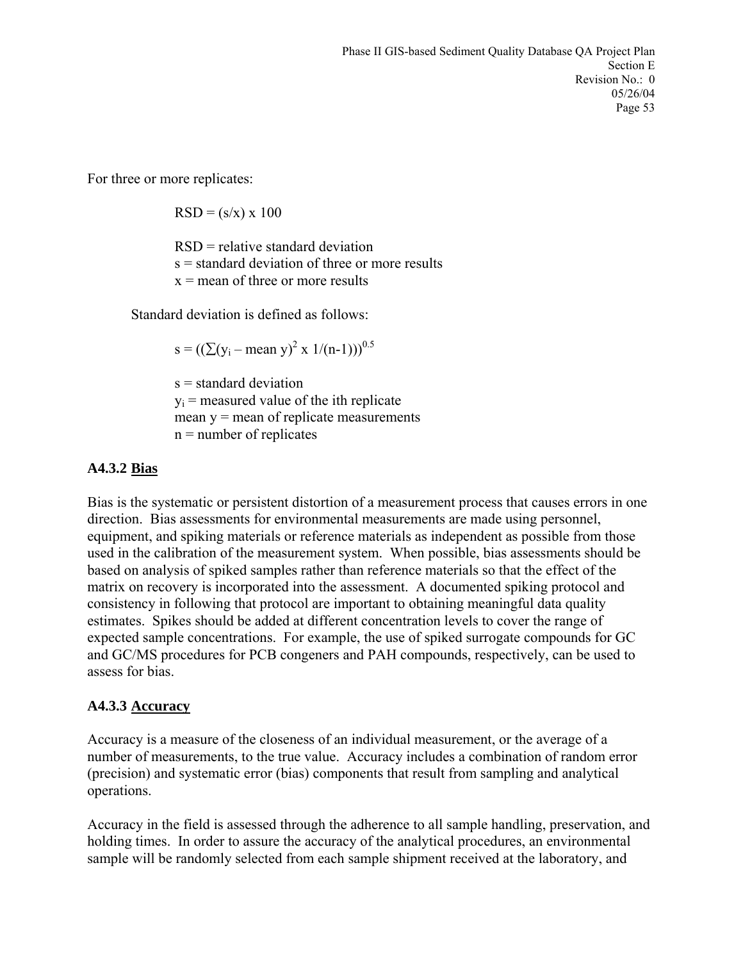For three or more replicates:

 $RSD = (s/x) \times 100$ 

 RSD = relative standard deviation  $s =$  standard deviation of three or more results  $x =$  mean of three or more results

Standard deviation is defined as follows:

 $s = ((\sum(y_i - \text{mean } y)^2 \times 1/(n-1)))^{0.5}$ 

 $s =$ standard deviation  $y_i$  = measured value of the ith replicate mean  $y =$  mean of replicate measurements n = number of replicates

#### **A4.3.2 Bias**

Bias is the systematic or persistent distortion of a measurement process that causes errors in one direction. Bias assessments for environmental measurements are made using personnel, equipment, and spiking materials or reference materials as independent as possible from those used in the calibration of the measurement system. When possible, bias assessments should be based on analysis of spiked samples rather than reference materials so that the effect of the matrix on recovery is incorporated into the assessment. A documented spiking protocol and consistency in following that protocol are important to obtaining meaningful data quality estimates. Spikes should be added at different concentration levels to cover the range of expected sample concentrations. For example, the use of spiked surrogate compounds for GC and GC/MS procedures for PCB congeners and PAH compounds, respectively, can be used to assess for bias.

#### **A4.3.3 Accuracy**

Accuracy is a measure of the closeness of an individual measurement, or the average of a number of measurements, to the true value. Accuracy includes a combination of random error (precision) and systematic error (bias) components that result from sampling and analytical operations.

Accuracy in the field is assessed through the adherence to all sample handling, preservation, and holding times. In order to assure the accuracy of the analytical procedures, an environmental sample will be randomly selected from each sample shipment received at the laboratory, and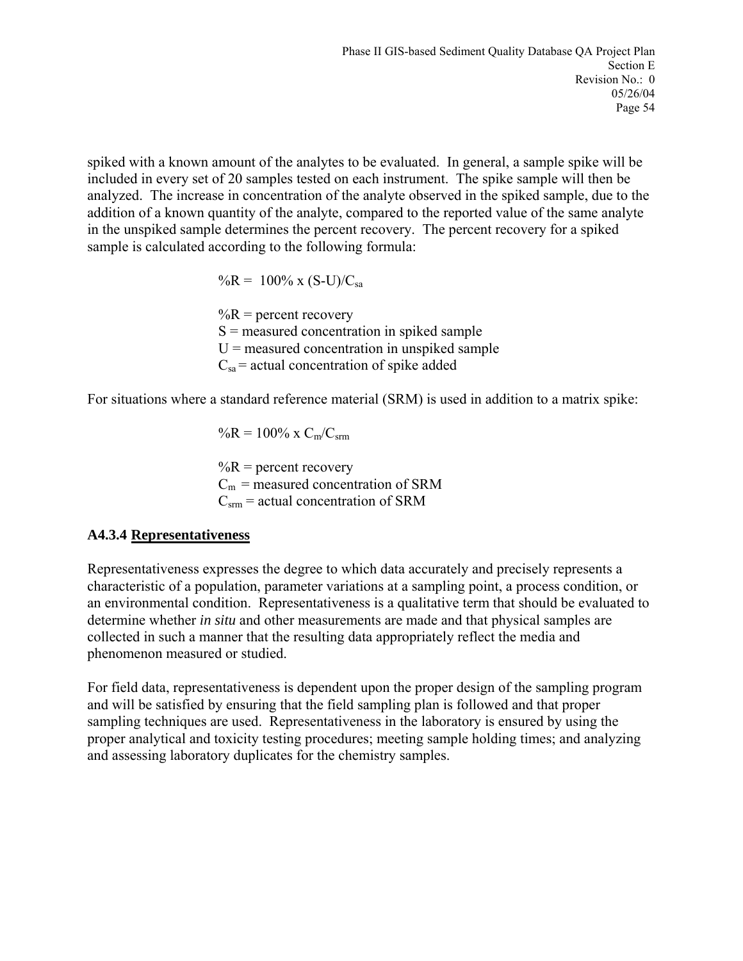spiked with a known amount of the analytes to be evaluated. In general, a sample spike will be included in every set of 20 samples tested on each instrument. The spike sample will then be analyzed. The increase in concentration of the analyte observed in the spiked sample, due to the addition of a known quantity of the analyte, compared to the reported value of the same analyte in the unspiked sample determines the percent recovery. The percent recovery for a spiked sample is calculated according to the following formula:

 $\%R = 100\% \times (S-U)/C_{sa}$ 

 $\%R$  = percent recovery  $S$  = measured concentration in spiked sample  $U$  = measured concentration in unspiked sample  $C_{sa}$  = actual concentration of spike added

For situations where a standard reference material (SRM) is used in addition to a matrix spike:

 $\%R = 100\% \times C_m/C_{\rm srm}$  $\%R$  = percent recovery  $C_m$  = measured concentration of SRM  $C<sub>arm</sub>$  = actual concentration of SRM

### **A4.3.4 Representativeness**

Representativeness expresses the degree to which data accurately and precisely represents a characteristic of a population, parameter variations at a sampling point, a process condition, or an environmental condition. Representativeness is a qualitative term that should be evaluated to determine whether *in situ* and other measurements are made and that physical samples are collected in such a manner that the resulting data appropriately reflect the media and phenomenon measured or studied.

For field data, representativeness is dependent upon the proper design of the sampling program and will be satisfied by ensuring that the field sampling plan is followed and that proper sampling techniques are used. Representativeness in the laboratory is ensured by using the proper analytical and toxicity testing procedures; meeting sample holding times; and analyzing and assessing laboratory duplicates for the chemistry samples.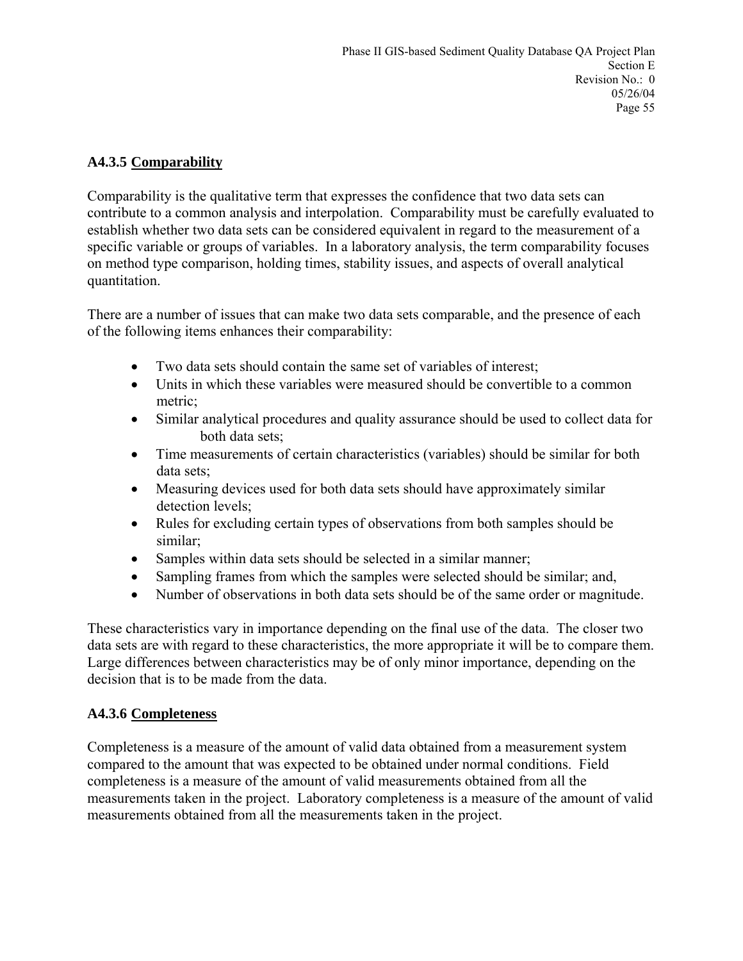### **A4.3.5 Comparability**

Comparability is the qualitative term that expresses the confidence that two data sets can contribute to a common analysis and interpolation. Comparability must be carefully evaluated to establish whether two data sets can be considered equivalent in regard to the measurement of a specific variable or groups of variables. In a laboratory analysis, the term comparability focuses on method type comparison, holding times, stability issues, and aspects of overall analytical quantitation.

There are a number of issues that can make two data sets comparable, and the presence of each of the following items enhances their comparability:

- Two data sets should contain the same set of variables of interest;
- Units in which these variables were measured should be convertible to a common metric;
- Similar analytical procedures and quality assurance should be used to collect data for both data sets;
- Time measurements of certain characteristics (variables) should be similar for both data sets;
- Measuring devices used for both data sets should have approximately similar detection levels;
- Rules for excluding certain types of observations from both samples should be similar;
- Samples within data sets should be selected in a similar manner;
- Sampling frames from which the samples were selected should be similar; and,
- Number of observations in both data sets should be of the same order or magnitude.

These characteristics vary in importance depending on the final use of the data. The closer two data sets are with regard to these characteristics, the more appropriate it will be to compare them. Large differences between characteristics may be of only minor importance, depending on the decision that is to be made from the data.

### **A4.3.6 Completeness**

Completeness is a measure of the amount of valid data obtained from a measurement system compared to the amount that was expected to be obtained under normal conditions. Field completeness is a measure of the amount of valid measurements obtained from all the measurements taken in the project. Laboratory completeness is a measure of the amount of valid measurements obtained from all the measurements taken in the project.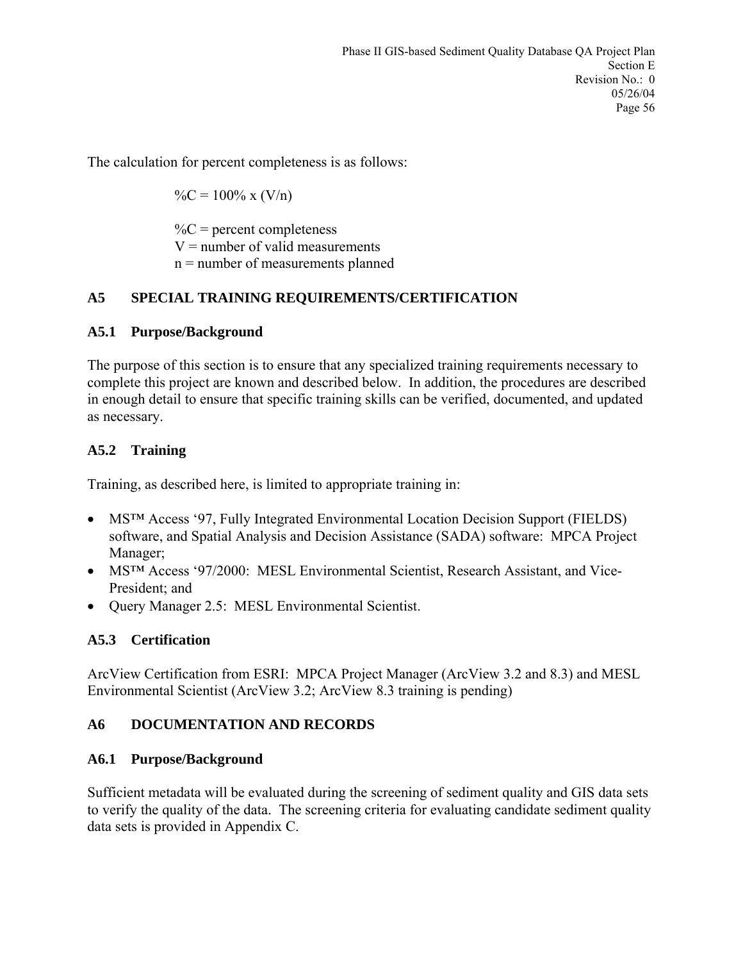The calculation for percent completeness is as follows:

 $\%C = 100\% \times (V/n)$ 

 $\%C$  = percent completeness  $V =$  number of valid measurements n = number of measurements planned

# **A5 SPECIAL TRAINING REQUIREMENTS/CERTIFICATION**

### **A5.1 Purpose/Background**

The purpose of this section is to ensure that any specialized training requirements necessary to complete this project are known and described below. In addition, the procedures are described in enough detail to ensure that specific training skills can be verified, documented, and updated as necessary.

### **A5.2 Training**

Training, as described here, is limited to appropriate training in:

- MS<sup>TM</sup> Access '97, Fully Integrated Environmental Location Decision Support (FIELDS) software, and Spatial Analysis and Decision Assistance (SADA) software: MPCA Project Manager;
- MS<sup>TM</sup> Access '97/2000: MESL Environmental Scientist, Research Assistant, and Vice-President; and
- Query Manager 2.5: MESL Environmental Scientist.

# **A5.3 Certification**

ArcView Certification from ESRI: MPCA Project Manager (ArcView 3.2 and 8.3) and MESL Environmental Scientist (ArcView 3.2; ArcView 8.3 training is pending)

### **A6 DOCUMENTATION AND RECORDS**

### **A6.1 Purpose/Background**

Sufficient metadata will be evaluated during the screening of sediment quality and GIS data sets to verify the quality of the data. The screening criteria for evaluating candidate sediment quality data sets is provided in Appendix C.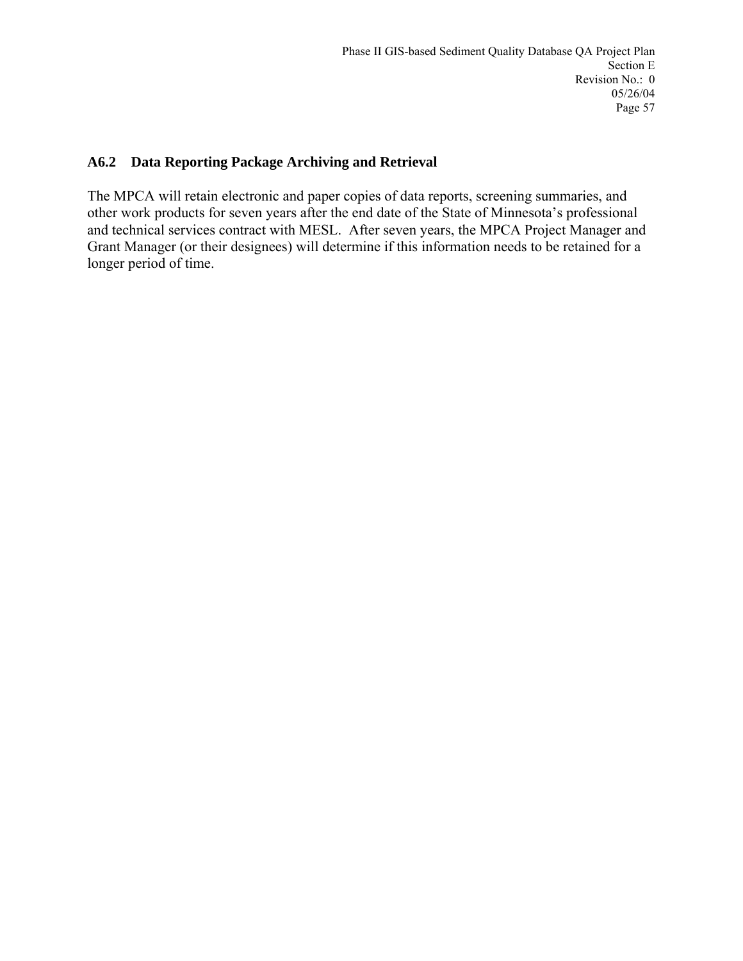#### **A6.2 Data Reporting Package Archiving and Retrieval**

The MPCA will retain electronic and paper copies of data reports, screening summaries, and other work products for seven years after the end date of the State of Minnesota's professional and technical services contract with MESL. After seven years, the MPCA Project Manager and Grant Manager (or their designees) will determine if this information needs to be retained for a longer period of time.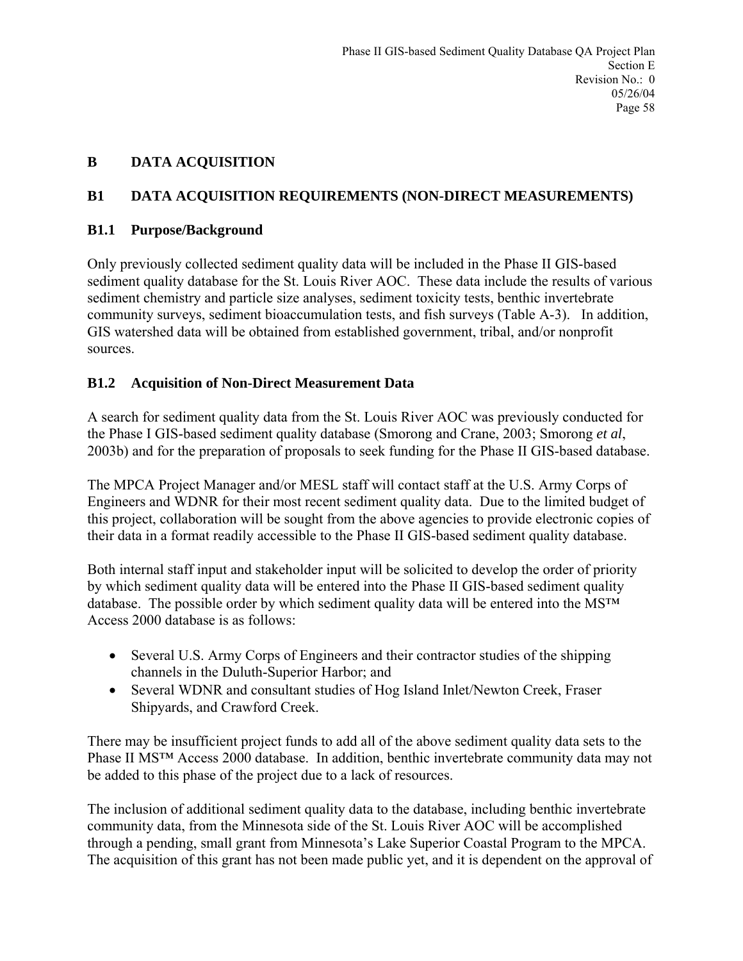### **B DATA ACQUISITION**

### **B1 DATA ACQUISITION REQUIREMENTS (NON-DIRECT MEASUREMENTS)**

### **B1.1 Purpose/Background**

Only previously collected sediment quality data will be included in the Phase II GIS-based sediment quality database for the St. Louis River AOC. These data include the results of various sediment chemistry and particle size analyses, sediment toxicity tests, benthic invertebrate community surveys, sediment bioaccumulation tests, and fish surveys (Table A-3). In addition, GIS watershed data will be obtained from established government, tribal, and/or nonprofit sources.

### **B1.2 Acquisition of Non-Direct Measurement Data**

A search for sediment quality data from the St. Louis River AOC was previously conducted for the Phase I GIS-based sediment quality database (Smorong and Crane, 2003; Smorong *et al*, 2003b) and for the preparation of proposals to seek funding for the Phase II GIS-based database.

The MPCA Project Manager and/or MESL staff will contact staff at the U.S. Army Corps of Engineers and WDNR for their most recent sediment quality data. Due to the limited budget of this project, collaboration will be sought from the above agencies to provide electronic copies of their data in a format readily accessible to the Phase II GIS-based sediment quality database.

Both internal staff input and stakeholder input will be solicited to develop the order of priority by which sediment quality data will be entered into the Phase II GIS-based sediment quality database. The possible order by which sediment quality data will be entered into the MS™ Access 2000 database is as follows:

- Several U.S. Army Corps of Engineers and their contractor studies of the shipping channels in the Duluth-Superior Harbor; and
- Several WDNR and consultant studies of Hog Island Inlet/Newton Creek, Fraser Shipyards, and Crawford Creek.

There may be insufficient project funds to add all of the above sediment quality data sets to the Phase II MS™ Access 2000 database. In addition, benthic invertebrate community data may not be added to this phase of the project due to a lack of resources.

The inclusion of additional sediment quality data to the database, including benthic invertebrate community data, from the Minnesota side of the St. Louis River AOC will be accomplished through a pending, small grant from Minnesota's Lake Superior Coastal Program to the MPCA. The acquisition of this grant has not been made public yet, and it is dependent on the approval of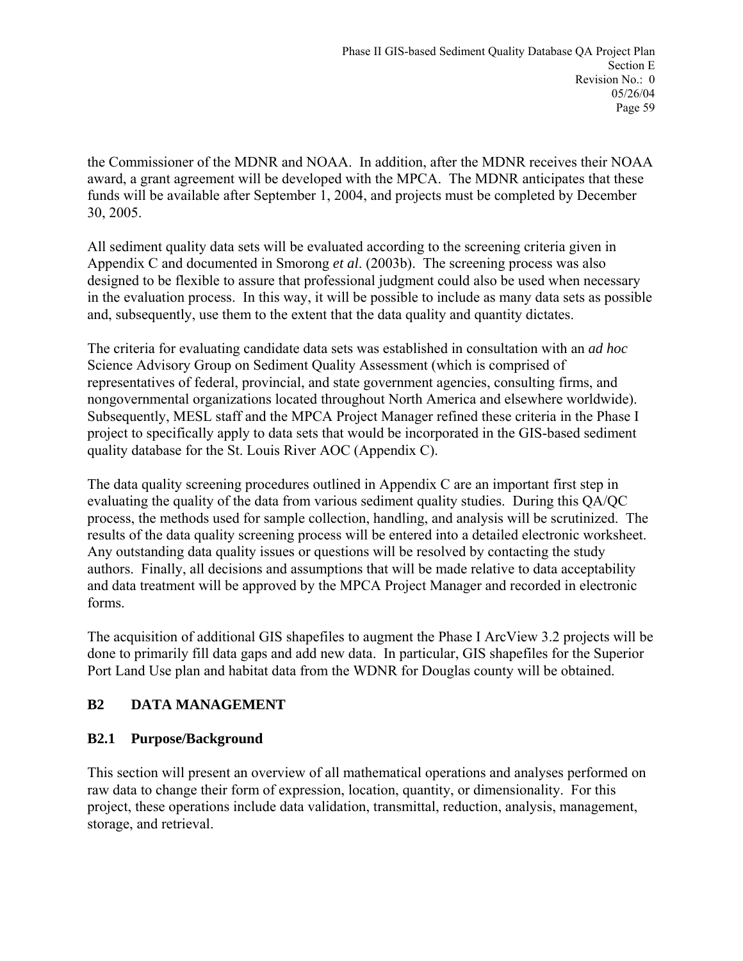the Commissioner of the MDNR and NOAA. In addition, after the MDNR receives their NOAA award, a grant agreement will be developed with the MPCA. The MDNR anticipates that these funds will be available after September 1, 2004, and projects must be completed by December 30, 2005.

All sediment quality data sets will be evaluated according to the screening criteria given in Appendix C and documented in Smorong *et al*. (2003b). The screening process was also designed to be flexible to assure that professional judgment could also be used when necessary in the evaluation process. In this way, it will be possible to include as many data sets as possible and, subsequently, use them to the extent that the data quality and quantity dictates.

The criteria for evaluating candidate data sets was established in consultation with an *ad hoc* Science Advisory Group on Sediment Quality Assessment (which is comprised of representatives of federal, provincial, and state government agencies, consulting firms, and nongovernmental organizations located throughout North America and elsewhere worldwide). Subsequently, MESL staff and the MPCA Project Manager refined these criteria in the Phase I project to specifically apply to data sets that would be incorporated in the GIS-based sediment quality database for the St. Louis River AOC (Appendix C).

The data quality screening procedures outlined in Appendix C are an important first step in evaluating the quality of the data from various sediment quality studies. During this QA/QC process, the methods used for sample collection, handling, and analysis will be scrutinized. The results of the data quality screening process will be entered into a detailed electronic worksheet. Any outstanding data quality issues or questions will be resolved by contacting the study authors. Finally, all decisions and assumptions that will be made relative to data acceptability and data treatment will be approved by the MPCA Project Manager and recorded in electronic forms.

The acquisition of additional GIS shapefiles to augment the Phase I ArcView 3.2 projects will be done to primarily fill data gaps and add new data. In particular, GIS shapefiles for the Superior Port Land Use plan and habitat data from the WDNR for Douglas county will be obtained.

### **B2 DATA MANAGEMENT**

### **B2.1 Purpose/Background**

This section will present an overview of all mathematical operations and analyses performed on raw data to change their form of expression, location, quantity, or dimensionality. For this project, these operations include data validation, transmittal, reduction, analysis, management, storage, and retrieval.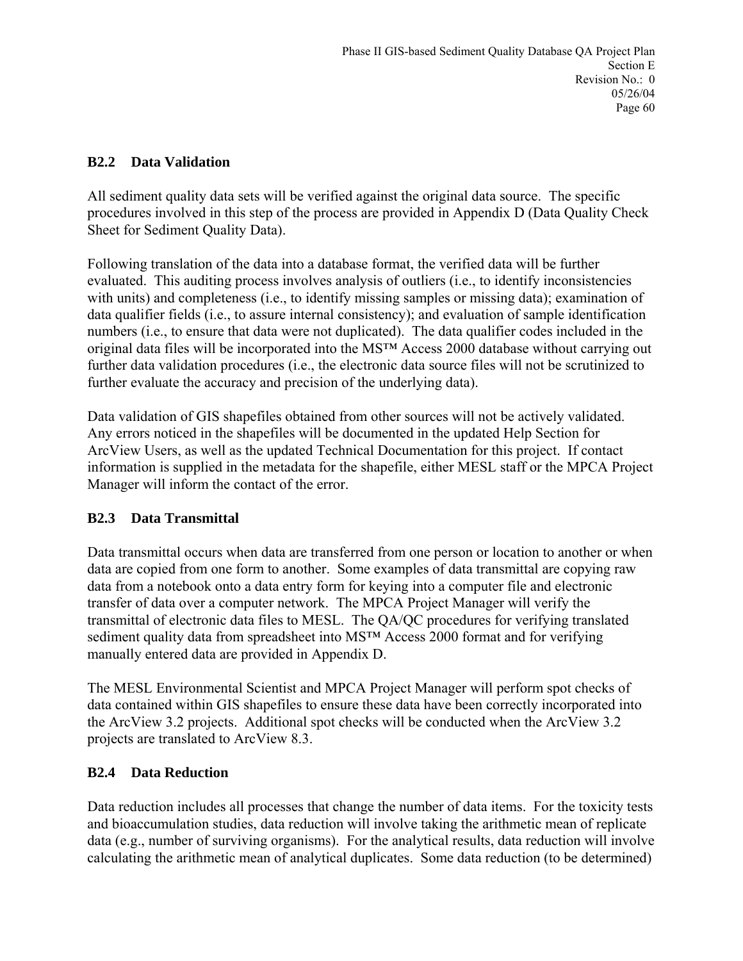### **B2.2 Data Validation**

All sediment quality data sets will be verified against the original data source. The specific procedures involved in this step of the process are provided in Appendix D (Data Quality Check Sheet for Sediment Quality Data).

Following translation of the data into a database format, the verified data will be further evaluated. This auditing process involves analysis of outliers (i.e., to identify inconsistencies with units) and completeness (i.e., to identify missing samples or missing data); examination of data qualifier fields (i.e., to assure internal consistency); and evaluation of sample identification numbers (i.e., to ensure that data were not duplicated). The data qualifier codes included in the original data files will be incorporated into the MS™ Access 2000 database without carrying out further data validation procedures (i.e., the electronic data source files will not be scrutinized to further evaluate the accuracy and precision of the underlying data).

Data validation of GIS shapefiles obtained from other sources will not be actively validated. Any errors noticed in the shapefiles will be documented in the updated Help Section for ArcView Users, as well as the updated Technical Documentation for this project. If contact information is supplied in the metadata for the shapefile, either MESL staff or the MPCA Project Manager will inform the contact of the error.

### **B2.3 Data Transmittal**

Data transmittal occurs when data are transferred from one person or location to another or when data are copied from one form to another. Some examples of data transmittal are copying raw data from a notebook onto a data entry form for keying into a computer file and electronic transfer of data over a computer network. The MPCA Project Manager will verify the transmittal of electronic data files to MESL. The QA/QC procedures for verifying translated sediment quality data from spreadsheet into MS<sup>™</sup> Access 2000 format and for verifying manually entered data are provided in Appendix D.

The MESL Environmental Scientist and MPCA Project Manager will perform spot checks of data contained within GIS shapefiles to ensure these data have been correctly incorporated into the ArcView 3.2 projects. Additional spot checks will be conducted when the ArcView 3.2 projects are translated to ArcView 8.3.

#### **B2.4 Data Reduction**

Data reduction includes all processes that change the number of data items. For the toxicity tests and bioaccumulation studies, data reduction will involve taking the arithmetic mean of replicate data (e.g., number of surviving organisms). For the analytical results, data reduction will involve calculating the arithmetic mean of analytical duplicates. Some data reduction (to be determined)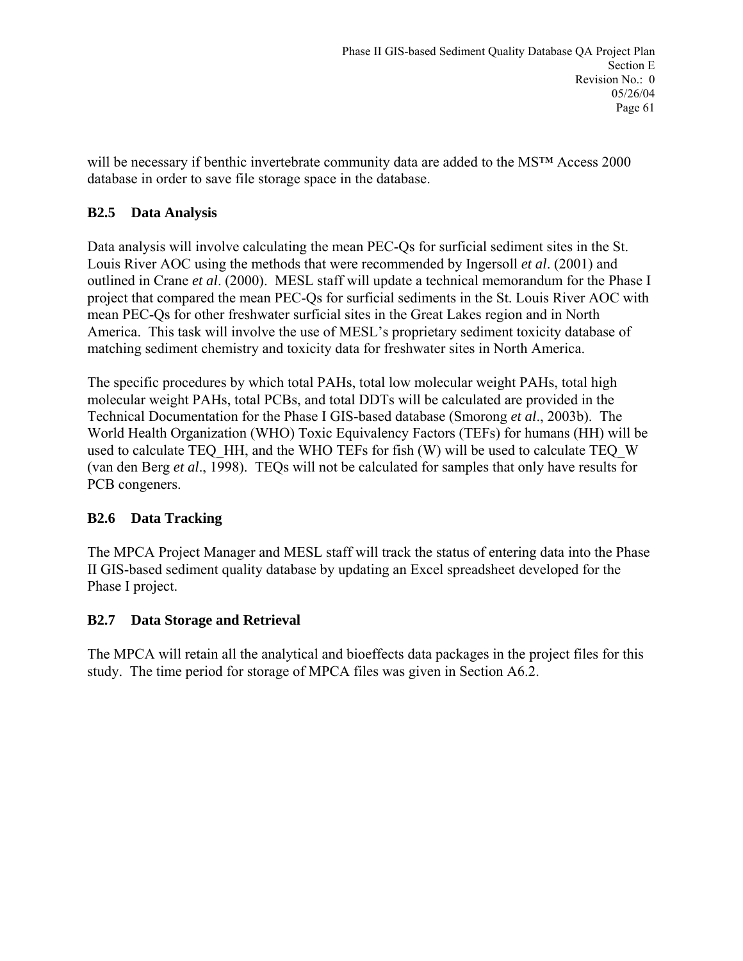will be necessary if benthic invertebrate community data are added to the MS™ Access 2000 database in order to save file storage space in the database.

### **B2.5 Data Analysis**

Data analysis will involve calculating the mean PEC-Qs for surficial sediment sites in the St. Louis River AOC using the methods that were recommended by Ingersoll *et al*. (2001) and outlined in Crane *et al*. (2000). MESL staff will update a technical memorandum for the Phase I project that compared the mean PEC-Qs for surficial sediments in the St. Louis River AOC with mean PEC-Qs for other freshwater surficial sites in the Great Lakes region and in North America. This task will involve the use of MESL's proprietary sediment toxicity database of matching sediment chemistry and toxicity data for freshwater sites in North America.

The specific procedures by which total PAHs, total low molecular weight PAHs, total high molecular weight PAHs, total PCBs, and total DDTs will be calculated are provided in the Technical Documentation for the Phase I GIS-based database (Smorong *et al*., 2003b). The World Health Organization (WHO) Toxic Equivalency Factors (TEFs) for humans (HH) will be used to calculate TEQ HH, and the WHO TEFs for fish (W) will be used to calculate TEQ W (van den Berg *et al*., 1998). TEQs will not be calculated for samples that only have results for PCB congeners.

### **B2.6 Data Tracking**

The MPCA Project Manager and MESL staff will track the status of entering data into the Phase II GIS-based sediment quality database by updating an Excel spreadsheet developed for the Phase I project.

### **B2.7 Data Storage and Retrieval**

The MPCA will retain all the analytical and bioeffects data packages in the project files for this study. The time period for storage of MPCA files was given in Section A6.2.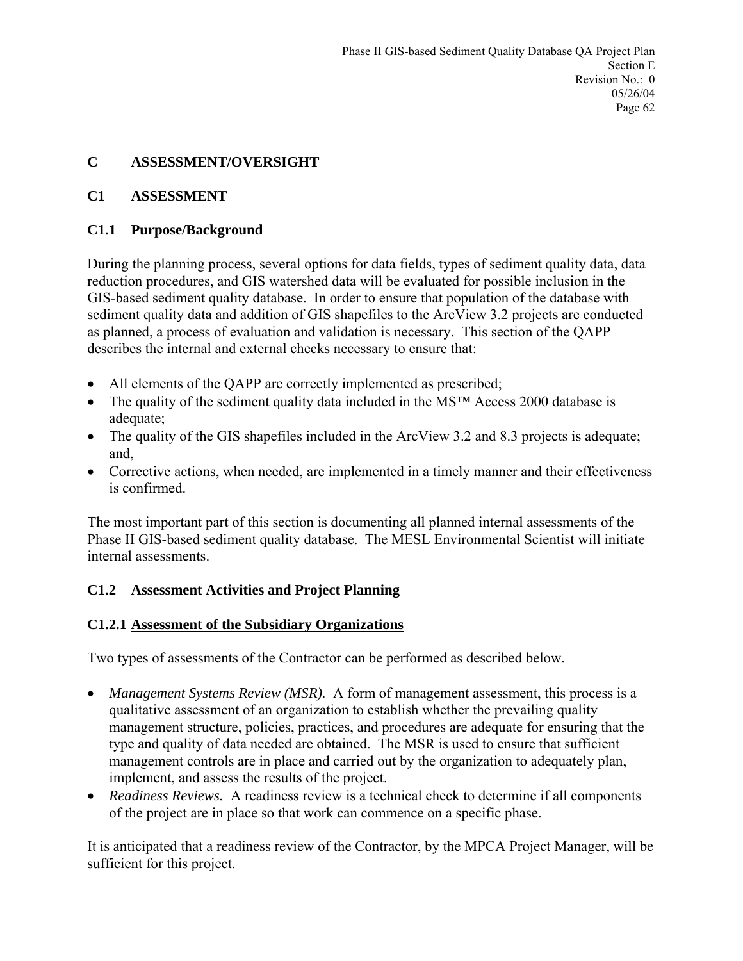### **C ASSESSMENT/OVERSIGHT**

### **C1 ASSESSMENT**

### **C1.1 Purpose/Background**

During the planning process, several options for data fields, types of sediment quality data, data reduction procedures, and GIS watershed data will be evaluated for possible inclusion in the GIS-based sediment quality database. In order to ensure that population of the database with sediment quality data and addition of GIS shapefiles to the ArcView 3.2 projects are conducted as planned, a process of evaluation and validation is necessary. This section of the QAPP describes the internal and external checks necessary to ensure that:

- All elements of the QAPP are correctly implemented as prescribed;
- The quality of the sediment quality data included in the MS<sup>TM</sup> Access 2000 database is adequate;
- The quality of the GIS shapefiles included in the ArcView 3.2 and 8.3 projects is adequate; and,
- Corrective actions, when needed, are implemented in a timely manner and their effectiveness is confirmed.

The most important part of this section is documenting all planned internal assessments of the Phase II GIS-based sediment quality database. The MESL Environmental Scientist will initiate internal assessments.

### **C1.2 Assessment Activities and Project Planning**

### **C1.2.1 Assessment of the Subsidiary Organizations**

Two types of assessments of the Contractor can be performed as described below.

- *Management Systems Review (MSR).* A form of management assessment, this process is a qualitative assessment of an organization to establish whether the prevailing quality management structure, policies, practices, and procedures are adequate for ensuring that the type and quality of data needed are obtained. The MSR is used to ensure that sufficient management controls are in place and carried out by the organization to adequately plan, implement, and assess the results of the project.
- *Readiness Reviews.* A readiness review is a technical check to determine if all components of the project are in place so that work can commence on a specific phase.

It is anticipated that a readiness review of the Contractor, by the MPCA Project Manager, will be sufficient for this project.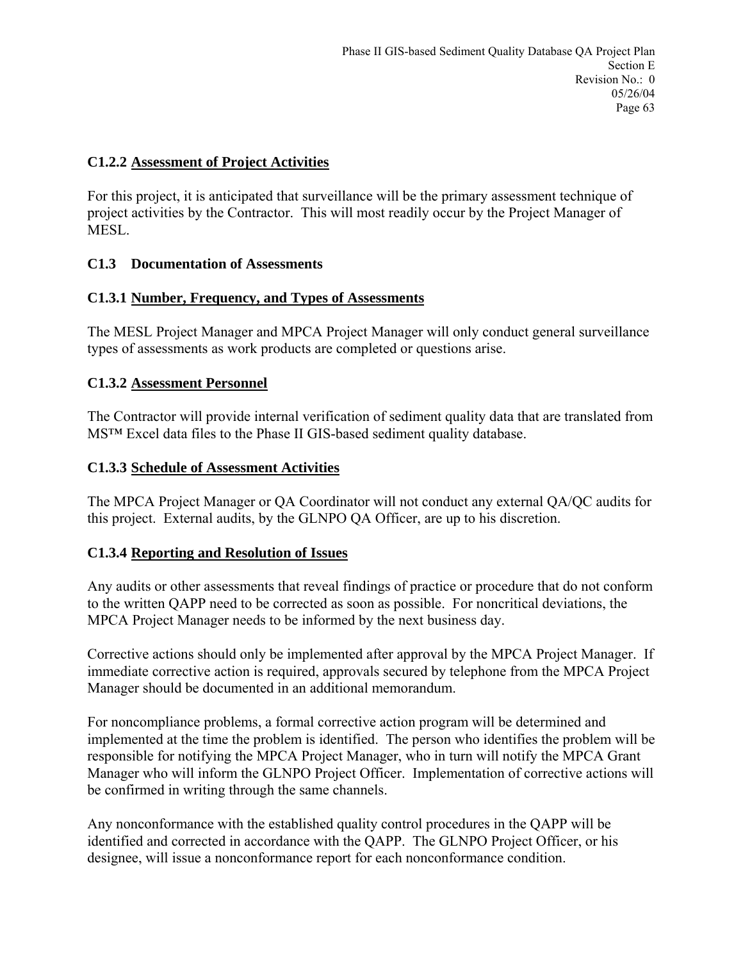#### **C1.2.2 Assessment of Project Activities**

For this project, it is anticipated that surveillance will be the primary assessment technique of project activities by the Contractor. This will most readily occur by the Project Manager of **MESL** 

### **C1.3 Documentation of Assessments**

### **C1.3.1 Number, Frequency, and Types of Assessments**

The MESL Project Manager and MPCA Project Manager will only conduct general surveillance types of assessments as work products are completed or questions arise.

### **C1.3.2 Assessment Personnel**

The Contractor will provide internal verification of sediment quality data that are translated from MS™ Excel data files to the Phase II GIS-based sediment quality database.

#### **C1.3.3 Schedule of Assessment Activities**

The MPCA Project Manager or QA Coordinator will not conduct any external QA/QC audits for this project. External audits, by the GLNPO QA Officer, are up to his discretion.

### **C1.3.4 Reporting and Resolution of Issues**

Any audits or other assessments that reveal findings of practice or procedure that do not conform to the written QAPP need to be corrected as soon as possible. For noncritical deviations, the MPCA Project Manager needs to be informed by the next business day.

Corrective actions should only be implemented after approval by the MPCA Project Manager. If immediate corrective action is required, approvals secured by telephone from the MPCA Project Manager should be documented in an additional memorandum.

For noncompliance problems, a formal corrective action program will be determined and implemented at the time the problem is identified. The person who identifies the problem will be responsible for notifying the MPCA Project Manager, who in turn will notify the MPCA Grant Manager who will inform the GLNPO Project Officer. Implementation of corrective actions will be confirmed in writing through the same channels.

Any nonconformance with the established quality control procedures in the QAPP will be identified and corrected in accordance with the QAPP. The GLNPO Project Officer, or his designee, will issue a nonconformance report for each nonconformance condition.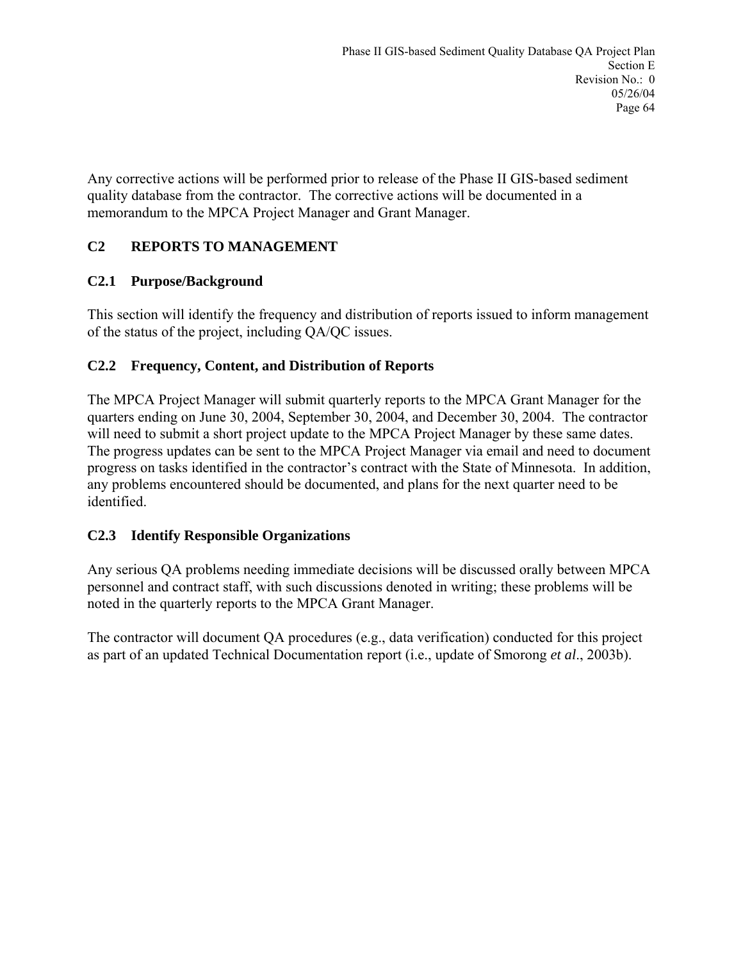Any corrective actions will be performed prior to release of the Phase II GIS-based sediment quality database from the contractor. The corrective actions will be documented in a memorandum to the MPCA Project Manager and Grant Manager.

### **C2 REPORTS TO MANAGEMENT**

### **C2.1 Purpose/Background**

This section will identify the frequency and distribution of reports issued to inform management of the status of the project, including QA/QC issues.

### **C2.2 Frequency, Content, and Distribution of Reports**

The MPCA Project Manager will submit quarterly reports to the MPCA Grant Manager for the quarters ending on June 30, 2004, September 30, 2004, and December 30, 2004. The contractor will need to submit a short project update to the MPCA Project Manager by these same dates. The progress updates can be sent to the MPCA Project Manager via email and need to document progress on tasks identified in the contractor's contract with the State of Minnesota. In addition, any problems encountered should be documented, and plans for the next quarter need to be identified.

#### **C2.3 Identify Responsible Organizations**

Any serious QA problems needing immediate decisions will be discussed orally between MPCA personnel and contract staff, with such discussions denoted in writing; these problems will be noted in the quarterly reports to the MPCA Grant Manager.

The contractor will document QA procedures (e.g., data verification) conducted for this project as part of an updated Technical Documentation report (i.e., update of Smorong *et al*., 2003b).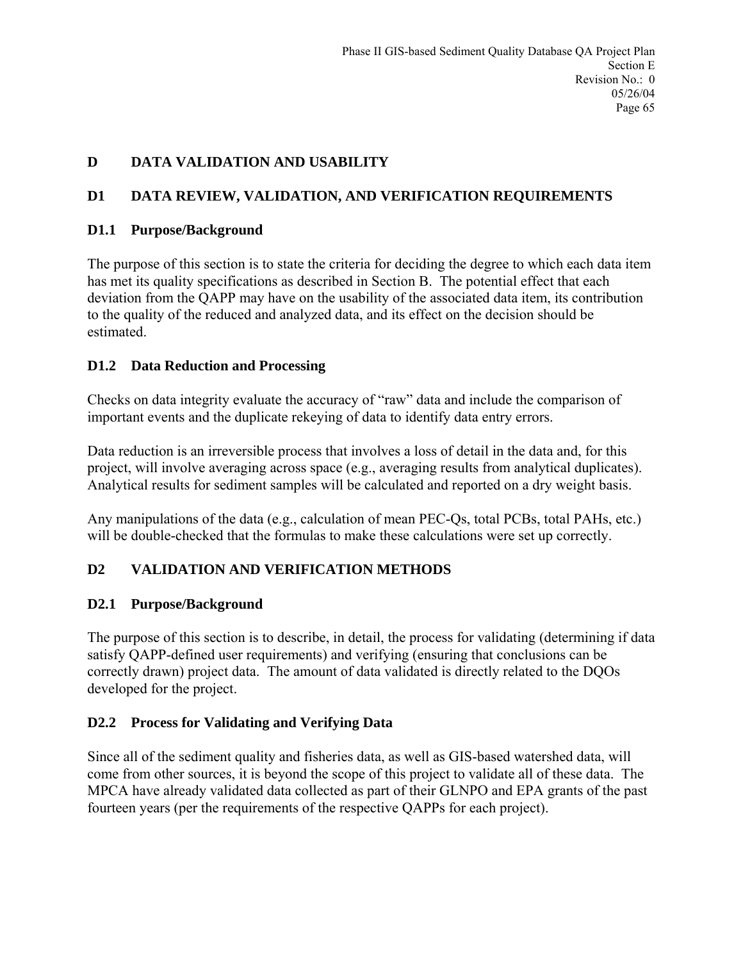### **D DATA VALIDATION AND USABILITY**

### **D1 DATA REVIEW, VALIDATION, AND VERIFICATION REQUIREMENTS**

#### **D1.1 Purpose/Background**

The purpose of this section is to state the criteria for deciding the degree to which each data item has met its quality specifications as described in Section B. The potential effect that each deviation from the QAPP may have on the usability of the associated data item, its contribution to the quality of the reduced and analyzed data, and its effect on the decision should be estimated.

### **D1.2 Data Reduction and Processing**

Checks on data integrity evaluate the accuracy of "raw" data and include the comparison of important events and the duplicate rekeying of data to identify data entry errors.

Data reduction is an irreversible process that involves a loss of detail in the data and, for this project, will involve averaging across space (e.g., averaging results from analytical duplicates). Analytical results for sediment samples will be calculated and reported on a dry weight basis.

Any manipulations of the data (e.g., calculation of mean PEC-Qs, total PCBs, total PAHs, etc.) will be double-checked that the formulas to make these calculations were set up correctly.

### **D2 VALIDATION AND VERIFICATION METHODS**

### **D2.1 Purpose/Background**

The purpose of this section is to describe, in detail, the process for validating (determining if data satisfy QAPP-defined user requirements) and verifying (ensuring that conclusions can be correctly drawn) project data. The amount of data validated is directly related to the DQOs developed for the project.

#### **D2.2 Process for Validating and Verifying Data**

Since all of the sediment quality and fisheries data, as well as GIS-based watershed data, will come from other sources, it is beyond the scope of this project to validate all of these data. The MPCA have already validated data collected as part of their GLNPO and EPA grants of the past fourteen years (per the requirements of the respective QAPPs for each project).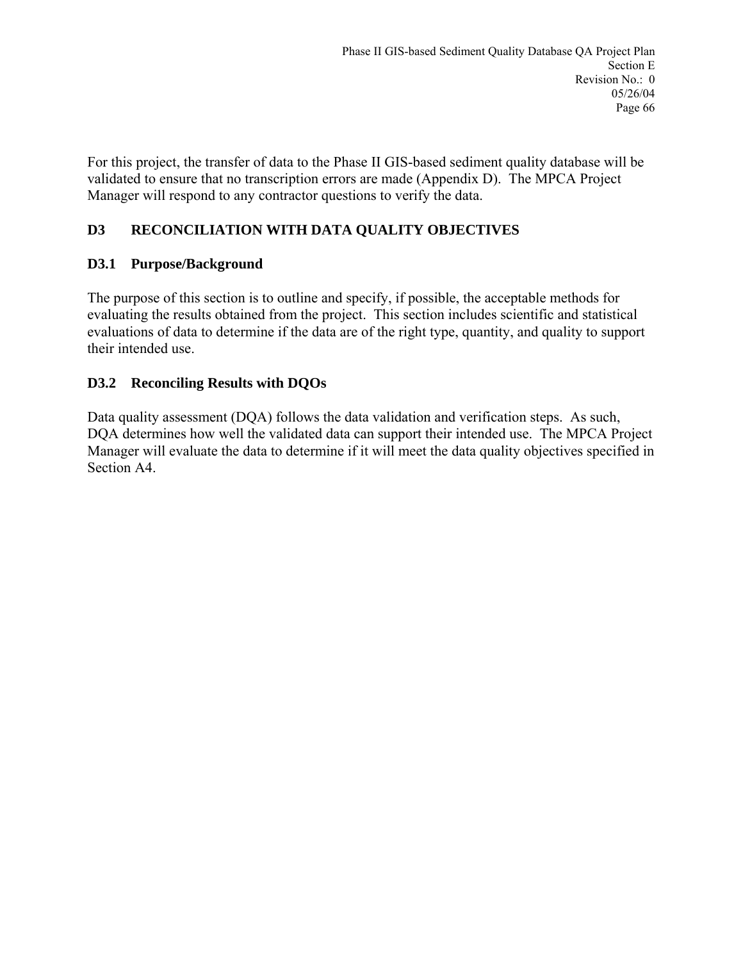For this project, the transfer of data to the Phase II GIS-based sediment quality database will be validated to ensure that no transcription errors are made (Appendix D). The MPCA Project Manager will respond to any contractor questions to verify the data.

# **D3 RECONCILIATION WITH DATA QUALITY OBJECTIVES**

# **D3.1 Purpose/Background**

The purpose of this section is to outline and specify, if possible, the acceptable methods for evaluating the results obtained from the project. This section includes scientific and statistical evaluations of data to determine if the data are of the right type, quantity, and quality to support their intended use.

# **D3.2 Reconciling Results with DQOs**

Data quality assessment (DQA) follows the data validation and verification steps. As such, DQA determines how well the validated data can support their intended use. The MPCA Project Manager will evaluate the data to determine if it will meet the data quality objectives specified in Section A4.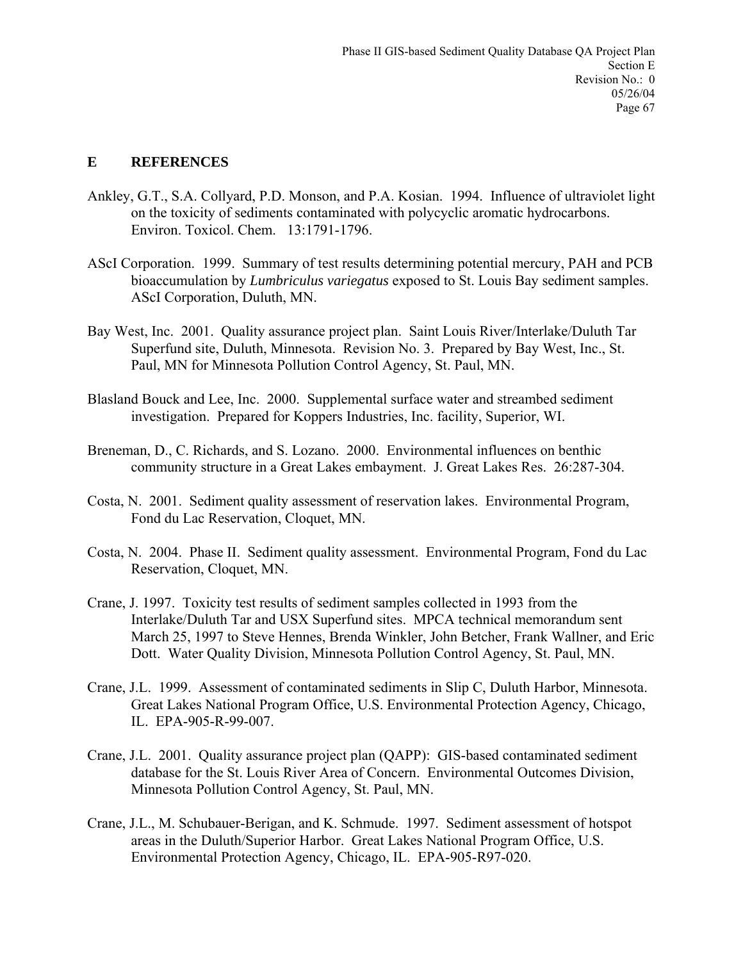## **E REFERENCES**

- Ankley, G.T., S.A. Collyard, P.D. Monson, and P.A. Kosian. 1994. Influence of ultraviolet light on the toxicity of sediments contaminated with polycyclic aromatic hydrocarbons. Environ. Toxicol. Chem. 13:1791-1796.
- AScI Corporation. 1999. Summary of test results determining potential mercury, PAH and PCB bioaccumulation by *Lumbriculus variegatus* exposed to St. Louis Bay sediment samples. AScI Corporation, Duluth, MN.
- Bay West, Inc. 2001. Quality assurance project plan. Saint Louis River/Interlake/Duluth Tar Superfund site, Duluth, Minnesota. Revision No. 3. Prepared by Bay West, Inc., St. Paul, MN for Minnesota Pollution Control Agency, St. Paul, MN.
- Blasland Bouck and Lee, Inc. 2000. Supplemental surface water and streambed sediment investigation. Prepared for Koppers Industries, Inc. facility, Superior, WI.
- Breneman, D., C. Richards, and S. Lozano. 2000. Environmental influences on benthic community structure in a Great Lakes embayment. J. Great Lakes Res. 26:287-304.
- Costa, N. 2001. Sediment quality assessment of reservation lakes. Environmental Program, Fond du Lac Reservation, Cloquet, MN.
- Costa, N. 2004. Phase II. Sediment quality assessment. Environmental Program, Fond du Lac Reservation, Cloquet, MN.
- Crane, J. 1997. Toxicity test results of sediment samples collected in 1993 from the Interlake/Duluth Tar and USX Superfund sites. MPCA technical memorandum sent March 25, 1997 to Steve Hennes, Brenda Winkler, John Betcher, Frank Wallner, and Eric Dott. Water Quality Division, Minnesota Pollution Control Agency, St. Paul, MN.
- Crane, J.L. 1999. Assessment of contaminated sediments in Slip C, Duluth Harbor, Minnesota. Great Lakes National Program Office, U.S. Environmental Protection Agency, Chicago, IL. EPA-905-R-99-007.
- Crane, J.L. 2001. Quality assurance project plan (QAPP): GIS-based contaminated sediment database for the St. Louis River Area of Concern. Environmental Outcomes Division, Minnesota Pollution Control Agency, St. Paul, MN.
- Crane, J.L., M. Schubauer-Berigan, and K. Schmude. 1997. Sediment assessment of hotspot areas in the Duluth/Superior Harbor. Great Lakes National Program Office, U.S. Environmental Protection Agency, Chicago, IL. EPA-905-R97-020.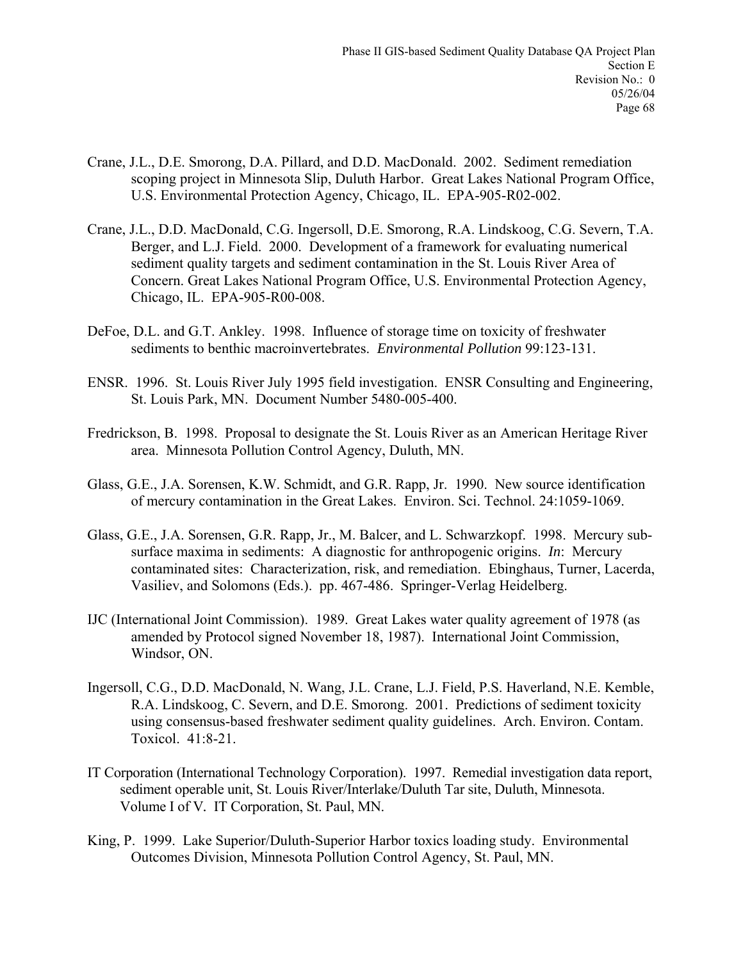- Crane, J.L., D.E. Smorong, D.A. Pillard, and D.D. MacDonald. 2002. Sediment remediation scoping project in Minnesota Slip, Duluth Harbor. Great Lakes National Program Office, U.S. Environmental Protection Agency, Chicago, IL. EPA-905-R02-002.
- Crane, J.L., D.D. MacDonald, C.G. Ingersoll, D.E. Smorong, R.A. Lindskoog, C.G. Severn, T.A. Berger, and L.J. Field. 2000. Development of a framework for evaluating numerical sediment quality targets and sediment contamination in the St. Louis River Area of Concern. Great Lakes National Program Office, U.S. Environmental Protection Agency, Chicago, IL. EPA-905-R00-008.
- DeFoe, D.L. and G.T. Ankley. 1998. Influence of storage time on toxicity of freshwater sediments to benthic macroinvertebrates. *Environmental Pollution* 99:123-131.
- ENSR. 1996. St. Louis River July 1995 field investigation. ENSR Consulting and Engineering, St. Louis Park, MN. Document Number 5480-005-400.
- Fredrickson, B. 1998. Proposal to designate the St. Louis River as an American Heritage River area. Minnesota Pollution Control Agency, Duluth, MN.
- Glass, G.E., J.A. Sorensen, K.W. Schmidt, and G.R. Rapp, Jr. 1990. New source identification of mercury contamination in the Great Lakes. Environ. Sci. Technol. 24:1059-1069.
- Glass, G.E., J.A. Sorensen, G.R. Rapp, Jr., M. Balcer, and L. Schwarzkopf. 1998. Mercury subsurface maxima in sediments: A diagnostic for anthropogenic origins. *In*: Mercury contaminated sites: Characterization, risk, and remediation. Ebinghaus, Turner, Lacerda, Vasiliev, and Solomons (Eds.). pp. 467-486. Springer-Verlag Heidelberg.
- IJC (International Joint Commission). 1989. Great Lakes water quality agreement of 1978 (as amended by Protocol signed November 18, 1987). International Joint Commission, Windsor, ON.
- Ingersoll, C.G., D.D. MacDonald, N. Wang, J.L. Crane, L.J. Field, P.S. Haverland, N.E. Kemble, R.A. Lindskoog, C. Severn, and D.E. Smorong. 2001. Predictions of sediment toxicity using consensus-based freshwater sediment quality guidelines. Arch. Environ. Contam. Toxicol. 41:8-21.
- IT Corporation (International Technology Corporation). 1997. Remedial investigation data report, sediment operable unit, St. Louis River/Interlake/Duluth Tar site, Duluth, Minnesota. Volume I of V*.* IT Corporation, St. Paul, MN.
- King, P. 1999. Lake Superior/Duluth-Superior Harbor toxics loading study. Environmental Outcomes Division, Minnesota Pollution Control Agency, St. Paul, MN.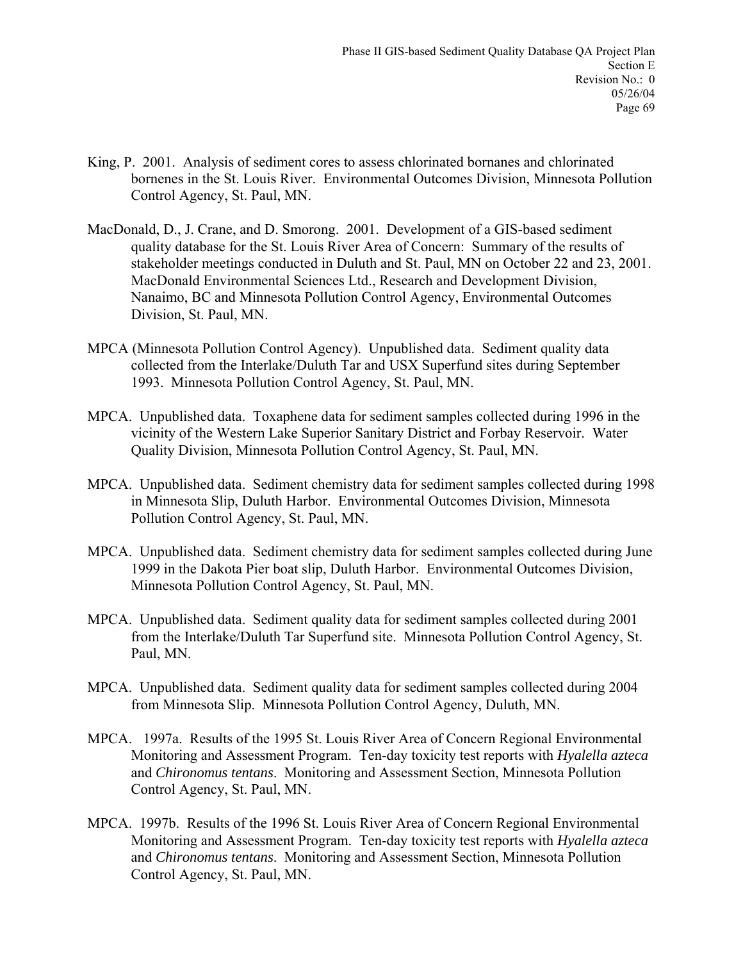- King, P. 2001. Analysis of sediment cores to assess chlorinated bornanes and chlorinated bornenes in the St. Louis River. Environmental Outcomes Division, Minnesota Pollution Control Agency, St. Paul, MN.
- MacDonald, D., J. Crane, and D. Smorong. 2001. Development of a GIS-based sediment quality database for the St. Louis River Area of Concern: Summary of the results of stakeholder meetings conducted in Duluth and St. Paul, MN on October 22 and 23, 2001. MacDonald Environmental Sciences Ltd., Research and Development Division, Nanaimo, BC and Minnesota Pollution Control Agency, Environmental Outcomes Division, St. Paul, MN.
- MPCA (Minnesota Pollution Control Agency). Unpublished data. Sediment quality data collected from the Interlake/Duluth Tar and USX Superfund sites during September 1993. Minnesota Pollution Control Agency, St. Paul, MN.
- MPCA. Unpublished data. Toxaphene data for sediment samples collected during 1996 in the vicinity of the Western Lake Superior Sanitary District and Forbay Reservoir. Water Quality Division, Minnesota Pollution Control Agency, St. Paul, MN.
- MPCA. Unpublished data. Sediment chemistry data for sediment samples collected during 1998 in Minnesota Slip, Duluth Harbor. Environmental Outcomes Division, Minnesota Pollution Control Agency, St. Paul, MN.
- MPCA. Unpublished data. Sediment chemistry data for sediment samples collected during June 1999 in the Dakota Pier boat slip, Duluth Harbor. Environmental Outcomes Division, Minnesota Pollution Control Agency, St. Paul, MN.
- MPCA. Unpublished data. Sediment quality data for sediment samples collected during 2001 from the Interlake/Duluth Tar Superfund site. Minnesota Pollution Control Agency, St. Paul, MN.
- MPCA. Unpublished data. Sediment quality data for sediment samples collected during 2004 from Minnesota Slip. Minnesota Pollution Control Agency, Duluth, MN.
- MPCA. 1997a. Results of the 1995 St. Louis River Area of Concern Regional Environmental Monitoring and Assessment Program. Ten-day toxicity test reports with *Hyalella azteca* and *Chironomus tentans*. Monitoring and Assessment Section, Minnesota Pollution Control Agency, St. Paul, MN.
- MPCA. 1997b. Results of the 1996 St. Louis River Area of Concern Regional Environmental Monitoring and Assessment Program. Ten-day toxicity test reports with *Hyalella azteca* and *Chironomus tentans*. Monitoring and Assessment Section, Minnesota Pollution Control Agency, St. Paul, MN.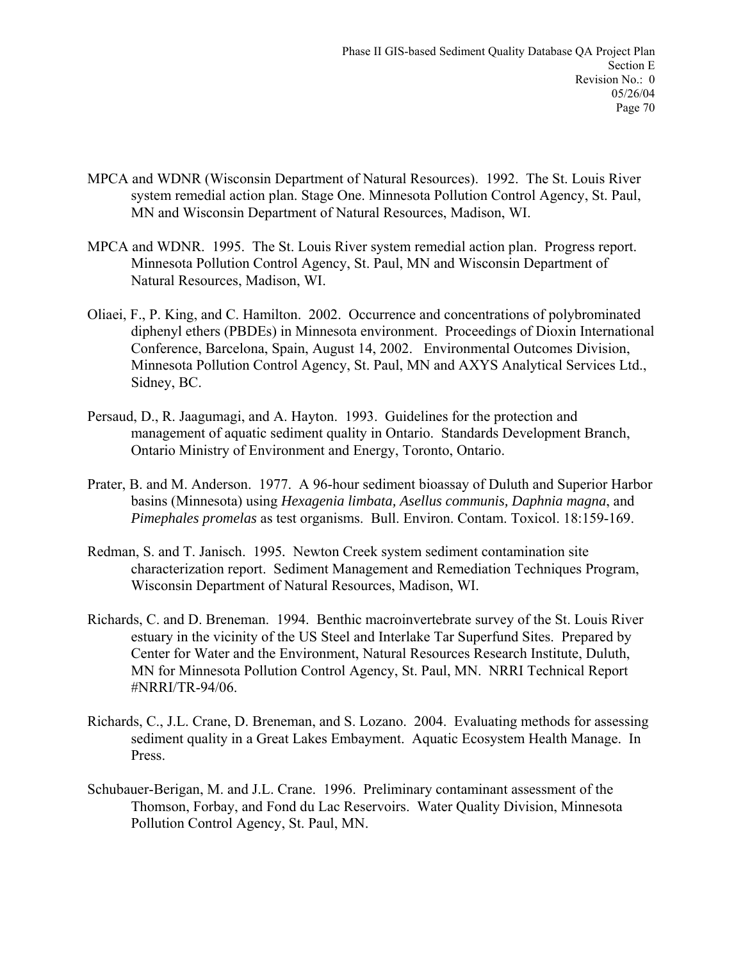- MPCA and WDNR (Wisconsin Department of Natural Resources). 1992. The St. Louis River system remedial action plan. Stage One. Minnesota Pollution Control Agency, St. Paul, MN and Wisconsin Department of Natural Resources, Madison, WI.
- MPCA and WDNR. 1995. The St. Louis River system remedial action plan. Progress report. Minnesota Pollution Control Agency, St. Paul, MN and Wisconsin Department of Natural Resources, Madison, WI.
- Oliaei, F., P. King, and C. Hamilton. 2002. Occurrence and concentrations of polybrominated diphenyl ethers (PBDEs) in Minnesota environment. Proceedings of Dioxin International Conference, Barcelona, Spain, August 14, 2002. Environmental Outcomes Division, Minnesota Pollution Control Agency, St. Paul, MN and AXYS Analytical Services Ltd., Sidney, BC.
- Persaud, D., R. Jaagumagi, and A. Hayton. 1993. Guidelines for the protection and management of aquatic sediment quality in Ontario. Standards Development Branch, Ontario Ministry of Environment and Energy, Toronto, Ontario.
- Prater, B. and M. Anderson. 1977. A 96-hour sediment bioassay of Duluth and Superior Harbor basins (Minnesota) using *Hexagenia limbata, Asellus communis, Daphnia magna*, and *Pimephales promelas* as test organisms. Bull. Environ. Contam. Toxicol. 18:159-169.
- Redman, S. and T. Janisch. 1995*.* Newton Creek system sediment contamination site characterization report. Sediment Management and Remediation Techniques Program, Wisconsin Department of Natural Resources, Madison, WI.
- Richards, C. and D. Breneman. 1994. Benthic macroinvertebrate survey of the St. Louis River estuary in the vicinity of the US Steel and Interlake Tar Superfund Sites. Prepared by Center for Water and the Environment, Natural Resources Research Institute, Duluth, MN for Minnesota Pollution Control Agency, St. Paul, MN. NRRI Technical Report #NRRI/TR-94/06.
- Richards, C., J.L. Crane, D. Breneman, and S. Lozano. 2004. Evaluating methods for assessing sediment quality in a Great Lakes Embayment. Aquatic Ecosystem Health Manage. In Press.
- Schubauer-Berigan, M. and J.L. Crane. 1996. Preliminary contaminant assessment of the Thomson, Forbay, and Fond du Lac Reservoirs. Water Quality Division, Minnesota Pollution Control Agency, St. Paul, MN.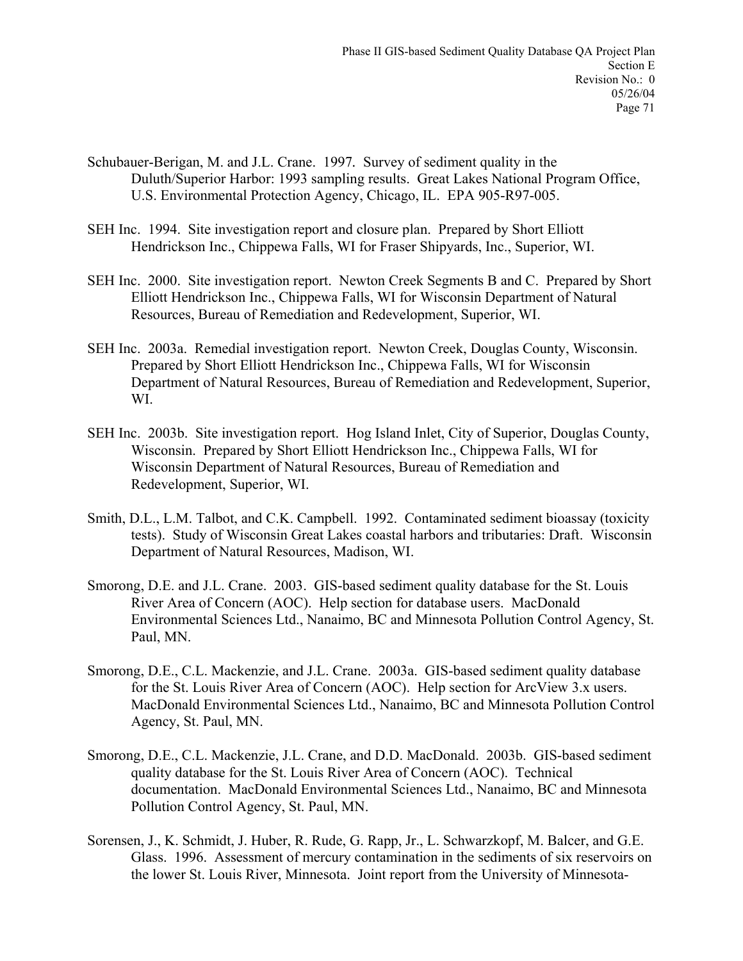- Schubauer-Berigan, M. and J.L. Crane. 1997*.* Survey of sediment quality in the Duluth/Superior Harbor: 1993 sampling results. Great Lakes National Program Office, U.S. Environmental Protection Agency, Chicago, IL. EPA 905-R97-005.
- SEH Inc. 1994. Site investigation report and closure plan. Prepared by Short Elliott Hendrickson Inc., Chippewa Falls, WI for Fraser Shipyards, Inc., Superior, WI.
- SEH Inc. 2000. Site investigation report. Newton Creek Segments B and C. Prepared by Short Elliott Hendrickson Inc., Chippewa Falls, WI for Wisconsin Department of Natural Resources, Bureau of Remediation and Redevelopment, Superior, WI.
- SEH Inc. 2003a. Remedial investigation report. Newton Creek, Douglas County, Wisconsin. Prepared by Short Elliott Hendrickson Inc., Chippewa Falls, WI for Wisconsin Department of Natural Resources, Bureau of Remediation and Redevelopment, Superior, WI.
- SEH Inc. 2003b. Site investigation report. Hog Island Inlet, City of Superior, Douglas County, Wisconsin. Prepared by Short Elliott Hendrickson Inc., Chippewa Falls, WI for Wisconsin Department of Natural Resources, Bureau of Remediation and Redevelopment, Superior, WI.
- Smith, D.L., L.M. Talbot, and C.K. Campbell. 1992. Contaminated sediment bioassay (toxicity tests). Study of Wisconsin Great Lakes coastal harbors and tributaries: Draft. Wisconsin Department of Natural Resources, Madison, WI.
- Smorong, D.E. and J.L. Crane. 2003. GIS-based sediment quality database for the St. Louis River Area of Concern (AOC). Help section for database users. MacDonald Environmental Sciences Ltd., Nanaimo, BC and Minnesota Pollution Control Agency, St. Paul, MN.
- Smorong, D.E., C.L. Mackenzie, and J.L. Crane. 2003a. GIS-based sediment quality database for the St. Louis River Area of Concern (AOC). Help section for ArcView 3.x users. MacDonald Environmental Sciences Ltd., Nanaimo, BC and Minnesota Pollution Control Agency, St. Paul, MN.
- Smorong, D.E., C.L. Mackenzie, J.L. Crane, and D.D. MacDonald. 2003b. GIS-based sediment quality database for the St. Louis River Area of Concern (AOC). Technical documentation. MacDonald Environmental Sciences Ltd., Nanaimo, BC and Minnesota Pollution Control Agency, St. Paul, MN.
- Sorensen, J., K. Schmidt, J. Huber, R. Rude, G. Rapp, Jr., L. Schwarzkopf, M. Balcer, and G.E. Glass. 1996. Assessment of mercury contamination in the sediments of six reservoirs on the lower St. Louis River, Minnesota. Joint report from the University of Minnesota-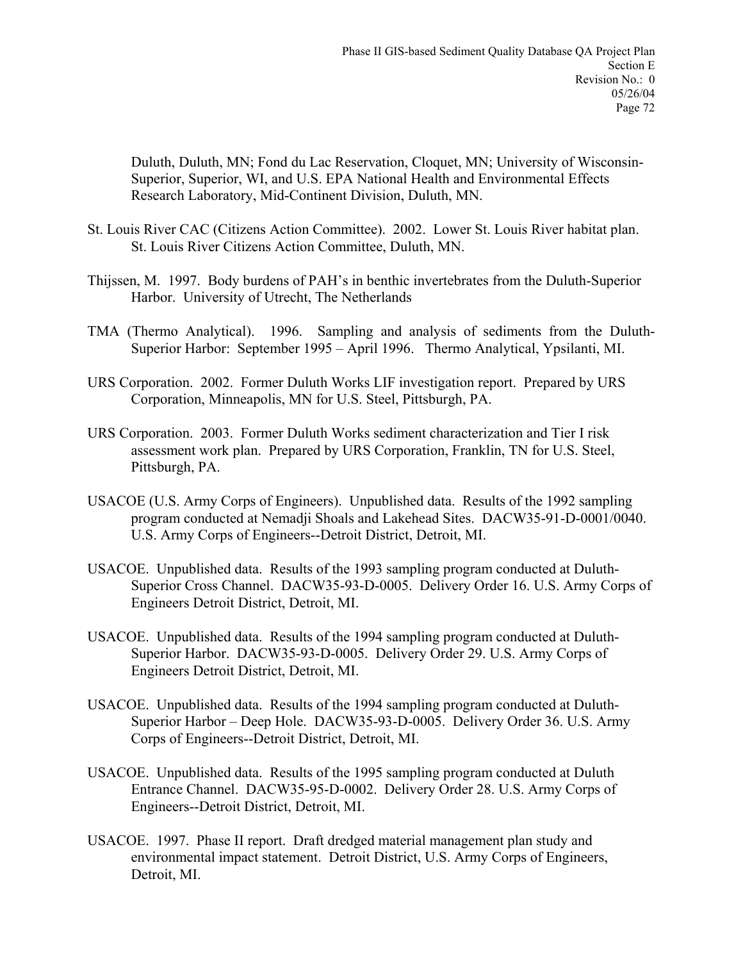Duluth, Duluth, MN; Fond du Lac Reservation, Cloquet, MN; University of Wisconsin-Superior, Superior, WI, and U.S. EPA National Health and Environmental Effects Research Laboratory, Mid-Continent Division, Duluth, MN.

- St. Louis River CAC (Citizens Action Committee). 2002. Lower St. Louis River habitat plan. St. Louis River Citizens Action Committee, Duluth, MN.
- Thijssen, M. 1997. Body burdens of PAH's in benthic invertebrates from the Duluth-Superior Harbor. University of Utrecht, The Netherlands
- TMA (Thermo Analytical). 1996. Sampling and analysis of sediments from the Duluth-Superior Harbor: September 1995 – April 1996. Thermo Analytical, Ypsilanti, MI.
- URS Corporation. 2002. Former Duluth Works LIF investigation report. Prepared by URS Corporation, Minneapolis, MN for U.S. Steel, Pittsburgh, PA.
- URS Corporation. 2003. Former Duluth Works sediment characterization and Tier I risk assessment work plan. Prepared by URS Corporation, Franklin, TN for U.S. Steel, Pittsburgh, PA.
- USACOE (U.S. Army Corps of Engineers). Unpublished data. Results of the 1992 sampling program conducted at Nemadji Shoals and Lakehead Sites. DACW35-91-D-0001/0040. U.S. Army Corps of Engineers--Detroit District, Detroit, MI.
- USACOE. Unpublished data. Results of the 1993 sampling program conducted at Duluth-Superior Cross Channel. DACW35-93-D-0005. Delivery Order 16. U.S. Army Corps of Engineers Detroit District, Detroit, MI.
- USACOE. Unpublished data. Results of the 1994 sampling program conducted at Duluth-Superior Harbor. DACW35-93-D-0005. Delivery Order 29. U.S. Army Corps of Engineers Detroit District, Detroit, MI.
- USACOE. Unpublished data. Results of the 1994 sampling program conducted at Duluth-Superior Harbor – Deep Hole. DACW35-93-D-0005. Delivery Order 36. U.S. Army Corps of Engineers--Detroit District, Detroit, MI.
- USACOE. Unpublished data. Results of the 1995 sampling program conducted at Duluth Entrance Channel. DACW35-95-D-0002. Delivery Order 28. U.S. Army Corps of Engineers--Detroit District, Detroit, MI.
- USACOE. 1997. Phase II report. Draft dredged material management plan study and environmental impact statement. Detroit District, U.S. Army Corps of Engineers, Detroit, MI.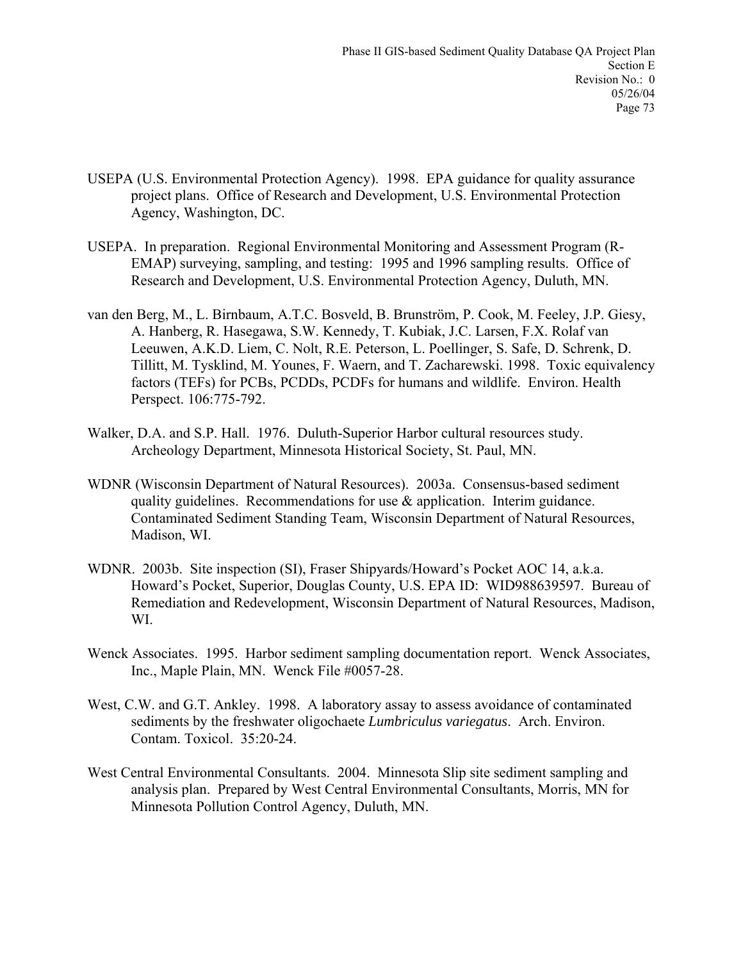- USEPA (U.S. Environmental Protection Agency). 1998. EPA guidance for quality assurance project plans. Office of Research and Development, U.S. Environmental Protection Agency, Washington, DC.
- USEPA. In preparation. Regional Environmental Monitoring and Assessment Program (R-EMAP) surveying, sampling, and testing: 1995 and 1996 sampling results. Office of Research and Development, U.S. Environmental Protection Agency, Duluth, MN.
- van den Berg, M., L. Birnbaum, A.T.C. Bosveld, B. Brunström, P. Cook, M. Feeley, J.P. Giesy, A. Hanberg, R. Hasegawa, S.W. Kennedy, T. Kubiak, J.C. Larsen, F.X. Rolaf van Leeuwen, A.K.D. Liem, C. Nolt, R.E. Peterson, L. Poellinger, S. Safe, D. Schrenk, D. Tillitt, M. Tysklind, M. Younes, F. Waern, and T. Zacharewski. 1998. Toxic equivalency factors (TEFs) for PCBs, PCDDs, PCDFs for humans and wildlife. Environ. Health Perspect. 106:775-792.
- Walker, D.A. and S.P. Hall. 1976. Duluth-Superior Harbor cultural resources study. Archeology Department, Minnesota Historical Society, St. Paul, MN.
- WDNR (Wisconsin Department of Natural Resources). 2003a. Consensus-based sediment quality guidelines. Recommendations for use  $\&$  application. Interim guidance. Contaminated Sediment Standing Team, Wisconsin Department of Natural Resources, Madison, WI.
- WDNR. 2003b. Site inspection (SI), Fraser Shipyards/Howard's Pocket AOC 14, a.k.a. Howard's Pocket, Superior, Douglas County, U.S. EPA ID: WID988639597. Bureau of Remediation and Redevelopment, Wisconsin Department of Natural Resources, Madison, WI.
- Wenck Associates. 1995. Harbor sediment sampling documentation report. Wenck Associates, Inc., Maple Plain, MN. Wenck File #0057-28.
- West, C.W. and G.T. Ankley. 1998. A laboratory assay to assess avoidance of contaminated sediments by the freshwater oligochaete *Lumbriculus variegatus*. Arch. Environ. Contam. Toxicol. 35:20-24.
- West Central Environmental Consultants. 2004. Minnesota Slip site sediment sampling and analysis plan. Prepared by West Central Environmental Consultants, Morris, MN for Minnesota Pollution Control Agency, Duluth, MN.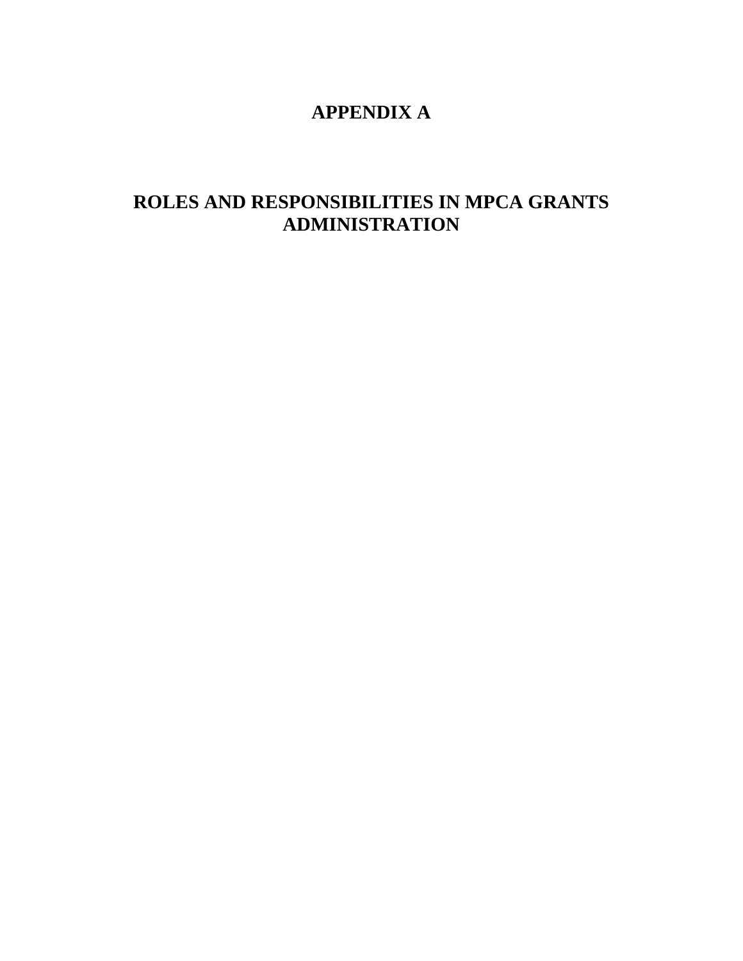# **APPENDIX A**

# **ROLES AND RESPONSIBILITIES IN MPCA GRANTS ADMINISTRATION**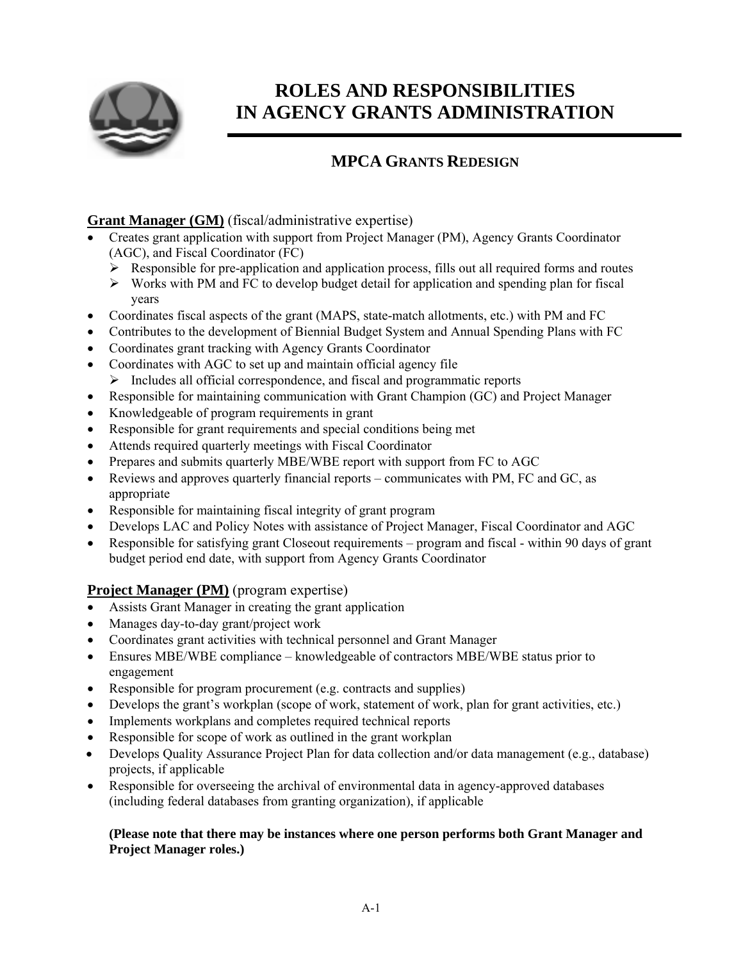

# **ROLES AND RESPONSIBILITIES IN AGENCY GRANTS ADMINISTRATION**

# **MPCA GRANTS REDESIGN**

# **Grant Manager (GM)** (fiscal/administrative expertise)

- Creates grant application with support from Project Manager (PM), Agency Grants Coordinator (AGC), and Fiscal Coordinator (FC)
	- $\triangleright$  Responsible for pre-application and application process, fills out all required forms and routes
	- $\triangleright$  Works with PM and FC to develop budget detail for application and spending plan for fiscal years
- Coordinates fiscal aspects of the grant (MAPS, state-match allotments, etc.) with PM and FC
- Contributes to the development of Biennial Budget System and Annual Spending Plans with FC
- Coordinates grant tracking with Agency Grants Coordinator
- Coordinates with AGC to set up and maintain official agency file
	- ¾ Includes all official correspondence, and fiscal and programmatic reports
- Responsible for maintaining communication with Grant Champion (GC) and Project Manager
- Knowledgeable of program requirements in grant
- Responsible for grant requirements and special conditions being met
- Attends required quarterly meetings with Fiscal Coordinator
- Prepares and submits quarterly MBE/WBE report with support from FC to AGC
- Reviews and approves quarterly financial reports communicates with PM, FC and GC, as appropriate
- Responsible for maintaining fiscal integrity of grant program
- Develops LAC and Policy Notes with assistance of Project Manager, Fiscal Coordinator and AGC
- Responsible for satisfying grant Closeout requirements program and fiscal within 90 days of grant budget period end date, with support from Agency Grants Coordinator

## **Project Manager (PM)** (program expertise)

- Assists Grant Manager in creating the grant application
- Manages day-to-day grant/project work
- Coordinates grant activities with technical personnel and Grant Manager
- Ensures MBE/WBE compliance knowledgeable of contractors MBE/WBE status prior to engagement
- Responsible for program procurement (e.g. contracts and supplies)
- Develops the grant's workplan (scope of work, statement of work, plan for grant activities, etc.)
- Implements workplans and completes required technical reports
- Responsible for scope of work as outlined in the grant workplan
- Develops Quality Assurance Project Plan for data collection and/or data management (e.g., database) projects, if applicable
- Responsible for overseeing the archival of environmental data in agency-approved databases (including federal databases from granting organization), if applicable

### **(Please note that there may be instances where one person performs both Grant Manager and Project Manager roles.)**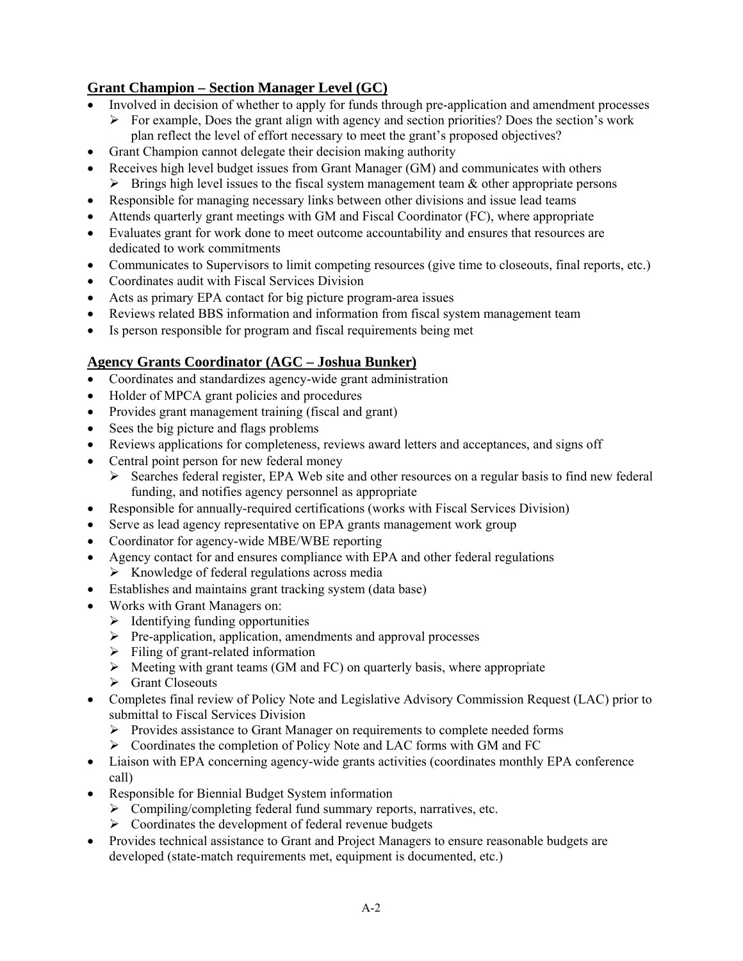# **Grant Champion – Section Manager Level (GC)**

- Involved in decision of whether to apply for funds through pre-application and amendment processes
	- $\triangleright$  For example, Does the grant align with agency and section priorities? Does the section's work plan reflect the level of effort necessary to meet the grant's proposed objectives?
- Grant Champion cannot delegate their decision making authority
- Receives high level budget issues from Grant Manager (GM) and communicates with others  $\triangleright$  Brings high level issues to the fiscal system management team & other appropriate persons
- Responsible for managing necessary links between other divisions and issue lead teams
- Attends quarterly grant meetings with GM and Fiscal Coordinator (FC), where appropriate
- Evaluates grant for work done to meet outcome accountability and ensures that resources are dedicated to work commitments
- Communicates to Supervisors to limit competing resources (give time to closeouts, final reports, etc.)
- Coordinates audit with Fiscal Services Division
- Acts as primary EPA contact for big picture program-area issues
- Reviews related BBS information and information from fiscal system management team
- Is person responsible for program and fiscal requirements being met

# **Agency Grants Coordinator (AGC – Joshua Bunker)**

- Coordinates and standardizes agency-wide grant administration
- Holder of MPCA grant policies and procedures
- Provides grant management training (fiscal and grant)
- Sees the big picture and flags problems
- Reviews applications for completeness, reviews award letters and acceptances, and signs off
- Central point person for new federal money
	- $\triangleright$  Searches federal register, EPA Web site and other resources on a regular basis to find new federal funding, and notifies agency personnel as appropriate
- Responsible for annually-required certifications (works with Fiscal Services Division)
- Serve as lead agency representative on EPA grants management work group
- Coordinator for agency-wide MBE/WBE reporting
- Agency contact for and ensures compliance with EPA and other federal regulations
	- $\triangleright$  Knowledge of federal regulations across media
- Establishes and maintains grant tracking system (data base)
- Works with Grant Managers on:
	- $\triangleright$  Identifying funding opportunities
	- $\triangleright$  Pre-application, application, amendments and approval processes
	- $\triangleright$  Filing of grant-related information
	- $\triangleright$  Meeting with grant teams (GM and FC) on quarterly basis, where appropriate
	- $\triangleright$  Grant Closeouts
- Completes final review of Policy Note and Legislative Advisory Commission Request (LAC) prior to submittal to Fiscal Services Division
	- $\triangleright$  Provides assistance to Grant Manager on requirements to complete needed forms
	- $\triangleright$  Coordinates the completion of Policy Note and LAC forms with GM and FC
- Liaison with EPA concerning agency-wide grants activities (coordinates monthly EPA conference call)
- Responsible for Biennial Budget System information
	- $\triangleright$  Compiling/completing federal fund summary reports, narratives, etc.
	- $\triangleright$  Coordinates the development of federal revenue budgets
- Provides technical assistance to Grant and Project Managers to ensure reasonable budgets are developed (state-match requirements met, equipment is documented, etc.)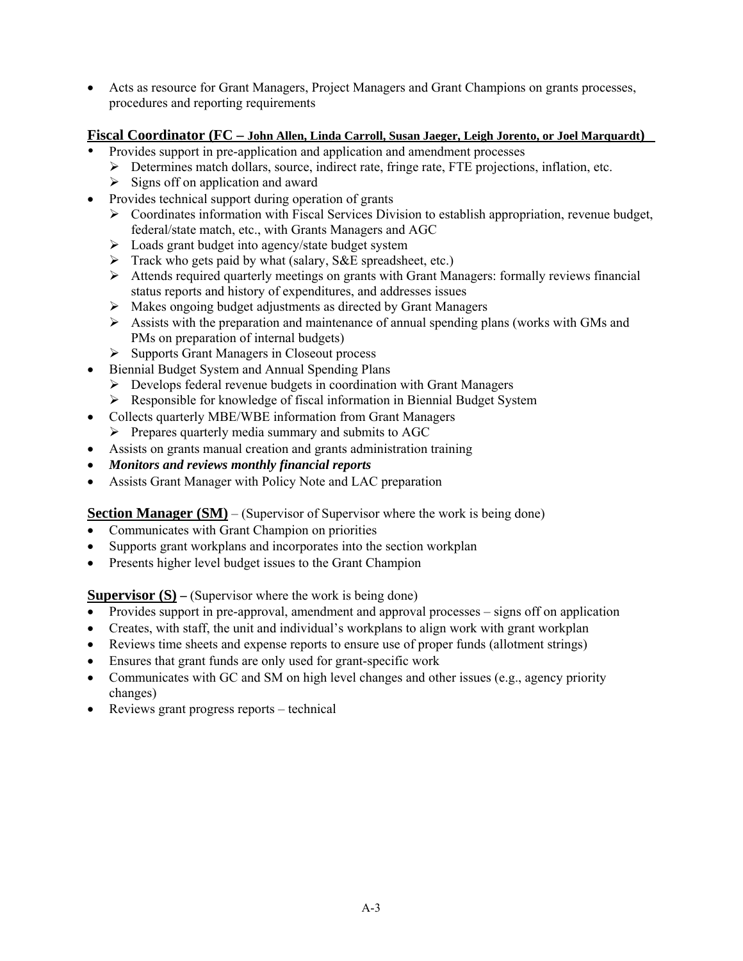• Acts as resource for Grant Managers, Project Managers and Grant Champions on grants processes, procedures and reporting requirements

## **Fiscal Coordinator (FC – John Allen, Linda Carroll, Susan Jaeger, Leigh Jorento, or Joel Marquardt)**

- Provides support in pre-application and application and amendment processes
	- $\triangleright$  Determines match dollars, source, indirect rate, fringe rate, FTE projections, inflation, etc.
	- $\triangleright$  Signs off on application and award
- Provides technical support during operation of grants
	- $\triangleright$  Coordinates information with Fiscal Services Division to establish appropriation, revenue budget, federal/state match, etc., with Grants Managers and AGC
	- $\triangleright$  Loads grant budget into agency/state budget system
	- $\triangleright$  Track who gets paid by what (salary, S&E spreadsheet, etc.)
	- $\triangleright$  Attends required quarterly meetings on grants with Grant Managers: formally reviews financial status reports and history of expenditures, and addresses issues
	- ¾ Makes ongoing budget adjustments as directed by Grant Managers
	- $\triangleright$  Assists with the preparation and maintenance of annual spending plans (works with GMs and PMs on preparation of internal budgets)
	- ¾ Supports Grant Managers in Closeout process
- Biennial Budget System and Annual Spending Plans
	- $\triangleright$  Develops federal revenue budgets in coordination with Grant Managers
	- ¾ Responsible for knowledge of fiscal information in Biennial Budget System
- Collects quarterly MBE/WBE information from Grant Managers
- $\triangleright$  Prepares quarterly media summary and submits to AGC
- Assists on grants manual creation and grants administration training
- *Monitors and reviews monthly financial reports*
- Assists Grant Manager with Policy Note and LAC preparation

### **Section Manager (SM)** – (Supervisor of Supervisor where the work is being done)

- Communicates with Grant Champion on priorities
- Supports grant workplans and incorporates into the section workplan
- Presents higher level budget issues to the Grant Champion

**Supervisor (S) – (Supervisor where the work is being done)** 

- Provides support in pre-approval, amendment and approval processes signs off on application
- Creates, with staff, the unit and individual's workplans to align work with grant workplan
- Reviews time sheets and expense reports to ensure use of proper funds (allotment strings)
- Ensures that grant funds are only used for grant-specific work
- Communicates with GC and SM on high level changes and other issues (e.g., agency priority changes)
- Reviews grant progress reports technical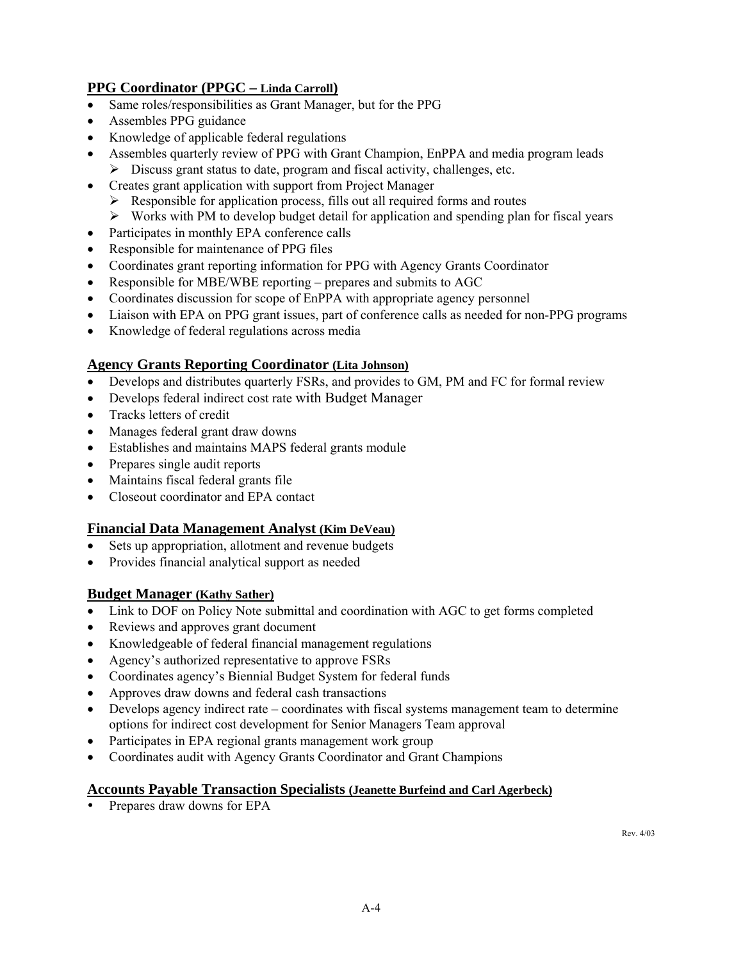### **PPG Coordinator (PPGC – Linda Carroll)**

- Same roles/responsibilities as Grant Manager, but for the PPG
- Assembles PPG guidance
- Knowledge of applicable federal regulations
- Assembles quarterly review of PPG with Grant Champion, EnPPA and media program leads
	- $\triangleright$  Discuss grant status to date, program and fiscal activity, challenges, etc.
- Creates grant application with support from Project Manager
	- $\triangleright$  Responsible for application process, fills out all required forms and routes
	- $\triangleright$  Works with PM to develop budget detail for application and spending plan for fiscal years
- Participates in monthly EPA conference calls
- Responsible for maintenance of PPG files
- Coordinates grant reporting information for PPG with Agency Grants Coordinator
- Responsible for MBE/WBE reporting prepares and submits to AGC
- Coordinates discussion for scope of EnPPA with appropriate agency personnel
- Liaison with EPA on PPG grant issues, part of conference calls as needed for non-PPG programs
- Knowledge of federal regulations across media

#### **Agency Grants Reporting Coordinator (Lita Johnson)**

- Develops and distributes quarterly FSRs, and provides to GM, PM and FC for formal review
- Develops federal indirect cost rate with Budget Manager
- Tracks letters of credit
- Manages federal grant draw downs
- Establishes and maintains MAPS federal grants module
- Prepares single audit reports
- Maintains fiscal federal grants file
- Closeout coordinator and EPA contact

### **Financial Data Management Analyst (Kim DeVeau)**

- Sets up appropriation, allotment and revenue budgets
- Provides financial analytical support as needed

### **Budget Manager (Kathy Sather)**

- Link to DOF on Policy Note submittal and coordination with AGC to get forms completed
- Reviews and approves grant document
- Knowledgeable of federal financial management regulations
- Agency's authorized representative to approve FSRs
- Coordinates agency's Biennial Budget System for federal funds
- Approves draw downs and federal cash transactions
- Develops agency indirect rate coordinates with fiscal systems management team to determine options for indirect cost development for Senior Managers Team approval
- Participates in EPA regional grants management work group
- Coordinates audit with Agency Grants Coordinator and Grant Champions

#### **Accounts Payable Transaction Specialists (Jeanette Burfeind and Carl Agerbeck)**

Prepares draw downs for EPA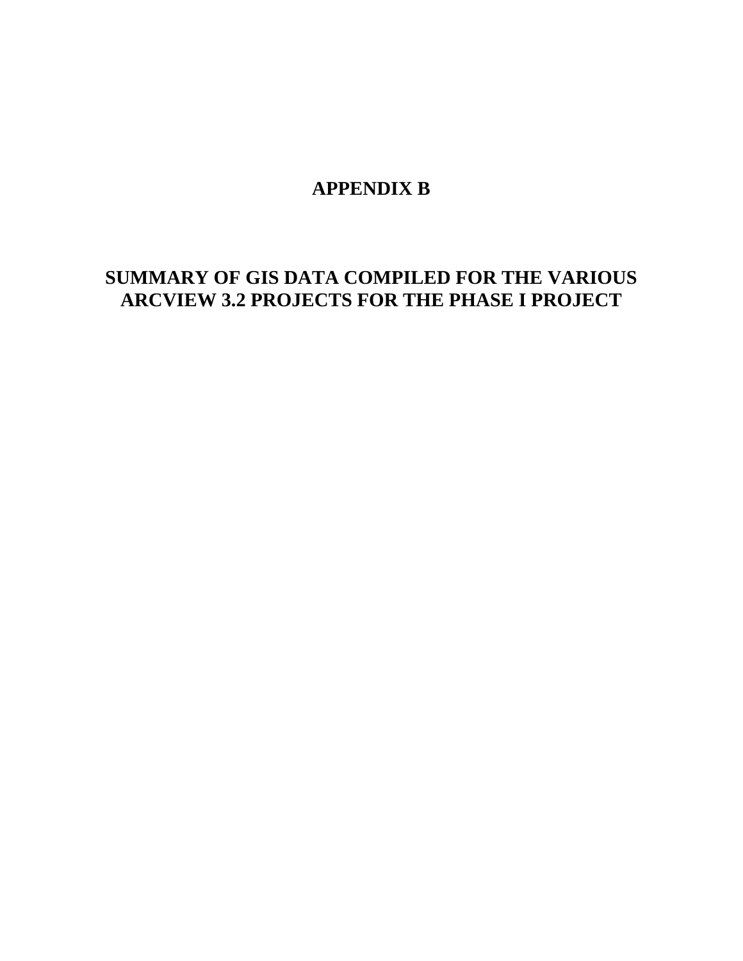# **APPENDIX B**

# **SUMMARY OF GIS DATA COMPILED FOR THE VARIOUS ARCVIEW 3.2 PROJECTS FOR THE PHASE I PROJECT**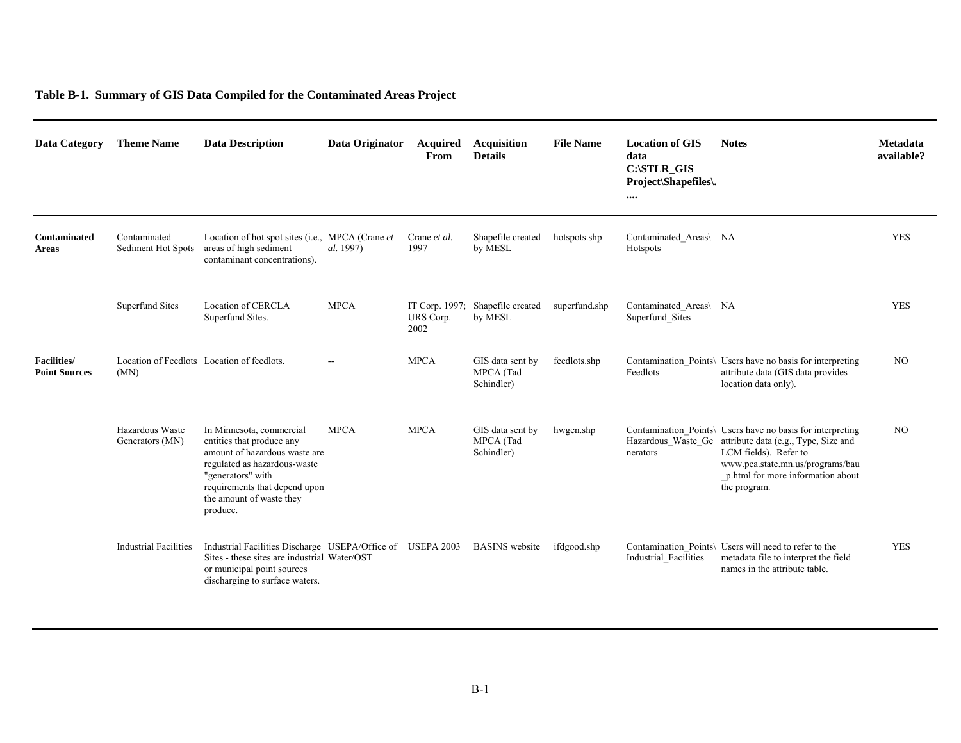### **Table B-1. Summary of GIS Data Compiled for the Contaminated Areas Project**

| Data Category                              | <b>Theme Name</b>                  | <b>Data Description</b>                                                                                                                                                                                              | Data Originator | <b>Acquired</b><br>From | <b>Acquisition</b><br><b>Details</b>        | <b>File Name</b> | <b>Location of GIS</b><br>data<br>$C:\S$ TLR_GIS<br>Project\Shapefiles\.<br> | <b>Notes</b>                                                                                                                                                                                                                             | Metadata<br>available? |
|--------------------------------------------|------------------------------------|----------------------------------------------------------------------------------------------------------------------------------------------------------------------------------------------------------------------|-----------------|-------------------------|---------------------------------------------|------------------|------------------------------------------------------------------------------|------------------------------------------------------------------------------------------------------------------------------------------------------------------------------------------------------------------------------------------|------------------------|
| Contaminated<br><b>Areas</b>               | Contaminated<br>Sediment Hot Spots | Location of hot spot sites (i.e., MPCA (Crane et<br>areas of high sediment<br>contaminant concentrations).                                                                                                           | al. 1997)       | Crane et al.<br>1997    | Shapefile created<br>by MESL                | hotspots.shp     | Contaminated Areas\ NA<br>Hotspots                                           |                                                                                                                                                                                                                                          | <b>YES</b>             |
|                                            | <b>Superfund Sites</b>             | Location of CERCLA<br>Superfund Sites.                                                                                                                                                                               | <b>MPCA</b>     | URS Corp.<br>2002       | IT Corp. 1997; Shapefile created<br>by MESL | superfund.shp    | Contaminated Areas\ NA<br>Superfund Sites                                    |                                                                                                                                                                                                                                          | <b>YES</b>             |
| <b>Facilities/</b><br><b>Point Sources</b> | (MN)                               | Location of Feedlots Location of feedlots.                                                                                                                                                                           | $-$             | <b>MPCA</b>             | GIS data sent by<br>MPCA (Tad<br>Schindler) | feedlots.shp     | Feedlots                                                                     | Contamination Points\ Users have no basis for interpreting<br>attribute data (GIS data provides<br>location data only).                                                                                                                  | N <sub>O</sub>         |
|                                            | Hazardous Waste<br>Generators (MN) | In Minnesota, commercial<br>entities that produce any<br>amount of hazardous waste are<br>regulated as hazardous-waste<br>"generators" with<br>requirements that depend upon<br>the amount of waste they<br>produce. | <b>MPCA</b>     | <b>MPCA</b>             | GIS data sent by<br>MPCA (Tad<br>Schindler) | hwgen.shp        | nerators                                                                     | Contamination_Points\ Users have no basis for interpreting<br>Hazardous_Waste_Ge attribute data (e.g., Type, Size and<br>LCM fields). Refer to<br>www.pca.state.mn.us/programs/bau<br>_p.html for more information about<br>the program. | NO <sub>1</sub>        |
|                                            | <b>Industrial Facilities</b>       | Industrial Facilities Discharge USEPA/Office of USEPA 2003<br>Sites - these sites are industrial Water/OST<br>or municipal point sources<br>discharging to surface waters.                                           |                 |                         | <b>BASINS</b> website                       | ifdgood.shp      | Industrial Facilities                                                        | Contamination Points\ Users will need to refer to the<br>metadata file to interpret the field<br>names in the attribute table.                                                                                                           | <b>YES</b>             |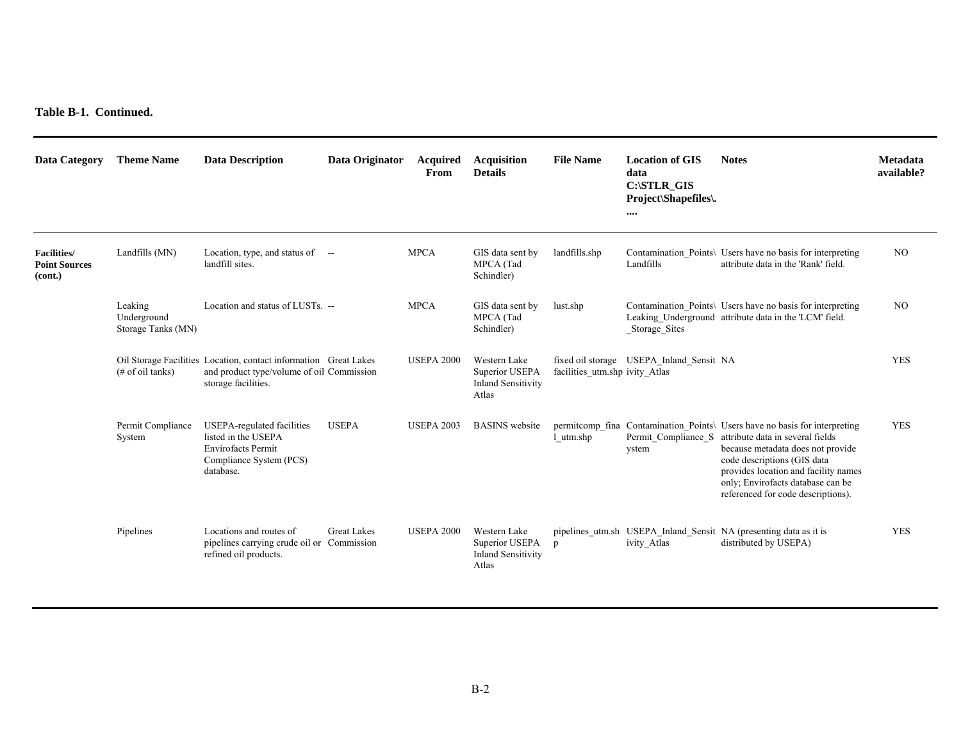**Table B-1. Continued.** 

| Data Category                                          | <b>Theme Name</b>                            | <b>Data Description</b>                                                                                                              | Data Originator    | Acquired<br>From  | <b>Acquisition</b><br><b>Details</b>                                 | <b>File Name</b>               | <b>Location of GIS</b><br>data<br>C:\STLR_GIS<br><b>Project</b> \Shapefiles\.<br>$\cdots$ | <b>Notes</b>                                                                                                                                                                                                                                                                                                              | <b>Metadata</b><br>available? |
|--------------------------------------------------------|----------------------------------------------|--------------------------------------------------------------------------------------------------------------------------------------|--------------------|-------------------|----------------------------------------------------------------------|--------------------------------|-------------------------------------------------------------------------------------------|---------------------------------------------------------------------------------------------------------------------------------------------------------------------------------------------------------------------------------------------------------------------------------------------------------------------------|-------------------------------|
| <b>Facilities</b> /<br><b>Point Sources</b><br>(cont.) | Landfills (MN)                               | Location, type, and status of --<br>landfill sites.                                                                                  |                    | <b>MPCA</b>       | GIS data sent by<br>MPCA (Tad<br>Schindler)                          | landfills.shp                  | Landfills                                                                                 | Contamination Points\ Users have no basis for interpreting<br>attribute data in the 'Rank' field.                                                                                                                                                                                                                         | NO.                           |
|                                                        | Leaking<br>Underground<br>Storage Tanks (MN) | Location and status of LUSTs. --                                                                                                     |                    | <b>MPCA</b>       | GIS data sent by<br>MPCA (Tad<br>Schindler)                          | lust.shp                       | Storage Sites                                                                             | Contamination Points\ Users have no basis for interpreting<br>Leaking_Underground attribute data in the 'LCM' field.                                                                                                                                                                                                      | N <sub>O</sub>                |
|                                                        | $(\# of oil tanks)$                          | Oil Storage Facilities Location, contact information Great Lakes<br>and product type/volume of oil Commission<br>storage facilities. |                    | <b>USEPA 2000</b> | Western Lake<br>Superior USEPA<br><b>Inland Sensitivity</b><br>Atlas | facilities utm.shp ivity Atlas | fixed oil storage USEPA Inland Sensit NA                                                  |                                                                                                                                                                                                                                                                                                                           | <b>YES</b>                    |
|                                                        | Permit Compliance<br>System                  | <b>USEPA-regulated facilities</b><br>listed in the USEPA<br><b>Envirofacts Permit</b><br>Compliance System (PCS)<br>database.        | <b>USEPA</b>       | <b>USEPA 2003</b> | <b>BASINS</b> website                                                | l utm.shp                      | ystem                                                                                     | permittomp fina Contamination Points\ Users have no basis for interpreting<br>Permit Compliance S attribute data in several fields<br>because metadata does not provide<br>code descriptions (GIS data<br>provides location and facility names<br>only; Envirofacts database can be<br>referenced for code descriptions). | <b>YES</b>                    |
|                                                        | Pipelines                                    | Locations and routes of<br>pipelines carrying crude oil or Commission<br>refined oil products.                                       | <b>Great Lakes</b> | <b>USEPA 2000</b> | Western Lake<br>Superior USEPA<br><b>Inland Sensitivity</b><br>Atlas | p                              | ivity Atlas                                                                               | pipelines utm.sh USEPA Inland Sensit NA (presenting data as it is<br>distributed by USEPA)                                                                                                                                                                                                                                | <b>YES</b>                    |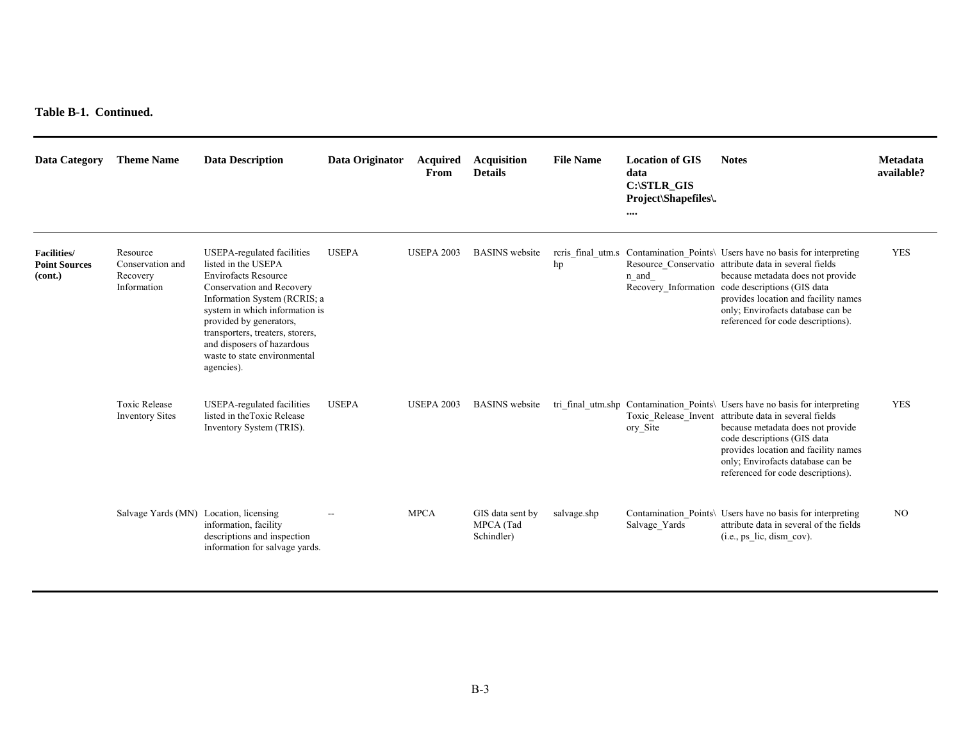**Table B-1. Continued.** 

| <b>Data Category</b>                                  | <b>Theme Name</b>                                       | <b>Data Description</b>                                                                                                                                                                                                                                                                                                    | Data Originator | <b>Acquired</b><br>From | <b>Acquisition</b><br><b>Details</b>        | <b>File Name</b> | <b>Location of GIS</b><br>data<br>C:\STLR_GIS<br>Project\Shapefiles\.<br>$\cdots$ | <b>Notes</b>                                                                                                                                                                                                                                                                                                                                      | <b>Metadata</b><br>available? |
|-------------------------------------------------------|---------------------------------------------------------|----------------------------------------------------------------------------------------------------------------------------------------------------------------------------------------------------------------------------------------------------------------------------------------------------------------------------|-----------------|-------------------------|---------------------------------------------|------------------|-----------------------------------------------------------------------------------|---------------------------------------------------------------------------------------------------------------------------------------------------------------------------------------------------------------------------------------------------------------------------------------------------------------------------------------------------|-------------------------------|
| <b>Facilities/</b><br><b>Point Sources</b><br>(cont.) | Resource<br>Conservation and<br>Recovery<br>Information | USEPA-regulated facilities<br>listed in the USEPA<br><b>Envirofacts Resource</b><br>Conservation and Recovery<br>Information System (RCRIS; a<br>system in which information is<br>provided by generators,<br>transporters, treaters, storers,<br>and disposers of hazardous<br>waste to state environmental<br>agencies). | <b>USEPA</b>    | <b>USEPA 2003</b>       | <b>BASINS</b> website                       | hp               | n and                                                                             | reris final utm.s Contamination Points\ Users have no basis for interpreting<br>Resource_Conservatio attribute data in several fields<br>because metadata does not provide<br>Recovery_Information code descriptions (GIS data<br>provides location and facility names<br>only; Envirofacts database can be<br>referenced for code descriptions). | <b>YES</b>                    |
|                                                       | <b>Toxic Release</b><br><b>Inventory Sites</b>          | <b>USEPA-regulated facilities</b><br>listed in the Toxic Release<br>Inventory System (TRIS).                                                                                                                                                                                                                               | <b>USEPA</b>    | <b>USEPA 2003</b>       | <b>BASINS</b> website                       |                  | ory Site                                                                          | tri_final_utm.shp Contamination_Points\ Users have no basis for interpreting<br>Toxic Release Invent attribute data in several fields<br>because metadata does not provide<br>code descriptions (GIS data<br>provides location and facility names<br>only; Envirofacts database can be<br>referenced for code descriptions).                      | <b>YES</b>                    |
|                                                       | Salvage Yards (MN) Location, licensing                  | information, facility<br>descriptions and inspection<br>information for salvage vards.                                                                                                                                                                                                                                     |                 | <b>MPCA</b>             | GIS data sent by<br>MPCA (Tad<br>Schindler) | salvage.shp      | Salvage_Yards                                                                     | Contamination_Points\ Users have no basis for interpreting<br>attribute data in several of the fields<br>$(i.e., ps$ lic, dism cov).                                                                                                                                                                                                              | N <sub>O</sub>                |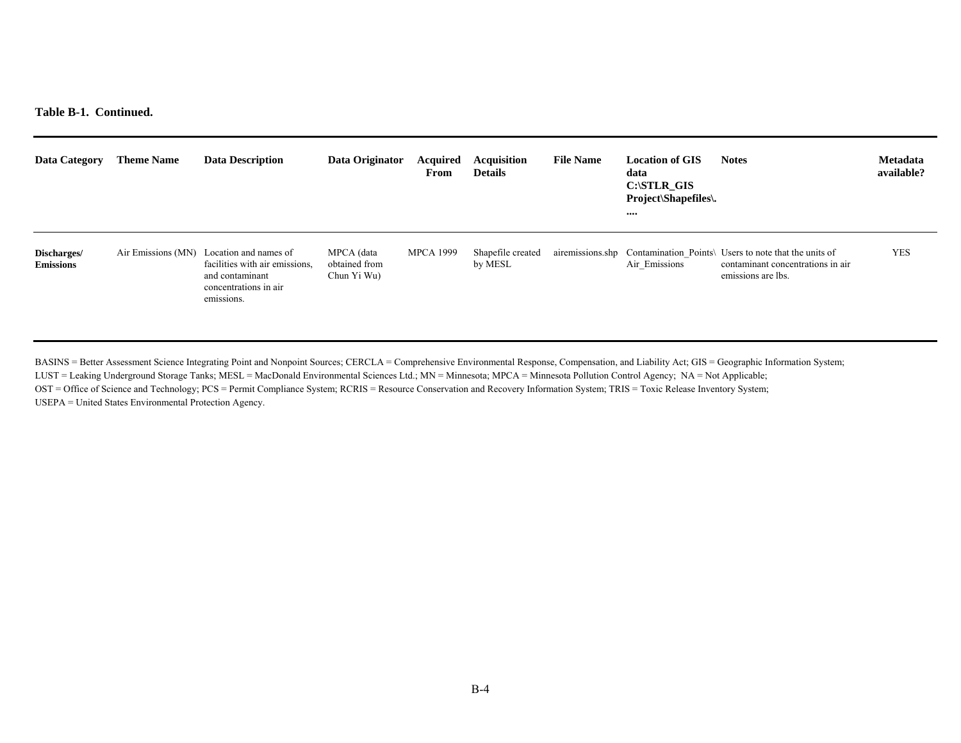**Table B-1. Continued.** 

| Data Category                   | <b>Theme Name</b>  | <b>Data Description</b>                                                                                           | Data Originator                            | Acquired<br>From | <b>Acquisition</b><br><b>Details</b> | <b>File Name</b> | <b>Location of GIS</b><br>data<br>$C:\$ STLR GIS<br>Project\Shapefiles\.<br>$\cdots$ | <b>Notes</b>                                                                                                                      | <b>Metadata</b><br>available? |
|---------------------------------|--------------------|-------------------------------------------------------------------------------------------------------------------|--------------------------------------------|------------------|--------------------------------------|------------------|--------------------------------------------------------------------------------------|-----------------------------------------------------------------------------------------------------------------------------------|-------------------------------|
| Discharges/<br><b>Emissions</b> | Air Emissions (MN) | Location and names of<br>facilities with air emissions.<br>and contaminant<br>concentrations in air<br>emissions. | MPCA (data<br>obtained from<br>Chun Yi Wu) | <b>MPCA 1999</b> | Shapefile created<br>by MESL         |                  | Air Emissions                                                                        | airemissions.shp Contamination Points\ Users to note that the units of<br>contaminant concentrations in air<br>emissions are lbs. | <b>YES</b>                    |

BASINS = Better Assessment Science Integrating Point and Nonpoint Sources; CERCLA = Comprehensive Environmental Response, Compensation, and Liability Act; GIS = Geographic Information System; LUST = Leaking Underground Storage Tanks; MESL = MacDonald Environmental Sciences Ltd.; MN = Minnesota; MPCA = Minnesota Pollution Control Agency; NA = Not Applicable; OST = Office of Science and Technology; PCS = Permit Compliance System; RCRIS = Resource Conservation and Recovery Information System; TRIS = Toxic Release Inventory System; USEPA = United States Environmental Protection Agency.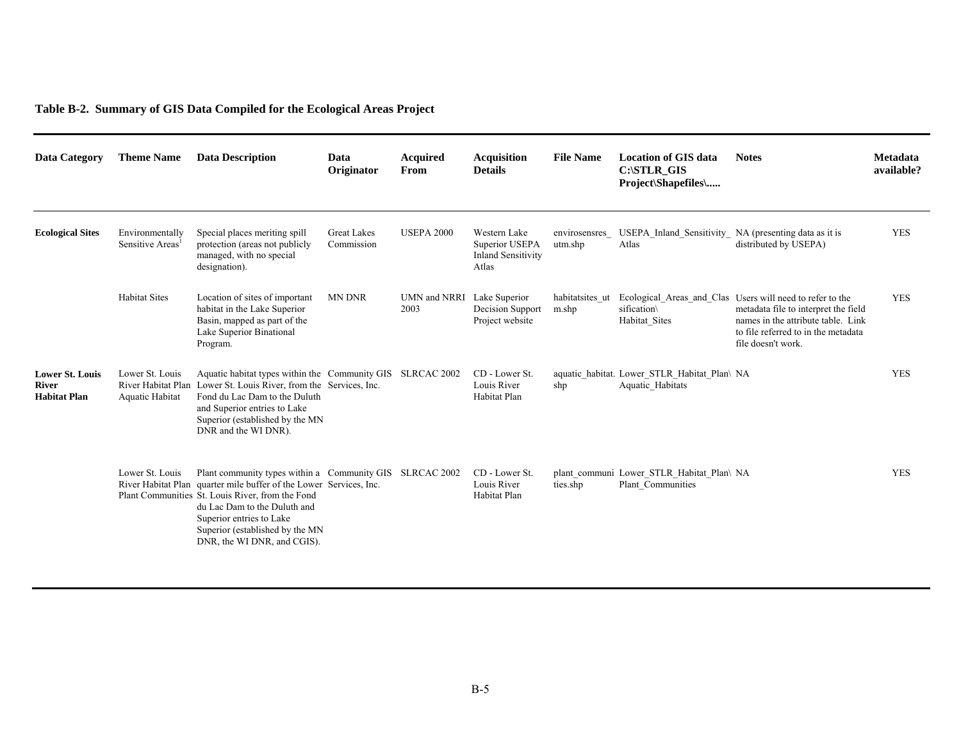# **Table B-2. Summary of GIS Data Compiled for the Ecological Areas Project**

| Data Category                                          | <b>Theme Name</b>                         | <b>Data Description</b>                                                                                                                                                                                                                                                                                          | Data<br>Originator               | <b>Acquired</b><br>From            | <b>Acquisition</b><br><b>Details</b>                                 | <b>File Name</b>         | <b>Location of GIS data</b><br>C:\STLR_GIS<br>Project\Shapefiles\ | <b>Notes</b>                                                                                                                                                                                         | <b>Metadata</b><br>available? |
|--------------------------------------------------------|-------------------------------------------|------------------------------------------------------------------------------------------------------------------------------------------------------------------------------------------------------------------------------------------------------------------------------------------------------------------|----------------------------------|------------------------------------|----------------------------------------------------------------------|--------------------------|-------------------------------------------------------------------|------------------------------------------------------------------------------------------------------------------------------------------------------------------------------------------------------|-------------------------------|
| <b>Ecological Sites</b>                                | Environmentally<br>Sensitive Areas        | Special places meriting spill<br>protection (areas not publicly<br>managed, with no special<br>designation).                                                                                                                                                                                                     | <b>Great Lakes</b><br>Commission | <b>USEPA 2000</b>                  | Western Lake<br>Superior USEPA<br><b>Inland Sensitivity</b><br>Atlas | envirosensres<br>utm.shp | USEPA Inland Sensitivity NA (presenting data as it is<br>Atlas    | distributed by USEPA)                                                                                                                                                                                | <b>YES</b>                    |
|                                                        | <b>Habitat Sites</b>                      | Location of sites of important<br>habitat in the Lake Superior<br>Basin, mapped as part of the<br>Lake Superior Binational<br>Program.                                                                                                                                                                           | <b>MN DNR</b>                    | UMN and NRRI Lake Superior<br>2003 | Decision Support<br>Project website                                  | habitatsites ut<br>m.shp | sification\<br>Habitat Sites                                      | Ecological Areas and Clas Users will need to refer to the<br>metadata file to interpret the field<br>names in the attribute table. Link<br>to file referred to in the metadata<br>file doesn't work. | <b>YES</b>                    |
| <b>Lower St. Louis</b><br>River<br><b>Habitat Plan</b> | Lower St. Louis<br><b>Aquatic Habitat</b> | Aquatic habitat types within the Community GIS SLRCAC 2002<br>River Habitat Plan Lower St. Louis River, from the Services, Inc.<br>Fond du Lac Dam to the Duluth<br>and Superior entries to Lake<br>Superior (established by the MN<br>DNR and the WI DNR).                                                      |                                  |                                    | CD - Lower St.<br>Louis River<br>Habitat Plan                        | shp                      | aquatic habitat. Lower STLR Habitat Plan\ NA<br>Aquatic Habitats  |                                                                                                                                                                                                      | <b>YES</b>                    |
|                                                        | Lower St. Louis                           | Plant community types within a Community GIS SLRCAC 2002<br>River Habitat Plan quarter mile buffer of the Lower Services, Inc.<br>Plant Communities St. Louis River, from the Fond<br>du Lac Dam to the Duluth and<br>Superior entries to Lake<br>Superior (established by the MN<br>DNR, the WI DNR, and CGIS). |                                  |                                    | CD - Lower St.<br>Louis River<br>Habitat Plan                        | ties.shp                 | plant communi Lower STLR Habitat Plan\ NA<br>Plant Communities    |                                                                                                                                                                                                      | <b>YES</b>                    |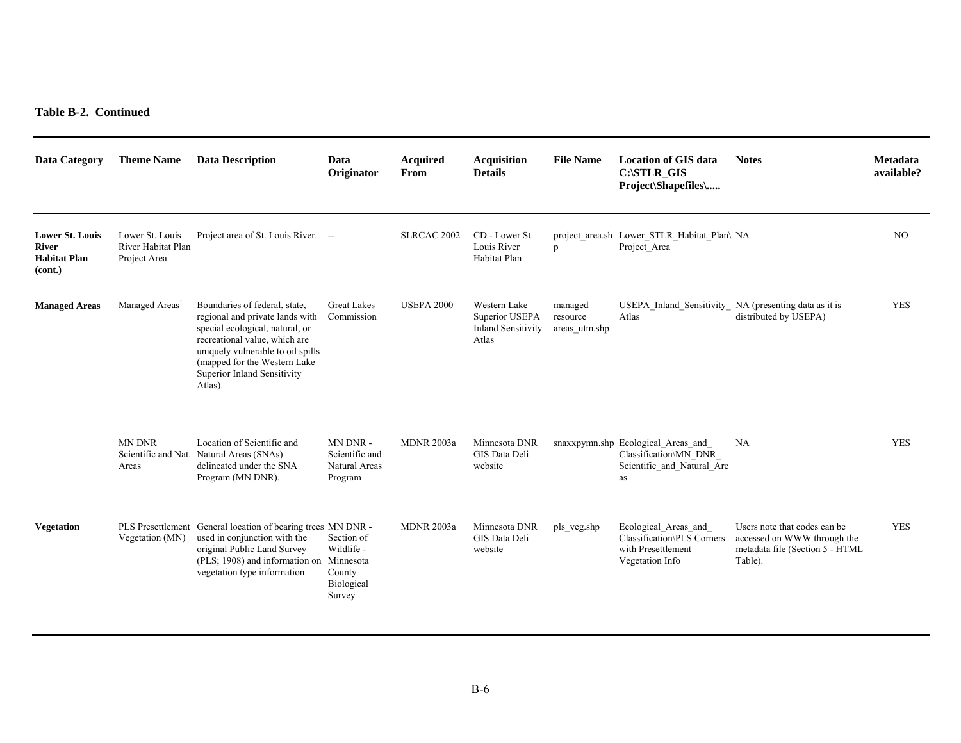#### **Table B-2. Continued**

| <b>Data Category</b>                                              | <b>Theme Name</b>                                     | <b>Data Description</b>                                                                                                                                                                                                                              | Data<br>Originator                                         | <b>Acquired</b><br>From | <b>Acquisition</b><br><b>Details</b>                                 | <b>File Name</b>                     | <b>Location of GIS data</b><br>C:\STLR GIS<br>Project\Shapefiles\                               | <b>Notes</b>                                                                                              | Metadata<br>available? |
|-------------------------------------------------------------------|-------------------------------------------------------|------------------------------------------------------------------------------------------------------------------------------------------------------------------------------------------------------------------------------------------------------|------------------------------------------------------------|-------------------------|----------------------------------------------------------------------|--------------------------------------|-------------------------------------------------------------------------------------------------|-----------------------------------------------------------------------------------------------------------|------------------------|
| <b>Lower St. Louis</b><br>River<br><b>Habitat Plan</b><br>(cont.) | Lower St. Louis<br>River Habitat Plan<br>Project Area | Project area of St. Louis River. --                                                                                                                                                                                                                  |                                                            | SLRCAC 2002             | CD - Lower St.<br>Louis River<br>Habitat Plan                        | p                                    | project area.sh Lower STLR Habitat Plan\ NA<br>Project Area                                     |                                                                                                           | NO.                    |
| <b>Managed Areas</b>                                              | Managed Areas <sup>1</sup>                            | Boundaries of federal, state,<br>regional and private lands with<br>special ecological, natural, or<br>recreational value, which are<br>uniquely vulnerable to oil spills<br>(mapped for the Western Lake)<br>Superior Inland Sensitivity<br>Atlas). | <b>Great Lakes</b><br>Commission                           | <b>USEPA 2000</b>       | Western Lake<br>Superior USEPA<br><b>Inland Sensitivity</b><br>Atlas | managed<br>resource<br>areas_utm.shp | USEPA Inland Sensitivity NA (presenting data as it is<br>Atlas                                  | distributed by USEPA)                                                                                     | <b>YES</b>             |
|                                                                   | <b>MN DNR</b><br>Areas                                | Location of Scientific and<br>Scientific and Nat. Natural Areas (SNAs)<br>delineated under the SNA<br>Program (MN DNR).                                                                                                                              | MN DNR-<br>Scientific and<br>Natural Areas<br>Program      | <b>MDNR 2003a</b>       | Minnesota DNR<br>GIS Data Deli<br>website                            |                                      | snaxxpymn.shp Ecological Areas and<br>Classification\MN DNR<br>Scientific and Natural Are<br>as | NA                                                                                                        | <b>YES</b>             |
| <b>Vegetation</b>                                                 | Vegetation (MN)                                       | PLS Presettlement General location of bearing trees MN DNR -<br>used in conjunction with the<br>original Public Land Survey<br>(PLS; 1908) and information on Minnesota<br>vegetation type information.                                              | Section of<br>Wildlife -<br>County<br>Biological<br>Survey | <b>MDNR 2003a</b>       | Minnesota DNR<br>GIS Data Deli<br>website                            | pls_veg.shp                          | Ecological Areas and<br>Classification\PLS Corners<br>with Presettlement<br>Vegetation Info     | Users note that codes can be<br>accessed on WWW through the<br>metadata file (Section 5 - HTML<br>Table). | <b>YES</b>             |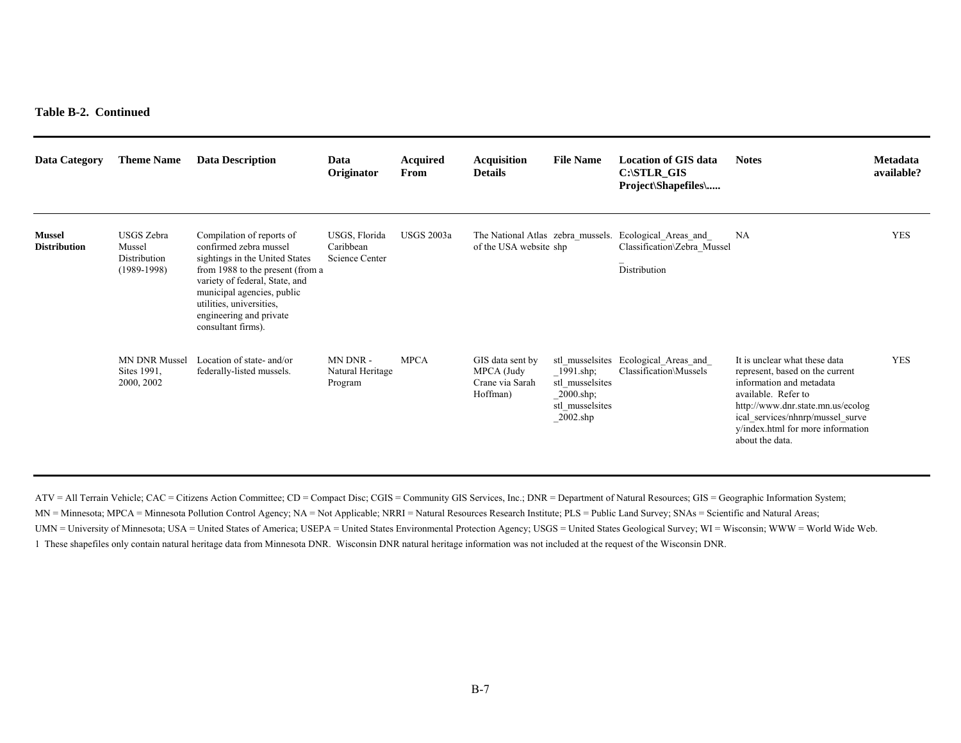#### **Table B-2. Continued**

| <b>Data Category</b>                 | <b>Theme Name</b>                                     | <b>Data Description</b>                                                                                                                                                                                                                                                | Data<br>Originator                           | Acquired<br>From  | <b>Acquisition</b><br><b>Details</b>                          | <b>File Name</b>                                                                         | <b>Location of GIS data</b><br>$C:\$ STLR GIS<br><b>Project</b> \Shapefiles\ | <b>Notes</b>                                                                                                                                                                                                                                         | <b>Metadata</b><br>available? |
|--------------------------------------|-------------------------------------------------------|------------------------------------------------------------------------------------------------------------------------------------------------------------------------------------------------------------------------------------------------------------------------|----------------------------------------------|-------------------|---------------------------------------------------------------|------------------------------------------------------------------------------------------|------------------------------------------------------------------------------|------------------------------------------------------------------------------------------------------------------------------------------------------------------------------------------------------------------------------------------------------|-------------------------------|
| <b>Mussel</b><br><b>Distribution</b> | USGS Zebra<br>Mussel<br>Distribution<br>$(1989-1998)$ | Compilation of reports of<br>confirmed zebra mussel<br>sightings in the United States<br>from 1988 to the present (from a<br>variety of federal, State, and<br>municipal agencies, public<br>utilities, universities,<br>engineering and private<br>consultant firms). | USGS, Florida<br>Caribbean<br>Science Center | <b>USGS 2003a</b> | The National Atlas zebra mussels.<br>of the USA website shp   |                                                                                          | Ecological Areas and<br>Classification\Zebra Mussel<br>Distribution          | NA                                                                                                                                                                                                                                                   | <b>YES</b>                    |
|                                      | <b>MN DNR Mussel</b><br>Sites 1991,<br>2000, 2002     | Location of state- and/or<br>federally-listed mussels.                                                                                                                                                                                                                 | MN DNR-<br>Natural Heritage<br>Program       | <b>MPCA</b>       | GIS data sent by<br>MPCA (Judy<br>Crane via Sarah<br>Hoffman) | $1991$ .shp;<br>stl musselsites<br>$2000.\text{shp}$ ;<br>stl musselsites<br>$2002$ .shp | stl musselsites Ecological Areas and<br>Classification\Mussels               | It is unclear what these data<br>represent, based on the current<br>information and metadata<br>available. Refer to<br>http://www.dnr.state.mn.us/ecolog<br>ical services/nhnrp/mussel surve<br>y/index.html for more information<br>about the data. | <b>YES</b>                    |

ATV = All Terrain Vehicle; CAC = Citizens Action Committee; CD = Compact Disc; CGIS = Community GIS Services, Inc.; DNR = Department of Natural Resources; GIS = Geographic Information System; MN = Minnesota; MPCA = Minnesota Pollution Control Agency; NA = Not Applicable; NRRI = Natural Resources Research Institute; PLS = Public Land Survey; SNAs = Scientific and Natural Areas; UMN = University of Minnesota; USA = United States of America; USEPA = United States Environmental Protection Agency; USGS = United States Geological Survey; WI = Wisconsin; WWW = World Wide Web. 1 These shapefiles only contain natural heritage data from Minnesota DNR. Wisconsin DNR natural heritage information was not included at the request of the Wisconsin DNR.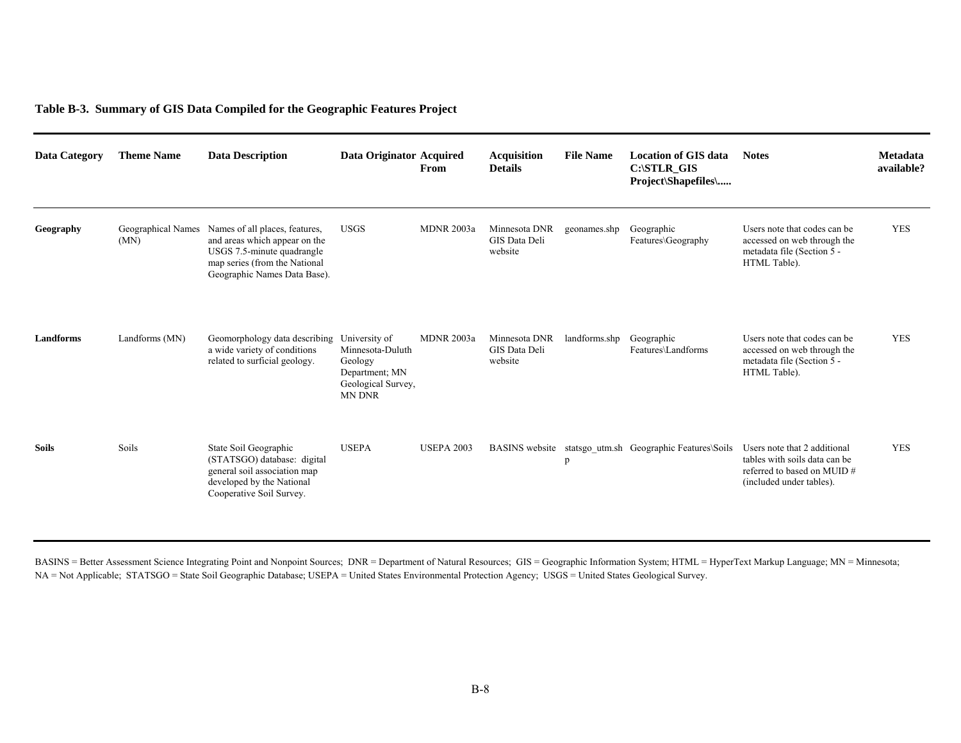#### **Table B-3. Summary of GIS Data Compiled for the Geographic Features Project**

| Data Category    | <b>Theme Name</b>                 | <b>Data Description</b>                                                                                                                                        | Data Originator Acquired                                                                              | From              | <b>Acquisition</b><br><b>Details</b>      | <b>File Name</b> | Location of GIS data<br>C:\STLR GIS<br>Project\Shapefiles\ | <b>Notes</b>                                                                                                             | <b>Metadata</b><br>available? |
|------------------|-----------------------------------|----------------------------------------------------------------------------------------------------------------------------------------------------------------|-------------------------------------------------------------------------------------------------------|-------------------|-------------------------------------------|------------------|------------------------------------------------------------|--------------------------------------------------------------------------------------------------------------------------|-------------------------------|
| Geography        | <b>Geographical Names</b><br>(MN) | Names of all places, features,<br>and areas which appear on the<br>USGS 7.5-minute quadrangle<br>map series (from the National<br>Geographic Names Data Base). | <b>USGS</b>                                                                                           | <b>MDNR 2003a</b> | Minnesota DNR<br>GIS Data Deli<br>website | geonames.shp     | Geographic<br>Features\Geography                           | Users note that codes can be.<br>accessed on web through the<br>metadata file (Section 5 -<br>HTML Table).               | <b>YES</b>                    |
| <b>Landforms</b> | Landforms (MN)                    | Geomorphology data describing<br>a wide variety of conditions<br>related to surficial geology.                                                                 | University of<br>Minnesota-Duluth<br>Geology<br>Department; MN<br>Geological Survey,<br><b>MN DNR</b> | <b>MDNR 2003a</b> | Minnesota DNR<br>GIS Data Deli<br>website | landforms.shp    | Geographic<br>Features\Landforms                           | Users note that codes can be<br>accessed on web through the<br>metadata file (Section 5 -<br>HTML Table).                | <b>YES</b>                    |
| <b>Soils</b>     | Soils                             | State Soil Geographic<br>(STATSGO) database: digital<br>general soil association map<br>developed by the National<br>Cooperative Soil Survey.                  | <b>USEPA</b>                                                                                          | <b>USEPA 2003</b> |                                           | p                | BASINS website statsgo_utm.sh Geographic Features\Soils    | Users note that 2 additional<br>tables with soils data can be<br>referred to based on MUID #<br>(included under tables). | <b>YES</b>                    |

BASINS = Better Assessment Science Integrating Point and Nonpoint Sources; DNR = Department of Natural Resources; GIS = Geographic Information System; HTML = HyperText Markup Language; MN = Minnesota; NA = Not Applicable; STATSGO = State Soil Geographic Database; USEPA = United States Environmental Protection Agency; USGS = United States Geological Survey.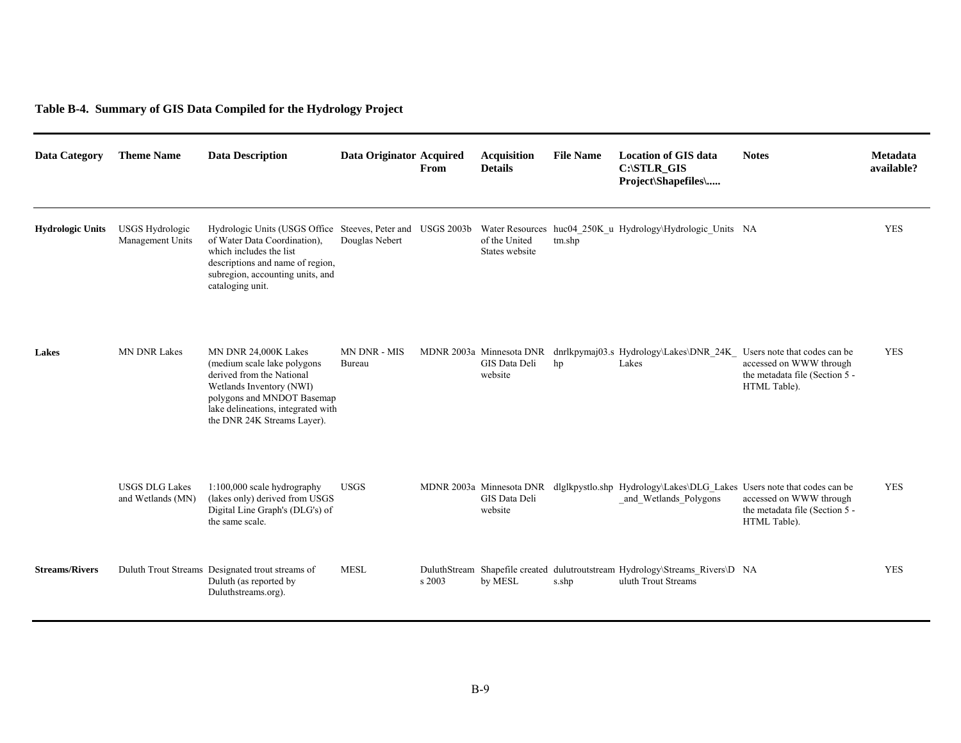# **Table B-4. Summary of GIS Data Compiled for the Hydrology Project**

| <b>Data Category</b>    | <b>Theme Name</b>                          | <b>Data Description</b>                                                                                                                                                                                            | Data Originator Acquired | From   | <b>Acquisition</b><br><b>Details</b> | <b>File Name</b> | <b>Location of GIS data</b><br>C:\STLR GIS<br>Project\Shapefiles\                                                        | <b>Notes</b>                                                              | Metadata<br>available? |
|-------------------------|--------------------------------------------|--------------------------------------------------------------------------------------------------------------------------------------------------------------------------------------------------------------------|--------------------------|--------|--------------------------------------|------------------|--------------------------------------------------------------------------------------------------------------------------|---------------------------------------------------------------------------|------------------------|
| <b>Hydrologic Units</b> | <b>USGS Hydrologic</b><br>Management Units | Hydrologic Units (USGS Office Steeves, Peter and USGS 2003b<br>of Water Data Coordination),<br>which includes the list<br>descriptions and name of region,<br>subregion, accounting units, and<br>cataloging unit. | Douglas Nebert           |        | of the United<br>States website      | tm.shp           | Water Resources huc04 250K u Hydrology\Hydrologic Units NA                                                               |                                                                           | <b>YES</b>             |
| Lakes                   | <b>MN DNR Lakes</b>                        | MN DNR 24,000K Lakes<br>(medium scale lake polygons)<br>derived from the National<br>Wetlands Inventory (NWI)<br>polygons and MNDOT Basemap<br>lake delineations, integrated with<br>the DNR 24K Streams Layer).   | MN DNR - MIS<br>Bureau   |        | GIS Data Deli<br>website             | hp               | MDNR 2003a Minnesota DNR dnrlkpymaj03.s Hydrology\Lakes\DNR 24K Users note that codes can be<br>Lakes                    | accessed on WWW through<br>the metadata file (Section 5 -<br>HTML Table). | <b>YES</b>             |
|                         | <b>USGS DLG Lakes</b><br>and Wetlands (MN) | $1:100,000$ scale hydrography<br>(lakes only) derived from USGS<br>Digital Line Graph's (DLG's) of<br>the same scale.                                                                                              | <b>USGS</b>              |        | GIS Data Deli<br>website             |                  | MDNR 2003a Minnesota DNR dlglkpystlo.shp Hydrology\Lakes\DLG Lakes Users note that codes can be<br>and Wetlands Polygons | accessed on WWW through<br>the metadata file (Section 5 -<br>HTML Table). | <b>YES</b>             |
| <b>Streams/Rivers</b>   |                                            | Duluth Trout Streams Designated trout streams of<br>Duluth (as reported by<br>Duluthstreams.org).                                                                                                                  | <b>MESL</b>              | s 2003 | by MESL                              | s.shp            | DuluthStream Shapefile created dulutroutstream Hydrology\Streams Rivers\D NA<br>uluth Trout Streams                      |                                                                           | <b>YES</b>             |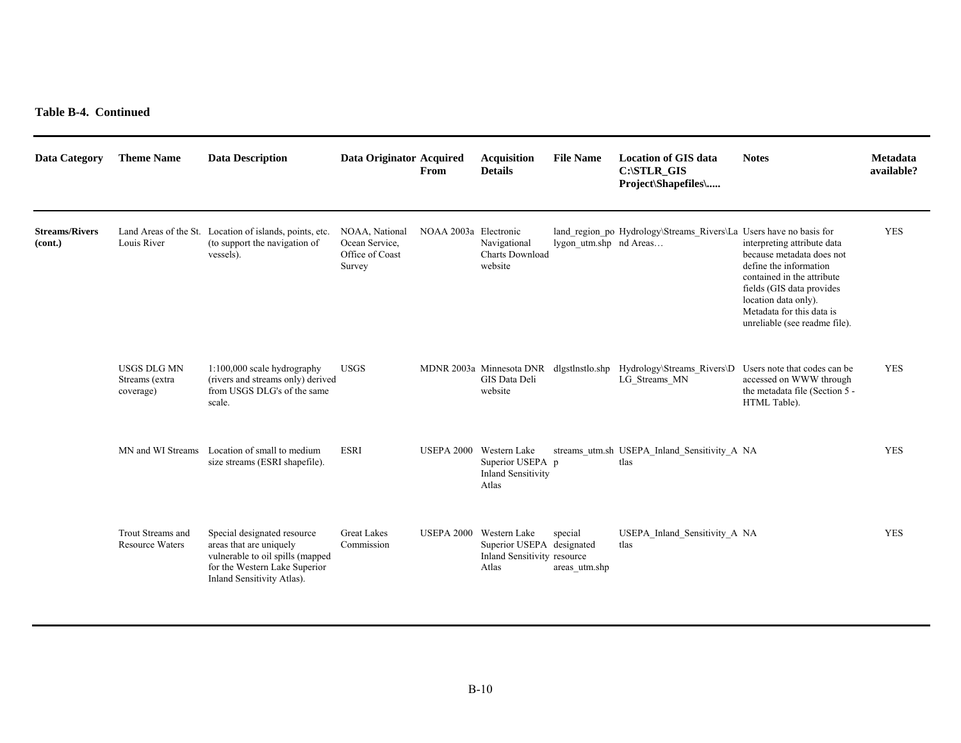**Table B-4. Continued** 

| <b>Data Category</b>             | <b>Theme Name</b>                                 | <b>Data Description</b>                                                                                                                                   | Data Originator Acquired                                      | From                    | <b>Acquisition</b><br><b>Details</b>                                              | <b>File Name</b>         | <b>Location of GIS data</b><br>C:\STLR GIS<br>Project\Shapefiles\                    | <b>Notes</b>                                                                                                                                                                                                                        | Metadata<br>available? |
|----------------------------------|---------------------------------------------------|-----------------------------------------------------------------------------------------------------------------------------------------------------------|---------------------------------------------------------------|-------------------------|-----------------------------------------------------------------------------------|--------------------------|--------------------------------------------------------------------------------------|-------------------------------------------------------------------------------------------------------------------------------------------------------------------------------------------------------------------------------------|------------------------|
| <b>Streams/Rivers</b><br>(cont.) | Louis River                                       | Land Areas of the St. Location of islands, points, etc.<br>(to support the navigation of<br>vessels).                                                     | NOAA, National<br>Ocean Service,<br>Office of Coast<br>Survey | NOAA 2003a Electronic   | Navigational<br><b>Charts Download</b><br>website                                 | lygon utm.shp nd Areas   | land region po Hydrology\Streams Rivers\La Users have no basis for                   | interpreting attribute data<br>because metadata does not<br>define the information<br>contained in the attribute<br>fields (GIS data provides<br>location data only).<br>Metadata for this data is<br>unreliable (see readme file). | <b>YES</b>             |
|                                  | <b>USGS DLG MN</b><br>Streams (extra<br>coverage) | 1:100,000 scale hydrography<br>(rivers and streams only) derived<br>from USGS DLG's of the same<br>scale.                                                 | <b>USGS</b>                                                   |                         | GIS Data Deli<br>website                                                          |                          | MDNR 2003a Minnesota DNR dlgstlnstlo.shp Hydrology\Streams_Rivers\D<br>LG Streams MN | Users note that codes can be<br>accessed on WWW through<br>the metadata file (Section 5 -<br>HTML Table).                                                                                                                           | <b>YES</b>             |
|                                  | MN and WI Streams                                 | Location of small to medium<br>size streams (ESRI shapefile).                                                                                             | <b>ESRI</b>                                                   | USEPA 2000 Western Lake | Superior USEPA p<br><b>Inland Sensitivity</b><br>Atlas                            |                          | streams utm.sh USEPA Inland Sensitivity A NA<br>tlas                                 |                                                                                                                                                                                                                                     | <b>YES</b>             |
|                                  | Trout Streams and<br><b>Resource Waters</b>       | Special designated resource<br>areas that are uniquely<br>vulnerable to oil spills (mapped<br>for the Western Lake Superior<br>Inland Sensitivity Atlas). | <b>Great Lakes</b><br>Commission                              | <b>USEPA 2000</b>       | Western Lake<br>Superior USEPA designated<br>Inland Sensitivity resource<br>Atlas | special<br>areas utm.shp | USEPA Inland Sensitivity A NA<br>tlas                                                |                                                                                                                                                                                                                                     | <b>YES</b>             |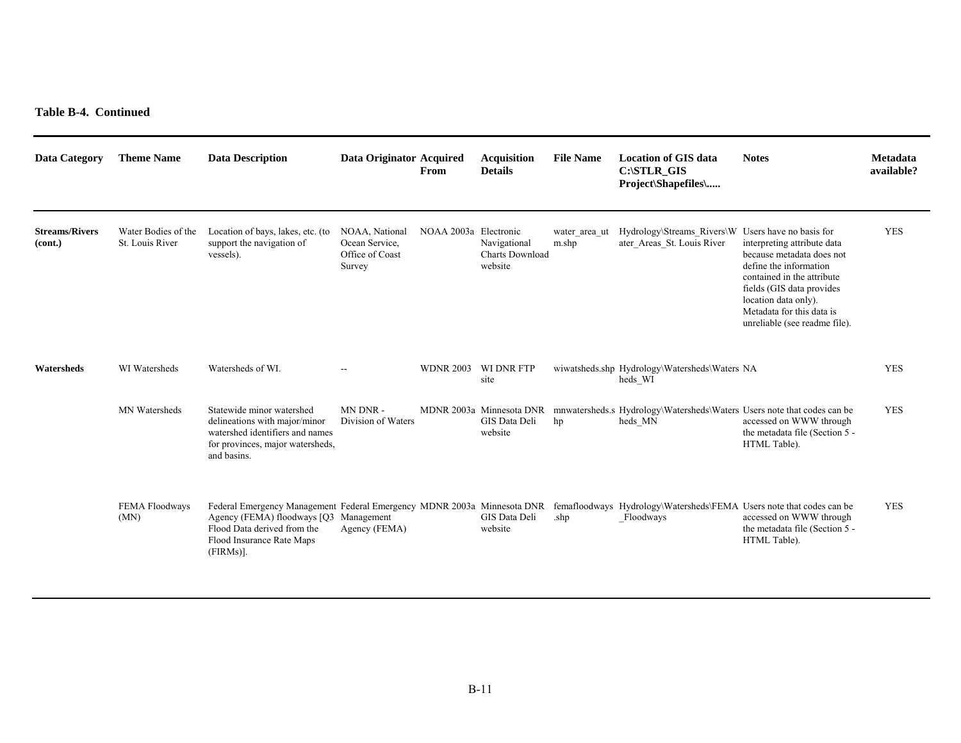**Table B-4. Continued** 

| <b>Data Category</b>             | <b>Theme Name</b>                      | <b>Data Description</b>                                                                                                                                                                       | Data Originator Acquired                                      | From                  | <b>Acquisition</b><br><b>Details</b>                 | <b>File Name</b>       | <b>Location of GIS data</b><br>$C:\S$ TLR_GIS<br>Project\Shapefiles\               | <b>Notes</b>                                                                                                                                                                                                                        | Metadata<br>available? |
|----------------------------------|----------------------------------------|-----------------------------------------------------------------------------------------------------------------------------------------------------------------------------------------------|---------------------------------------------------------------|-----------------------|------------------------------------------------------|------------------------|------------------------------------------------------------------------------------|-------------------------------------------------------------------------------------------------------------------------------------------------------------------------------------------------------------------------------------|------------------------|
| <b>Streams/Rivers</b><br>(cont.) | Water Bodies of the<br>St. Louis River | Location of bays, lakes, etc. (to<br>support the navigation of<br>vessels).                                                                                                                   | NOAA, National<br>Ocean Service,<br>Office of Coast<br>Survey | NOAA 2003a Electronic | Navigational<br><b>Charts Download</b><br>website    | water area ut<br>m.shp | Hydrology\Streams Rivers\W Users have no basis for<br>ater_Areas_St. Louis River   | interpreting attribute data<br>because metadata does not<br>define the information<br>contained in the attribute<br>fields (GIS data provides<br>location data only).<br>Metadata for this data is<br>unreliable (see readme file). | <b>YES</b>             |
| Watersheds                       | WI Watersheds                          | Watersheds of WI.                                                                                                                                                                             |                                                               | <b>WDNR 2003</b>      | <b>WI DNR FTP</b><br>site                            |                        | wiwatsheds.shp Hydrology\Watersheds\Waters NA<br>heds WI                           |                                                                                                                                                                                                                                     | <b>YES</b>             |
|                                  | MN Watersheds                          | Statewide minor watershed<br>delineations with major/minor<br>watershed identifiers and names<br>for provinces, major watersheds,<br>and basins.                                              | MN DNR-<br>Division of Waters                                 |                       | MDNR 2003a Minnesota DNR<br>GIS Data Deli<br>website | hp                     | mnwatersheds.s Hydrology\Watersheds\Waters Users note that codes can be<br>heds MN | accessed on WWW through<br>the metadata file (Section 5 -<br>HTML Table).                                                                                                                                                           | <b>YES</b>             |
|                                  | FEMA Floodways<br>(MN)                 | Federal Emergency Management Federal Emergency MDNR 2003a Minnesota DNR<br>Agency (FEMA) floodways [O3 Management<br>Flood Data derived from the<br>Flood Insurance Rate Maps<br>$(FIRMs)$ ]. | Agency (FEMA)                                                 |                       | GIS Data Deli<br>website                             | .shp                   | femafloodways Hydrology\Watersheds\FEMA Users note that codes can be<br>Floodways  | accessed on WWW through<br>the metadata file (Section 5 -<br>HTML Table).                                                                                                                                                           | <b>YES</b>             |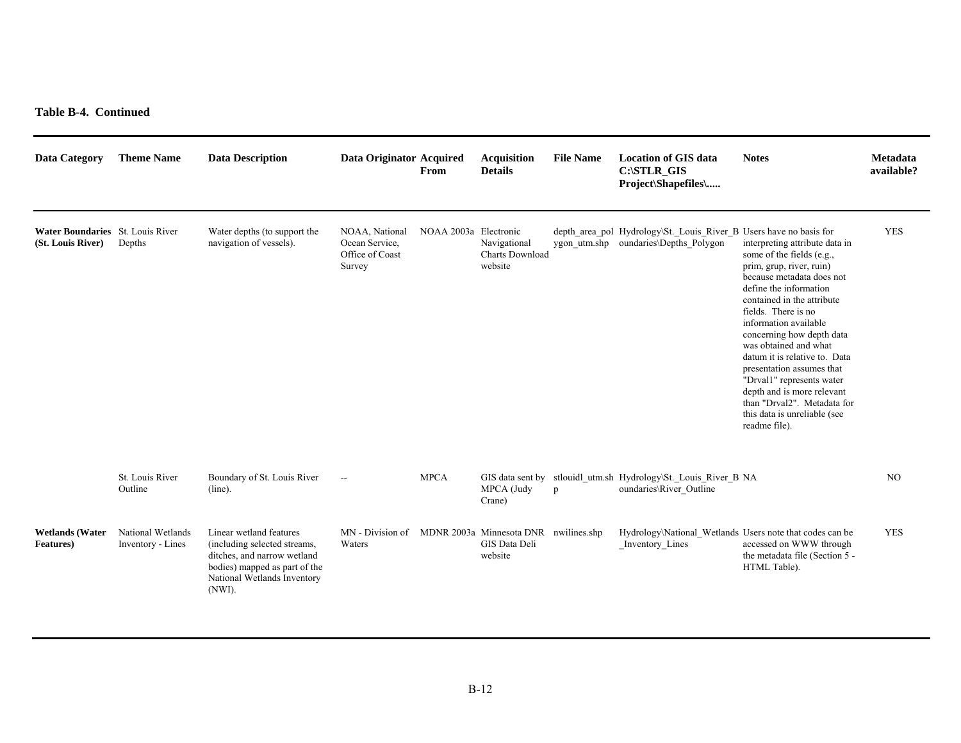**Table B-4. Continued** 

| <b>Data Category</b>                                  | <b>Theme Name</b>                      | <b>Data Description</b>                                                                                                                                          | Data Originator Acquired                                      | From                  | <b>Acquisition</b><br><b>Details</b>                 | <b>File Name</b> | <b>Location of GIS data</b><br>C:\STLR GIS<br>Project\Shapefiles\                                           | <b>Notes</b>                                                                                                                                                                                                                                                                                                                                                                                                                                                                                | Metadata<br>available? |
|-------------------------------------------------------|----------------------------------------|------------------------------------------------------------------------------------------------------------------------------------------------------------------|---------------------------------------------------------------|-----------------------|------------------------------------------------------|------------------|-------------------------------------------------------------------------------------------------------------|---------------------------------------------------------------------------------------------------------------------------------------------------------------------------------------------------------------------------------------------------------------------------------------------------------------------------------------------------------------------------------------------------------------------------------------------------------------------------------------------|------------------------|
| Water Boundaries St. Louis River<br>(St. Louis River) | Depths                                 | Water depths (to support the<br>navigation of vessels).                                                                                                          | NOAA, National<br>Ocean Service,<br>Office of Coast<br>Survey | NOAA 2003a Electronic | Navigational<br><b>Charts Download</b><br>website    |                  | depth_area_pol Hydrology\St._Louis_River_B Users have no basis for<br>ygon_utm.shp oundaries\Depths_Polygon | interpreting attribute data in<br>some of the fields (e.g.,<br>prim, grup, river, ruin)<br>because metadata does not<br>define the information<br>contained in the attribute<br>fields. There is no<br>information available<br>concerning how depth data<br>was obtained and what<br>datum it is relative to. Data<br>presentation assumes that<br>"Drval1" represents water<br>depth and is more relevant<br>than "Drval2". Metadata for<br>this data is unreliable (see<br>readme file). | <b>YES</b>             |
|                                                       | St. Louis River<br>Outline             | Boundary of St. Louis River<br>$(line)$ .                                                                                                                        | $\sim$                                                        | <b>MPCA</b>           | MPCA (Judy<br>Crane)                                 | p                | GIS data sent by stlouidl_utm.sh Hydrology\St._Louis_River_B NA<br>oundaries\River Outline                  |                                                                                                                                                                                                                                                                                                                                                                                                                                                                                             | N <sub>O</sub>         |
| <b>Wetlands</b> (Water<br><b>Features</b> )           | National Wetlands<br>Inventory - Lines | Linear wetland features<br>(including selected streams,<br>ditches, and narrow wetland<br>bodies) mapped as part of the<br>National Wetlands Inventory<br>(NWI). | MN - Division of<br>Waters                                    |                       | MDNR 2003a Minnesota DNR<br>GIS Data Deli<br>website | nwilines.shp     | Hydrology\National Wetlands Users note that codes can be<br>Inventory_Lines                                 | accessed on WWW through<br>the metadata file (Section 5 -<br>HTML Table).                                                                                                                                                                                                                                                                                                                                                                                                                   | <b>YES</b>             |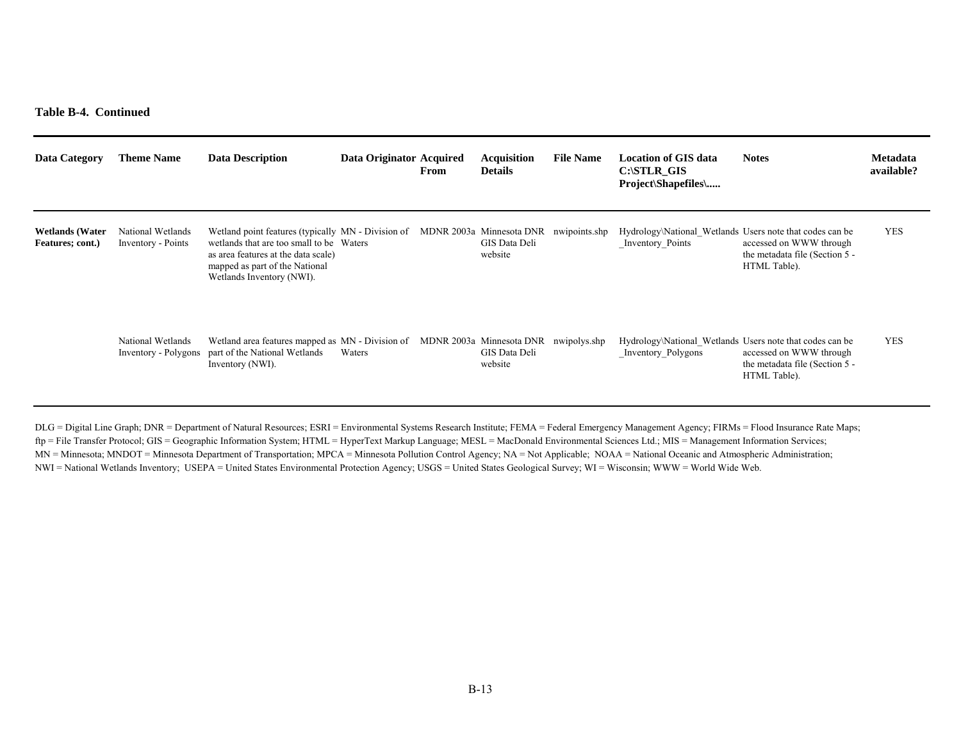#### **Table B-4. Continued**

| <b>Data Category</b>                       | <b>Theme Name</b>                         | <b>Data Description</b>                                                                                                                                                                              | Data Originator Acquired | From | <b>Acquisition</b><br><b>Details</b>                 | <b>File Name</b> | <b>Location of GIS data</b><br>C:\STLR GIS<br>Project\Shapefiles\              | <b>Notes</b>                                                              | <b>Metadata</b><br>available? |
|--------------------------------------------|-------------------------------------------|------------------------------------------------------------------------------------------------------------------------------------------------------------------------------------------------------|--------------------------|------|------------------------------------------------------|------------------|--------------------------------------------------------------------------------|---------------------------------------------------------------------------|-------------------------------|
| <b>Wetlands</b> (Water<br>Features; cont.) | National Wetlands<br>Inventory - Points   | Wetland point features (typically MN - Division of<br>wetlands that are too small to be Waters<br>as area features at the data scale)<br>mapped as part of the National<br>Wetlands Inventory (NWI). |                          |      | MDNR 2003a Minnesota DNR<br>GIS Data Deli<br>website | nwipoints.shp    | Hydrology\National Wetlands Users note that codes can be<br>Inventory Points   | accessed on WWW through<br>the metadata file (Section 5 -<br>HTML Table). | <b>YES</b>                    |
|                                            | National Wetlands<br>Inventory - Polygons | Wetland area features mapped as MN - Division of<br>part of the National Wetlands<br>Inventory (NWI).                                                                                                | Waters                   |      | MDNR 2003a Minnesota DNR<br>GIS Data Deli<br>website | nwipolys.shp     | Hydrology\National Wetlands Users note that codes can be<br>Inventory Polygons | accessed on WWW through<br>the metadata file (Section 5 -<br>HTML Table). | <b>YES</b>                    |

DLG = Digital Line Graph; DNR = Department of Natural Resources; ESRI = Environmental Systems Research Institute; FEMA = Federal Emergency Management Agency; FIRMs = Flood Insurance Rate Maps; ftp = File Transfer Protocol; GIS = Geographic Information System; HTML = HyperText Markup Language; MESL = MacDonald Environmental Sciences Ltd.; MIS = Management Information Services; MN = Minnesota; MNDOT = Minnesota Department of Transportation; MPCA = Minnesota Pollution Control Agency; NA = Not Applicable; NOAA = National Oceanic and Atmospheric Administration; NWI = National Wetlands Inventory; USEPA = United States Environmental Protection Agency; USGS = United States Geological Survey; WI = Wisconsin; WWW = World Wide Web.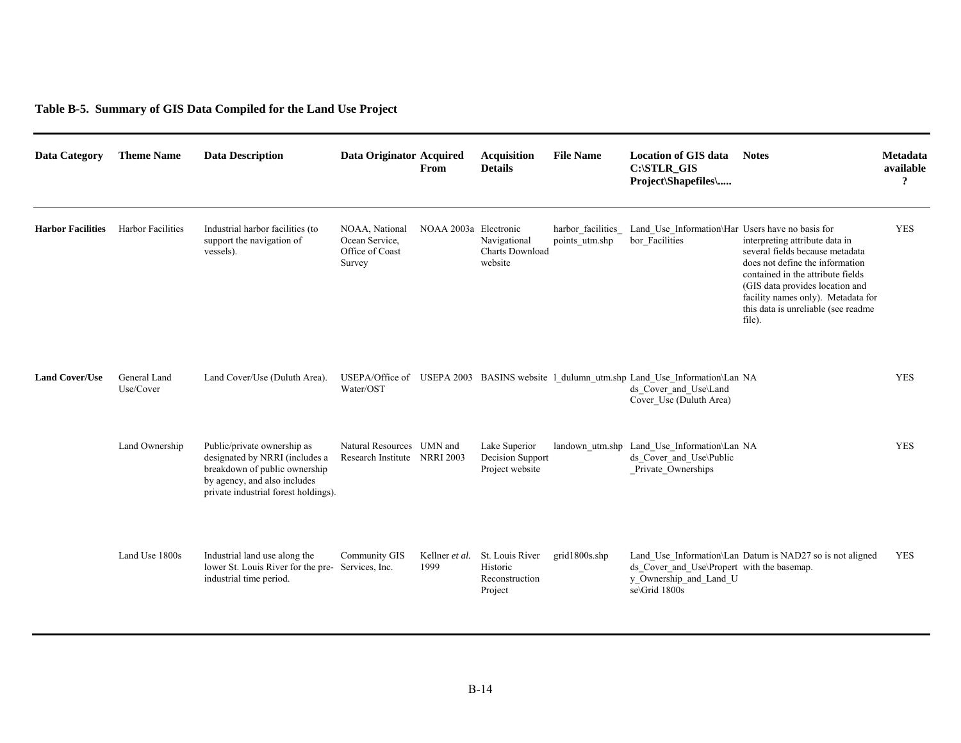# **Table B-5. Summary of GIS Data Compiled for the Land Use Project**

| Data Category            | <b>Theme Name</b>         | <b>Data Description</b>                                                                                                                                                | Data Originator Acquired                                      | From                   | <b>Acquisition</b><br><b>Details</b>                     | <b>File Name</b>                    | <b>Location of GIS data</b><br>C:\STLR GIS<br>Project\Shapefiles\                                                                          | <b>Notes</b>                                                                                                                                                                                                                                                        | Metadata<br>available<br>$\pmb{\gamma}$ |
|--------------------------|---------------------------|------------------------------------------------------------------------------------------------------------------------------------------------------------------------|---------------------------------------------------------------|------------------------|----------------------------------------------------------|-------------------------------------|--------------------------------------------------------------------------------------------------------------------------------------------|---------------------------------------------------------------------------------------------------------------------------------------------------------------------------------------------------------------------------------------------------------------------|-----------------------------------------|
| <b>Harbor Facilities</b> | <b>Harbor Facilities</b>  | Industrial harbor facilities (to<br>support the navigation of<br>vessels).                                                                                             | NOAA, National<br>Ocean Service,<br>Office of Coast<br>Survey | NOAA 2003a Electronic  | Navigational<br><b>Charts Download</b><br>website        | harbor facilities<br>points utm.shp | Land Use Information\Har Users have no basis for<br>bor Facilities                                                                         | interpreting attribute data in<br>several fields because metadata<br>does not define the information<br>contained in the attribute fields<br>(GIS data provides location and<br>facility names only). Metadata for<br>this data is unreliable (see readme<br>file). | <b>YES</b>                              |
| <b>Land Cover/Use</b>    | General Land<br>Use/Cover | Land Cover/Use (Duluth Area).                                                                                                                                          | Water/OST                                                     |                        |                                                          |                                     | USEPA/Office of USEPA 2003 BASINS website 1 dulumn utm.shp Land Use Information\Lan NA<br>ds Cover and Use\Land<br>Cover Use (Duluth Area) |                                                                                                                                                                                                                                                                     | <b>YES</b>                              |
|                          | Land Ownership            | Public/private ownership as<br>designated by NRRI (includes a<br>breakdown of public ownership<br>by agency, and also includes<br>private industrial forest holdings). | Natural Resources UMN and<br>Research Institute NRRI 2003     |                        | Lake Superior<br>Decision Support<br>Project website     |                                     | landown utm.shp Land Use Information\Lan NA<br>ds Cover and Use\Public<br>Private Ownerships                                               |                                                                                                                                                                                                                                                                     | <b>YES</b>                              |
|                          | Land Use 1800s            | Industrial land use along the<br>lower St. Louis River for the pre-Services, Inc.<br>industrial time period.                                                           | Community GIS                                                 | Kellner et al.<br>1999 | St. Louis River<br>Historic<br>Reconstruction<br>Project | grid1800s.shp                       | ds Cover and Use\Propert with the basemap.<br>y_Ownership_and_Land_U<br>se\Grid 1800s                                                      | Land Use Information\Lan Datum is NAD27 so is not aligned                                                                                                                                                                                                           | <b>YES</b>                              |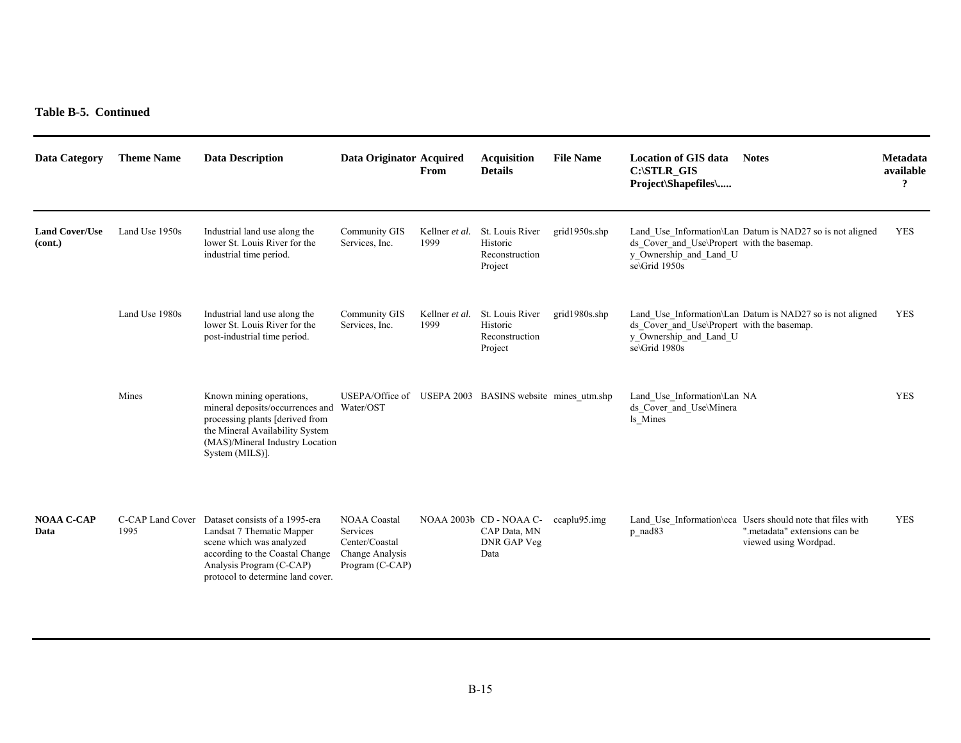**Table B-5. Continued** 

| Data Category                    | <b>Theme Name</b>        | <b>Data Description</b>                                                                                                                                                                            | Data Originator Acquired                                                                | From                   | <b>Acquisition</b><br><b>Details</b>                           | <b>File Name</b>  | <b>Location of GIS data</b><br>C:\STLR_GIS<br>Project\Shapefiles\                     | <b>Notes</b>                                                                                                          | Metadata<br>available<br>$\overline{\mathbf{?}}$ |
|----------------------------------|--------------------------|----------------------------------------------------------------------------------------------------------------------------------------------------------------------------------------------------|-----------------------------------------------------------------------------------------|------------------------|----------------------------------------------------------------|-------------------|---------------------------------------------------------------------------------------|-----------------------------------------------------------------------------------------------------------------------|--------------------------------------------------|
| <b>Land Cover/Use</b><br>(cont.) | Land Use 1950s           | Industrial land use along the<br>lower St. Louis River for the<br>industrial time period.                                                                                                          | Community GIS<br>Services, Inc.                                                         | Kellner et al.<br>1999 | St. Louis River<br>Historic<br>Reconstruction<br>Project       | grid $1950s$ .shp | ds Cover and Use\Propert with the basemap.<br>y Ownership and Land U<br>se\Grid 1950s | Land Use Information\Lan Datum is NAD27 so is not aligned                                                             | <b>YES</b>                                       |
|                                  | Land Use 1980s           | Industrial land use along the<br>lower St. Louis River for the<br>post-industrial time period.                                                                                                     | <b>Community GIS</b><br>Services, Inc.                                                  | Kellner et al.<br>1999 | St. Louis River<br>Historic<br>Reconstruction<br>Project       | grid1980s.shp     | ds Cover and Use\Propert with the basemap.<br>y_Ownership_and_Land_U<br>se\Grid 1980s | Land Use Information\Lan Datum is NAD27 so is not aligned                                                             | <b>YES</b>                                       |
|                                  | Mines                    | Known mining operations,<br>mineral deposits/occurrences and Water/OST<br>processing plants [derived from<br>the Mineral Availability System<br>(MAS)/Mineral Industry Location<br>System (MILS)]. | USEPA/Office of USEPA 2003 BASINS website mines utm.shp                                 |                        |                                                                |                   | Land Use Information\Lan NA<br>ds Cover and Use\Minera<br>ls Mines                    |                                                                                                                       | <b>YES</b>                                       |
| <b>NOAA C-CAP</b><br>Data        | C-CAP Land Cover<br>1995 | Dataset consists of a 1995-era<br>Landsat 7 Thematic Mapper<br>scene which was analyzed<br>according to the Coastal Change<br>Analysis Program (C-CAP)<br>protocol to determine land cover.        | <b>NOAA Coastal</b><br>Services<br>Center/Coastal<br>Change Analysis<br>Program (C-CAP) |                        | NOAA 2003b CD - NOAA C-<br>CAP Data, MN<br>DNR GAP Veg<br>Data | $ccaplu95$ .img   | p_nad83                                                                               | Land_Use_Information\cca Users should note that files with<br>", metadata" extensions can be<br>viewed using Wordpad. | <b>YES</b>                                       |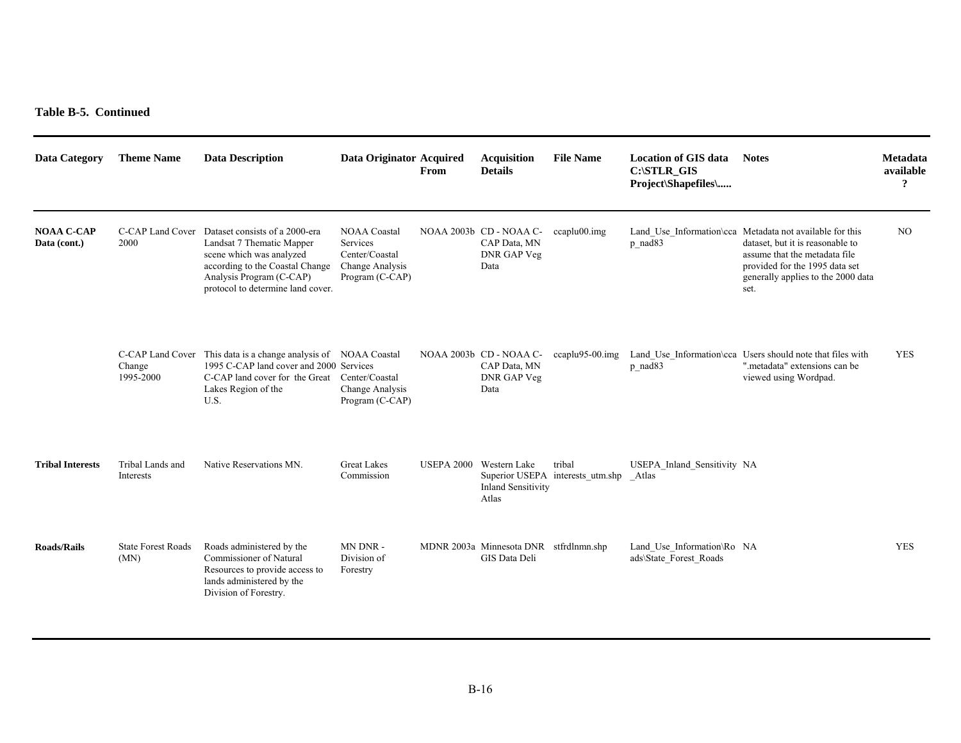**Table B-5. Continued** 

| <b>Data Category</b>              | <b>Theme Name</b>                 | <b>Data Description</b>                                                                                                                                                                                      | Data Originator Acquired                                                                | From | <b>Acquisition</b><br><b>Details</b>                           | <b>File Name</b>                           | <b>Location of GIS data</b><br>C:\STLR_GIS<br>Project\Shapefiles\ | <b>Notes</b>                                                                                                                                                                                                  | Metadata<br>available<br>? |
|-----------------------------------|-----------------------------------|--------------------------------------------------------------------------------------------------------------------------------------------------------------------------------------------------------------|-----------------------------------------------------------------------------------------|------|----------------------------------------------------------------|--------------------------------------------|-------------------------------------------------------------------|---------------------------------------------------------------------------------------------------------------------------------------------------------------------------------------------------------------|----------------------------|
| <b>NOAA C-CAP</b><br>Data (cont.) | 2000                              | C-CAP Land Cover Dataset consists of a 2000-era<br>Landsat 7 Thematic Mapper<br>scene which was analyzed<br>according to the Coastal Change<br>Analysis Program (C-CAP)<br>protocol to determine land cover. | <b>NOAA Coastal</b><br>Services<br>Center/Coastal<br>Change Analysis<br>Program (C-CAP) |      | NOAA 2003b CD - NOAA C-<br>CAP Data, MN<br>DNR GAP Veg<br>Data | $ccaplu00.\text{img}$                      | p_nad83                                                           | Land Use Information\cca Metadata not available for this<br>dataset, but it is reasonable to<br>assume that the metadata file<br>provided for the 1995 data set<br>generally applies to the 2000 data<br>set. | N <sub>O</sub>             |
|                                   | Change<br>1995-2000               | C-CAP Land Cover This data is a change analysis of NOAA Coastal<br>1995 C-CAP land cover and 2000 Services<br>C-CAP land cover for the Great Center/Coastal<br>Lakes Region of the<br>U.S.                   | Change Analysis<br>Program (C-CAP)                                                      |      | NOAA 2003b CD - NOAA C-<br>CAP Data, MN<br>DNR GAP Veg<br>Data | $ccaplu95-00.$ $img$                       | p_nad83                                                           | Land_Use_Information\cca Users should note that files with<br>", metadata" extensions can be<br>viewed using Wordpad.                                                                                         | <b>YES</b>                 |
| <b>Tribal Interests</b>           | Tribal Lands and<br>Interests     | Native Reservations MN.                                                                                                                                                                                      | <b>Great Lakes</b><br>Commission                                                        |      | USEPA 2000 Western Lake<br><b>Inland Sensitivity</b><br>Atlas  | tribal<br>Superior USEPA interests utm.shp | USEPA Inland Sensitivity NA<br>Atlas                              |                                                                                                                                                                                                               |                            |
| <b>Roads/Rails</b>                | <b>State Forest Roads</b><br>(MN) | Roads administered by the<br>Commissioner of Natural<br>Resources to provide access to<br>lands administered by the<br>Division of Forestry.                                                                 | MN DNR-<br>Division of<br>Forestry                                                      |      | MDNR 2003a Minnesota DNR stfrdlnmn.shp<br>GIS Data Deli        |                                            | Land Use Information\Ro NA<br>ads\State Forest Roads              |                                                                                                                                                                                                               | <b>YES</b>                 |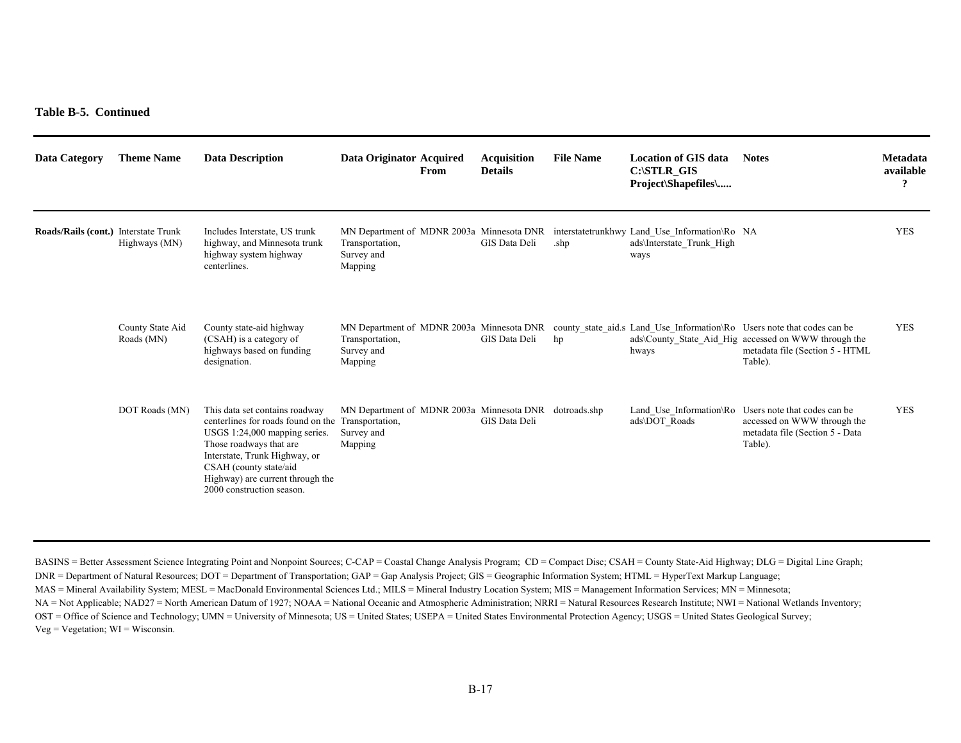**Table B-5. Continued** 

| Data Category                        | <b>Theme Name</b>              | <b>Data Description</b>                                                                                                                                                                                                                                                      | Data Originator Acquired                                                        | From | <b>Acquisition</b><br><b>Details</b> | <b>File Name</b> | Location of GIS data<br>C:\STLR GIS<br><b>Project</b> \Shapefiles\                                                           | <b>Notes</b>                                                                                                                                                                                                            | Metadata<br>available<br>9 |
|--------------------------------------|--------------------------------|------------------------------------------------------------------------------------------------------------------------------------------------------------------------------------------------------------------------------------------------------------------------------|---------------------------------------------------------------------------------|------|--------------------------------------|------------------|------------------------------------------------------------------------------------------------------------------------------|-------------------------------------------------------------------------------------------------------------------------------------------------------------------------------------------------------------------------|----------------------------|
| Roads/Rails (cont.) Interstate Trunk | Highways (MN)                  | Includes Interstate, US trunk<br>highway, and Minnesota trunk<br>highway system highway<br>centerlines.                                                                                                                                                                      | Transportation,<br>Survey and<br>Mapping                                        |      | GIS Data Deli                        | .shp             | MN Department of MDNR 2003a Minnesota DNR interstatetrunkhwy Land Use Information\Ro NA<br>ads\Interstate Trunk High<br>ways |                                                                                                                                                                                                                         | <b>YES</b>                 |
|                                      | County State Aid<br>Roads (MN) | County state-aid highway<br>(CSAH) is a category of<br>highways based on funding<br>designation.                                                                                                                                                                             | Transportation,<br>Survey and<br>Mapping                                        |      | GIS Data Deli                        | hp               | hways                                                                                                                        | MN Department of MDNR 2003a Minnesota DNR county state aid.s Land Use Information\Ro Users note that codes can be<br>ads\County State Aid Hig accessed on WWW through the<br>metadata file (Section 5 - HTML<br>Table). | <b>YES</b>                 |
|                                      | DOT Roads (MN)                 | This data set contains roadway<br>centerlines for roads found on the Transportation,<br>USGS 1:24,000 mapping series.<br>Those roadways that are<br>Interstate, Trunk Highway, or<br>CSAH (county state/aid<br>Highway) are current through the<br>2000 construction season. | MN Department of MDNR 2003a Minnesota DNR dotroads.shp<br>Survey and<br>Mapping |      | GIS Data Deli                        |                  | ads\DOT Roads                                                                                                                | Land_Use_Information\Ro Users note that codes can be<br>accessed on WWW through the<br>metadata file (Section 5 - Data<br>Table).                                                                                       | <b>YES</b>                 |

BASINS = Better Assessment Science Integrating Point and Nonpoint Sources; C-CAP = Coastal Change Analysis Program; CD = Compact Disc; CSAH = County State-Aid Highway; DLG = Digital Line Graph; DNR = Department of Natural Resources; DOT = Department of Transportation; GAP = Gap Analysis Project; GIS = Geographic Information System; HTML = HyperText Markup Language; MAS = Mineral Availability System; MESL = MacDonald Environmental Sciences Ltd.; MILS = Mineral Industry Location System; MIS = Management Information Services; MN = Minnesota; NA = Not Applicable; NAD27 = North American Datum of 1927; NOAA = National Oceanic and Atmospheric Administration; NRRI = Natural Resources Research Institute; NWI = National Wetlands Inventory; OST = Office of Science and Technology; UMN = University of Minnesota; US = United States; USEPA = United States Environmental Protection Agency; USGS = United States Geological Survey;  $Veg = Vegetation$ ;  $WI = Wisconsin$ .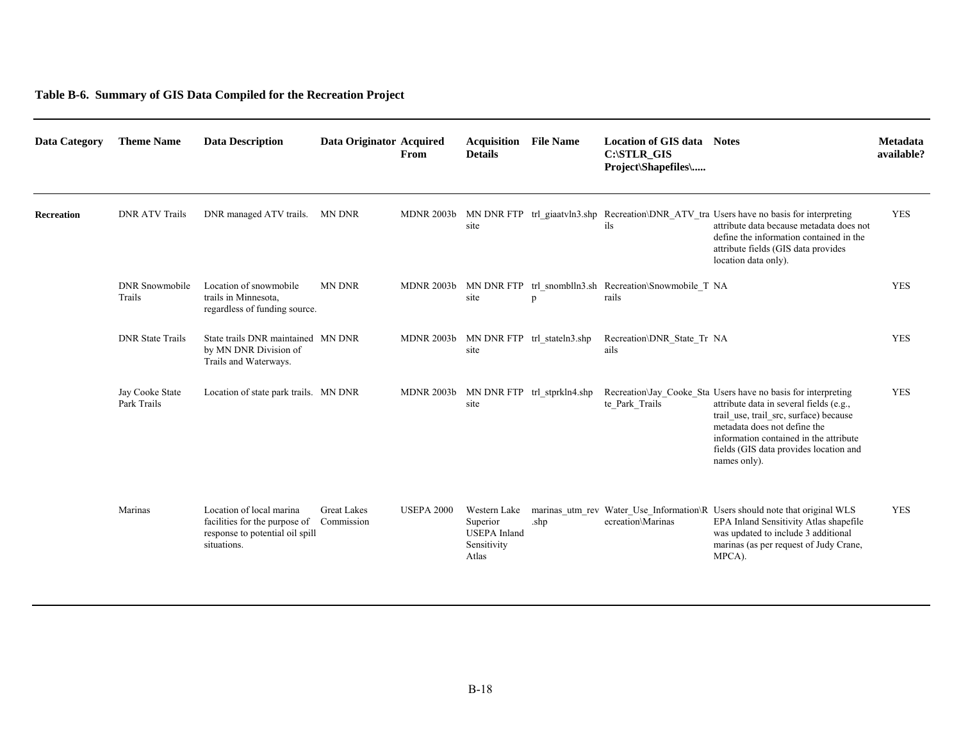### **Table B-6. Summary of GIS Data Compiled for the Recreation Project**

| <b>Data Category</b> | <b>Theme Name</b>               | <b>Data Description</b>                                                                                     | Data Originator Acquired         | From              | <b>Acquisition</b><br><b>Details</b>                                    | <b>File Name</b>                       | <b>Location of GIS data</b><br>$C:\STLR_GIS$<br>Project\Shapefiles\        | <b>Notes</b>                                                                                                                                                                                                                                                                           | Metadata<br>available? |
|----------------------|---------------------------------|-------------------------------------------------------------------------------------------------------------|----------------------------------|-------------------|-------------------------------------------------------------------------|----------------------------------------|----------------------------------------------------------------------------|----------------------------------------------------------------------------------------------------------------------------------------------------------------------------------------------------------------------------------------------------------------------------------------|------------------------|
| Recreation           | <b>DNR ATV Trails</b>           | DNR managed ATV trails.                                                                                     | MN DNR                           | <b>MDNR 2003b</b> | site                                                                    |                                        | ils                                                                        | MN DNR FTP trl_giaatvln3.shp Recreation\DNR_ATV_tra Users have no basis for interpreting<br>attribute data because metadata does not<br>define the information contained in the<br>attribute fields (GIS data provides<br>location data only).                                         | <b>YES</b>             |
|                      | <b>DNR</b> Snowmobile<br>Trails | Location of snowmobile<br>trails in Minnesota,<br>regardless of funding source.                             | <b>MN DNR</b>                    |                   | site                                                                    | D                                      | MDNR 2003b MN DNR FTP trl_snomblln3.sh Recreation\Snowmobile_T NA<br>rails |                                                                                                                                                                                                                                                                                        | <b>YES</b>             |
|                      | <b>DNR</b> State Trails         | State trails DNR maintained MN DNR<br>by MN DNR Division of<br>Trails and Waterways.                        |                                  |                   | site                                                                    | MDNR 2003b MN DNR FTP trl_stateln3.shp | Recreation\DNR State Tr NA<br>ails                                         |                                                                                                                                                                                                                                                                                        | <b>YES</b>             |
|                      | Jay Cooke State<br>Park Trails  | Location of state park trails. MN DNR                                                                       |                                  |                   | site                                                                    | MDNR 2003b MN DNR FTP trl_stprkln4.shp | te Park Trails                                                             | Recreation Jay Cooke Sta Users have no basis for interpreting<br>attribute data in several fields (e.g.,<br>trail_use, trail_src, surface) because<br>metadata does not define the<br>information contained in the attribute<br>fields (GIS data provides location and<br>names only). | <b>YES</b>             |
|                      | Marinas                         | Location of local marina<br>facilities for the purpose of<br>response to potential oil spill<br>situations. | <b>Great Lakes</b><br>Commission | <b>USEPA 2000</b> | Western Lake<br>Superior<br><b>USEPA</b> Inland<br>Sensitivity<br>Atlas | .shp                                   | ecreation\Marinas                                                          | marinas utm rev Water Use Information R Users should note that original WLS<br>EPA Inland Sensitivity Atlas shapefile<br>was updated to include 3 additional<br>marinas (as per request of Judy Crane,<br>MPCA).                                                                       | <b>YES</b>             |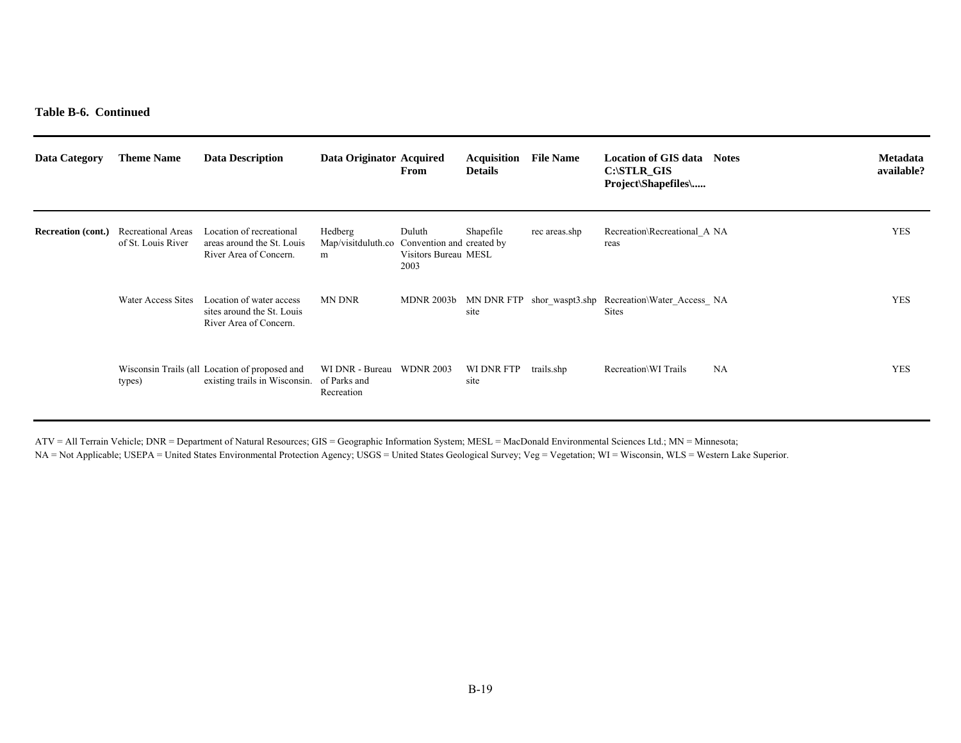**Table B-6. Continued** 

| Data Category             | <b>Theme Name</b>                        | <b>Data Description</b>                                                                      | Data Originator Acquired           | From                                                                | Acquisition<br><b>Details</b> | <b>File Name</b> | <b>Location of GIS data</b><br>$C:\$ STLR GIS<br><b>Project</b> \Shapefiles\     | <b>Notes</b> | <b>Metadata</b><br>available? |
|---------------------------|------------------------------------------|----------------------------------------------------------------------------------------------|------------------------------------|---------------------------------------------------------------------|-------------------------------|------------------|----------------------------------------------------------------------------------|--------------|-------------------------------|
| <b>Recreation (cont.)</b> | Recreational Areas<br>of St. Louis River | Location of recreational<br>areas around the St. Louis<br>River Area of Concern.             | Hedberg<br>Map/visitduluth.co<br>m | Duluth<br>Convention and created by<br>Visitors Bureau MESL<br>2003 | Shapefile                     | rec areas.shp    | Recreation\Recreational A NA<br>reas                                             |              | <b>YES</b>                    |
|                           | Water Access Sites                       | Location of water access<br>sites around the St. Louis<br>River Area of Concern.             | MN DNR                             |                                                                     | site                          |                  | MDNR 2003b MN DNR FTP shor waspt3.shp Recreation\Water Access NA<br><b>Sites</b> |              | <b>YES</b>                    |
|                           | types)                                   | Wisconsin Trails (all Location of proposed and<br>existing trails in Wisconsin. of Parks and | WI DNR - Bureau<br>Recreation      | <b>WDNR 2003</b>                                                    | WI DNR FTP<br>site            | trails.shp       | Recreation\WI Trails                                                             | <b>NA</b>    | <b>YES</b>                    |

ATV = All Terrain Vehicle; DNR = Department of Natural Resources; GIS = Geographic Information System; MESL = MacDonald Environmental Sciences Ltd.; MN = Minnesota;

NA = Not Applicable; USEPA = United States Environmental Protection Agency; USGS = United States Geological Survey; Veg = Vegetation; WI = Wisconsin, WLS = Western Lake Superior.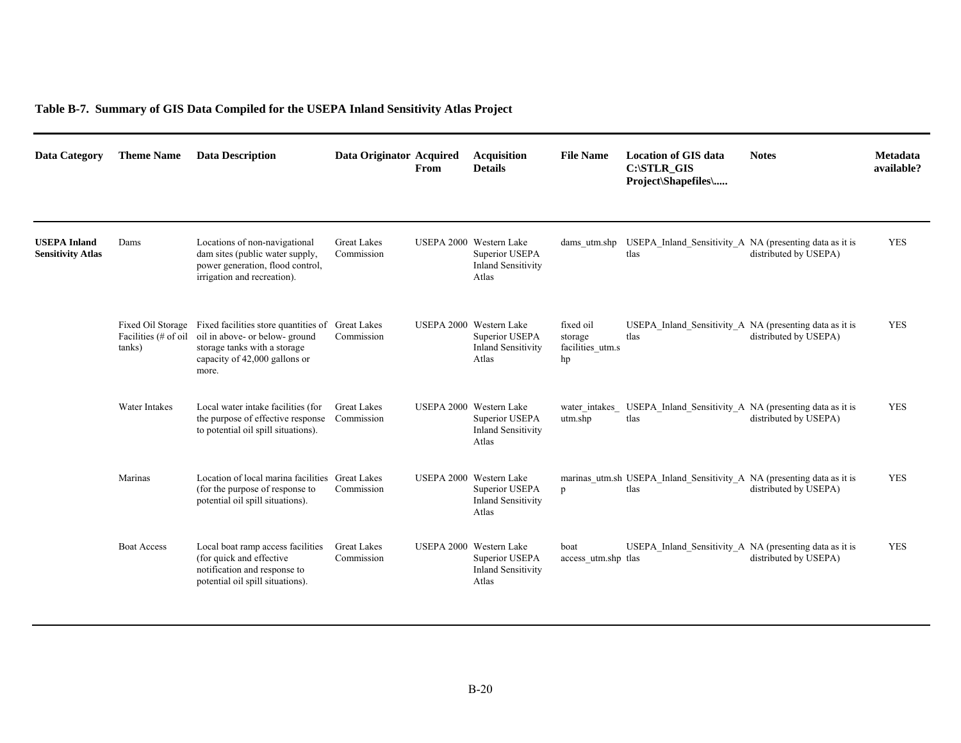# **Table B-7. Summary of GIS Data Compiled for the USEPA Inland Sensitivity Atlas Project**

| <b>Data Category</b>                            | <b>Theme Name</b>              | <b>Data Description</b>                                                                                                                                           | Data Originator Acquired         | From | <b>Acquisition</b><br><b>Details</b>                                            | <b>File Name</b>                               | <b>Location of GIS data</b><br>C:\STLR_GIS<br>Project\Shapefiles\              | <b>Notes</b>          | <b>Metadata</b><br>available? |
|-------------------------------------------------|--------------------------------|-------------------------------------------------------------------------------------------------------------------------------------------------------------------|----------------------------------|------|---------------------------------------------------------------------------------|------------------------------------------------|--------------------------------------------------------------------------------|-----------------------|-------------------------------|
| <b>USEPA Inland</b><br><b>Sensitivity Atlas</b> | Dams                           | Locations of non-navigational<br>dam sites (public water supply,<br>power generation, flood control,<br>irrigation and recreation).                               | <b>Great Lakes</b><br>Commission |      | USEPA 2000 Western Lake<br>Superior USEPA<br><b>Inland Sensitivity</b><br>Atlas |                                                | dams utm.shp USEPA Inland Sensitivity A NA (presenting data as it is<br>tlas   | distributed by USEPA) | <b>YES</b>                    |
|                                                 | Facilities (# of oil<br>tanks) | Fixed Oil Storage Fixed facilities store quantities of<br>oil in above- or below-ground<br>storage tanks with a storage<br>capacity of 42,000 gallons or<br>more. | <b>Great Lakes</b><br>Commission |      | USEPA 2000 Western Lake<br>Superior USEPA<br><b>Inland Sensitivity</b><br>Atlas | fixed oil<br>storage<br>facilities utm.s<br>hp | USEPA Inland Sensitivity A NA (presenting data as it is<br>tlas                | distributed by USEPA) | <b>YES</b>                    |
|                                                 | <b>Water Intakes</b>           | Local water intake facilities (for<br>the purpose of effective response<br>to potential oil spill situations).                                                    | <b>Great Lakes</b><br>Commission |      | USEPA 2000 Western Lake<br>Superior USEPA<br><b>Inland Sensitivity</b><br>Atlas | water intakes<br>utm.shp                       | USEPA Inland Sensitivity A NA (presenting data as it is<br>tlas                | distributed by USEPA) | <b>YES</b>                    |
|                                                 | Marinas                        | Location of local marina facilities Great Lakes<br>(for the purpose of response to<br>potential oil spill situations).                                            | Commission                       |      | USEPA 2000 Western Lake<br>Superior USEPA<br><b>Inland Sensitivity</b><br>Atlas | p                                              | marinas utm.sh USEPA Inland Sensitivity A NA (presenting data as it is<br>tlas | distributed by USEPA) | <b>YES</b>                    |
|                                                 | <b>Boat Access</b>             | Local boat ramp access facilities<br>(for quick and effective)<br>notification and response to<br>potential oil spill situations).                                | <b>Great Lakes</b><br>Commission |      | USEPA 2000 Western Lake<br>Superior USEPA<br><b>Inland Sensitivity</b><br>Atlas | boat<br>access utm.shp tlas                    | USEPA Inland Sensitivity A NA (presenting data as it is                        | distributed by USEPA) | <b>YES</b>                    |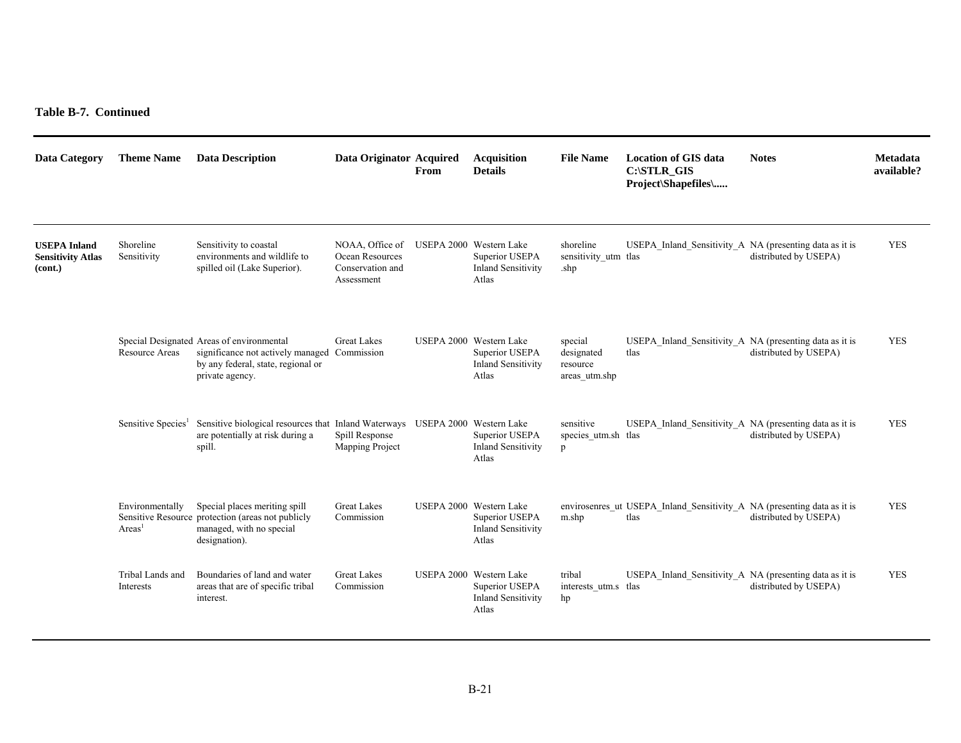**Table B-7. Continued** 

| <b>Data Category</b>                                       | <b>Theme Name</b>                    | <b>Data Description</b>                                                                                                                            | Data Originator Acquired                                             | From | <b>Acquisition</b><br><b>Details</b>                                            | <b>File Name</b>                                   | <b>Location of GIS data</b><br>C:\STLR_GIS<br>Project\Shapefiles\               | <b>Notes</b>          | <b>Metadata</b><br>available? |
|------------------------------------------------------------|--------------------------------------|----------------------------------------------------------------------------------------------------------------------------------------------------|----------------------------------------------------------------------|------|---------------------------------------------------------------------------------|----------------------------------------------------|---------------------------------------------------------------------------------|-----------------------|-------------------------------|
| <b>USEPA Inland</b><br><b>Sensitivity Atlas</b><br>(cont.) | Shoreline<br>Sensitivity             | Sensitivity to coastal<br>environments and wildlife to<br>spilled oil (Lake Superior).                                                             | NOAA, Office of<br>Ocean Resources<br>Conservation and<br>Assessment |      | USEPA 2000 Western Lake<br>Superior USEPA<br><b>Inland Sensitivity</b><br>Atlas | shoreline<br>sensitivity_utm_tlas<br>.shp          | USEPA Inland Sensitivity A NA (presenting data as it is                         | distributed by USEPA) | <b>YES</b>                    |
|                                                            | <b>Resource Areas</b>                | Special Designated Areas of environmental<br>significance not actively managed Commission<br>by any federal, state, regional or<br>private agency. | <b>Great Lakes</b>                                                   |      | USEPA 2000 Western Lake<br>Superior USEPA<br><b>Inland Sensitivity</b><br>Atlas | special<br>designated<br>resource<br>areas utm.shp | USEPA Inland Sensitivity A NA (presenting data as it is<br>tlas                 | distributed by USEPA) | <b>YES</b>                    |
|                                                            | Sensitive Species <sup>1</sup>       | Sensitive biological resources that Inland Waterways USEPA 2000 Western Lake<br>are potentially at risk during a<br>spill.                         | Spill Response<br>Mapping Project                                    |      | Superior USEPA<br><b>Inland Sensitivity</b><br>Atlas                            | sensitive<br>species utm.sh tlas<br>$\mathbf{p}$   | USEPA Inland Sensitivity A NA (presenting data as it is                         | distributed by USEPA) | <b>YES</b>                    |
|                                                            | Environmentally<br>Area <sup>1</sup> | Special places meriting spill<br>Sensitive Resource protection (areas not publicly<br>managed, with no special<br>designation).                    | <b>Great Lakes</b><br>Commission                                     |      | USEPA 2000 Western Lake<br>Superior USEPA<br><b>Inland Sensitivity</b><br>Atlas | m.shp                                              | envirosenres ut USEPA Inland Sensitivity A NA (presenting data as it is<br>tlas | distributed by USEPA) | <b>YES</b>                    |
|                                                            | Tribal Lands and<br>Interests        | Boundaries of land and water<br>areas that are of specific tribal<br>interest.                                                                     | <b>Great Lakes</b><br>Commission                                     |      | USEPA 2000 Western Lake<br>Superior USEPA<br><b>Inland Sensitivity</b><br>Atlas | tribal<br>interests_utm.s tlas<br>hp               | USEPA Inland Sensitivity A NA (presenting data as it is                         | distributed by USEPA) | <b>YES</b>                    |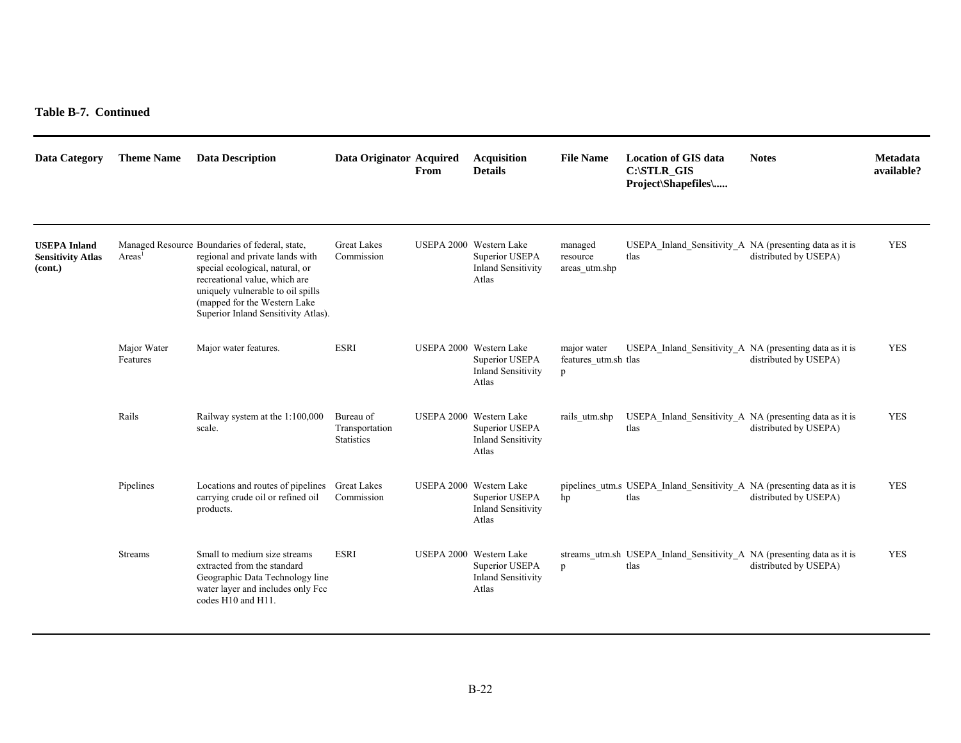**Table B-7. Continued** 

| <b>Data Category</b>                                       | <b>Theme Name</b>       | <b>Data Description</b>                                                                                                                                                                                                                                           | Data Originator Acquired                         | From | <b>Acquisition</b><br><b>Details</b>                                            | <b>File Name</b>                         | <b>Location of GIS data</b><br>C:\STLR_GIS<br>Project\Shapefiles\               | <b>Notes</b>          | <b>Metadata</b><br>available? |
|------------------------------------------------------------|-------------------------|-------------------------------------------------------------------------------------------------------------------------------------------------------------------------------------------------------------------------------------------------------------------|--------------------------------------------------|------|---------------------------------------------------------------------------------|------------------------------------------|---------------------------------------------------------------------------------|-----------------------|-------------------------------|
| <b>USEPA Inland</b><br><b>Sensitivity Atlas</b><br>(cont.) | Area <sup>1</sup>       | Managed Resource Boundaries of federal, state,<br>regional and private lands with<br>special ecological, natural, or<br>recreational value, which are<br>uniquely vulnerable to oil spills<br>(mapped for the Western Lake<br>Superior Inland Sensitivity Atlas). | <b>Great Lakes</b><br>Commission                 |      | USEPA 2000 Western Lake<br>Superior USEPA<br><b>Inland Sensitivity</b><br>Atlas | managed<br>resource<br>areas utm.shp     | USEPA Inland Sensitivity A NA (presenting data as it is<br>tlas                 | distributed by USEPA) | <b>YES</b>                    |
|                                                            | Major Water<br>Features | Major water features.                                                                                                                                                                                                                                             | <b>ESRI</b>                                      |      | USEPA 2000 Western Lake<br>Superior USEPA<br><b>Inland Sensitivity</b><br>Atlas | major water<br>features_utm.sh tlas<br>p | USEPA_Inland_Sensitivity_A NA (presenting data as it is                         | distributed by USEPA) | <b>YES</b>                    |
|                                                            | Rails                   | Railway system at the 1:100,000<br>scale.                                                                                                                                                                                                                         | Bureau of<br>Transportation<br><b>Statistics</b> |      | USEPA 2000 Western Lake<br>Superior USEPA<br><b>Inland Sensitivity</b><br>Atlas | rails utm.shp                            | USEPA Inland Sensitivity A NA (presenting data as it is<br>tlas                 | distributed by USEPA) | <b>YES</b>                    |
|                                                            | Pipelines               | Locations and routes of pipelines<br>carrying crude oil or refined oil<br>products.                                                                                                                                                                               | <b>Great Lakes</b><br>Commission                 |      | USEPA 2000 Western Lake<br>Superior USEPA<br><b>Inland Sensitivity</b><br>Atlas | hp                                       | pipelines utm.s USEPA Inland Sensitivity A NA (presenting data as it is<br>tlas | distributed by USEPA) | <b>YES</b>                    |
|                                                            | <b>Streams</b>          | Small to medium size streams<br>extracted from the standard<br>Geographic Data Technology line<br>water layer and includes only Fcc<br>codes H10 and H11.                                                                                                         | <b>ESRI</b>                                      |      | USEPA 2000 Western Lake<br>Superior USEPA<br><b>Inland Sensitivity</b><br>Atlas | p                                        | streams_utm.sh USEPA_Inland_Sensitivity_A NA (presenting data as it is<br>tlas  | distributed by USEPA) | <b>YES</b>                    |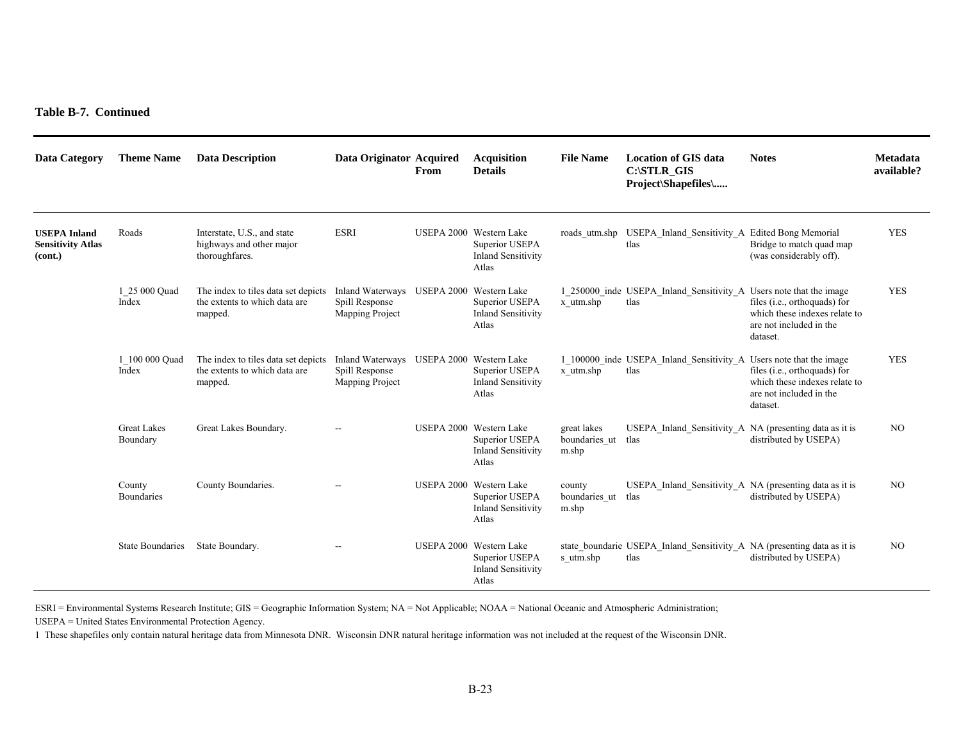| <b>Data Category</b>                                       | <b>Theme Name</b>              | <b>Data Description</b>                                                                                                  | Data Originator Acquired                                                      | From | <b>Acquisition</b><br><b>Details</b>                                            | <b>File Name</b>                      | <b>Location of GIS data</b><br>C:\STLR GIS<br>Project\Shapefiles\               | <b>Notes</b>                                                                                         | Metadata<br>available? |
|------------------------------------------------------------|--------------------------------|--------------------------------------------------------------------------------------------------------------------------|-------------------------------------------------------------------------------|------|---------------------------------------------------------------------------------|---------------------------------------|---------------------------------------------------------------------------------|------------------------------------------------------------------------------------------------------|------------------------|
| <b>USEPA Inland</b><br><b>Sensitivity Atlas</b><br>(cont.) | Roads                          | Interstate, U.S., and state<br>highways and other major<br>thoroughfares.                                                | <b>ESRI</b>                                                                   |      | USEPA 2000 Western Lake<br>Superior USEPA<br><b>Inland Sensitivity</b><br>Atlas | roads utm.shp                         | USEPA_Inland_Sensitivity_A Edited Bong Memorial<br>tlas                         | Bridge to match quad map<br>(was considerably off).                                                  | <b>YES</b>             |
|                                                            | 1 25 000 Quad<br>Index         | The index to tiles data set depicts Inland Waterways USEPA 2000 Western Lake<br>the extents to which data are<br>mapped. | Spill Response<br>Mapping Project                                             |      | Superior USEPA<br><b>Inland Sensitivity</b><br>Atlas                            | x utm.shp                             | 1 250000 inde USEPA Inland Sensitivity A Users note that the image<br>tlas      | files (i.e., orthoquads) for<br>which these indexes relate to<br>are not included in the<br>dataset. | <b>YES</b>             |
|                                                            | 1 100 000 Ouad<br>Index        | The index to tiles data set depicts<br>the extents to which data are<br>mapped.                                          | Inland Waterways USEPA 2000 Western Lake<br>Spill Response<br>Mapping Project |      | Superior USEPA<br><b>Inland Sensitivity</b><br>Atlas                            | x utm.shp                             | 1 100000 inde USEPA Inland Sensitivity A Users note that the image<br>tlas      | files (i.e., orthoquads) for<br>which these indexes relate to<br>are not included in the<br>dataset. | <b>YES</b>             |
|                                                            | <b>Great Lakes</b><br>Boundary | Great Lakes Boundary.                                                                                                    |                                                                               |      | USEPA 2000 Western Lake<br>Superior USEPA<br><b>Inland Sensitivity</b><br>Atlas | great lakes<br>boundaries ut<br>m.shp | USEPA Inland Sensitivity A NA (presenting data as it is<br>tlas                 | distributed by USEPA)                                                                                | N <sub>O</sub>         |
|                                                            | County<br><b>Boundaries</b>    | County Boundaries.                                                                                                       |                                                                               |      | USEPA 2000 Western Lake<br>Superior USEPA<br><b>Inland Sensitivity</b><br>Atlas | county<br>boundaries ut<br>m.shp      | USEPA Inland Sensitivity A NA (presenting data as it is<br>tlas                 | distributed by USEPA)                                                                                | N <sub>O</sub>         |
|                                                            | <b>State Boundaries</b>        | State Boundary.                                                                                                          |                                                                               |      | USEPA 2000 Western Lake<br>Superior USEPA<br><b>Inland Sensitivity</b><br>Atlas | s utm.shp                             | state_boundarie USEPA_Inland_Sensitivity_A_NA (presenting data as it is<br>tlas | distributed by USEPA)                                                                                | N <sub>O</sub>         |

ESRI = Environmental Systems Research Institute; GIS = Geographic Information System; NA = Not Applicable; NOAA = National Oceanic and Atmospheric Administration; USEPA = United States Environmental Protection Agency.

1 These shapefiles only contain natural heritage data from Minnesota DNR. Wisconsin DNR natural heritage information was not included at the request of the Wisconsin DNR.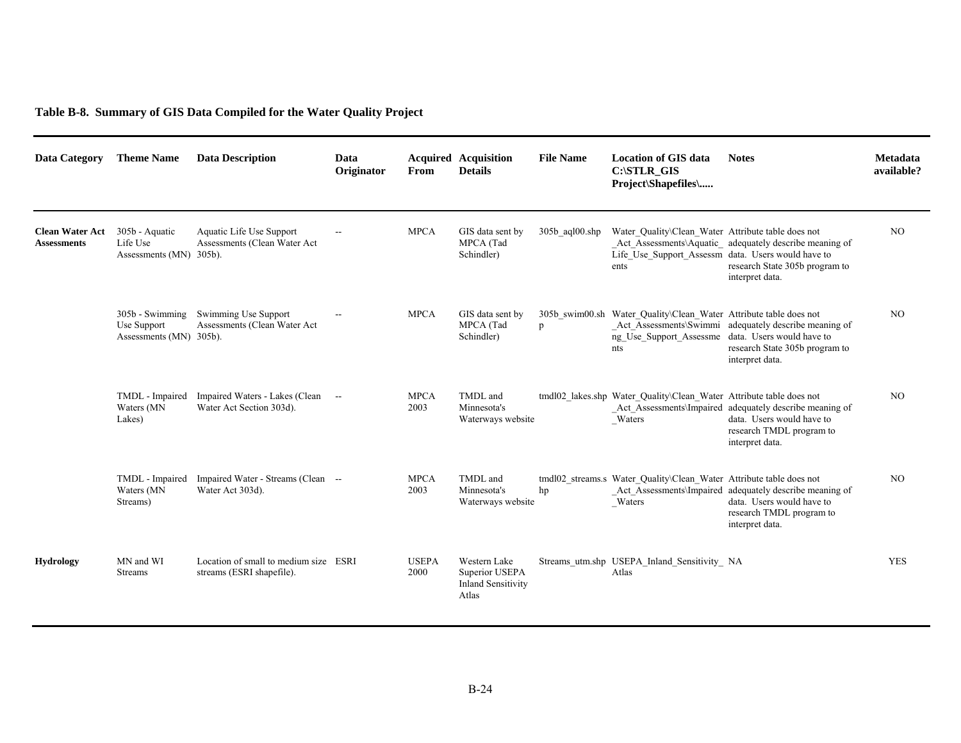**Table B-8. Summary of GIS Data Compiled for the Water Quality Project** 

| <b>Data Category</b>                         | <b>Theme Name</b>                                           | <b>Data Description</b>                                            | Data<br>Originator | From                 | <b>Acquired Acquisition</b><br><b>Details</b>                        | <b>File Name</b>           | <b>Location of GIS data</b><br>C:\STLR_GIS<br>Project\Shapefiles\                                                | <b>Notes</b>                                                                                                                            | Metadata<br>available? |
|----------------------------------------------|-------------------------------------------------------------|--------------------------------------------------------------------|--------------------|----------------------|----------------------------------------------------------------------|----------------------------|------------------------------------------------------------------------------------------------------------------|-----------------------------------------------------------------------------------------------------------------------------------------|------------------------|
| <b>Clean Water Act</b><br><b>Assessments</b> | 305b - Aquatic<br>Life Use<br>Assessments (MN) 305b).       | Aquatic Life Use Support<br>Assessments (Clean Water Act           | $\sim$             | <b>MPCA</b>          | GIS data sent by<br>MPCA (Tad<br>Schindler)                          | $305b$ agl $00.\text{shp}$ | Water Quality\Clean Water Attribute table does not<br>Life_Use_Support_Assessm_data. Users would have to<br>ents | Act Assessments\Aquatic adequately describe meaning of<br>research State 305b program to<br>interpret data.                             | NO <sub>1</sub>        |
|                                              | $305b - Swimming$<br>Use Support<br>Assessments (MN) 305b). | Swimming Use Support<br>Assessments (Clean Water Act               |                    | <b>MPCA</b>          | GIS data sent by<br>MPCA (Tad<br>Schindler)                          | p                          | 305b swim00.sh Water Quality\Clean Water Attribute table does not<br>ng Use Support Assessme<br>nts              | Act Assessments\Swimmi adequately describe meaning of<br>data. Users would have to<br>research State 305b program to<br>interpret data. | N <sub>O</sub>         |
|                                              | TMDL - Impaired<br>Waters (MN<br>Lakes)                     | Impaired Waters - Lakes (Clean --<br>Water Act Section 303d).      |                    | <b>MPCA</b><br>2003  | TMDL and<br>Minnesota's<br>Waterways website                         |                            | tmdl02 lakes.shp Water Quality\Clean Water Attribute table does not<br>$_$ Waters                                | Act Assessments\Impaired adequately describe meaning of<br>data. Users would have to<br>research TMDL program to<br>interpret data.     | N <sub>O</sub>         |
|                                              | TMDL - Impaired<br>Waters (MN<br>Streams)                   | Impaired Water - Streams (Clean --<br>Water Act 303d).             |                    | <b>MPCA</b><br>2003  | TMDL and<br>Minnesota's<br>Waterways website                         | hp                         | tmdl02 streams.s Water Quality\Clean Water Attribute table does not<br>_Waters                                   | Act Assessments\Impaired adequately describe meaning of<br>data. Users would have to<br>research TMDL program to<br>interpret data.     | N <sub>O</sub>         |
| <b>Hydrology</b>                             | MN and WI<br><b>Streams</b>                                 | Location of small to medium size ESRI<br>streams (ESRI shapefile). |                    | <b>USEPA</b><br>2000 | Western Lake<br>Superior USEPA<br><b>Inland Sensitivity</b><br>Atlas |                            | Streams utm.shp USEPA Inland Sensitivity NA<br>Atlas                                                             |                                                                                                                                         | <b>YES</b>             |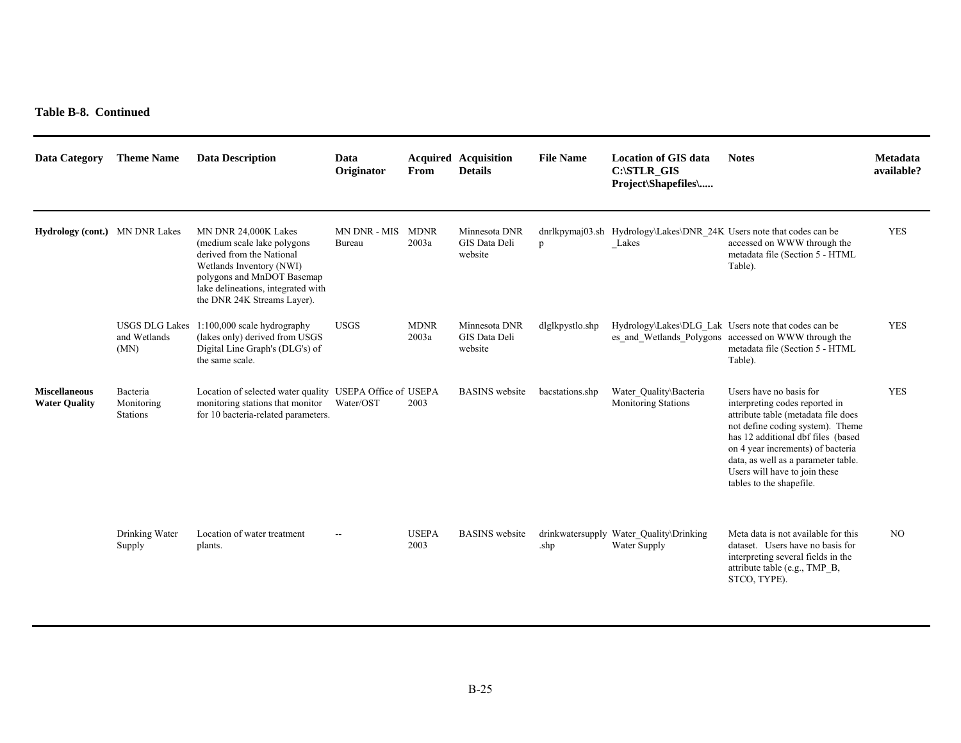**Table B-8. Continued** 

| <b>Data Category</b>                         | <b>Theme Name</b>                             | <b>Data Description</b>                                                                                                                                                                                          | Data<br>Originator     | From                 | <b>Acquired Acquisition</b><br><b>Details</b> | <b>File Name</b> | <b>Location of GIS data</b><br>C:\STLR GIS<br>Project\Shapefiles\             | <b>Notes</b>                                                                                                                                                                                                                                                                                                        | <b>Metadata</b><br>available? |
|----------------------------------------------|-----------------------------------------------|------------------------------------------------------------------------------------------------------------------------------------------------------------------------------------------------------------------|------------------------|----------------------|-----------------------------------------------|------------------|-------------------------------------------------------------------------------|---------------------------------------------------------------------------------------------------------------------------------------------------------------------------------------------------------------------------------------------------------------------------------------------------------------------|-------------------------------|
| <b>Hydrology (cont.)</b> MN DNR Lakes        |                                               | MN DNR 24,000K Lakes<br>(medium scale lake polygons)<br>derived from the National<br>Wetlands Inventory (NWI)<br>polygons and MnDOT Basemap<br>lake delineations, integrated with<br>the DNR 24K Streams Layer). | MN DNR - MIS<br>Bureau | <b>MDNR</b><br>2003a | Minnesota DNR<br>GIS Data Deli<br>website     | p                | dnrlkpymaj03.sh Hydrology\Lakes\DNR 24K Users note that codes can be<br>Lakes | accessed on WWW through the<br>metadata file (Section 5 - HTML<br>Table).                                                                                                                                                                                                                                           | <b>YES</b>                    |
|                                              | <b>USGS DLG Lakes</b><br>and Wetlands<br>(MN) | 1:100,000 scale hydrography<br>(lakes only) derived from USGS<br>Digital Line Graph's (DLG's) of<br>the same scale.                                                                                              | <b>USGS</b>            | <b>MDNR</b><br>2003a | Minnesota DNR<br>GIS Data Deli<br>website     | dlglkpystlo.shp  |                                                                               | Hydrology\Lakes\DLG Lak Users note that codes can be<br>es and Wetlands Polygons accessed on WWW through the<br>metadata file (Section 5 - HTML<br>Table).                                                                                                                                                          | <b>YES</b>                    |
| <b>Miscellaneous</b><br><b>Water Ouality</b> | Bacteria<br>Monitoring<br><b>Stations</b>     | Location of selected water quality USEPA Office of USEPA<br>monitoring stations that monitor<br>for 10 bacteria-related parameters.                                                                              | Water/OST              | 2003                 | <b>BASINS</b> website                         | bacstations.shp  | Water Quality\Bacteria<br><b>Monitoring Stations</b>                          | Users have no basis for<br>interpreting codes reported in<br>attribute table (metadata file does<br>not define coding system). Theme<br>has 12 additional dbf files (based<br>on 4 year increments) of bacteria<br>data, as well as a parameter table.<br>Users will have to join these<br>tables to the shapefile. | <b>YES</b>                    |
|                                              | Drinking Water<br>Supply                      | Location of water treatment<br>plants.                                                                                                                                                                           | $\overline{a}$         | <b>USEPA</b><br>2003 | <b>BASINS</b> website                         | .shp             | drinkwatersupply Water Quality\Drinking<br>Water Supply                       | Meta data is not available for this<br>dataset. Users have no basis for<br>interpreting several fields in the<br>attribute table (e.g., TMP B,<br>STCO, TYPE).                                                                                                                                                      | N <sub>O</sub>                |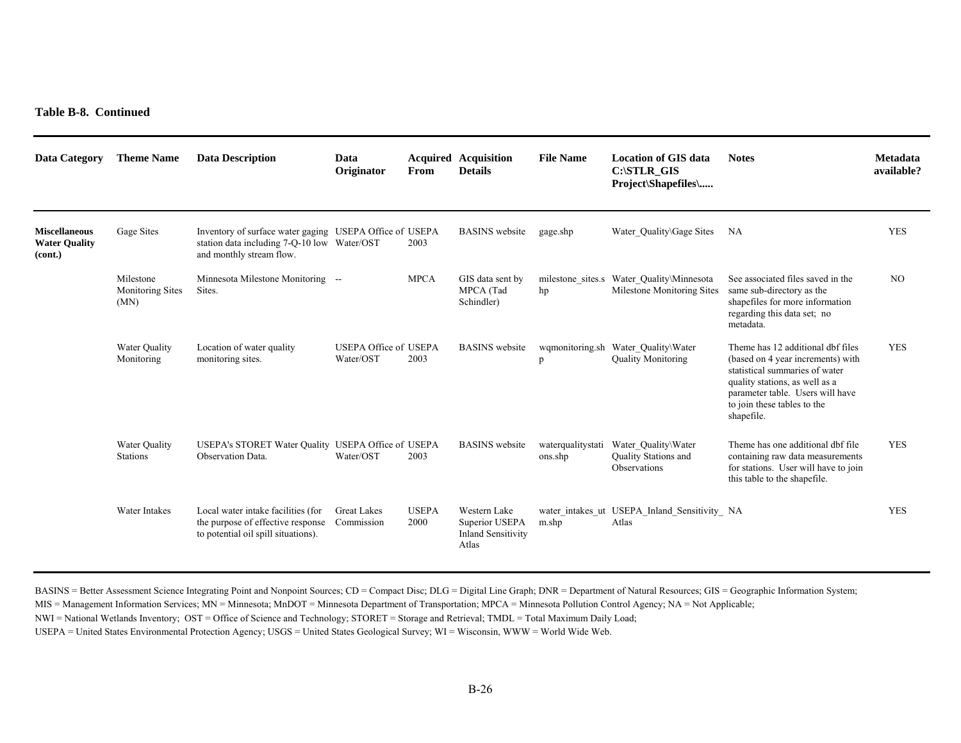| <b>Data Category</b>                                    | <b>Theme Name</b>                            | <b>Data Description</b>                                                                                                            | Data<br>Originator                        | From                 | <b>Acquired Acquisition</b><br><b>Details</b>                        | <b>File Name</b>                | <b>Location of GIS data</b><br>C:\STLR GIS<br>Project\Shapefiles\ | <b>Notes</b>                                                                                                                                                                                                                | <b>Metadata</b><br>available? |
|---------------------------------------------------------|----------------------------------------------|------------------------------------------------------------------------------------------------------------------------------------|-------------------------------------------|----------------------|----------------------------------------------------------------------|---------------------------------|-------------------------------------------------------------------|-----------------------------------------------------------------------------------------------------------------------------------------------------------------------------------------------------------------------------|-------------------------------|
| <b>Miscellaneous</b><br><b>Water Ouality</b><br>(cont.) | Gage Sites                                   | Inventory of surface water gaging USEPA Office of USEPA<br>station data including 7-Q-10 low Water/OST<br>and monthly stream flow. |                                           | 2003                 | <b>BASINS</b> website                                                | gage.shp                        | Water Quality\Gage Sites                                          | NA                                                                                                                                                                                                                          | <b>YES</b>                    |
|                                                         | Milestone<br><b>Monitoring Sites</b><br>(MN) | Minnesota Milestone Monitoring --<br>Sites.                                                                                        |                                           | <b>MPCA</b>          | GIS data sent by<br>MPCA (Tad<br>Schindler)                          | milestone sites.s<br>hp         | Water Quality\Minnesota<br>Milestone Monitoring Sites             | See associated files saved in the<br>same sub-directory as the<br>shapefiles for more information<br>regarding this data set; no<br>metadata.                                                                               | N <sub>O</sub>                |
|                                                         | Water Quality<br>Monitoring                  | Location of water quality<br>monitoring sites.                                                                                     | <b>USEPA Office of USEPA</b><br>Water/OST | 2003                 | <b>BASINS</b> website                                                | wqmonitoring.sh<br>$\mathbf{D}$ | Water_Quality\Water<br><b>Quality Monitoring</b>                  | Theme has 12 additional dbf files<br>(based on 4 year increments) with<br>statistical summaries of water<br>quality stations, as well as a<br>parameter table. Users will have<br>to join these tables to the<br>shapefile. | <b>YES</b>                    |
|                                                         | Water Quality<br><b>Stations</b>             | USEPA's STORET Water Quality USEPA Office of USEPA<br>Observation Data.                                                            | Water/OST                                 | 2003                 | <b>BASINS</b> website                                                | waterqualitystati<br>ons.shp    | Water Quality\Water<br>Quality Stations and<br>Observations       | Theme has one additional dbf file<br>containing raw data measurements<br>for stations. User will have to join<br>this table to the shapefile.                                                                               | <b>YES</b>                    |
|                                                         | Water Intakes                                | Local water intake facilities (for<br>the purpose of effective response<br>to potential oil spill situations).                     | <b>Great Lakes</b><br>Commission          | <b>USEPA</b><br>2000 | Western Lake<br>Superior USEPA<br><b>Inland Sensitivity</b><br>Atlas | m.shp                           | water intakes ut USEPA Inland Sensitivity NA<br>Atlas             |                                                                                                                                                                                                                             | <b>YES</b>                    |

BASINS = Better Assessment Science Integrating Point and Nonpoint Sources; CD = Compact Disc; DLG = Digital Line Graph; DNR = Department of Natural Resources; GIS = Geographic Information System;

MIS = Management Information Services; MN = Minnesota; MnDOT = Minnesota Department of Transportation; MPCA = Minnesota Pollution Control Agency; NA = Not Applicable;

NWI = National Wetlands Inventory; OST = Office of Science and Technology; STORET = Storage and Retrieval; TMDL = Total Maximum Daily Load;

USEPA = United States Environmental Protection Agency; USGS = United States Geological Survey; WI = Wisconsin, WWW = World Wide Web.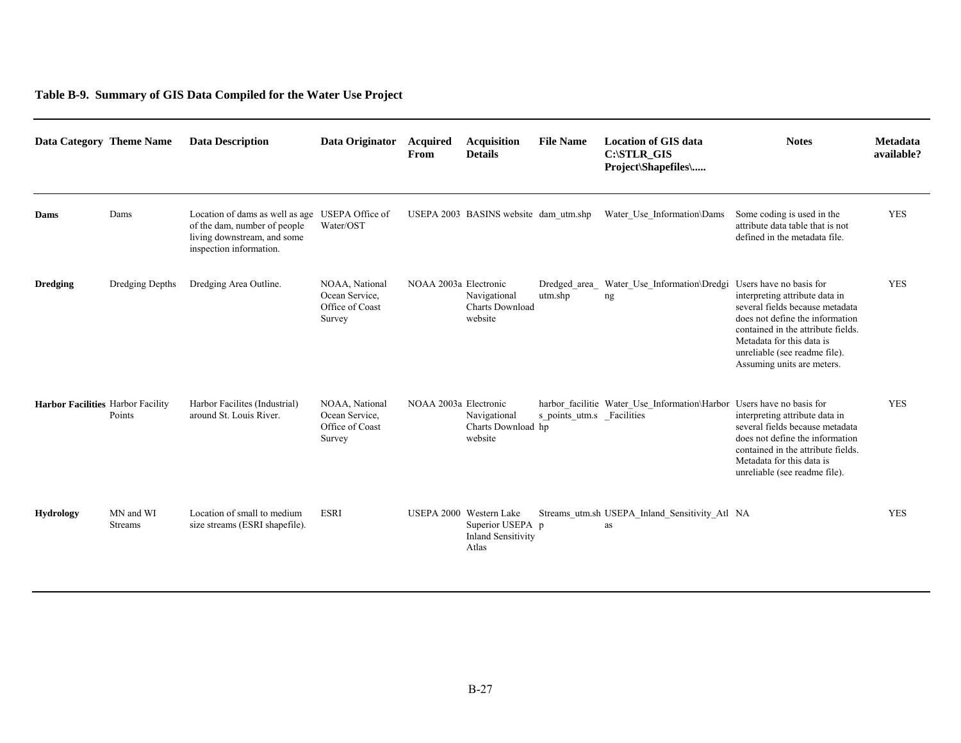#### **Table B-9. Summary of GIS Data Compiled for the Water Use Project**

| Data Category Theme Name                 |                             | <b>Data Description</b>                                                                                                                   | Data Originator                                               | <b>Acquired</b><br>From | <b>Acquisition</b><br><b>Details</b>                                              | <b>File Name</b>          | <b>Location of GIS data</b><br>C:\STLR_GIS<br>Project\Shapefiles\     | <b>Notes</b>                                                                                                                                                                                                                                                      | Metadata<br>available? |
|------------------------------------------|-----------------------------|-------------------------------------------------------------------------------------------------------------------------------------------|---------------------------------------------------------------|-------------------------|-----------------------------------------------------------------------------------|---------------------------|-----------------------------------------------------------------------|-------------------------------------------------------------------------------------------------------------------------------------------------------------------------------------------------------------------------------------------------------------------|------------------------|
| Dams                                     | Dams                        | Location of dams as well as age USEPA Office of<br>of the dam, number of people<br>living downstream, and some<br>inspection information. | Water/OST                                                     |                         | USEPA 2003 BASINS website dam utm.shp                                             |                           | Water Use Information\Dams                                            | Some coding is used in the<br>attribute data table that is not<br>defined in the metadata file.                                                                                                                                                                   | <b>YES</b>             |
| <b>Dredging</b>                          | Dredging Depths             | Dredging Area Outline.                                                                                                                    | NOAA. National<br>Ocean Service.<br>Office of Coast<br>Survey | NOAA 2003a Electronic   | Navigational<br>Charts Download<br>website                                        | Dredged area<br>utm.shp   | Water Use Information\Dredgi<br>ng                                    | Users have no basis for<br>interpreting attribute data in<br>several fields because metadata<br>does not define the information<br>contained in the attribute fields.<br>Metadata for this data is<br>unreliable (see readme file).<br>Assuming units are meters. | <b>YES</b>             |
| <b>Harbor Facilities Harbor Facility</b> | Points                      | Harbor Facilites (Industrial)<br>around St. Louis River.                                                                                  | NOAA, National<br>Ocean Service.<br>Office of Coast<br>Survey | NOAA 2003a Electronic   | Navigational<br>Charts Download hp<br>website                                     | s points utm.s Facilities | harbor facilitie Water Use Information\Harbor Users have no basis for | interpreting attribute data in<br>several fields because metadata<br>does not define the information<br>contained in the attribute fields.<br>Metadata for this data is<br>unreliable (see readme file).                                                          | <b>YES</b>             |
| <b>Hydrology</b>                         | MN and WI<br><b>Streams</b> | Location of small to medium<br>size streams (ESRI shapefile).                                                                             | <b>ESRI</b>                                                   |                         | USEPA 2000 Western Lake<br>Superior USEPA p<br><b>Inland Sensitivity</b><br>Atlas |                           | Streams_utm.sh USEPA_Inland_Sensitivity_Atl NA<br>as                  |                                                                                                                                                                                                                                                                   | <b>YES</b>             |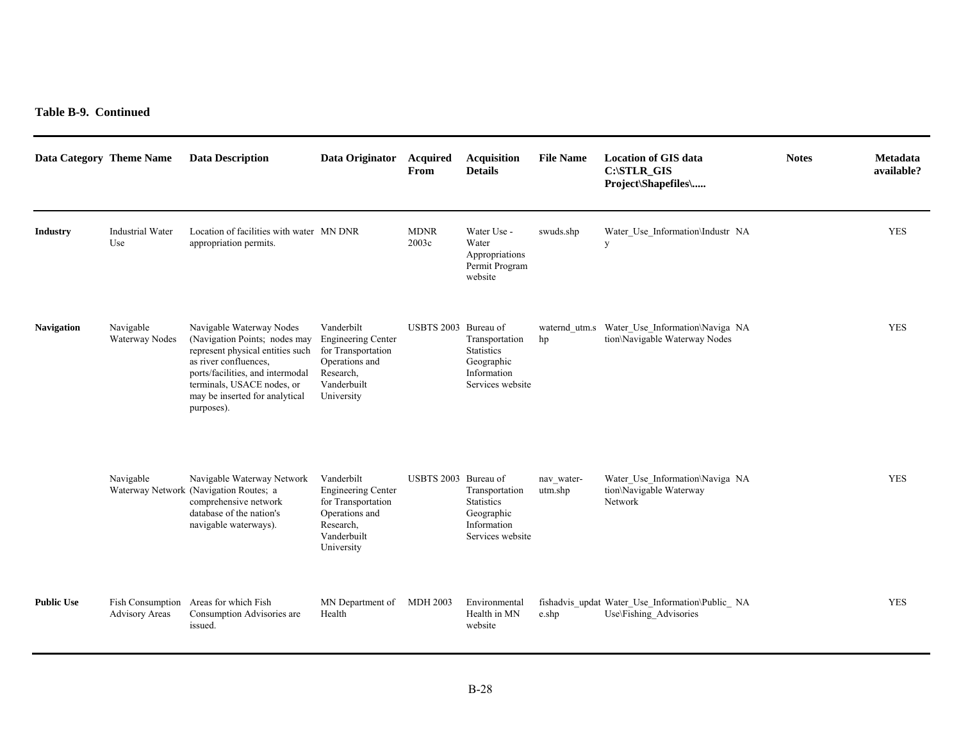| Data Category Theme Name |                                | <b>Data Description</b>                                                                                                                                                                                                                  | Data Originator                                                                                                           | Acquired<br>From     | <b>Acquisition</b><br><b>Details</b>                                                 | <b>File Name</b>      | <b>Location of GIS data</b><br>C:\STLR_GIS<br>Project\Shapefiles\              | <b>Notes</b> | Metadata<br>available? |
|--------------------------|--------------------------------|------------------------------------------------------------------------------------------------------------------------------------------------------------------------------------------------------------------------------------------|---------------------------------------------------------------------------------------------------------------------------|----------------------|--------------------------------------------------------------------------------------|-----------------------|--------------------------------------------------------------------------------|--------------|------------------------|
| <b>Industry</b>          | <b>Industrial Water</b><br>Use | Location of facilities with water MN DNR<br>appropriation permits.                                                                                                                                                                       |                                                                                                                           | <b>MDNR</b><br>2003c | Water Use -<br>Water<br>Appropriations<br>Permit Program<br>website                  | swuds.shp             | Water_Use_Information\Industr_NA<br>y                                          |              | <b>YES</b>             |
| <b>Navigation</b>        | Navigable<br>Waterway Nodes    | Navigable Waterway Nodes<br>(Navigation Points; nodes may<br>represent physical entities such<br>as river confluences,<br>ports/facilities, and intermodal<br>terminals, USACE nodes, or<br>may be inserted for analytical<br>purposes). | Vanderbilt<br><b>Engineering Center</b><br>for Transportation<br>Operations and<br>Research.<br>Vanderbuilt<br>University | USBTS 2003 Bureau of | Transportation<br><b>Statistics</b><br>Geographic<br>Information<br>Services website | hp                    | waternd utm.s Water Use Information\Naviga NA<br>tion\Navigable Waterway Nodes |              | <b>YES</b>             |
|                          | Navigable                      | Navigable Waterway Network<br>Waterway Network (Navigation Routes; a<br>comprehensive network<br>database of the nation's<br>navigable waterways).                                                                                       | Vanderbilt<br><b>Engineering Center</b><br>for Transportation<br>Operations and<br>Research,<br>Vanderbuilt<br>University | USBTS 2003 Bureau of | Transportation<br><b>Statistics</b><br>Geographic<br>Information<br>Services website | nav water-<br>utm.shp | Water_Use_Information\Naviga_NA<br>tion\Navigable Waterway<br>Network          |              | <b>YES</b>             |
| <b>Public Use</b>        | <b>Advisory Areas</b>          | Fish Consumption Areas for which Fish<br>Consumption Advisories are<br>issued.                                                                                                                                                           | MN Department of<br>Health                                                                                                | MDH 2003             | Environmental<br>Health in MN<br>website                                             | e.shp                 | fishadvis_updat Water_Use_Information\Public_ NA<br>Use\Fishing Advisories     |              | <b>YES</b>             |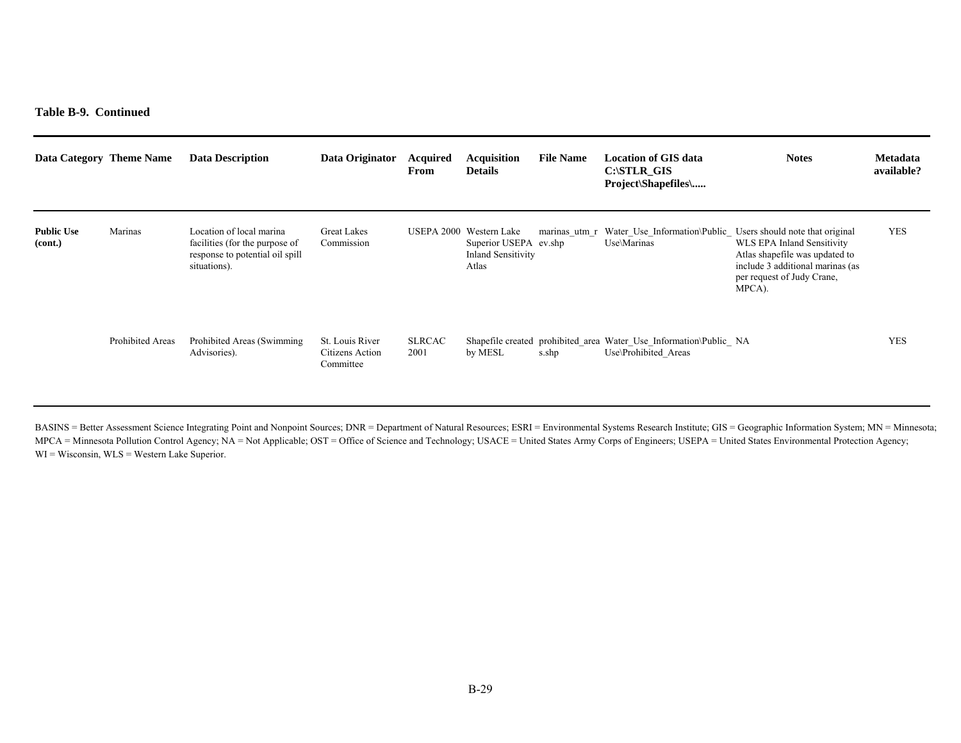**Table B-9. Continued** 

| Data Category Theme Name     |                         | <b>Data Description</b>                                                                                       | Data Originator                                 | Acquired<br>From      | <b>Acquisition</b><br><b>Details</b>                                        | <b>File Name</b> | Location of GIS data<br>$C: \text{STLR}$ GIS<br><b>Project</b> \Shapefiles\                | <b>Notes</b>                                                                                                                             | <b>Metadata</b><br>available? |
|------------------------------|-------------------------|---------------------------------------------------------------------------------------------------------------|-------------------------------------------------|-----------------------|-----------------------------------------------------------------------------|------------------|--------------------------------------------------------------------------------------------|------------------------------------------------------------------------------------------------------------------------------------------|-------------------------------|
| <b>Public Use</b><br>(cont.) | Marinas                 | Location of local marina<br>facilities (for the purpose of<br>response to potential oil spill<br>situations). | <b>Great Lakes</b><br>Commission                | USEPA 2000            | Western Lake<br>Superior USEPA ev.shp<br><b>Inland Sensitivity</b><br>Atlas | marinas utm r    | Water Use Information\Public Users should note that original<br>Use\Marinas                | WLS EPA Inland Sensitivity<br>Atlas shapefile was updated to<br>include 3 additional marinas (as<br>per request of Judy Crane,<br>MPCA). | <b>YES</b>                    |
|                              | <b>Prohibited Areas</b> | Prohibited Areas (Swimming)<br>Advisories).                                                                   | St. Louis River<br>Citizens Action<br>Committee | <b>SLRCAC</b><br>2001 | by MESL                                                                     | s.shp            | Shapefile created prohibited_area Water_Use_Information\Public_ NA<br>Use\Prohibited Areas |                                                                                                                                          | <b>YES</b>                    |

BASINS = Better Assessment Science Integrating Point and Nonpoint Sources; DNR = Department of Natural Resources; ESRI = Environmental Systems Research Institute; GIS = Geographic Information System; MN = Minnesota; MPCA = Minnesota Pollution Control Agency; NA = Not Applicable; OST = Office of Science and Technology; USACE = United States Army Corps of Engineers; USEPA = United States Environmental Protection Agency; WI = Wisconsin, WLS = Western Lake Superior.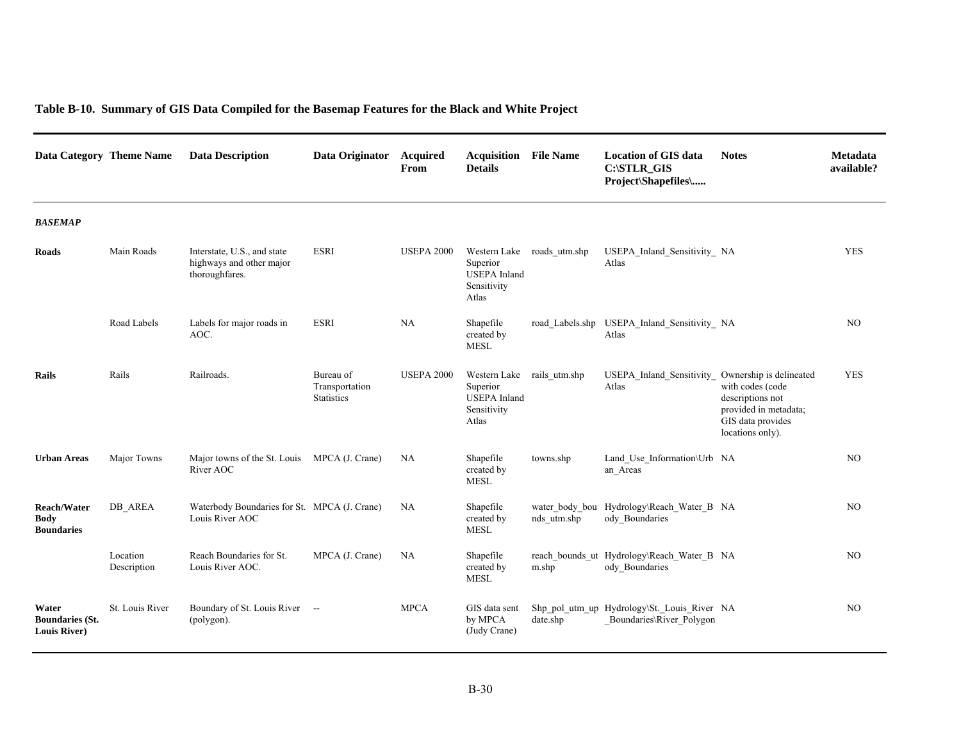| Table B-10. Summary of GIS Data Compiled for the Basemap Features for the Black and White Project |  |  |
|---------------------------------------------------------------------------------------------------|--|--|
|---------------------------------------------------------------------------------------------------|--|--|

| Data Category Theme Name                               |                         | <b>Data Description</b>                                                   | Data Originator                                  | <b>Acquired</b><br>From | <b>Acquisition</b><br><b>Details</b>                                                  | <b>File Name</b> | <b>Location of GIS data</b><br>C:\STLR_GIS<br>Project\Shapefiles\       | <b>Notes</b>                                                                                                                      | <b>Metadata</b><br>available? |
|--------------------------------------------------------|-------------------------|---------------------------------------------------------------------------|--------------------------------------------------|-------------------------|---------------------------------------------------------------------------------------|------------------|-------------------------------------------------------------------------|-----------------------------------------------------------------------------------------------------------------------------------|-------------------------------|
| <b>BASEMAP</b>                                         |                         |                                                                           |                                                  |                         |                                                                                       |                  |                                                                         |                                                                                                                                   |                               |
| <b>Roads</b>                                           | Main Roads              | Interstate, U.S., and state<br>highways and other major<br>thoroughfares. | <b>ESRI</b>                                      | <b>USEPA 2000</b>       | Western Lake roads utm.shp<br>Superior<br><b>USEPA</b> Inland<br>Sensitivity<br>Atlas |                  | USEPA Inland Sensitivity NA<br>Atlas                                    |                                                                                                                                   | <b>YES</b>                    |
|                                                        | Road Labels             | Labels for major roads in<br>AOC.                                         | <b>ESRI</b>                                      | NA                      | Shapefile<br>created by<br><b>MESL</b>                                                |                  | road Labels.shp USEPA Inland Sensitivity NA<br>Atlas                    |                                                                                                                                   | NO                            |
| Rails                                                  | Rails                   | Railroads.                                                                | Bureau of<br>Transportation<br><b>Statistics</b> | <b>USEPA 2000</b>       | Western Lake rails utm.shp<br>Superior<br><b>USEPA</b> Inland<br>Sensitivity<br>Atlas |                  | USEPA Inland Sensitivity<br>Atlas                                       | Ownership is delineated<br>with codes (code<br>descriptions not<br>provided in metadata;<br>GIS data provides<br>locations only). | <b>YES</b>                    |
| <b>Urban Areas</b>                                     | Major Towns             | Major towns of the St. Louis MPCA (J. Crane)<br>River AOC                 |                                                  | NA                      | Shapefile<br>created by<br><b>MESL</b>                                                | towns.shp        | Land_Use_Information\Urb NA<br>an Areas                                 |                                                                                                                                   | NO                            |
| Reach/Water<br>Body<br><b>Boundaries</b>               | DB AREA                 | Waterbody Boundaries for St. MPCA (J. Crane)<br>Louis River AOC           |                                                  | NA                      | Shapefile<br>created by<br>MESL                                                       | nds utm.shp      | water_body_bou Hydrology\Reach_Water_B NA<br>ody_Boundaries             |                                                                                                                                   | NO                            |
|                                                        | Location<br>Description | Reach Boundaries for St.<br>Louis River AOC.                              | MPCA (J. Crane)                                  | NA                      | Shapefile<br>created by<br><b>MESL</b>                                                | m.shp            | reach bounds ut Hydrology\Reach Water B NA<br>ody Boundaries            |                                                                                                                                   | NO                            |
| Water<br><b>Boundaries (St.</b><br><b>Louis River)</b> | St. Louis River         | Boundary of St. Louis River --<br>(polygon).                              |                                                  | <b>MPCA</b>             | GIS data sent<br>by MPCA<br>(Judy Crane)                                              | date.shp         | Shp_pol_utm_up Hydrology\St._Louis_River NA<br>Boundaries\River Polygon |                                                                                                                                   | NO                            |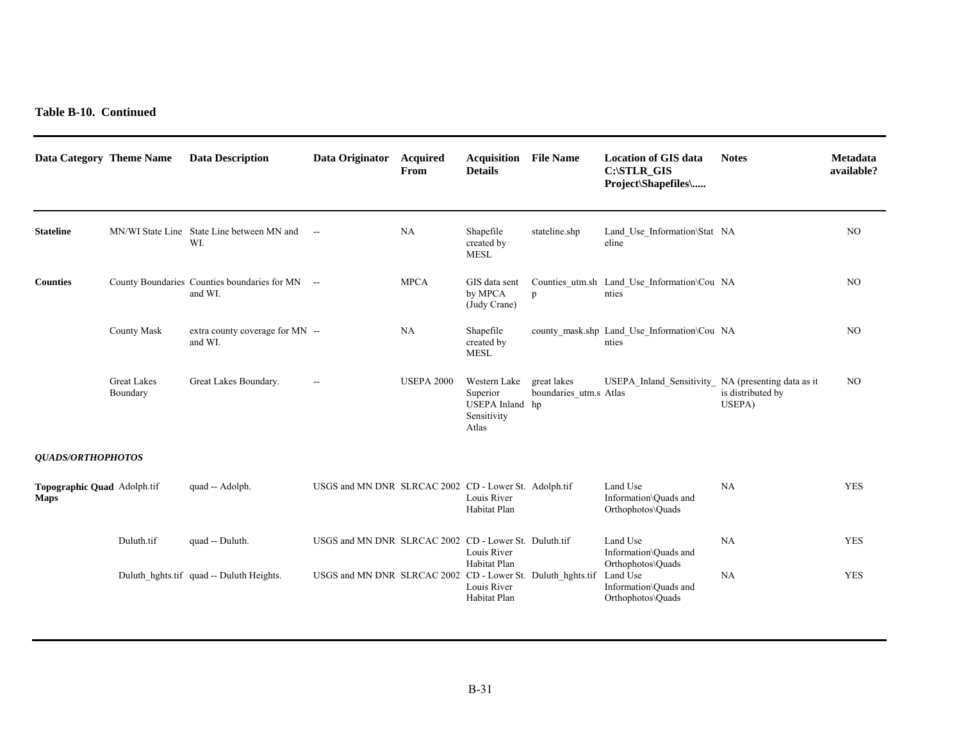| Data Category Theme Name                   |                                | <b>Data Description</b>                                    | Data Originator                                             | Acquired<br>From  | <b>Acquisition</b><br><b>Details</b>                                | <b>File Name</b>                      | <b>Location of GIS data</b><br>C:\STLR_GIS<br>Project\Shapefiles\           | <b>Notes</b>                | Metadata<br>available? |
|--------------------------------------------|--------------------------------|------------------------------------------------------------|-------------------------------------------------------------|-------------------|---------------------------------------------------------------------|---------------------------------------|-----------------------------------------------------------------------------|-----------------------------|------------------------|
| <b>Stateline</b>                           |                                | MN/WI State Line State Line between MN and --<br>WI.       |                                                             | NA                | Shapefile<br>created by<br><b>MESL</b>                              | stateline.shp                         | Land Use Information\Stat NA<br>eline                                       |                             | NO.                    |
| <b>Counties</b>                            |                                | County Boundaries Counties boundaries for MN --<br>and WI. |                                                             | <b>MPCA</b>       | GIS data sent<br>by MPCA<br>(Judy Crane)                            | p                                     | Counties utm.sh Land Use Information\Cou NA<br>nties                        |                             | NO <sub>1</sub>        |
|                                            | <b>County Mask</b>             | extra county coverage for MN --<br>and WI.                 |                                                             | NA                | Shapefile<br>created by<br><b>MESL</b>                              |                                       | county_mask.shp Land_Use_Information\Cou NA<br>nties                        |                             | NO.                    |
|                                            | <b>Great Lakes</b><br>Boundary | Great Lakes Boundary.                                      | $\overline{\phantom{a}}$                                    | <b>USEPA 2000</b> | Western Lake<br>Superior<br>USEPA Inland hp<br>Sensitivity<br>Atlas | great lakes<br>boundaries utm.s Atlas | USEPA Inland Sensitivity NA (presenting data as it                          | is distributed by<br>USEPA) | NO.                    |
| <b>QUADS/ORTHOPHOTOS</b>                   |                                |                                                            |                                                             |                   |                                                                     |                                       |                                                                             |                             |                        |
| Topographic Quad Adolph.tif<br><b>Maps</b> |                                | quad -- Adolph.                                            | USGS and MN DNR SLRCAC 2002 CD - Lower St. Adolph.tif       |                   | Louis River<br>Habitat Plan                                         |                                       | Land Use<br>Information\Quads and<br>Orthophotos\Quads                      | NA                          | <b>YES</b>             |
|                                            | Duluth.tif                     | quad -- Duluth.                                            | USGS and MN DNR SLRCAC 2002 CD - Lower St. Duluth.tif       |                   | Louis River                                                         |                                       | Land Use<br>Information\Quads and                                           | NA                          | <b>YES</b>             |
|                                            |                                | Duluth_hghts.tif quad -- Duluth Heights.                   | USGS and MN DNR SLRCAC 2002 CD - Lower St. Duluth_hghts.tif |                   | Habitat Plan<br>Louis River<br>Habitat Plan                         |                                       | Orthophotos\Quads<br>Land Use<br>Information\Quads and<br>Orthophotos\Quads | NA                          | <b>YES</b>             |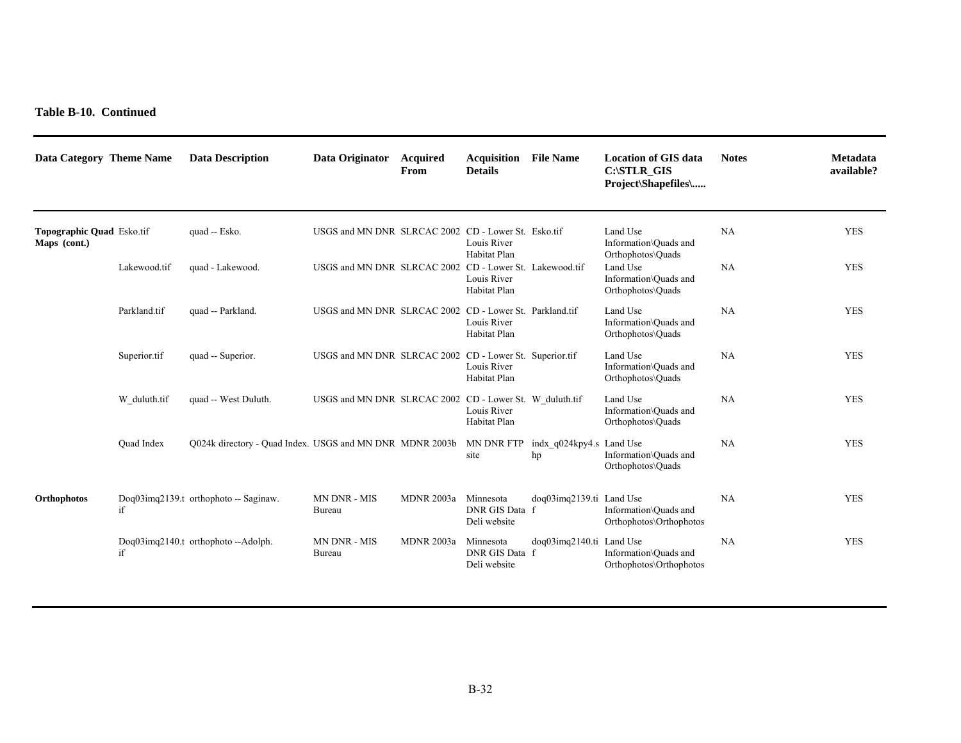| Data Category Theme Name                         |                   | <b>Data Description</b>                                  | Data Originator                                         | <b>Acquired</b><br>From | <b>Acquisition</b><br><b>Details</b>        | <b>File Name</b>               | <b>Location of GIS data</b><br>C:\STLR GIS<br>Project\Shapefiles\ | <b>Notes</b> | Metadata<br>available? |
|--------------------------------------------------|-------------------|----------------------------------------------------------|---------------------------------------------------------|-------------------------|---------------------------------------------|--------------------------------|-------------------------------------------------------------------|--------------|------------------------|
| <b>Topographic Quad Esko.tif</b><br>Maps (cont.) |                   | quad -- Esko.                                            | USGS and MN DNR SLRCAC 2002 CD - Lower St. Esko.tif     |                         | Louis River<br>Habitat Plan                 |                                | Land Use<br>Information\Ouads and<br>Orthophotos\Quads            | NA           | <b>YES</b>             |
|                                                  | Lakewood.tif      | quad - Lakewood.                                         | USGS and MN DNR SLRCAC 2002 CD - Lower St. Lakewood.tif |                         | Louis River<br>Habitat Plan                 |                                | Land Use<br>Information\Quads and<br>Orthophotos\Quads            | NA           | <b>YES</b>             |
|                                                  | Parkland.tif      | quad -- Parkland.                                        | USGS and MN DNR SLRCAC 2002 CD - Lower St. Parkland.tif |                         | Louis River<br>Habitat Plan                 |                                | Land Use<br>Information\Quads and<br>Orthophotos\Quads            | NA           | <b>YES</b>             |
|                                                  | Superior.tif      | quad -- Superior.                                        | USGS and MN DNR SLRCAC 2002 CD - Lower St. Superior.tif |                         | Louis River<br>Habitat Plan                 |                                | Land Use<br>Information\Quads and<br>Orthophotos\Quads            | NA           | <b>YES</b>             |
|                                                  | W duluth.tif      | quad -- West Duluth.                                     | USGS and MN DNR SLRCAC 2002 CD - Lower St. W_duluth.tif |                         | Louis River<br>Habitat Plan                 |                                | Land Use<br>Information\Quads and<br>Orthophotos\Quads            | NA           | <b>YES</b>             |
|                                                  | <b>Ouad Index</b> | Q024k directory - Quad Index. USGS and MN DNR MDNR 2003b |                                                         |                         | MN DNR FTP<br>site                          | indx_q024kpy4.s Land Use<br>hp | Information\Ouads and<br>Orthophotos\Quads                        | NA           | <b>YES</b>             |
| Orthophotos                                      | if                | Doq03imq2139.t orthophoto -- Saginaw.                    | MN DNR - MIS<br>Bureau                                  | <b>MDNR 2003a</b>       | Minnesota<br>DNR GIS Data f<br>Deli website | doq03imq2139.ti Land Use       | Information\Quads and<br>Orthophotos\Orthophotos                  | NA           | <b>YES</b>             |
|                                                  | if                | Doq03imq2140.t orthophoto--Adolph.                       | MN DNR - MIS<br>Bureau                                  | <b>MDNR 2003a</b>       | Minnesota<br>DNR GIS Data f<br>Deli website | doq03imq2140.ti Land Use       | Information\Ouads and<br>Orthophotos\Orthophotos                  | NA           | <b>YES</b>             |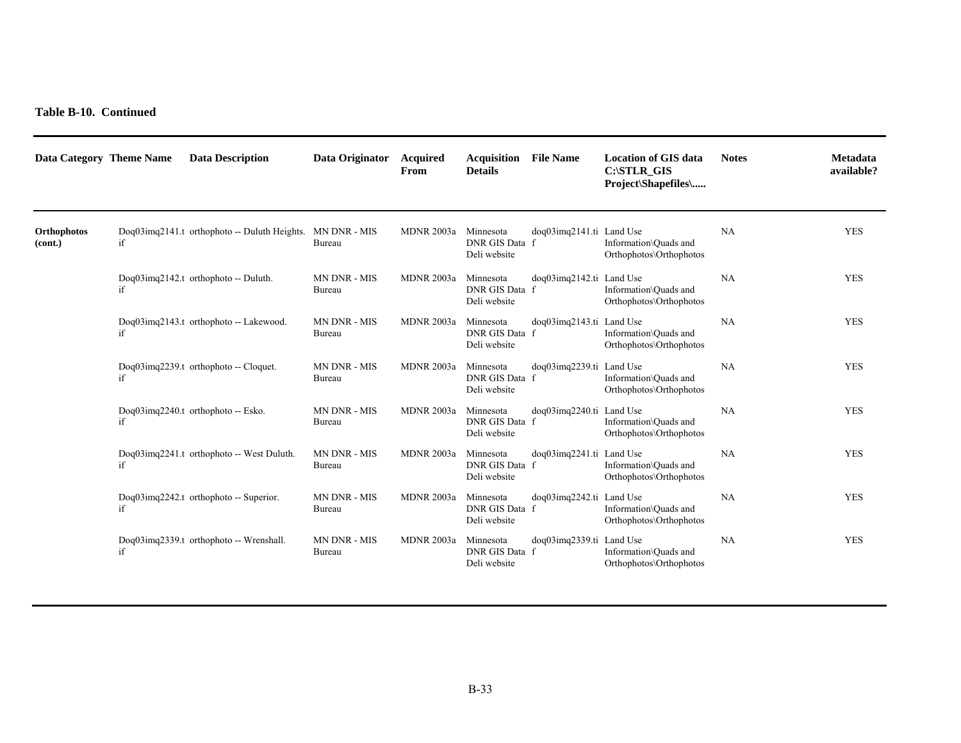| Data Category Theme Name |    | <b>Data Description</b>                      | Data Originator               | Acquired<br>From  | <b>Acquisition</b> File Name<br><b>Details</b> |                                 | <b>Location of GIS data</b><br>C:\STLR GIS<br>Project\Shapefiles\ | <b>Notes</b> | Metadata<br>available? |
|--------------------------|----|----------------------------------------------|-------------------------------|-------------------|------------------------------------------------|---------------------------------|-------------------------------------------------------------------|--------------|------------------------|
| Orthophotos<br>(cont.)   | if | Dog03img2141.t orthophoto -- Duluth Heights. | <b>MN DNR - MIS</b><br>Bureau | <b>MDNR 2003a</b> | Minnesota<br>DNR GIS Data f<br>Deli website    | doq03imq2141.ti Land Use        | Information\Quads and<br>Orthophotos\Orthophotos                  | NA           | <b>YES</b>             |
|                          | if | Doq03imq2142.t orthophoto -- Duluth.         | MN DNR - MIS<br>Bureau        | <b>MDNR 2003a</b> | Minnesota<br>DNR GIS Data f<br>Deli website    | $dog03$ imq $2142$ .ti Land Use | Information\Ouads and<br>Orthophotos\Orthophotos                  | NA           | <b>YES</b>             |
|                          | if | Doq03imq2143.t orthophoto -- Lakewood.       | <b>MN DNR - MIS</b><br>Bureau | <b>MDNR 2003a</b> | Minnesota<br>DNR GIS Data f<br>Deli website    | doq03imq2143.ti Land Use        | Information\Ouads and<br>Orthophotos\Orthophotos                  | <b>NA</b>    | <b>YES</b>             |
|                          | if | Doq03imq2239.t orthophoto -- Cloquet.        | MN DNR - MIS<br>Bureau        | <b>MDNR 2003a</b> | Minnesota<br>DNR GIS Data f<br>Deli website    | doq03imq2239.ti Land Use        | Information\Ouads and<br>Orthophotos\Orthophotos                  | NA           | <b>YES</b>             |
|                          | if | Doq03imq2240.t orthophoto -- Esko.           | <b>MN DNR - MIS</b><br>Bureau | <b>MDNR 2003a</b> | Minnesota<br>DNR GIS Data f<br>Deli website    | doq03imq2240.ti Land Use        | Information\Ouads and<br>Orthophotos\Orthophotos                  | <b>NA</b>    | <b>YES</b>             |
|                          | if | Doq03imq2241.t orthophoto -- West Duluth.    | MN DNR - MIS<br>Bureau        | <b>MDNR 2003a</b> | Minnesota<br>DNR GIS Data f<br>Deli website    | doq03imq2241.ti Land Use        | Information\Quads and<br>Orthophotos\Orthophotos                  | NA           | <b>YES</b>             |
|                          | if | Doq03imq2242.t orthophoto -- Superior.       | MN DNR - MIS<br>Bureau        | <b>MDNR 2003a</b> | Minnesota<br>DNR GIS Data f<br>Deli website    | doq03imq2242.ti Land Use        | Information\Ouads and<br>Orthophotos\Orthophotos                  | <b>NA</b>    | <b>YES</b>             |
|                          | if | Doq03imq2339.t orthophoto -- Wrenshall.      | MN DNR - MIS<br>Bureau        | <b>MDNR 2003a</b> | Minnesota<br>DNR GIS Data f<br>Deli website    | doq03imq2339.ti Land Use        | Information\Ouads and<br>Orthophotos\Orthophotos                  | NA           | <b>YES</b>             |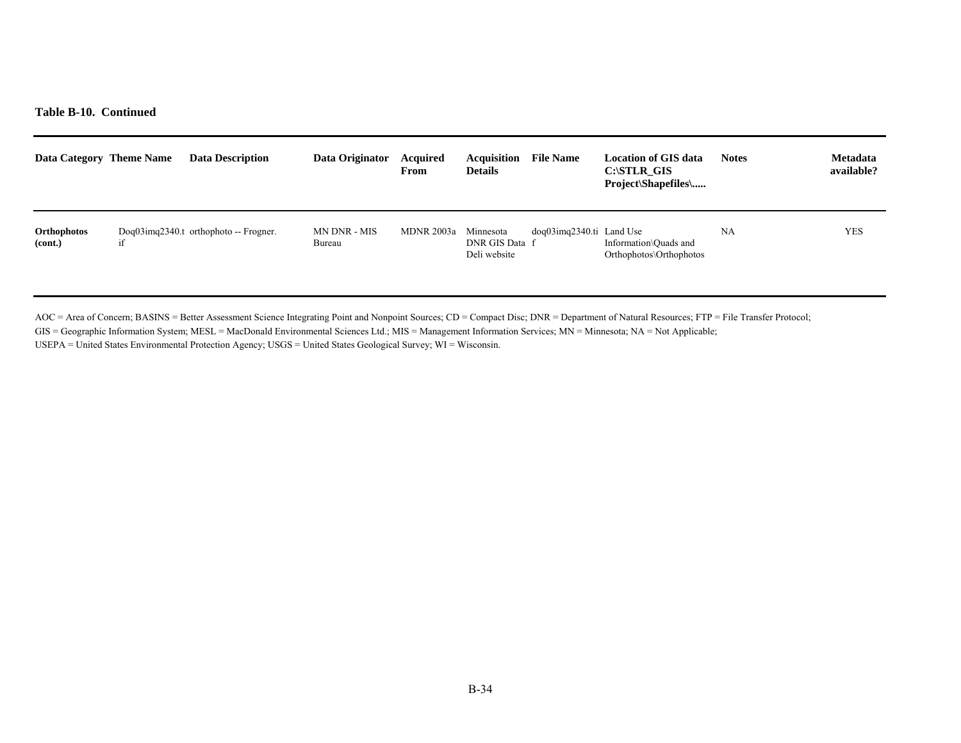| Data Category Theme Name | <b>Data Description</b>                      | Data Originator        | <b>Acquired</b><br>From | <b>Acquisition</b><br><b>Details</b>        | <b>File Name</b>                | Location of GIS data<br>C:\STLR GIS<br>Project\Shapefiles\ | <b>Notes</b> | <b>Metadata</b><br>available? |
|--------------------------|----------------------------------------------|------------------------|-------------------------|---------------------------------------------|---------------------------------|------------------------------------------------------------|--------------|-------------------------------|
| Orthophotos<br>(cont.)   | $Doq03$ imq $2340$ .t orthophoto -- Frogner. | MN DNR - MIS<br>Bureau | MDNR 2003a              | Minnesota<br>DNR GIS Data f<br>Deli website | $dog03$ imq $2340$ .ti Land Use | Information\Ouads and<br>Orthophotos\Orthophotos           | NA           | <b>YES</b>                    |

AOC = Area of Concern; BASINS = Better Assessment Science Integrating Point and Nonpoint Sources; CD = Compact Disc; DNR = Department of Natural Resources; FTP = File Transfer Protocol;

GIS = Geographic Information System; MESL = MacDonald Environmental Sciences Ltd.; MIS = Management Information Services; MN = Minnesota; NA = Not Applicable;

USEPA = United States Environmental Protection Agency; USGS = United States Geological Survey; WI = Wisconsin.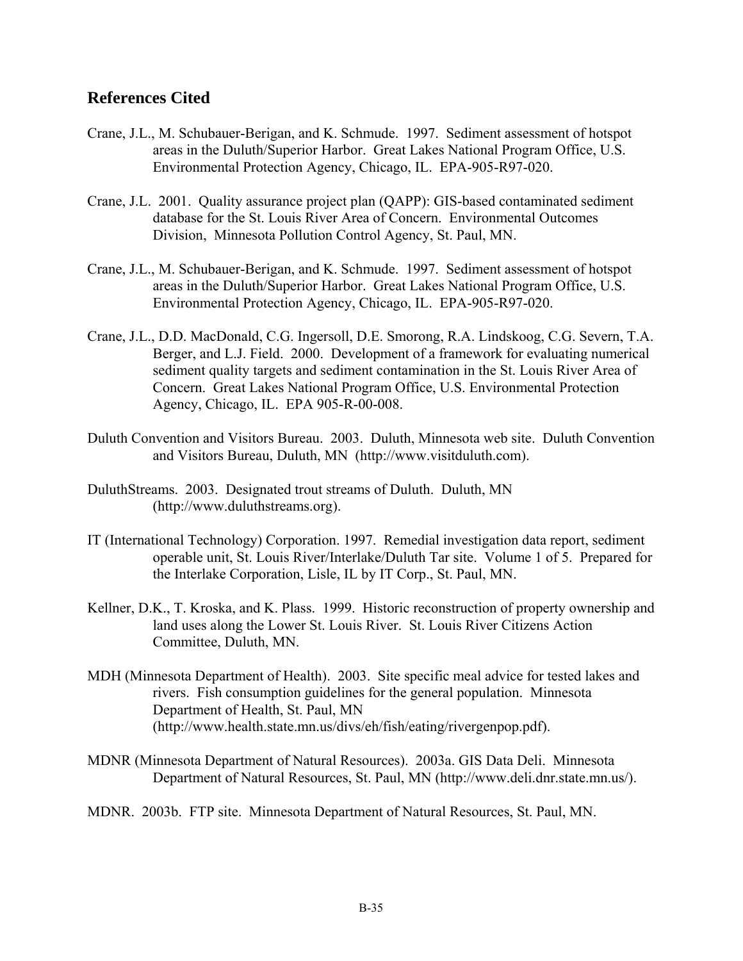### **References Cited**

- Crane, J.L., M. Schubauer-Berigan, and K. Schmude. 1997. Sediment assessment of hotspot areas in the Duluth/Superior Harbor. Great Lakes National Program Office, U.S. Environmental Protection Agency, Chicago, IL. EPA-905-R97-020.
- Crane, J.L. 2001. Quality assurance project plan (QAPP): GIS-based contaminated sediment database for the St. Louis River Area of Concern. Environmental Outcomes Division, Minnesota Pollution Control Agency, St. Paul, MN.
- Crane, J.L., M. Schubauer-Berigan, and K. Schmude. 1997. Sediment assessment of hotspot areas in the Duluth/Superior Harbor. Great Lakes National Program Office, U.S. Environmental Protection Agency, Chicago, IL. EPA-905-R97-020.
- Crane, J.L., D.D. MacDonald, C.G. Ingersoll, D.E. Smorong, R.A. Lindskoog, C.G. Severn, T.A. Berger, and L.J. Field. 2000. Development of a framework for evaluating numerical sediment quality targets and sediment contamination in the St. Louis River Area of Concern. Great Lakes National Program Office, U.S. Environmental Protection Agency, Chicago, IL. EPA 905-R-00-008.
- Duluth Convention and Visitors Bureau. 2003. Duluth, Minnesota web site. Duluth Convention and Visitors Bureau, Duluth, MN (http://www.visitduluth.com).
- DuluthStreams. 2003. Designated trout streams of Duluth. Duluth, MN (http://www.duluthstreams.org).
- IT (International Technology) Corporation. 1997. Remedial investigation data report, sediment operable unit, St. Louis River/Interlake/Duluth Tar site. Volume 1 of 5. Prepared for the Interlake Corporation, Lisle, IL by IT Corp., St. Paul, MN.
- Kellner, D.K., T. Kroska, and K. Plass. 1999. Historic reconstruction of property ownership and land uses along the Lower St. Louis River. St. Louis River Citizens Action Committee, Duluth, MN.
- MDH (Minnesota Department of Health). 2003. Site specific meal advice for tested lakes and rivers. Fish consumption guidelines for the general population. Minnesota Department of Health, St. Paul, MN (http://www.health.state.mn.us/divs/eh/fish/eating/rivergenpop.pdf).
- MDNR (Minnesota Department of Natural Resources). 2003a. GIS Data Deli. Minnesota Department of Natural Resources, St. Paul, MN (http://www.deli.dnr.state.mn.us/).
- MDNR. 2003b. FTP site. Minnesota Department of Natural Resources, St. Paul, MN.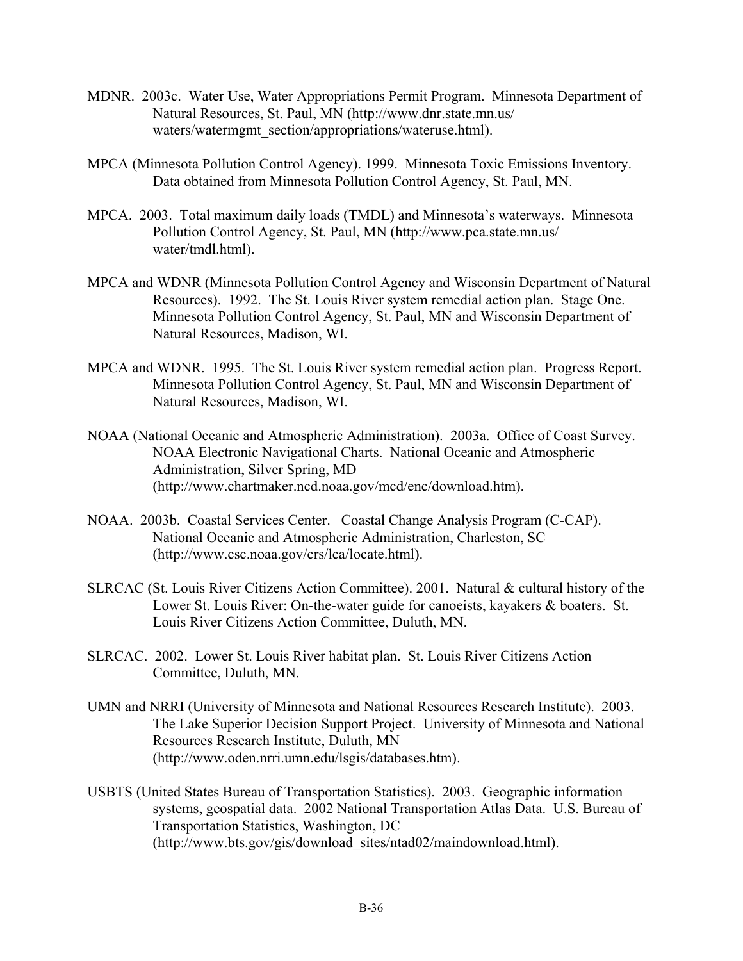- MDNR. 2003c. Water Use, Water Appropriations Permit Program. Minnesota Department of Natural Resources, St. Paul, MN (http://www.dnr.state.mn.us/ waters/watermgmt\_section/appropriations/wateruse.html).
- MPCA (Minnesota Pollution Control Agency). 1999. Minnesota Toxic Emissions Inventory. Data obtained from Minnesota Pollution Control Agency, St. Paul, MN.
- MPCA. 2003. Total maximum daily loads (TMDL) and Minnesota's waterways. Minnesota Pollution Control Agency, St. Paul, MN (http://www.pca.state.mn.us/ water/tmdl.html).
- MPCA and WDNR (Minnesota Pollution Control Agency and Wisconsin Department of Natural Resources). 1992. The St. Louis River system remedial action plan. Stage One. Minnesota Pollution Control Agency, St. Paul, MN and Wisconsin Department of Natural Resources, Madison, WI.
- MPCA and WDNR. 1995. The St. Louis River system remedial action plan. Progress Report. Minnesota Pollution Control Agency, St. Paul, MN and Wisconsin Department of Natural Resources, Madison, WI.
- NOAA (National Oceanic and Atmospheric Administration). 2003a. Office of Coast Survey. NOAA Electronic Navigational Charts. National Oceanic and Atmospheric Administration, Silver Spring, MD (http://www.chartmaker.ncd.noaa.gov/mcd/enc/download.htm).
- NOAA. 2003b. Coastal Services Center. Coastal Change Analysis Program (C-CAP). National Oceanic and Atmospheric Administration, Charleston, SC (http://www.csc.noaa.gov/crs/lca/locate.html).
- SLRCAC (St. Louis River Citizens Action Committee). 2001. Natural & cultural history of the Lower St. Louis River: On-the-water guide for canoeists, kayakers & boaters. St. Louis River Citizens Action Committee, Duluth, MN.
- SLRCAC. 2002. Lower St. Louis River habitat plan. St. Louis River Citizens Action Committee, Duluth, MN.
- UMN and NRRI (University of Minnesota and National Resources Research Institute). 2003. The Lake Superior Decision Support Project. University of Minnesota and National Resources Research Institute, Duluth, MN (http://www.oden.nrri.umn.edu/lsgis/databases.htm).
- USBTS (United States Bureau of Transportation Statistics). 2003. Geographic information systems, geospatial data. 2002 National Transportation Atlas Data. U.S. Bureau of Transportation Statistics, Washington, DC (http://www.bts.gov/gis/download\_sites/ntad02/maindownload.html).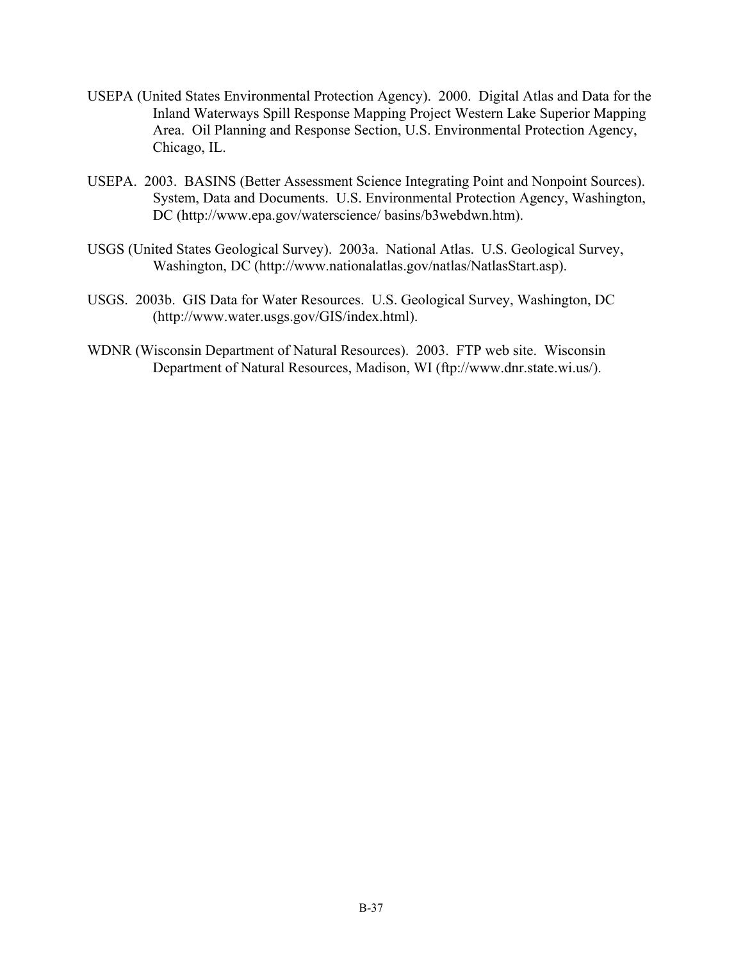- USEPA (United States Environmental Protection Agency). 2000. Digital Atlas and Data for the Inland Waterways Spill Response Mapping Project Western Lake Superior Mapping Area. Oil Planning and Response Section, U.S. Environmental Protection Agency, Chicago, IL.
- USEPA. 2003. BASINS (Better Assessment Science Integrating Point and Nonpoint Sources). System, Data and Documents. U.S. Environmental Protection Agency, Washington, DC (http://www.epa.gov/waterscience/ basins/b3webdwn.htm).
- USGS (United States Geological Survey). 2003a. National Atlas. U.S. Geological Survey, Washington, DC (http://www.nationalatlas.gov/natlas/NatlasStart.asp).
- USGS. 2003b. GIS Data for Water Resources. U.S. Geological Survey, Washington, DC (http://www.water.usgs.gov/GIS/index.html).
- WDNR (Wisconsin Department of Natural Resources). 2003. FTP web site. Wisconsin Department of Natural Resources, Madison, WI (ftp://www.dnr.state.wi.us/).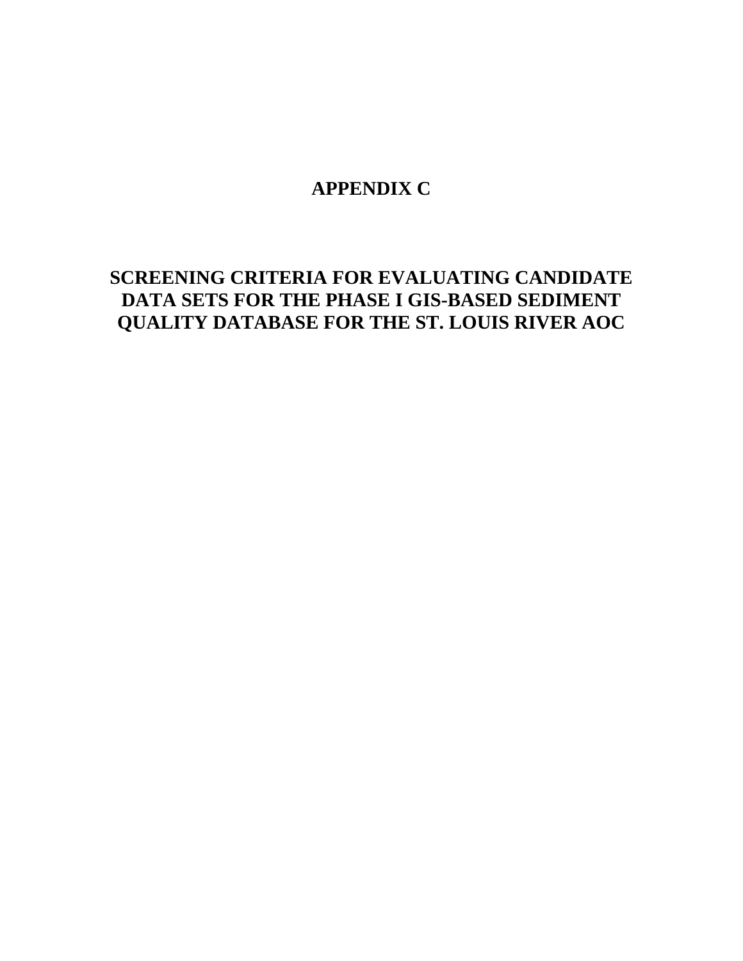# **APPENDIX C**

# **SCREENING CRITERIA FOR EVALUATING CANDIDATE DATA SETS FOR THE PHASE I GIS-BASED SEDIMENT QUALITY DATABASE FOR THE ST. LOUIS RIVER AOC**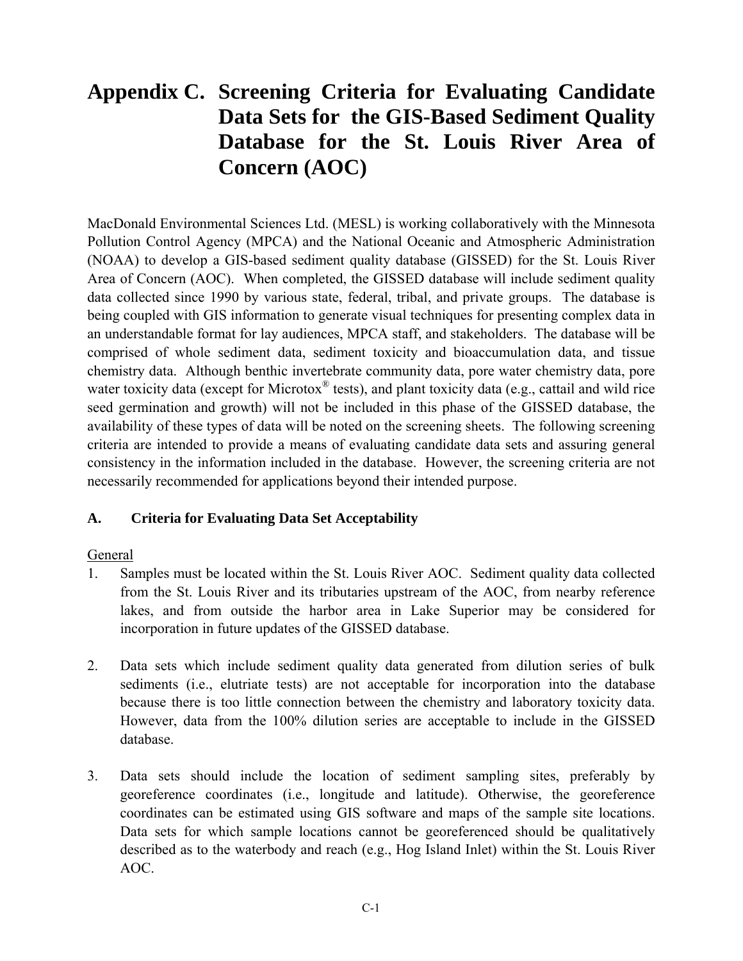# **Appendix C. Screening Criteria for Evaluating Candidate Data Sets for the GIS-Based Sediment Quality Database for the St. Louis River Area of Concern (AOC)**

MacDonald Environmental Sciences Ltd. (MESL) is working collaboratively with the Minnesota Pollution Control Agency (MPCA) and the National Oceanic and Atmospheric Administration (NOAA) to develop a GIS-based sediment quality database (GISSED) for the St. Louis River Area of Concern (AOC). When completed, the GISSED database will include sediment quality data collected since 1990 by various state, federal, tribal, and private groups. The database is being coupled with GIS information to generate visual techniques for presenting complex data in an understandable format for lay audiences, MPCA staff, and stakeholders. The database will be comprised of whole sediment data, sediment toxicity and bioaccumulation data, and tissue chemistry data. Although benthic invertebrate community data, pore water chemistry data, pore water toxicity data (except for Microtox<sup>®</sup> tests), and plant toxicity data (e.g., cattail and wild rice seed germination and growth) will not be included in this phase of the GISSED database, the availability of these types of data will be noted on the screening sheets. The following screening criteria are intended to provide a means of evaluating candidate data sets and assuring general consistency in the information included in the database. However, the screening criteria are not necessarily recommended for applications beyond their intended purpose.

### **A. Criteria for Evaluating Data Set Acceptability**

### General

- 1. Samples must be located within the St. Louis River AOC. Sediment quality data collected from the St. Louis River and its tributaries upstream of the AOC, from nearby reference lakes, and from outside the harbor area in Lake Superior may be considered for incorporation in future updates of the GISSED database.
- 2. Data sets which include sediment quality data generated from dilution series of bulk sediments (i.e., elutriate tests) are not acceptable for incorporation into the database because there is too little connection between the chemistry and laboratory toxicity data. However, data from the 100% dilution series are acceptable to include in the GISSED database.
- 3. Data sets should include the location of sediment sampling sites, preferably by georeference coordinates (i.e., longitude and latitude). Otherwise, the georeference coordinates can be estimated using GIS software and maps of the sample site locations. Data sets for which sample locations cannot be georeferenced should be qualitatively described as to the waterbody and reach (e.g., Hog Island Inlet) within the St. Louis River AOC.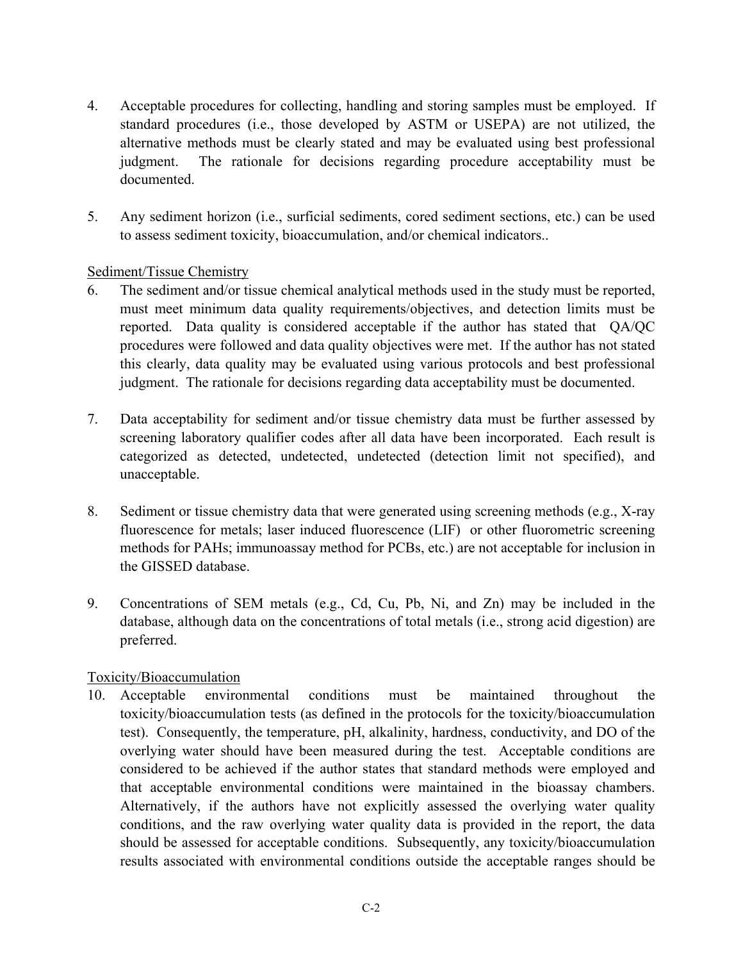- 4. Acceptable procedures for collecting, handling and storing samples must be employed. If standard procedures (i.e., those developed by ASTM or USEPA) are not utilized, the alternative methods must be clearly stated and may be evaluated using best professional judgment. The rationale for decisions regarding procedure acceptability must be documented.
- 5. Any sediment horizon (i.e., surficial sediments, cored sediment sections, etc.) can be used to assess sediment toxicity, bioaccumulation, and/or chemical indicators..

### Sediment/Tissue Chemistry

- 6. The sediment and/or tissue chemical analytical methods used in the study must be reported, must meet minimum data quality requirements/objectives, and detection limits must be reported. Data quality is considered acceptable if the author has stated that QA/QC procedures were followed and data quality objectives were met. If the author has not stated this clearly, data quality may be evaluated using various protocols and best professional judgment. The rationale for decisions regarding data acceptability must be documented.
- 7. Data acceptability for sediment and/or tissue chemistry data must be further assessed by screening laboratory qualifier codes after all data have been incorporated. Each result is categorized as detected, undetected, undetected (detection limit not specified), and unacceptable.
- 8. Sediment or tissue chemistry data that were generated using screening methods (e.g., X-ray fluorescence for metals; laser induced fluorescence (LIF) or other fluorometric screening methods for PAHs; immunoassay method for PCBs, etc.) are not acceptable for inclusion in the GISSED database.
- 9. Concentrations of SEM metals (e.g., Cd, Cu, Pb, Ni, and Zn) may be included in the database, although data on the concentrations of total metals (i.e., strong acid digestion) are preferred.

### Toxicity/Bioaccumulation

10. Acceptable environmental conditions must be maintained throughout the toxicity/bioaccumulation tests (as defined in the protocols for the toxicity/bioaccumulation test). Consequently, the temperature, pH, alkalinity, hardness, conductivity, and DO of the overlying water should have been measured during the test. Acceptable conditions are considered to be achieved if the author states that standard methods were employed and that acceptable environmental conditions were maintained in the bioassay chambers. Alternatively, if the authors have not explicitly assessed the overlying water quality conditions, and the raw overlying water quality data is provided in the report, the data should be assessed for acceptable conditions. Subsequently, any toxicity/bioaccumulation results associated with environmental conditions outside the acceptable ranges should be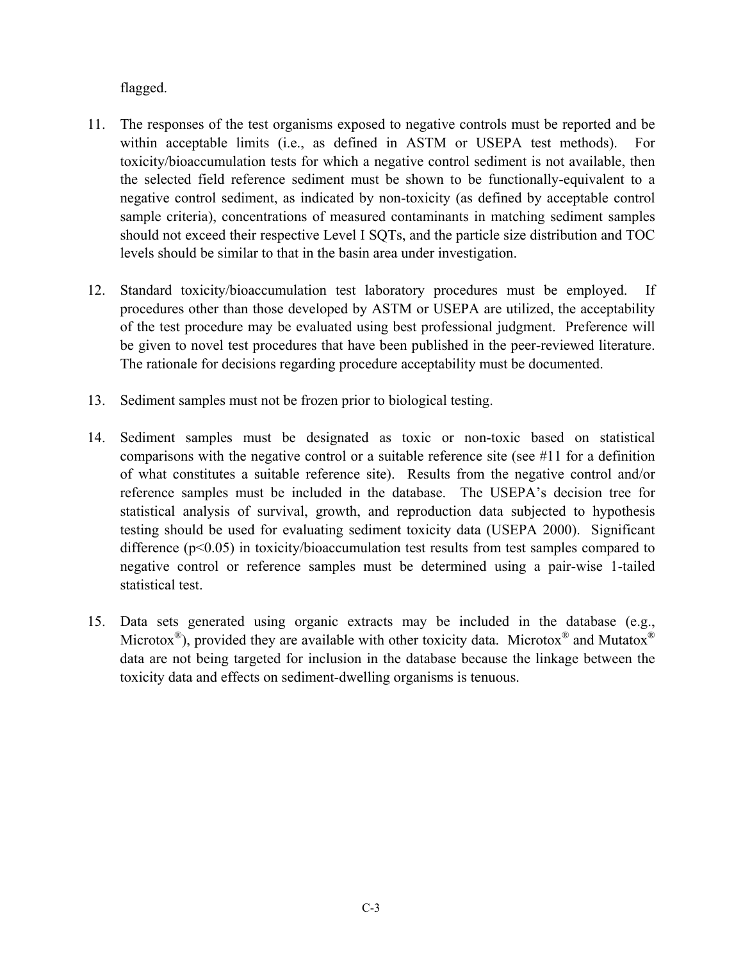flagged.

- 11. The responses of the test organisms exposed to negative controls must be reported and be within acceptable limits (i.e., as defined in ASTM or USEPA test methods). For toxicity/bioaccumulation tests for which a negative control sediment is not available, then the selected field reference sediment must be shown to be functionally-equivalent to a negative control sediment, as indicated by non-toxicity (as defined by acceptable control sample criteria), concentrations of measured contaminants in matching sediment samples should not exceed their respective Level I SQTs, and the particle size distribution and TOC levels should be similar to that in the basin area under investigation.
- 12. Standard toxicity/bioaccumulation test laboratory procedures must be employed. If procedures other than those developed by ASTM or USEPA are utilized, the acceptability of the test procedure may be evaluated using best professional judgment. Preference will be given to novel test procedures that have been published in the peer-reviewed literature. The rationale for decisions regarding procedure acceptability must be documented.
- 13. Sediment samples must not be frozen prior to biological testing.
- 14. Sediment samples must be designated as toxic or non-toxic based on statistical comparisons with the negative control or a suitable reference site (see #11 for a definition of what constitutes a suitable reference site). Results from the negative control and/or reference samples must be included in the database. The USEPA's decision tree for statistical analysis of survival, growth, and reproduction data subjected to hypothesis testing should be used for evaluating sediment toxicity data (USEPA 2000). Significant difference (p<0.05) in toxicity/bioaccumulation test results from test samples compared to negative control or reference samples must be determined using a pair-wise 1-tailed statistical test.
- 15. Data sets generated using organic extracts may be included in the database (e.g., Microtox<sup>®</sup>), provided they are available with other toxicity data. Microtox<sup>®</sup> and Mutatox<sup>®</sup> data are not being targeted for inclusion in the database because the linkage between the toxicity data and effects on sediment-dwelling organisms is tenuous.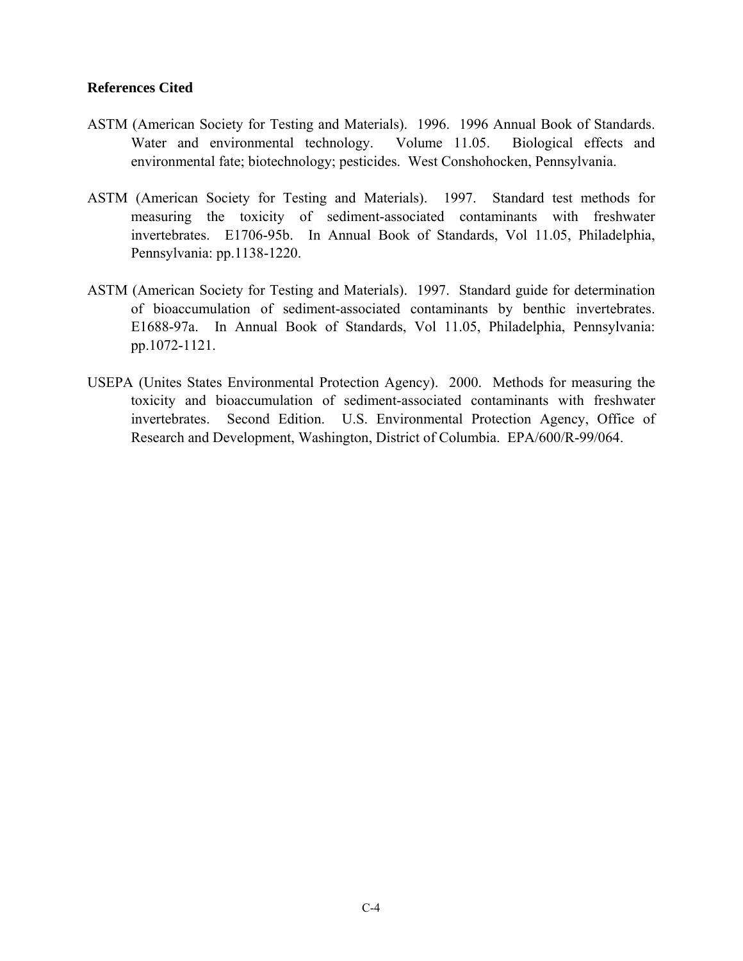#### **References Cited**

- ASTM (American Society for Testing and Materials). 1996. 1996 Annual Book of Standards. Water and environmental technology. Volume 11.05. Biological effects and environmental fate; biotechnology; pesticides. West Conshohocken, Pennsylvania.
- ASTM (American Society for Testing and Materials). 1997. Standard test methods for measuring the toxicity of sediment-associated contaminants with freshwater invertebrates. E1706-95b. In Annual Book of Standards, Vol 11.05, Philadelphia, Pennsylvania: pp.1138-1220.
- ASTM (American Society for Testing and Materials). 1997. Standard guide for determination of bioaccumulation of sediment-associated contaminants by benthic invertebrates. E1688-97a. In Annual Book of Standards, Vol 11.05, Philadelphia, Pennsylvania: pp.1072-1121.
- USEPA (Unites States Environmental Protection Agency). 2000. Methods for measuring the toxicity and bioaccumulation of sediment-associated contaminants with freshwater invertebrates. Second Edition. U.S. Environmental Protection Agency, Office of Research and Development, Washington, District of Columbia. EPA/600/R-99/064.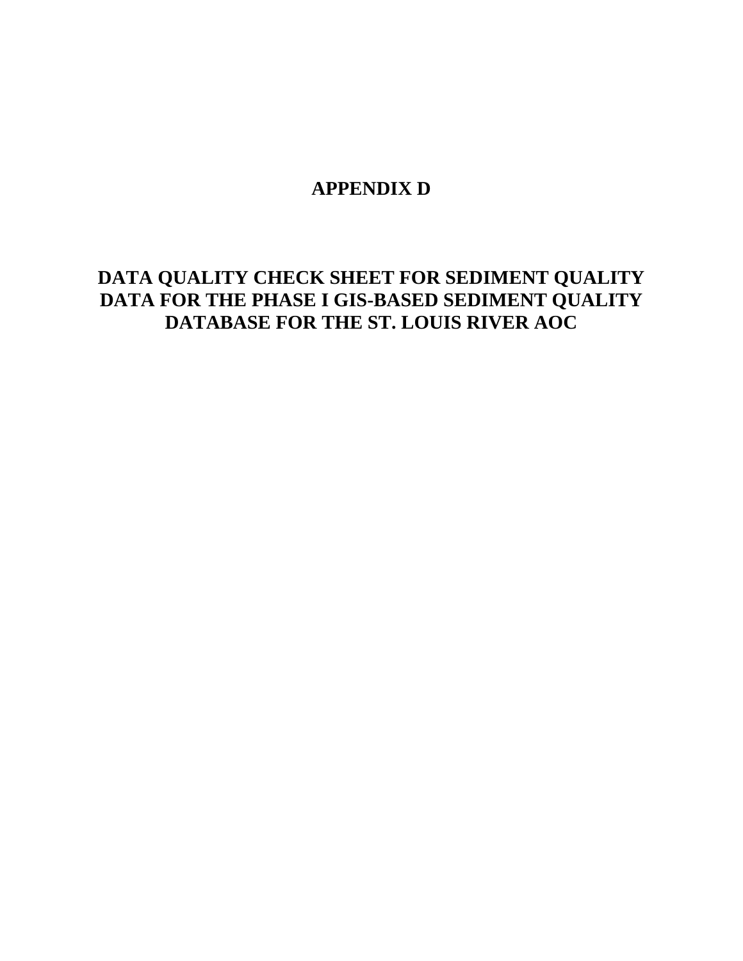# **APPENDIX D**

# **DATA QUALITY CHECK SHEET FOR SEDIMENT QUALITY DATA FOR THE PHASE I GIS-BASED SEDIMENT QUALITY DATABASE FOR THE ST. LOUIS RIVER AOC**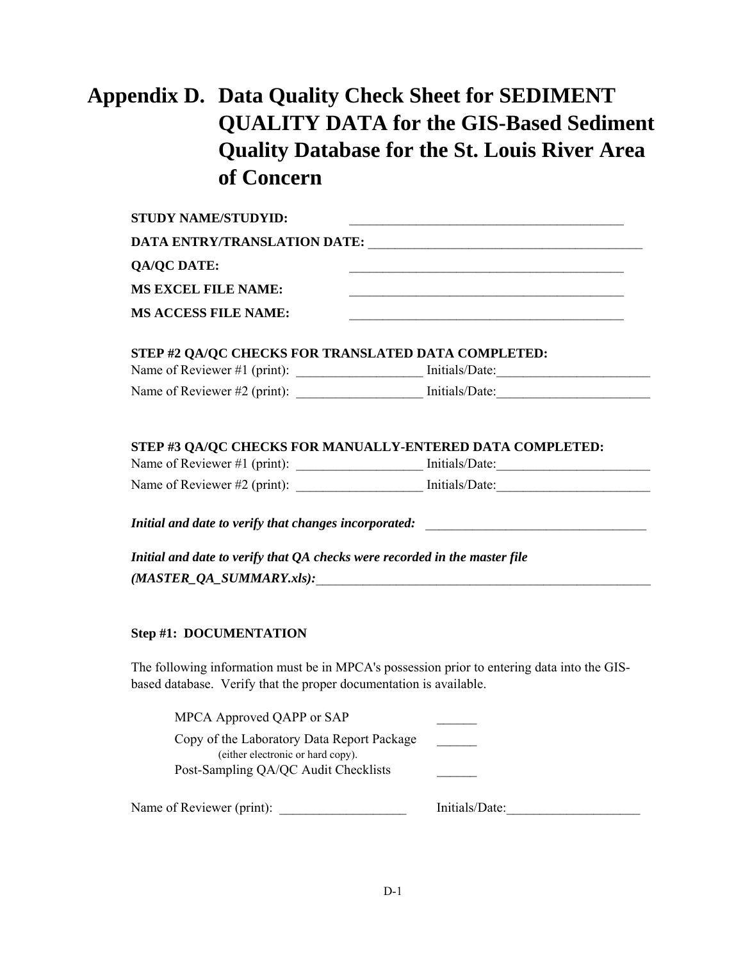# **Appendix D. Data Quality Check Sheet for SEDIMENT QUALITY DATA for the GIS-Based Sediment Quality Database for the St. Louis River Area of Concern**

| <b>STUDY NAME/STUDYID:</b>                                                                                                                                        |                      |  |  |  |  |
|-------------------------------------------------------------------------------------------------------------------------------------------------------------------|----------------------|--|--|--|--|
| DATA ENTRY/TRANSLATION DATE:                                                                                                                                      |                      |  |  |  |  |
| <b>QA/QC DATE:</b>                                                                                                                                                |                      |  |  |  |  |
| <b>MS EXCEL FILE NAME:</b>                                                                                                                                        |                      |  |  |  |  |
| <b>MS ACCESS FILE NAME:</b>                                                                                                                                       |                      |  |  |  |  |
| STEP #2 QA/QC CHECKS FOR TRANSLATED DATA COMPLETED:                                                                                                               |                      |  |  |  |  |
|                                                                                                                                                                   |                      |  |  |  |  |
| Name of Reviewer #2 (print): Initials/Date: Initials/Date:                                                                                                        |                      |  |  |  |  |
|                                                                                                                                                                   |                      |  |  |  |  |
| STEP #3 QA/QC CHECKS FOR MANUALLY-ENTERED DATA COMPLETED:                                                                                                         |                      |  |  |  |  |
|                                                                                                                                                                   |                      |  |  |  |  |
|                                                                                                                                                                   |                      |  |  |  |  |
| Initial and date to verify that changes incorporated: __________________________                                                                                  |                      |  |  |  |  |
| Initial and date to verify that QA checks were recorded in the master file<br>$(MASTER_QA_SUMMARY.xls):$                                                          |                      |  |  |  |  |
| <b>Step #1: DOCUMENTATION</b>                                                                                                                                     |                      |  |  |  |  |
| The following information must be in MPCA's possession prior to entering data into the GIS-<br>based database. Verify that the proper documentation is available. |                      |  |  |  |  |
| MPCA Approved QAPP or SAP                                                                                                                                         | <u>and the state</u> |  |  |  |  |
| Copy of the Laboratory Data Report Package                                                                                                                        |                      |  |  |  |  |
| (either electronic or hard copy).                                                                                                                                 |                      |  |  |  |  |
| Post-Sampling QA/QC Audit Checklists                                                                                                                              |                      |  |  |  |  |

Name of Reviewer (print): \_\_\_\_\_\_\_\_\_\_\_\_\_\_\_\_\_\_\_\_\_\_\_\_\_\_\_\_\_\_\_\_\_ Initials/Date: \_\_\_\_\_\_\_\_\_\_\_\_\_\_\_\_\_\_\_\_\_\_\_\_\_\_\_\_\_\_\_\_\_\_\_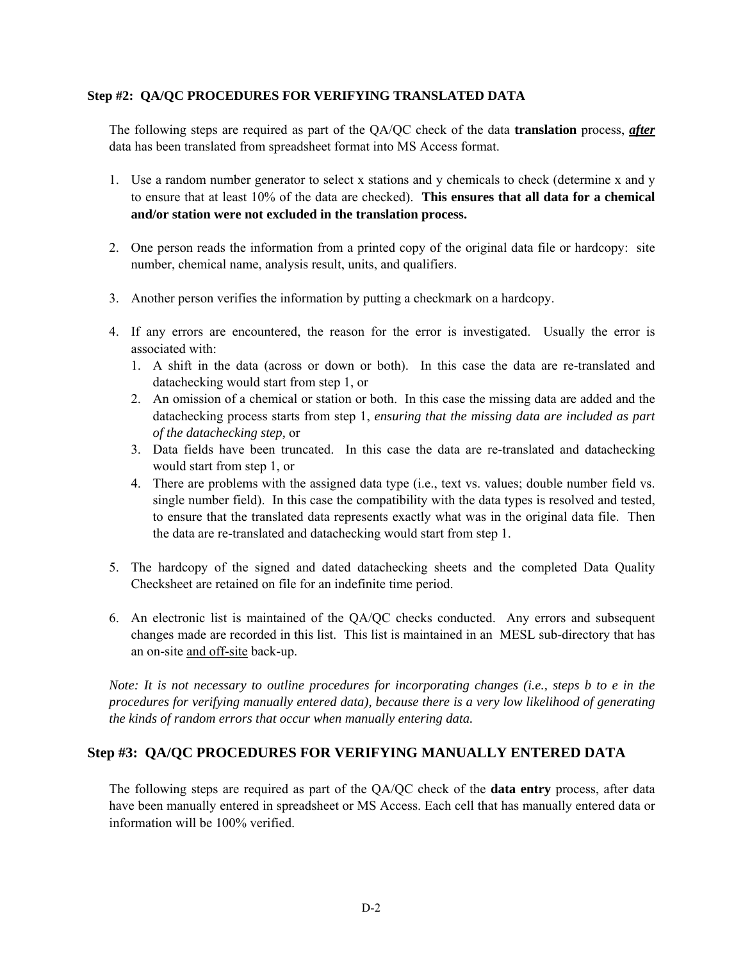#### **Step #2: QA/QC PROCEDURES FOR VERIFYING TRANSLATED DATA**

The following steps are required as part of the QA/QC check of the data **translation** process, *after* data has been translated from spreadsheet format into MS Access format.

- 1. Use a random number generator to select x stations and y chemicals to check (determine x and y to ensure that at least 10% of the data are checked). **This ensures that all data for a chemical and/or station were not excluded in the translation process.**
- 2. One person reads the information from a printed copy of the original data file or hardcopy: site number, chemical name, analysis result, units, and qualifiers.
- 3. Another person verifies the information by putting a checkmark on a hardcopy.
- 4. If any errors are encountered, the reason for the error is investigated. Usually the error is associated with:
	- 1. A shift in the data (across or down or both). In this case the data are re-translated and datachecking would start from step 1, or
	- 2. An omission of a chemical or station or both. In this case the missing data are added and the datachecking process starts from step 1, *ensuring that the missing data are included as part of the datachecking step,* or
	- 3. Data fields have been truncated. In this case the data are re-translated and datachecking would start from step 1, or
	- 4. There are problems with the assigned data type (i.e., text vs. values; double number field vs. single number field). In this case the compatibility with the data types is resolved and tested, to ensure that the translated data represents exactly what was in the original data file. Then the data are re-translated and datachecking would start from step 1.
- 5. The hardcopy of the signed and dated datachecking sheets and the completed Data Quality Checksheet are retained on file for an indefinite time period.
- 6. An electronic list is maintained of the QA/QC checks conducted. Any errors and subsequent changes made are recorded in this list. This list is maintained in an MESL sub-directory that has an on-site and off-site back-up.

*Note: It is not necessary to outline procedures for incorporating changes (i.e., steps b to e in the procedures for verifying manually entered data), because there is a very low likelihood of generating the kinds of random errors that occur when manually entering data.* 

#### **Step #3: QA/QC PROCEDURES FOR VERIFYING MANUALLY ENTERED DATA**

The following steps are required as part of the QA/QC check of the **data entry** process, after data have been manually entered in spreadsheet or MS Access. Each cell that has manually entered data or information will be 100% verified.